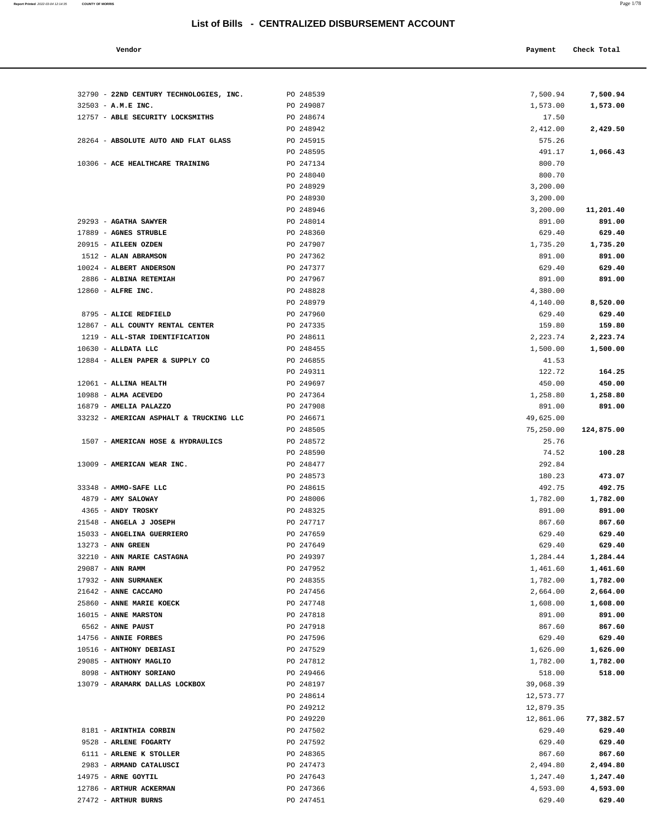**Report Printed** 2022-03-04 12:14:35 **COUNTY OF MORRIS** Page 1/78

| Vendor | Payment Check Total |  |
|--------|---------------------|--|
|--------|---------------------|--|

| 32790 - 22ND CENTURY TECHNOLOGIES, INC.<br>$32503 - A.M.E INC.$ | PO 248539<br>PO 249087 | 7,500.94<br>1,573.00 | 7,500.94<br>1,573.00 |
|-----------------------------------------------------------------|------------------------|----------------------|----------------------|
| 12757 - ABLE SECURITY LOCKSMITHS                                | PO 248674              | 17.50                |                      |
|                                                                 | PO 248942              | 2,412.00             | 2,429.50             |
| 28264 - ABSOLUTE AUTO AND FLAT GLASS                            | PO 245915              | 575.26               |                      |
|                                                                 | PO 248595              | 491.17               | 1,066.43             |
| 10306 - ACE HEALTHCARE TRAINING                                 | PO 247134              | 800.70               |                      |
|                                                                 | PO 248040              | 800.70               |                      |
|                                                                 | PO 248929              | 3,200.00             |                      |
|                                                                 | PO 248930              | 3,200.00             |                      |
|                                                                 | PO 248946              | 3,200.00             | 11,201.40            |
| 29293 - AGATHA SAWYER                                           | PO 248014              | 891.00               | 891.00               |
| 17889 - AGNES STRUBLE                                           | PO 248360              | 629.40               | 629.40               |
| 20915 - AILEEN OZDEN                                            | PO 247907              | 1,735.20             | 1,735.20             |
| 1512 - ALAN ABRAMSON                                            | PO 247362              | 891.00               | 891.00               |
| 10024 - ALBERT ANDERSON                                         | PO 247377              | 629.40               | 629.40               |
| 2886 - ALBINA RETEMIAH                                          | PO 247967              | 891.00               | 891.00               |
| 12860 - ALFRE INC.                                              | PO 248828              | 4,380.00             |                      |
| 8795 - ALICE REDFIELD                                           | PO 248979<br>PO 247960 | 4,140.00<br>629.40   | 8,520.00<br>629.40   |
| 12867 - ALL COUNTY RENTAL CENTER                                | PO 247335              | 159.80               | 159.80               |
| 1219 - ALL-STAR IDENTIFICATION                                  | PO 248611              | 2,223.74             | 2,223.74             |
| $10630$ - ALLDATA LLC                                           | PO 248455              | 1,500.00             | 1,500.00             |
| 12884 - ALLEN PAPER & SUPPLY CO                                 | PO 246855              | 41.53                |                      |
|                                                                 | PO 249311              | 122.72               | 164.25               |
| 12061 - ALLINA HEALTH                                           | PO 249697              | 450.00               | 450.00               |
| 10988 - ALMA ACEVEDO                                            | PO 247364              | 1,258.80             | 1,258.80             |
| 16879 - AMELIA PALAZZO                                          | PO 247908              | 891.00               | 891.00               |
| 33232 - AMERICAN ASPHALT & TRUCKING LLC                         | PO 246671              | 49,625.00            |                      |
|                                                                 | PO 248505              | 75,250.00            | 124,875.00           |
| 1507 - AMERICAN HOSE & HYDRAULICS                               | PO 248572              | 25.76                |                      |
|                                                                 | PO 248590              | 74.52                | 100.28               |
| 13009 - AMERICAN WEAR INC.                                      | PO 248477              | 292.84               |                      |
|                                                                 | PO 248573              | 180.23               | 473.07               |
| 33348 - AMMO-SAFE LLC                                           | PO 248615              | 492.75               | 492.75               |
| 4879 - AMY SALOWAY                                              | PO 248006<br>PO 248325 | 1,782.00             | 1,782.00             |
| 4365 - ANDY TROSKY<br>21548 - ANGELA J JOSEPH                   | PO 247717              | 891.00<br>867.60     | 891.00<br>867.60     |
| 15033 - ANGELINA GUERRIERO                                      | PO 247659              | 629.40               | 629.40               |
| 13273 - ANN GREEN                                               | PO 247649              | 629.40               | 629.40               |
| 32210 - ANN MARIE CASTAGNA                                      | PO 249397              | 1,284.44             | 1,284.44             |
| 29087 - ANN RAMM                                                | PO 247952              | 1,461.60             | 1,461.60             |
| 17932 - ANN SURMANEK                                            | PO 248355              | 1,782.00             | 1,782.00             |
| 21642 - ANNE CACCAMO                                            | PO 247456              | 2,664.00             | 2,664.00             |
| 25860 - ANNE MARIE KOECK                                        | PO 247748              | 1,608.00             | 1,608.00             |
| 16015 - ANNE MARSTON                                            | PO 247818              | 891.00               | 891.00               |
| 6562 - ANNE PAUST                                               | PO 247918              | 867.60               | 867.60               |
| 14756 - ANNIE FORBES                                            | PO 247596              | 629.40               | 629.40               |
| 10516 - ANTHONY DEBIASI                                         | PO 247529              | 1,626.00             | 1,626.00             |
| 29085 - ANTHONY MAGLIO                                          | PO 247812              | 1,782.00             | 1,782.00             |
| 8098 - ANTHONY SORIANO                                          | PO 249466              | 518.00               | 518.00               |
| 13079 - ARAMARK DALLAS LOCKBOX                                  | PO 248197              | 39,068.39            |                      |
|                                                                 | PO 248614              | 12,573.77            |                      |
|                                                                 | PO 249212              | 12,879.35            |                      |
|                                                                 | PO 249220              | 12,861.06            | 77,382.57            |
| 8181 - ARINTHIA CORBIN                                          | PO 247502              | 629.40               | 629.40               |
| 9528 - ARLENE FOGARTY                                           | PO 247592              | 629.40               | 629.40               |
| 6111 - ARLENE K STOLLER                                         | PO 248365              | 867.60               | 867.60               |
| 2983 - ARMAND CATALUSCI                                         | PO 247473              | 2,494.80             | 2,494.80             |
| 14975 - ARNE GOYTIL<br>12786 - ARTHUR ACKERMAN                  | PO 247643              | 1,247.40             | 1,247.40             |
| 27472 - ARTHUR BURNS                                            | PO 247366<br>PO 247451 | 4,593.00<br>629.40   | 4,593.00<br>629.40   |
|                                                                 |                        |                      |                      |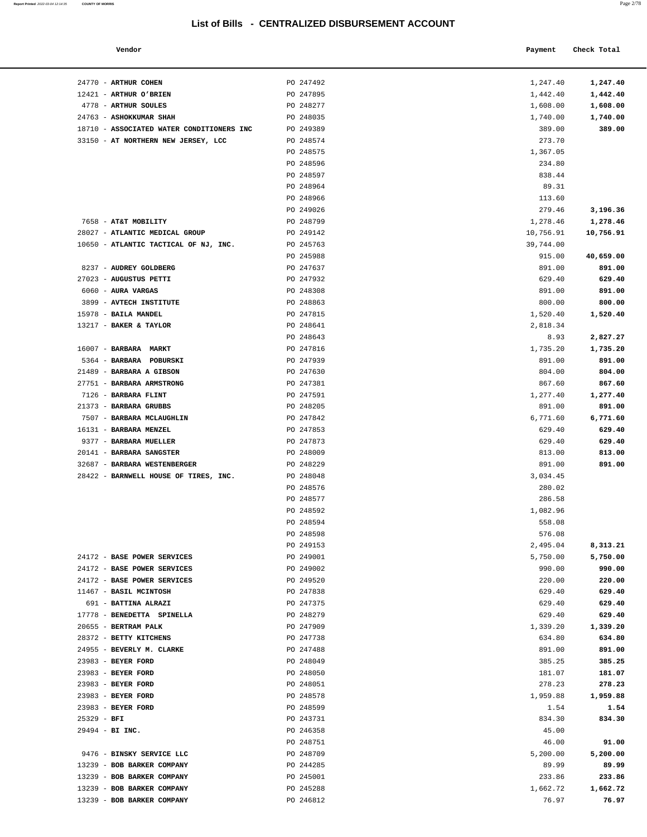#### **Vendor Check Total Payment Check Total**

**Report Printed** 2022-03-04 12:14:35 **COUNTY OF MORRIS** 

| 1,247.40  | 1,247.40  |
|-----------|-----------|
| 1,442.40  | 1,442.40  |
|           |           |
| 1,608.00  | 1,608.00  |
| 1,740.00  | 1,740.00  |
| 389.00    | 389.00    |
| 273.70    |           |
|           |           |
| 1,367.05  |           |
| 234.80    |           |
| 838.44    |           |
| 89.31     |           |
|           |           |
| 113.60    |           |
| 279.46    | 3,196.36  |
| 1,278.46  | 1,278.46  |
| 10,756.91 | 10,756.91 |
|           |           |
| 39,744.00 |           |
| 915.00    | 40,659.00 |
| 891.00    | 891.00    |
| 629.40    | 629.40    |
|           |           |
| 891.00    | 891.00    |
| 800.00    | 800.00    |
| 1,520.40  | 1,520.40  |
| 2,818.34  |           |
|           |           |
| 8.93      | 2,827.27  |
| 1,735.20  | 1,735.20  |
| 891.00    | 891.00    |
| 804.00    | 804.00    |
|           |           |
| 867.60    | 867.60    |
| 1,277.40  | 1,277.40  |
| 891.00    | 891.00    |
|           |           |
| 6,771.60  | 6,771.60  |
| 629.40    | 629.40    |
| 629.40    | 629.40    |
| 813.00    | 813.00    |
|           |           |
| 891.00    | 891.00    |
| 3,034.45  |           |
| 280.02    |           |
| 286.58    |           |
| 1,082.96  |           |
|           |           |
| 558.08    |           |
| 576.08    |           |
| 2,495.04  | 8,313.21  |
| 5,750.00  | 5,750.00  |
| 990.00    |           |
|           | 990.00    |
| 220.00    | 220.00    |
| 629.40    | 629.40    |
| 629.40    | 629.40    |
|           | 629.40    |
| 629.40    |           |
| 1,339.20  | 1,339.20  |
| 634.80    | 634.80    |
| 891.00    | 891.00    |
| 385.25    | 385.25    |
|           |           |
| 181.07    | 181.07    |
| 278.23    | 278.23    |
| 1,959.88  | 1,959.88  |
|           |           |
| 1.54      | 1.54      |
| 834.30    | 834.30    |
| 45.00     |           |
| 46.00     | 91.00     |
|           |           |
| 5,200.00  | 5,200.00  |
| 89.99     | 89.99     |
| 233.86    | 233.86    |
| 1,662.72  | 1,662.72  |
|           |           |
| 76.97     | 76.97     |
|           |           |

| 24770 - ARTHUR COHEN                      | PO 247492 | 1,247.40  | 1,247.40  |
|-------------------------------------------|-----------|-----------|-----------|
| 12421 - ARTHUR O'BRIEN                    | PO 247895 | 1,442.40  | 1,442.40  |
| 4778 - ARTHUR SOULES                      | PO 248277 | 1,608.00  | 1,608.00  |
| 24763 - ASHOKKUMAR SHAH                   | PO 248035 | 1,740.00  | 1,740.00  |
| 18710 - ASSOCIATED WATER CONDITIONERS INC | PO 249389 | 389.00    | 389.00    |
| 33150 - AT NORTHERN NEW JERSEY, LCC       | PO 248574 | 273.70    |           |
|                                           | PO 248575 | 1,367.05  |           |
|                                           | PO 248596 | 234.80    |           |
|                                           | PO 248597 | 838.44    |           |
|                                           | PO 248964 | 89.31     |           |
|                                           | PO 248966 | 113.60    |           |
|                                           | PO 249026 | 279.46    | 3,196.36  |
| 7658 - AT&T MOBILITY                      | PO 248799 | 1,278.46  | 1,278.46  |
| 28027 - ATLANTIC MEDICAL GROUP            | PO 249142 | 10,756.91 | 10,756.91 |
| 10650 - ATLANTIC TACTICAL OF NJ, INC.     | PO 245763 | 39,744.00 |           |
|                                           | PO 245988 | 915.00    | 40,659.00 |
| 8237 - AUDREY GOLDBERG                    | PO 247637 | 891.00    | 891.00    |
| 27023 - AUGUSTUS PETTI                    | PO 247932 | 629.40    | 629.40    |
| 6060 - AURA VARGAS                        | PO 248308 | 891.00    | 891.00    |
| 3899 - AVTECH INSTITUTE                   | PO 248863 | 800.00    | 800.00    |
| 15978 - BAILA MANDEL                      | PO 247815 | 1,520.40  | 1,520.40  |
| 13217 - BAKER & TAYLOR                    | PO 248641 | 2,818.34  |           |
|                                           | PO 248643 | 8.93      | 2,827.27  |
| 16007 - BARBARA MARKT                     | PO 247816 | 1,735.20  | 1,735.20  |
| 5364 - BARBARA POBURSKI                   | PO 247939 | 891.00    | 891.00    |
| 21489 - BARBARA A GIBSON                  | PO 247630 | 804.00    | 804.00    |
| 27751 - BARBARA ARMSTRONG                 | PO 247381 | 867.60    | 867.60    |
| 7126 - BARBARA FLINT                      | PO 247591 | 1,277.40  | 1,277.40  |
| 21373 - BARBARA GRUBBS                    | PO 248205 | 891.00    | 891.00    |
| 7507 - BARBARA MCLAUGHLIN                 | PO 247842 | 6,771.60  | 6,771.60  |
| 16131 - BARBARA MENZEL                    | PO 247853 | 629.40    | 629.40    |
| 9377 - BARBARA MUELLER                    | PO 247873 | 629.40    | 629.40    |
| 20141 - BARBARA SANGSTER                  | PO 248009 | 813.00    | 813.00    |
| 32687 - BARBARA WESTENBERGER              | PO 248229 | 891.00    | 891.00    |
| 28422 - BARNWELL HOUSE OF TIRES, INC.     | PO 248048 | 3,034.45  |           |
|                                           | PO 248576 | 280.02    |           |
|                                           | PO 248577 | 286.58    |           |
|                                           | PO 248592 | 1,082.96  |           |
|                                           | PO 248594 | 558.08    |           |
|                                           | PO 248598 | 576.08    |           |
|                                           | PO 249153 | 2,495.04  | 8,313.21  |
| 24172 - BASE POWER SERVICES               | PO 249001 | 5,750.00  | 5,750.00  |
| 24172 - BASE POWER SERVICES               | PO 249002 | 990.00    | 990.00    |
| 24172 - BASE POWER SERVICES               | PO 249520 | 220.00    | 220.00    |
| 11467 - BASIL MCINTOSH                    | PO 247838 | 629.40    | 629.40    |
| 691 - BATTINA ALRAZI                      | PO 247375 | 629.40    | 629.40    |
| 17778 - BENEDETTA SPINELLA                | PO 248279 | 629.40    | 629.40    |
| 20655 - BERTRAM PALK                      | PO 247909 | 1,339.20  | 1,339.20  |
| 28372 - BETTY KITCHENS                    | PO 247738 | 634.80    | 634.80    |
| 24955 - BEVERLY M. CLARKE                 | PO 247488 | 891.00    | 891.00    |
| 23983 - BEYER FORD                        | PO 248049 | 385.25    | 385.25    |
| 23983 - BEYER FORD                        | PO 248050 | 181.07    | 181.07    |
| 23983 - BEYER FORD                        | PO 248051 | 278.23    | 278.23    |
| 23983 - BEYER FORD                        | PO 248578 | 1,959.88  | 1,959.88  |
| 23983 - BEYER FORD                        | PO 248599 | 1.54      | 1.54      |
| $25329 - BFI$                             | PO 243731 | 834.30    | 834.30    |
| 29494 - BI INC.                           | PO 246358 | 45.00     |           |
|                                           | PO 248751 | 46.00     | 91.00     |
| 9476 - BINSKY SERVICE LLC                 | PO 248709 | 5,200.00  | 5,200.00  |
| 13239 - BOB BARKER COMPANY                | PO 244285 | 89.99     | 89.99     |
| 13239 - BOB BARKER COMPANY                | PO 245001 | 233.86    | 233.86    |
| 13239 - BOB BARKER COMPANY                | PO 245288 | 1,662.72  | 1,662.72  |
| 13239 - BOB BARKER COMPANY                | PO 246812 | 76.97     | 76.97     |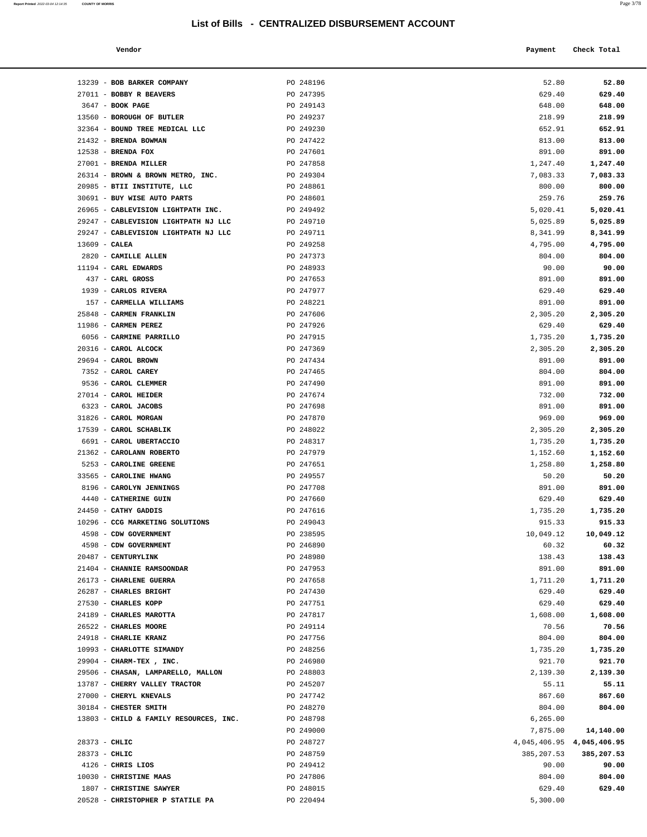**Report Printed** 2022-03-04 12:14:35 **COUNTY OF MORRIS** Page 3/78

| Vendor | Payment Check Total |
|--------|---------------------|
|        |                     |

| 13239 - BOB BARKER COMPANY                                 | PO 248196              | 52.80                     | 52.80              |
|------------------------------------------------------------|------------------------|---------------------------|--------------------|
| 27011 - BOBBY R BEAVERS                                    | PO 247395              | 629.40                    | 629.40             |
| $3647$ - BOOK PAGE                                         | PO 249143              | 648.00                    | 648.00             |
| 13560 - BOROUGH OF BUTLER                                  | PO 249237              | 218.99                    | 218.99             |
| 32364 - BOUND TREE MEDICAL LLC                             | PO 249230              | 652.91                    | 652.91             |
| 21432 - BRENDA BOWMAN                                      | PO 247422              | 813.00                    | 813.00             |
| $12538$ - BRENDA FOX                                       | PO 247601              | 891.00                    | 891.00             |
| 27001 - BRENDA MILLER                                      | PO 247858              | 1,247.40                  | 1,247.40           |
| 26314 - BROWN & BROWN METRO, INC.                          | PO 249304              | 7,083.33                  | 7,083.33           |
| 20985 - BTII INSTITUTE, LLC<br>30691 - BUY WISE AUTO PARTS | PO 248861              | 800.00                    | 800.00             |
| 26965 - CABLEVISION LIGHTPATH INC.                         | PO 248601<br>PO 249492 | 259.76<br>5,020.41        | 259.76<br>5,020.41 |
| 29247 - CABLEVISION LIGHTPATH NJ LLC                       | PO 249710              | 5,025.89                  | 5,025.89           |
| 29247 - CABLEVISION LIGHTPATH NJ LLC                       | PO 249711              | 8,341.99                  | 8,341.99           |
| $13609$ - CALEA                                            | PO 249258              | 4,795.00                  | 4,795.00           |
| 2820 - CAMILLE ALLEN                                       | PO 247373              | 804.00                    | 804.00             |
| 11194 - CARL EDWARDS                                       | PO 248933              | 90.00                     | 90.00              |
| 437 - CARL GROSS                                           | PO 247653              | 891.00                    | 891.00             |
| 1939 - CARLOS RIVERA                                       | PO 247977              | 629.40                    | 629.40             |
| 157 - CARMELLA WILLIAMS                                    | PO 248221              | 891.00                    | 891.00             |
| 25848 - CARMEN FRANKLIN                                    | PO 247606              | 2,305.20                  | 2,305.20           |
| 11986 - CARMEN PEREZ                                       | PO 247926              | 629.40                    | 629.40             |
| 6056 - CARMINE PARRILLO                                    | PO 247915              | 1,735.20                  | 1,735.20           |
| 20316 - CAROL ALCOCK                                       | PO 247369              | 2,305.20                  | 2,305.20           |
| 29694 - CAROL BROWN                                        | PO 247434              | 891.00                    | 891.00             |
| 7352 - CAROL CAREY<br>9536 - CAROL CLEMMER                 | PO 247465<br>PO 247490 | 804.00<br>891.00          | 804.00<br>891.00   |
| 27014 - CAROL HEIDER                                       | PO 247674              | 732.00                    | 732.00             |
| 6323 - CAROL JACOBS                                        | PO 247698              | 891.00                    | 891.00             |
| 31826 - CAROL MORGAN                                       | PO 247870              | 969.00                    | 969.00             |
| 17539 - CAROL SCHABLIK                                     | PO 248022              | 2,305.20                  | 2,305.20           |
| 6691 - CAROL UBERTACCIO                                    | PO 248317              | 1,735.20                  | 1,735.20           |
| 21362 - CAROLANN ROBERTO                                   | PO 247979              | 1,152.60                  | 1,152.60           |
| 5253 - CAROLINE GREENE                                     | PO 247651              | 1,258.80                  | 1,258.80           |
| 33565 - CAROLINE HWANG                                     | PO 249557              | 50.20                     | 50.20              |
| 8196 - CAROLYN JENNINGS                                    | PO 247708              | 891.00                    | 891.00             |
| 4440 - CATHERINE GUIN                                      | PO 247660              | 629.40                    | 629.40             |
| 24450 - CATHY GADDIS                                       | PO 247616              | 1,735.20                  | 1,735.20           |
| 10296 - CCG MARKETING SOLUTIONS                            | PO 249043              | 915.33                    | 915.33             |
| 4598 - CDW GOVERNMENT                                      | PO 238595              | 10,049.12                 | 10,049.12          |
| 4598 - CDW GOVERNMENT<br>20487 - CENTURYLINK               | PO 246890<br>PO 248980 | 60.32<br>138.43           | 60.32<br>138.43    |
| 21404 - CHANNIE RAMSOONDAR                                 | PO 247953              | 891.00                    | 891.00             |
| 26173 - CHARLENE GUERRA                                    | PO 247658              | 1,711.20                  | 1,711.20           |
| 26287 - CHARLES BRIGHT                                     | PO 247430              | 629.40                    | 629.40             |
| 27530 - CHARLES KOPP                                       | PO 247751              | 629.40                    | 629.40             |
| 24189 - CHARLES MAROTTA                                    | PO 247817              | 1,608.00                  | 1,608.00           |
| 26522 - CHARLES MOORE                                      | PO 249114              | 70.56                     | 70.56              |
| 24918 - CHARLIE KRANZ                                      | PO 247756              | 804.00                    | 804.00             |
| 10993 - CHARLOTTE SIMANDY                                  | PO 248256              | 1,735.20                  | 1,735.20           |
| 29904 - CHARM-TEX, INC.                                    | PO 246980              | 921.70                    | 921.70             |
| 29506 - CHASAN, LAMPARELLO, MALLON                         | PO 248803              | 2,139.30                  | 2,139.30           |
| 13787 - CHERRY VALLEY TRACTOR                              | PO 245207              | 55.11                     | 55.11              |
| 27000 - CHERYL KNEVALS<br>30184 - CHESTER SMITH            | PO 247742<br>PO 248270 | 867.60<br>804.00          | 867.60<br>804.00   |
| 13803 - CHILD & FAMILY RESOURCES, INC.                     | PO 248798              | 6,265.00                  |                    |
|                                                            | PO 249000              | 7,875.00                  | 14,140.00          |
| 28373 - CHLIC                                              | PO 248727              | 4,045,406.95 4,045,406.95 |                    |
| 28373 - CHLIC                                              | PO 248759              | 385, 207.53               | 385,207.53         |
| $4126$ - CHRIS LIOS                                        | PO 249412              | 90.00                     | 90.00              |
| 10030 - CHRISTINE MAAS                                     | PO 247806              | 804.00                    | 804.00             |
| 1807 - CHRISTINE SAWYER                                    | PO 248015              | 629.40                    | 629.40             |
| 20528 - CHRISTOPHER P STATILE PA                           | PO 220494              | 5,300.00                  |                    |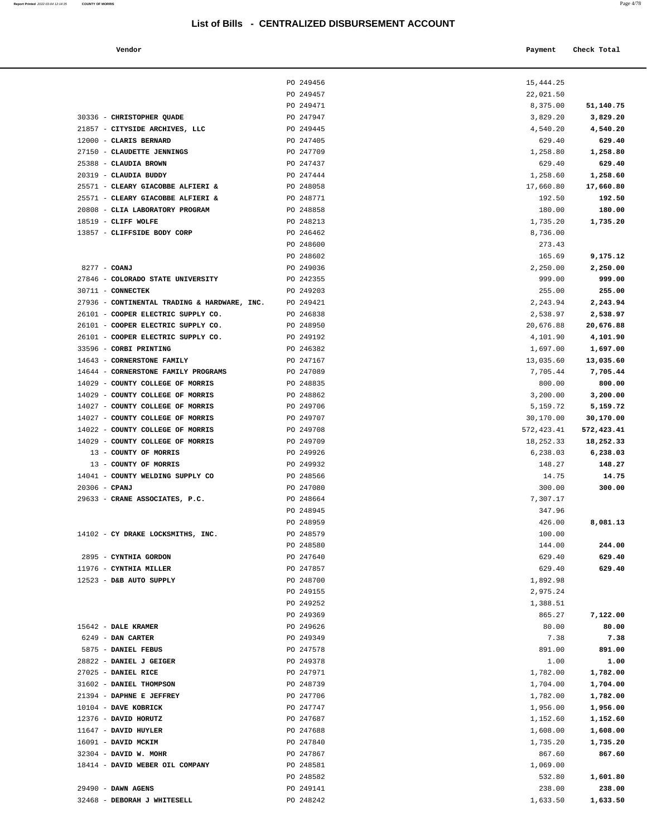PO 249456 PO 249457

#### **Vendor Check Total Payment Check Total**

| Report Printed 2022-03-04 12:14:35 | <b>COUNTY OF MORRIS</b> | Page 4/78 |
|------------------------------------|-------------------------|-----------|
|                                    |                         |           |

| 15,444.25          |                    |
|--------------------|--------------------|
| 22,021.50          |                    |
| 8,375.00           | 51,140.75          |
| 3,829.20           | 3,829.20           |
| 4,540.20           | 4,540.20           |
| 629.40             | 629.40             |
| 1,258.80           | 1,258.80           |
| 629.40             | 629.40             |
| 1,258.60           | 1,258.60           |
| 17,660.80          | 17,660.80          |
| 192.50             | 192.50             |
| 180.00<br>1,735.20 | 180.00<br>1,735.20 |
| 8,736.00           |                    |
| 273.43             |                    |
| 165.69             | 9,175.12           |
| 2,250.00           | 2,250.00           |
| 999.00             | 999.00             |
| 255.00             | 255.00             |
| 2,243.94           | 2,243.94           |
| 2,538.97           | 2,538.97           |
| 20,676.88          | 20,676.88          |
| 4,101.90           | 4,101.90           |
| 1,697.00           | 1,697.00           |
| 13,035.60          | 13,035.60          |
| 7,705.44           | 7,705.44           |
| 800.00             | 800.00             |
| 3,200.00           | 3,200.00           |
| 5,159.72           | 5,159.72           |
| 30,170.00          | 30,170.00          |
| 572,423.41         | 572,423.41         |
| 18,252.33          | 18,252.33          |
| 6,238.03           | 6,238.03           |
| 148.27             | 148.27             |
| 14.75              | 14.75              |
| 300.00             | 300.00             |
| 7,307.17           |                    |
| 347.96             |                    |
| 426.00             | 8,081.13           |
| 100.00             |                    |
| 144.00             | 244.00             |
| 629.40<br>629.40   | 629.40<br>629.40   |
| 1,892.98           |                    |
| 2,975.24           |                    |
| 1,388.51           |                    |
| 865.27             | 7,122.00           |
| 80.00              | 80.00              |
| 7.38               | 7.38               |
| 891.00             | 891.00             |
| 1.00               | 1.00               |
| 1,782.00           | 1,782.00           |
| 1,704.00           | 1,704.00           |
| 1,782.00           | 1,782.00           |
| 1,956.00           | 1,956.00           |
| 1,152.60           | 1,152.60           |
| 1,608.00           | 1,608.00           |
| 1,735.20           | 1,735.20           |
| 867.60             | 867.60             |
| 1,069.00           |                    |
| 532.80             | 1,601.80           |
| 238.00             | 238.00             |
| 633 E              | <b>633 50</b>      |

|                                              | PO 249471 | 8,375.00   | 51,140.75  |
|----------------------------------------------|-----------|------------|------------|
| 30336 - CHRISTOPHER QUADE                    | PO 247947 | 3,829.20   | 3,829.20   |
| 21857 - CITYSIDE ARCHIVES, LLC               | PO 249445 | 4,540.20   | 4,540.20   |
| 12000 - CLARIS BERNARD                       | PO 247405 | 629.40     | 629.40     |
| 27150 - CLAUDETTE JENNINGS                   | PO 247709 | 1,258.80   | 1,258.80   |
| 25388 - CLAUDIA BROWN                        | PO 247437 | 629.40     | 629.40     |
| 20319 - CLAUDIA BUDDY                        | PO 247444 | 1,258.60   | 1,258.60   |
| 25571 - CLEARY GIACOBBE ALFIERI &            | PO 248058 | 17,660.80  | 17,660.80  |
| 25571 - CLEARY GIACOBBE ALFIERI &            | PO 248771 | 192.50     | 192.50     |
| 20808 - CLIA LABORATORY PROGRAM              | PO 248858 | 180.00     | 180.00     |
| 18519 - CLIFF WOLFE                          | PO 248213 | 1,735.20   | 1,735.20   |
| 13857 - CLIFFSIDE BODY CORP                  | PO 246462 | 8,736.00   |            |
|                                              | PO 248600 | 273.43     |            |
|                                              | PO 248602 | 165.69     | 9,175.12   |
| 8277 - COANJ                                 | PO 249036 | 2,250.00   | 2,250.00   |
| 27846 - COLORADO STATE UNIVERSITY            | PO 242355 | 999.00     | 999.00     |
| 30711 - CONNECTEK                            | PO 249203 | 255.00     | 255.00     |
| 27936 - CONTINENTAL TRADING & HARDWARE, INC. | PO 249421 | 2,243.94   | 2,243.94   |
| 26101 - COOPER ELECTRIC SUPPLY CO.           | PO 246838 | 2,538.97   | 2,538.97   |
| 26101 - COOPER ELECTRIC SUPPLY CO.           | PO 248950 | 20,676.88  | 20,676.88  |
| 26101 - COOPER ELECTRIC SUPPLY CO.           | PO 249192 | 4,101.90   | 4,101.90   |
| 33596 - CORBI PRINTING                       | PO 246382 | 1,697.00   | 1,697.00   |
| 14643 - CORNERSTONE FAMILY                   | PO 247167 | 13,035.60  | 13,035.60  |
| 14644 - CORNERSTONE FAMILY PROGRAMS          | PO 247089 | 7,705.44   | 7,705.44   |
| 14029 - COUNTY COLLEGE OF MORRIS             | PO 248835 | 800.00     | 800.00     |
| 14029 - COUNTY COLLEGE OF MORRIS             | PO 248862 | 3,200.00   | 3,200.00   |
| 14027 - COUNTY COLLEGE OF MORRIS             | PO 249706 | 5,159.72   | 5,159.72   |
| 14027 - COUNTY COLLEGE OF MORRIS             | PO 249707 | 30,170.00  | 30,170.00  |
| 14022 - COUNTY COLLEGE OF MORRIS             | PO 249708 | 572,423.41 | 572,423.41 |
| 14029 - COUNTY COLLEGE OF MORRIS             | PO 249709 | 18,252.33  | 18,252.33  |
| 13 - COUNTY OF MORRIS                        | PO 249926 | 6,238.03   | 6,238.03   |
| 13 - COUNTY OF MORRIS                        | PO 249932 | 148.27     | 148.27     |
| 14041 - COUNTY WELDING SUPPLY CO             | PO 248566 | 14.75      | 14.75      |
| $20306$ - CPANJ                              | PO 247080 | 300.00     | 300.00     |
| 29633 - CRANE ASSOCIATES, P.C.               | PO 248664 | 7,307.17   |            |
|                                              | PO 248945 | 347.96     |            |
|                                              | PO 248959 | 426.00     | 8,081.13   |
| 14102 - CY DRAKE LOCKSMITHS, INC.            | PO 248579 | 100.00     |            |
|                                              | PO 248580 | 144.00     | 244.00     |
| 2895 - CYNTHIA GORDON                        | PO 247640 | 629.40     | 629.40     |
| 11976 - CYNTHIA MILLER                       | PO 247857 | 629.40     | 629.40     |
| 12523 - D&B AUTO SUPPLY                      | PO 248700 | 1,892.98   |            |
|                                              | PO 249155 | 2,975.24   |            |
|                                              | PO 249252 | 1,388.51   |            |
|                                              | PO 249369 | 865.27     | 7,122.00   |
| 15642 - DALE KRAMER                          | PO 249626 | 80.00      | 80.00      |
| 6249 - DAN CARTER                            | PO 249349 | 7.38       | 7.38       |
| 5875 - DANIEL FEBUS                          | PO 247578 | 891.00     | 891.00     |
| 28822 - DANIEL J GEIGER                      | PO 249378 | 1.00       | 1.00       |
| 27025 - DANIEL RICE                          | PO 247971 | 1,782.00   | 1,782.00   |
| 31602 - DANIEL THOMPSON                      | PO 248739 | 1,704.00   | 1,704.00   |
| 21394 - DAPHNE E JEFFREY                     | PO 247706 | 1,782.00   | 1,782.00   |
| 10104 - DAVE KOBRICK                         | PO 247747 | 1,956.00   | 1,956.00   |
| 12376 - DAVID HORUTZ                         | PO 247687 | 1,152.60   | 1,152.60   |
| 11647 - DAVID HUYLER                         | PO 247688 | 1,608.00   | 1,608.00   |
| 16091 - DAVID MCKIM                          | PO 247840 | 1,735.20   | 1,735.20   |
| 32304 - DAVID W. MOHR                        | PO 247867 | 867.60     | 867.60     |
| 18414 - DAVID WEBER OIL COMPANY              | PO 248581 | 1,069.00   |            |
|                                              | PO 248582 | 532.80     | 1,601.80   |
| $29490$ - DAWN AGENS                         | PO 249141 | 238.00     | 238.00     |
| 32468 - DEBORAH J WHITESELL                  | PO 248242 | 1,633.50   | 1,633.50   |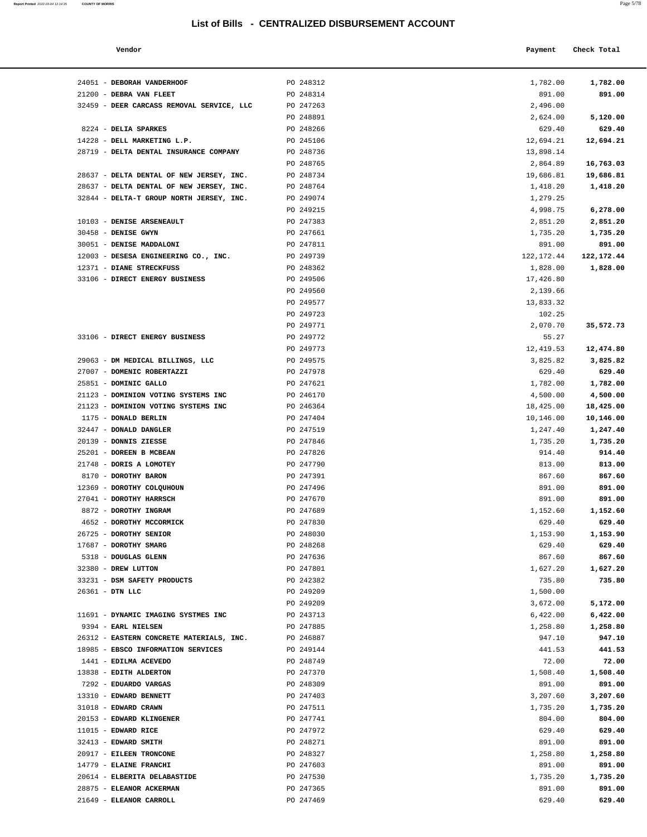| Report Printed 2022-03-04 12:14:35 COUNTY OF MORRIS | Page 5/78 |  |
|-----------------------------------------------------|-----------|--|
|                                                     |           |  |

| Vendor | Payment Check Total |
|--------|---------------------|
|--------|---------------------|

| 24051 - DEBORAH VANDERHOOF                                                           | PO 248312              | 1,782.00              | 1,782.00              |
|--------------------------------------------------------------------------------------|------------------------|-----------------------|-----------------------|
| 21200 - DEBRA VAN FLEET                                                              | PO 248314              | 891.00                | 891.00                |
| 32459 - DEER CARCASS REMOVAL SERVICE, LLC                                            | PO 247263              | 2,496.00              |                       |
|                                                                                      | PO 248891              | 2,624.00              | 5,120.00              |
| 8224 - DELIA SPARKES                                                                 | PO 248266              | 629.40                | 629.40                |
| 14228 - DELL MARKETING L.P.                                                          | PO 245106              | 12,694.21             | 12,694.21             |
| 28719 - DELTA DENTAL INSURANCE COMPANY                                               | PO 248736              | 13,898.14             |                       |
|                                                                                      | PO 248765              | 2,864.89<br>19,686.81 | 16,763.03             |
| 28637 - DELTA DENTAL OF NEW JERSEY, INC.<br>28637 - DELTA DENTAL OF NEW JERSEY, INC. | PO 248734<br>PO 248764 | 1,418.20              | 19,686.81<br>1,418.20 |
| 32844 - DELTA-T GROUP NORTH JERSEY, INC.                                             | PO 249074              | 1,279.25              |                       |
|                                                                                      | PO 249215              | 4,998.75              | 6,278.00              |
| 10103 - DENISE ARSENEAULT                                                            | PO 247383              | 2,851.20              | 2,851.20              |
| 30458 - DENISE GWYN                                                                  | PO 247661              | 1,735.20              | 1,735.20              |
| 30051 - DENISE MADDALONI                                                             | PO 247811              | 891.00                | 891.00                |
| 12003 - DESESA ENGINEERING CO., INC.                                                 | PO 249739              | 122,172.44            | 122, 172. 44          |
| 12371 - DIANE STRECKFUSS                                                             | PO 248362              | 1,828.00              | 1,828.00              |
| 33106 - DIRECT ENERGY BUSINESS                                                       | PO 249506              | 17,426.80             |                       |
|                                                                                      | PO 249560              | 2,139.66              |                       |
|                                                                                      | PO 249577              | 13,833.32             |                       |
|                                                                                      | PO 249723              | 102.25                |                       |
|                                                                                      | PO 249771              | 2,070.70              | 35,572.73             |
| 33106 - DIRECT ENERGY BUSINESS                                                       | PO 249772              | 55.27                 |                       |
| 29063 - DM MEDICAL BILLINGS, LLC                                                     | PO 249773              | 12,419.53             | 12,474.80             |
| 27007 - DOMENIC ROBERTAZZI                                                           | PO 249575<br>PO 247978 | 3,825.82<br>629.40    | 3,825.82<br>629.40    |
| 25851 - DOMINIC GALLO                                                                | PO 247621              | 1,782.00              | 1,782.00              |
| 21123 - DOMINION VOTING SYSTEMS INC                                                  | PO 246170              | 4,500.00              | 4,500.00              |
| 21123 - DOMINION VOTING SYSTEMS INC                                                  | PO 246364              | 18,425.00             | 18,425.00             |
| 1175 - DONALD BERLIN                                                                 | PO 247404              | 10,146.00             | 10,146.00             |
| 32447 - DONALD DANGLER                                                               | PO 247519              | 1,247.40              | 1,247.40              |
| 20139 - DONNIS ZIESSE                                                                | PO 247846              | 1,735.20              | 1,735.20              |
| 25201 - DOREEN B MCBEAN                                                              | PO 247826              | 914.40                | 914.40                |
| 21748 - DORIS A LOMOTEY                                                              | PO 247790              | 813.00                | 813.00                |
| 8170 - DOROTHY BARON                                                                 | PO 247391              | 867.60                | 867.60                |
| 12369 - DOROTHY COLQUHOUN                                                            | PO 247496              | 891.00                | 891.00                |
| 27041 - DOROTHY HARRSCH                                                              | PO 247670              | 891.00                | 891.00                |
| 8872 - DOROTHY INGRAM                                                                | PO 247689              | 1,152.60              | 1,152.60              |
| 4652 - DOROTHY MCCORMICK<br>26725 - DOROTHY SENIOR                                   | PO 247830<br>PO 248030 | 629.40<br>1,153.90    | 629.40<br>1,153.90    |
| 17687 - DOROTHY SMARG                                                                | PO 248268              | 629.40                | 629.40                |
| 5318 - DOUGLAS GLENN                                                                 | PO 247636              | 867.60                | 867.60                |
| 32380 - DREW LUTTON                                                                  | PO 247801              | 1,627.20              | 1,627.20              |
| 33231 - DSM SAFETY PRODUCTS                                                          | PO 242382              | 735.80                | 735.80                |
| 26361 - DTN LLC                                                                      | PO 249209              | 1,500.00              |                       |
|                                                                                      | PO 249209              | 3,672.00              | 5,172.00              |
| 11691 - DYNAMIC IMAGING SYSTMES INC                                                  | PO 243713              | 6,422.00              | 6,422.00              |
| 9394 - EARL NIELSEN                                                                  | PO 247885              | 1,258.80              | 1,258.80              |
| 26312 - EASTERN CONCRETE MATERIALS, INC.                                             | PO 246887              | 947.10                | 947.10                |
| 18985 - EBSCO INFORMATION SERVICES                                                   | PO 249144              | 441.53                | 441.53                |
| 1441 - EDILMA ACEVEDO                                                                | PO 248749              | 72.00                 | 72.00                 |
| 13838 - EDITH ALDERTON                                                               | PO 247370              | 1,508.40              | 1,508.40              |
| 7292 - EDUARDO VARGAS                                                                | PO 248309              | 891.00                | 891.00                |
| 13310 - EDWARD BENNETT                                                               | PO 247403              | 3,207.60              | 3,207.60              |
| 31018 - EDWARD CRAWN<br>20153 - EDWARD KLINGENER                                     | PO 247511<br>PO 247741 | 1,735.20<br>804.00    | 1,735.20<br>804.00    |
| $11015$ - EDWARD RICE                                                                | PO 247972              | 629.40                | 629.40                |
| 32413 - EDWARD SMITH                                                                 | PO 248271              | 891.00                | 891.00                |
| 20917 - EILEEN TRONCONE                                                              | PO 248327              | 1,258.80              | 1,258.80              |
| 14779 - ELAINE FRANCHI                                                               | PO 247603              | 891.00                | 891.00                |
| 20614 - ELBERITA DELABASTIDE                                                         | PO 247530              | 1,735.20              | 1,735.20              |
| 28875 - ELEANOR ACKERMAN                                                             | PO 247365              | 891.00                | 891.00                |
| 21649 - ELEANOR CARROLL                                                              | PO 247469              | 629.40                | 629.40                |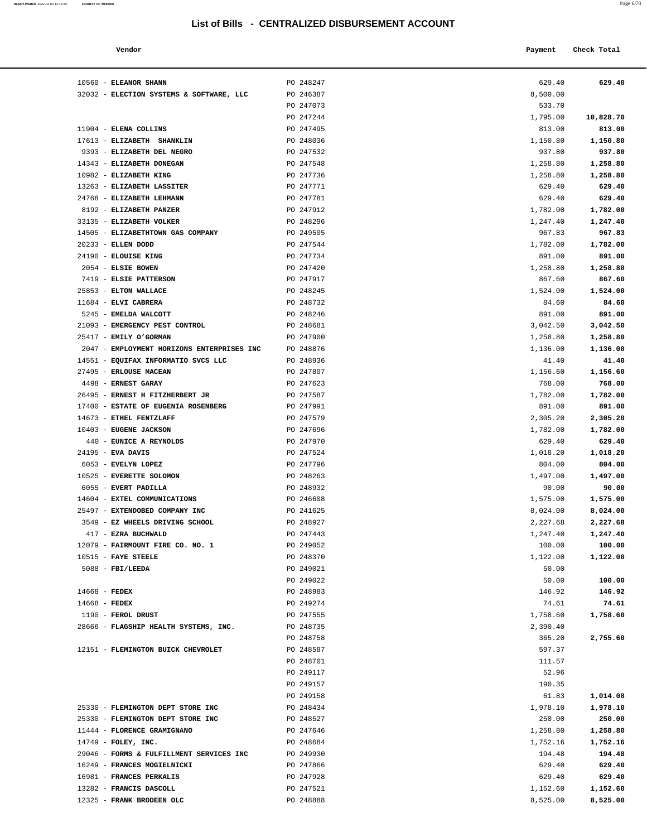|                                     | Payment                      | Check Total |
|-------------------------------------|------------------------------|-------------|
| PO 248247<br>PO 246387<br>PO 247073 | 629.40<br>8,500.00<br>533.70 | 629.40      |
|                                     |                              |             |

| 10560 - ELEANOR SHANN                                                  | PO 248247              | 629.40             | 629.40             |
|------------------------------------------------------------------------|------------------------|--------------------|--------------------|
| 32032 - ELECTION SYSTEMS & SOFTWARE, LLC                               | PO 246387              | 8,500.00           |                    |
|                                                                        | PO 247073              | 533.70             |                    |
|                                                                        | PO 247244              | 1,795.00           | 10,828.70          |
| 11904 - ELENA COLLINS                                                  | PO 247495              | 813.00             | 813.00             |
| 17613 - ELIZABETH SHANKLIN                                             | PO 248036              | 1,150.80           | 1,150.80           |
| 9393 - ELIZABETH DEL NEGRO                                             | PO 247532              | 937.80             | 937.80             |
| 14343 - ELIZABETH DONEGAN                                              | PO 247548              | 1,258.80           | 1,258.80           |
| 10982 - ELIZABETH KING                                                 | PO 247736              | 1,258.80           | 1,258.80           |
| 13263 - ELIZABETH LASSITER                                             | PO 247771              | 629.40             | 629.40             |
| 24768 - ELIZABETH LEHMANN                                              | PO 247781              | 629.40             | 629.40             |
| 8192 - ELIZABETH PANZER                                                | PO 247912              | 1,782.00           | 1,782.00           |
| 33135 - ELIZABETH VOLKER                                               | PO 248296              | 1,247.40           | 1,247.40           |
| 14505 - ELIZABETHTOWN GAS COMPANY                                      | PO 249505              | 967.83             | 967.83             |
| 20233 - ELLEN DODD                                                     | PO 247544              | 1,782.00           | 1,782.00           |
| 24190 - ELOUISE KING                                                   | PO 247734              | 891.00             | 891.00             |
| 2054 - ELSIE BOWEN                                                     | PO 247420              | 1,258.80           | 1,258.80           |
| 7419 - ELSIE PATTERSON                                                 | PO 247917              | 867.60             | 867.60             |
| 25853 - ELTON WALLACE                                                  | PO 248245              | 1,524.00           | 1,524.00           |
| 11684 - ELVI CABRERA                                                   | PO 248732              | 84.60              | 84.60              |
| 5245 - EMELDA WALCOTT                                                  | PO 248246              | 891.00             | 891.00             |
| 21093 - EMERGENCY PEST CONTROL                                         | PO 248681              | 3,042.50           | 3,042.50           |
| 25417 - EMILY O'GORMAN                                                 | PO 247900              | 1,258.80           | 1,258.80           |
| 2047 - EMPLOYMENT HORIZONS ENTERPRISES INC                             | PO 248876              | 1,136.00           | 1,136.00           |
| 14551 - EQUIFAX INFORMATIO SVCS LLC                                    | PO 248936              | 41.40              | 41.40              |
| 27495 - ERLOUSE MACEAN                                                 | PO 247807              | 1,156.60           | 1,156.60           |
| 4498 - ERNEST GARAY                                                    | PO 247623              | 768.00             | 768.00             |
| 26495 - ERNEST H FITZHERBERT JR<br>17400 - ESTATE OF EUGENIA ROSENBERG | PO 247587<br>PO 247991 | 1,782.00<br>891.00 | 1,782.00<br>891.00 |
| 14673 - ETHEL FENTZLAFF                                                | PO 247579              | 2,305.20           | 2,305.20           |
| 10403 - EUGENE JACKSON                                                 | PO 247696              | 1,782.00           | 1,782.00           |
| 440 - EUNICE A REYNOLDS                                                | PO 247970              | 629.40             | 629.40             |
| $24195$ - EVA DAVIS                                                    | PO 247524              | 1,018.20           | 1,018.20           |
| 6053 - EVELYN LOPEZ                                                    | PO 247796              | 804.00             | 804.00             |
| 10525 - EVERETTE SOLOMON                                               | PO 248263              | 1,497.00           | 1,497.00           |
| 6055 - EVERT PADILLA                                                   | PO 248932              | 90.00              | 90.00              |
| 14604 - EXTEL COMMUNICATIONS                                           | PO 246608              | 1,575.00           | 1,575.00           |
| 25497 - EXTENDOBED COMPANY INC                                         | PO 241625              | 8,024.00           | 8,024.00           |
| 3549 - EZ WHEELS DRIVING SCHOOL                                        | PO 248927              | 2,227.68           | 2,227.68           |
| 417 - EZRA BUCHWALD                                                    | PO 247443              | 1,247.40           | 1,247.40           |
| 12079 - FAIRMOUNT FIRE CO. NO. 1                                       | PO 249052              | 100.00             | 100.00             |
| $10515$ - FAYE STEELE                                                  | PO 248370              | 1,122.00           | 1,122.00           |
| $5088$ - FBI/LEEDA                                                     | PO 249021              | 50.00              |                    |
|                                                                        | PO 249022              | 50.00              | 100.00             |
| $14668$ - FEDEX                                                        | PO 248983              | 146.92             | 146.92             |
| $14668$ - FEDEX                                                        | PO 249274              | 74.61              | 74.61              |
| 1190 - FEROL DRUST                                                     | PO 247555              | 1,758.60           | 1,758.60           |
| 28666 - FLAGSHIP HEALTH SYSTEMS, INC.                                  | PO 248735              | 2,390.40           |                    |
|                                                                        | PO 248758              | 365.20             | 2,755.60           |
| 12151 - FLEMINGTON BUICK CHEVROLET                                     | PO 248587<br>PO 248701 | 597.37<br>111.57   |                    |
|                                                                        | PO 249117              | 52.96              |                    |
|                                                                        | PO 249157              | 190.35             |                    |
|                                                                        | PO 249158              | 61.83              | 1,014.08           |
| 25330 - FLEMINGTON DEPT STORE INC                                      | PO 248434              | 1,978.10           | 1,978.10           |
| 25330 - FLEMINGTON DEPT STORE INC                                      | PO 248527              | 250.00             | 250.00             |
| 11444 - FLORENCE GRAMIGNANO                                            | PO 247646              | 1,258.80           | 1,258.80           |
| $14749$ - FOLEY, INC.                                                  | PO 248684              | 1,752.16           | 1,752.16           |
| 29046 - FORMS & FULFILLMENT SERVICES INC                               | PO 249930              | 194.48             | 194.48             |
| 16249 - FRANCES MOGIELNICKI                                            | PO 247866              | 629.40             | 629.40             |
| 16981 - FRANCES PERKALIS                                               | PO 247928              | 629.40             | 629.40             |
| 13282 - FRANCIS DASCOLL                                                | PO 247521              | 1,152.60           | 1,152.60           |

12325 - **FRANK BRODEEN OLC** PO 248888 8,525.00 **8,525.00**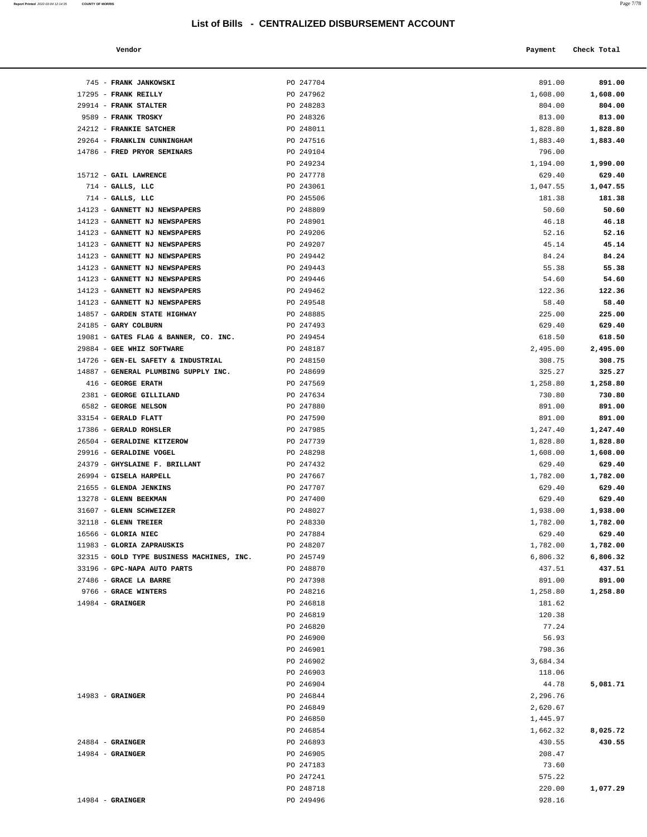**Report Printed**  2022-03-04 12:14:35 **COUNTY OF MORRIS** 

| Vendor |  | Payment Check Total |
|--------|--|---------------------|
|--------|--|---------------------|

| 745 - FRANK JANKOWSKI                                                      | PO 247704              | 891.00               | 891.00               |
|----------------------------------------------------------------------------|------------------------|----------------------|----------------------|
| 17295 - FRANK REILLY                                                       | PO 247962              | 1,608.00             | 1,608.00             |
| 29914 - FRANK STALTER                                                      | PO 248283              | 804.00               | 804.00               |
| 9589 - FRANK TROSKY                                                        | PO 248326              | 813.00               | 813.00               |
| 24212 - FRANKIE SATCHER                                                    | PO 248011              | 1,828.80             | 1,828.80             |
| 29264 - FRANKLIN CUNNINGHAM                                                | PO 247516              | 1,883.40             | 1,883.40             |
| 14786 - FRED PRYOR SEMINARS                                                | PO 249104              | 796.00               |                      |
|                                                                            | PO 249234              | 1,194.00             | 1,990.00             |
| 15712 - GAIL LAWRENCE                                                      | PO 247778              | 629.40               | 629.40               |
| $714$ - GALLS, LLC<br>$714$ - GALLS, LLC                                   | PO 243061<br>PO 245506 | 1,047.55<br>181.38   | 1,047.55<br>181.38   |
| 14123 - GANNETT NJ NEWSPAPERS                                              | PO 248809              | 50.60                | 50.60                |
| 14123 - GANNETT NJ NEWSPAPERS                                              | PO 248901              | 46.18                | 46.18                |
| 14123 - GANNETT NJ NEWSPAPERS                                              | PO 249206              | 52.16                | 52.16                |
| 14123 - GANNETT NJ NEWSPAPERS                                              | PO 249207              | 45.14                | 45.14                |
| 14123 - GANNETT NJ NEWSPAPERS                                              | PO 249442              | 84.24                | 84.24                |
| 14123 - GANNETT NJ NEWSPAPERS                                              | PO 249443              | 55.38                | 55.38                |
| 14123 - GANNETT NJ NEWSPAPERS                                              | PO 249446              | 54.60                | 54.60                |
| 14123 - GANNETT NJ NEWSPAPERS                                              | PO 249462              | 122.36               | 122.36               |
| 14123 - GANNETT NJ NEWSPAPERS                                              | PO 249548              | 58.40                | 58.40                |
| 14857 - GARDEN STATE HIGHWAY                                               | PO 248885              | 225.00               | 225.00               |
| 24185 - GARY COLBURN                                                       | PO 247493              | 629.40               | 629.40               |
| 19081 - GATES FLAG & BANNER, CO. INC.                                      | PO 249454              | 618.50               | 618.50               |
| 29884 - GEE WHIZ SOFTWARE                                                  | PO 248187              | 2,495.00             | 2,495.00             |
| 14726 - GEN-EL SAFETY & INDUSTRIAL<br>14887 - GENERAL PLUMBING SUPPLY INC. | PO 248150<br>PO 248699 | 308.75<br>325.27     | 308.75<br>325.27     |
| 416 - GEORGE ERATH                                                         | PO 247569              | 1,258.80             | 1,258.80             |
| 2381 - GEORGE GILLILAND                                                    | PO 247634              | 730.80               | 730.80               |
| 6582 - GEORGE NELSON                                                       | PO 247880              | 891.00               | 891.00               |
| 33154 - GERALD FLATT                                                       | PO 247590              | 891.00               | 891.00               |
| 17386 - GERALD ROHSLER                                                     | PO 247985              | 1,247.40             | 1,247.40             |
| 26504 - GERALDINE KITZEROW                                                 | PO 247739              | 1,828.80             | 1,828.80             |
| 29916 - GERALDINE VOGEL                                                    | PO 248298              | 1,608.00             | 1,608.00             |
| 24379 - GHYSLAINE F. BRILLANT                                              | PO 247432              | 629.40               | 629.40               |
| 26994 - GISELA HARPELL                                                     | PO 247667              | 1,782.00             | 1,782.00             |
| 21655 - GLENDA JENKINS                                                     | PO 247707              | 629.40               | 629.40               |
| 13278 - GLENN BEEKMAN                                                      | PO 247400              | 629.40               | 629.40               |
| 31607 - GLENN SCHWEIZER                                                    | PO 248027              | 1,938.00             | 1,938.00             |
| 32118 - GLENN TREIER                                                       | PO 248330              | 1,782.00             | 1,782.00             |
| 16566 - GLORIA NIEC                                                        | PO 247884              | 629.40<br>1,782.00   | 629.40               |
| 11983 - GLORIA ZAPRAUSKIS<br>32315 - GOLD TYPE BUSINESS MACHINES, INC.     | PO 248207<br>PO 245749 | 6,806.32             | 1,782.00<br>6,806.32 |
| 33196 - GPC-NAPA AUTO PARTS                                                | PO 248870              | 437.51               | 437.51               |
| 27486 - GRACE LA BARRE                                                     | PO 247398              | 891.00               | 891.00               |
| 9766 - GRACE WINTERS                                                       | PO 248216              | 1,258.80             | 1,258.80             |
| $14984$ - GRAINGER                                                         | PO 246818              | 181.62               |                      |
|                                                                            | PO 246819              | 120.38               |                      |
|                                                                            | PO 246820              | 77.24                |                      |
|                                                                            | PO 246900              | 56.93                |                      |
|                                                                            | PO 246901              | 798.36               |                      |
|                                                                            | PO 246902              | 3,684.34             |                      |
|                                                                            | PO 246903              | 118.06               |                      |
|                                                                            | PO 246904              | 44.78                | 5,081.71             |
| $14983$ - GRAINGER                                                         | PO 246844              | 2,296.76             |                      |
|                                                                            | PO 246849<br>PO 246850 | 2,620.67<br>1,445.97 |                      |
|                                                                            | PO 246854              | 1,662.32             | 8,025.72             |
| $24884$ - GRAINGER                                                         | PO 246893              | 430.55               | 430.55               |
| $14984$ - GRAINGER                                                         | PO 246905              | 208.47               |                      |
|                                                                            | PO 247183              | 73.60                |                      |
|                                                                            | PO 247241              | 575.22               |                      |
|                                                                            | PO 248718              | 220.00               | 1,077.29             |
| $14984$ - GRAINGER                                                         | PO 249496              | 928.16               |                      |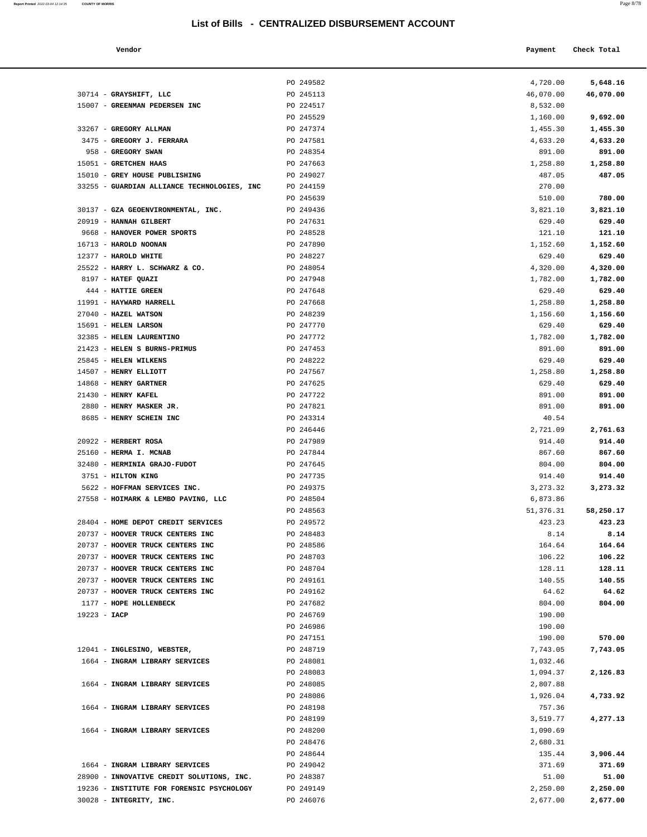| Report Printed 2022-03-04 12:14:35 | <b>COUNTY OF MORRIS</b> | Page 8/78 |
|------------------------------------|-------------------------|-----------|
|                                    |                         |           |

| Vendor | Payment Check Total |
|--------|---------------------|
|        |                     |

|                                                            | PO 249582              | 4,720.00             | 5,648.16             |
|------------------------------------------------------------|------------------------|----------------------|----------------------|
| 30714 - GRAYSHIFT, LLC                                     | PO 245113              | 46,070.00            | 46,070.00            |
| 15007 - GREENMAN PEDERSEN INC                              | PO 224517              | 8,532.00             |                      |
|                                                            | PO 245529              | 1,160.00             | 9,692.00             |
| 33267 - GREGORY ALLMAN                                     | PO 247374              | 1,455.30             | 1,455.30             |
| 3475 - GREGORY J. FERRARA                                  | PO 247581              | 4,633.20             | 4,633.20             |
| 958 - GREGORY SWAN                                         | PO 248354              | 891.00               | 891.00               |
| 15051 - GRETCHEN HAAS                                      | PO 247663              | 1,258.80             | 1,258.80             |
| 15010 - GREY HOUSE PUBLISHING                              | PO 249027              | 487.05               | 487.05               |
| 33255 - GUARDIAN ALLIANCE TECHNOLOGIES, INC                | PO 244159              | 270.00               |                      |
|                                                            | PO 245639              | 510.00               | 780.00               |
| 30137 - GZA GEOENVIRONMENTAL, INC.                         | PO 249436              | 3,821.10             | 3,821.10             |
| 20919 - HANNAH GILBERT                                     | PO 247631              | 629.40               | 629.40               |
| 9668 - HANOVER POWER SPORTS                                | PO 248528              | 121.10               | 121.10               |
| 16713 - HAROLD NOONAN                                      | PO 247890              | 1,152.60             | 1,152.60             |
| 12377 - HAROLD WHITE                                       | PO 248227              | 629.40               | 629.40               |
| 25522 - HARRY L. SCHWARZ & CO.<br>8197 - HATEF QUAZI       | PO 248054<br>PO 247948 | 4,320.00<br>1,782.00 | 4,320.00<br>1,782.00 |
| 444 - HATTIE GREEN                                         | PO 247648              | 629.40               | 629.40               |
| 11991 - HAYWARD HARRELL                                    | PO 247668              | 1,258.80             | 1,258.80             |
| 27040 - HAZEL WATSON                                       | PO 248239              | 1,156.60             | 1,156.60             |
| 15691 - HELEN LARSON                                       | PO 247770              | 629.40               | 629.40               |
| 32385 - HELEN LAURENTINO                                   | PO 247772              | 1,782.00             | 1,782.00             |
| 21423 - HELEN S BURNS-PRIMUS                               | PO 247453              | 891.00               | 891.00               |
| 25845 - HELEN WILKENS                                      | PO 248222              | 629.40               | 629.40               |
| 14507 - HENRY ELLIOTT                                      | PO 247567              | 1,258.80             | 1,258.80             |
| 14868 - HENRY GARTNER                                      | PO 247625              | 629.40               | 629.40               |
| 21430 - HENRY KAFEL                                        | PO 247722              | 891.00               | 891.00               |
| 2880 - HENRY MASKER JR.                                    | PO 247821              | 891.00               | 891.00               |
| 8685 - HENRY SCHEIN INC                                    | PO 243314              | 40.54                |                      |
|                                                            | PO 246446              | 2,721.09             | 2,761.63             |
| 20922 - HERBERT ROSA                                       | PO 247989              | 914.40               | 914.40               |
| 25160 - HERMA I. MCNAB                                     | PO 247844              | 867.60               | 867.60               |
| 32480 - HERMINIA GRAJO-FUDOT                               | PO 247645              | 804.00               | 804.00               |
| 3751 - HILTON KING                                         | PO 247735              | 914.40               | 914.40               |
| 5622 - HOFFMAN SERVICES INC.                               | PO 249375              | 3, 273.32            | 3,273.32             |
| 27558 - HOIMARK & LEMBO PAVING, LLC                        | PO 248504              | 6,873.86             |                      |
|                                                            | PO 248563              | 51,376.31            | 58,250.17            |
| 28404 - HOME DEPOT CREDIT SERVICES                         | PO 249572              | 423.23               | 423.23               |
| 20737 - HOOVER TRUCK CENTERS INC                           | PO 248483              | 8.14                 | 8.14                 |
| 20737 - HOOVER TRUCK CENTERS INC                           | PO 248586              | 164.64               | 164.64               |
| 20737 - HOOVER TRUCK CENTERS INC                           | PO 248703              | 106.22               | 106.22               |
| 20737 - HOOVER TRUCK CENTERS INC                           | PO 248704              | 128.11               | 128.11               |
| 20737 - HOOVER TRUCK CENTERS INC                           | PO 249161              | 140.55               | 140.55               |
| 20737 - HOOVER TRUCK CENTERS INC<br>1177 - HOPE HOLLENBECK | PO 249162              | 64.62                | 64.62                |
| 19223 - IACP                                               | PO 247682<br>PO 246769 | 804.00<br>190.00     | 804.00               |
|                                                            | PO 246986              | 190.00               |                      |
|                                                            | PO 247151              | 190.00               | 570.00               |
| 12041 - INGLESINO, WEBSTER,                                | PO 248719              | 7,743.05             | 7,743.05             |
| 1664 - INGRAM LIBRARY SERVICES                             | PO 248081              | 1,032.46             |                      |
|                                                            | PO 248083              | 1,094.37             | 2,126.83             |
| 1664 - INGRAM LIBRARY SERVICES                             | PO 248085              | 2,807.88             |                      |
|                                                            | PO 248086              | 1,926.04             | 4,733.92             |
| 1664 - INGRAM LIBRARY SERVICES                             | PO 248198              | 757.36               |                      |
|                                                            | PO 248199              | 3,519.77             | 4,277.13             |
| 1664 - INGRAM LIBRARY SERVICES                             | PO 248200              | 1,090.69             |                      |
|                                                            | PO 248476              | 2,680.31             |                      |
|                                                            | PO 248644              | 135.44               | 3,906.44             |
| 1664 - INGRAM LIBRARY SERVICES                             | PO 249042              | 371.69               | 371.69               |
| 28900 - INNOVATIVE CREDIT SOLUTIONS, INC.                  | PO 248387              | 51.00                | 51.00                |
| 19236 - INSTITUTE FOR FORENSIC PSYCHOLOGY                  | PO 249149              | 2,250.00             | 2,250.00             |
| 30028 - INTEGRITY, INC.                                    | PO 246076              | 2,677.00             | 2,677.00             |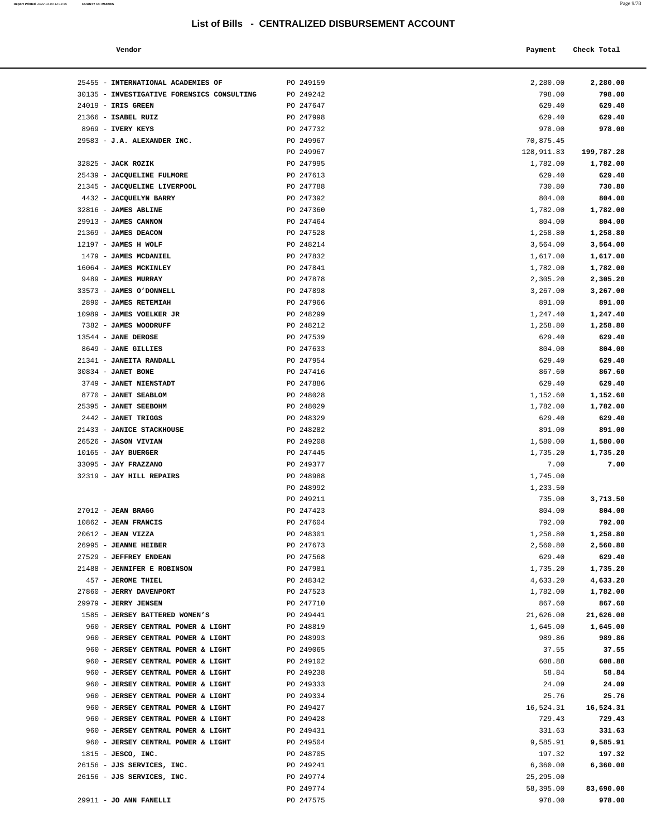26156 - **JJS SERVICES, INC.** PO 249241 6,360.00 **6,360.00**

PO 249774 58,395.00 **83,690.00**

**Report Printed** 2022-03-04 12:14:35 **COUNTY OF MORRIS** Page 9/78

| Vendor                                              |                        | Payment            | Check Total        |
|-----------------------------------------------------|------------------------|--------------------|--------------------|
| 25455 - INTERNATIONAL ACADEMIES OF                  | PO 249159              | 2,280.00           | 2,280.00           |
| 30135 - INVESTIGATIVE FORENSICS CONSULTING          | PO 249242              | 798.00             | 798.00             |
| 24019 - IRIS GREEN                                  | PO 247647              | 629.40             | 629.40             |
| 21366 - ISABEL RUIZ                                 | PO 247998              | 629.40             | 629.40             |
| 8969 - IVERY KEYS                                   | PO 247732              | 978.00             | 978.00             |
| 29583 - J.A. ALEXANDER INC.                         | PO 249967              | 70,875.45          |                    |
|                                                     | PO 249967              | 128,911.83         | 199,787.28         |
| 32825 - <b>JACK ROZIK</b>                           | PO 247995              | 1,782.00           | 1,782.00           |
| 25439 - JACQUELINE FULMORE                          | PO 247613              | 629.40             | 629.40             |
| 21345 - JACQUELINE LIVERPOOL                        | PO 247788              | 730.80             | 730.80             |
| 4432 - JACQUELYN BARRY                              | PO 247392              | 804.00             | 804.00             |
| 32816 - JAMES ABLINE                                | PO 247360<br>PO 247464 | 1,782.00           | 1,782.00           |
| <b>29913 - JAMES CANNON</b><br>21369 - JAMES DEACON | PO 247528              | 804.00<br>1,258.80 | 804.00<br>1,258.80 |
| 12197 - JAMES H WOLF                                | PO 248214              | 3,564.00           | 3,564.00           |
| 1479 - JAMES MCDANIEL                               | PO 247832              | 1,617.00           | 1,617.00           |
| 16064 - <b>JAMES MCKINLEY</b>                       | PO 247841              | 1,782.00           | 1,782.00           |
| 9489 - JAMES MURRAY                                 | PO 247878              | 2,305.20           | 2,305.20           |
| 33573 - JAMES O'DONNELL                             | PO 247898              | 3,267.00           | 3,267.00           |
| 2890 - JAMES RETEMIAH                               | PO 247966              | 891.00             | 891.00             |
| 10989 - <b>JAMES VOELKER JR</b>                     | PO 248299              | 1,247.40           | 1,247.40           |
| 7382 - JAMES WOODRUFF                               | PO 248212              | 1,258.80           | 1,258.80           |
| 13544 - <b>JANE DEROSE</b>                          | PO 247539              | 629.40             | 629.40             |
| 8649 - JANE GILLIES                                 | PO 247633              | 804.00             | 804.00             |
| 21341 - JANEITA RANDALL                             | PO 247954              | 629.40             | 629.40             |
| 30834 - JANET BONE                                  | PO 247416              | 867.60             | 867.60             |
| 3749 - JANET NIENSTADT                              | PO 247886              | 629.40             | 629.40             |
| 8770 - JANET SEABLOM                                | PO 248028              | 1,152.60           | 1,152.60           |
| 25395 - JANET SEEBOHM                               | PO 248029              | 1,782.00           | 1,782.00           |
| 2442 - JANET TRIGGS                                 | PO 248329              | 629.40             | 629.40             |
| 21433 - JANICE STACKHOUSE                           | PO 248282              | 891.00             | 891.00             |
| 26526 - <b>JASON VIVIAN</b>                         | PO 249208              | 1,580.00           | 1,580.00           |
| 10165 - JAY BUERGER                                 | PO 247445              | 1,735.20           | 1,735.20           |
| 33095 - JAY FRAZZANO                                | PO 249377              | 7.00               | 7.00               |
| 32319 - JAY HILL REPAIRS                            | PO 248988              | 1,745.00           |                    |
|                                                     | PO 248992              | 1,233.50           |                    |
|                                                     | PO 249211              | 735.00             | 3,713.50           |
| 27012 - <b>JEAN BRAGG</b>                           | PO 247423              | 804.00             | 804.00             |
| 10862 - JEAN FRANCIS<br>20612 - <b>JEAN VIZZA</b>   | PO 247604<br>PO 248301 | 792.00<br>1,258.80 | 792.00<br>1,258.80 |
| 26995 - <b>JEANNE HEIBER</b>                        | PO 247673              | 2,560.80           | 2,560.80           |
| 27529 - JEFFREY ENDEAN                              | PO 247568              | 629.40             | 629.40             |
| 21488 - JENNIFER E ROBINSON                         | PO 247981              | 1,735.20           | 1,735.20           |
| 457 - JEROME THIEL                                  | PO 248342              | 4,633.20           | 4,633.20           |
| 27860 - JERRY DAVENPORT                             | PO 247523              | 1,782.00           | 1,782.00           |
| 29979 - JERRY JENSEN                                | PO 247710              | 867.60             | 867.60             |
| 1585 - JERSEY BATTERED WOMEN'S                      | PO 249441              | 21,626.00          | 21,626.00          |
| 960 - JERSEY CENTRAL POWER & LIGHT                  | PO 248819              | 1,645.00           | 1,645.00           |
| 960 - JERSEY CENTRAL POWER & LIGHT                  | PO 248993              | 989.86             | 989.86             |
| 960 - JERSEY CENTRAL POWER & LIGHT                  | PO 249065              | 37.55              | 37.55              |
| 960 - JERSEY CENTRAL POWER & LIGHT                  | PO 249102              | 608.88             | 608.88             |
| 960 - JERSEY CENTRAL POWER & LIGHT                  | PO 249238              | 58.84              | 58.84              |
| 960 - JERSEY CENTRAL POWER & LIGHT                  | PO 249333              | 24.09              | 24.09              |
| 960 - JERSEY CENTRAL POWER & LIGHT                  | PO 249334              | 25.76              | 25.76              |
| 960 - JERSEY CENTRAL POWER & LIGHT                  | PO 249427              | 16,524.31          | 16,524.31          |
| 960 - JERSEY CENTRAL POWER & LIGHT                  | PO 249428              | 729.43             | 729.43             |
| 960 - JERSEY CENTRAL POWER & LIGHT                  | PO 249431              | 331.63             | 331.63             |
| 960 - JERSEY CENTRAL POWER & LIGHT                  | PO 249504              | 9,585.91           | 9,585.91           |
| $1815$ - JESCO, INC.                                | PO 248705              | 197.32             | 197.32             |

# 26156 - **JJS SERVICES, INC.** PO 249774 25,295.00 29911 - **JO ANN FANELLI** PO 247575 978.00 **978.00**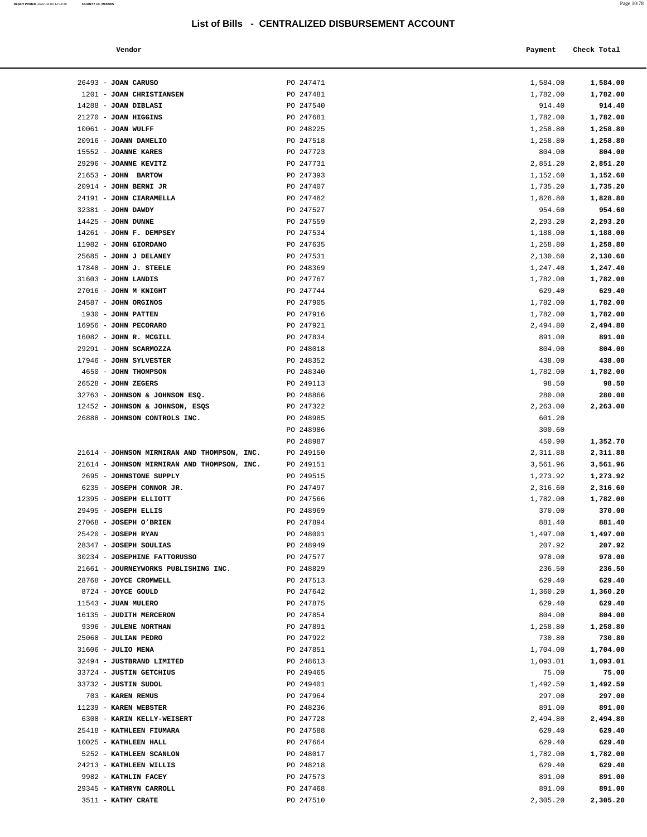**Report Printed** 2022-03-04 12:14:35 **COUNTY OF MORRIS** 

| × |  |
|---|--|
|---|--|

|                      | List of Bills - CENTRALIZED DISBURSEMENT ACCOUNT |          |             |
|----------------------|--------------------------------------------------|----------|-------------|
| Vendor               |                                                  | Payment  | Check Total |
| JOAN CARUSO          | PO 247471                                        | 1,584.00 | 1,584.00    |
| JOAN CHRISTIANSEN    | PO 247481                                        | 1,782.00 | 1,782.00    |
| JOAN DIBLASI         | PO 247540                                        | 914.40   | 914.40      |
| JOAN HIGGINS         | PO 247681                                        | 1,782.00 | 1,782.00    |
| <b>JOAN WULFF</b>    | PO 248225                                        | 1,258.80 | 1,258.80    |
| <b>JOANN DAMELIO</b> | PO 247518                                        | 1,258.80 | 1,258.80    |
| <b>JOANNE KARES</b>  | PO 247723                                        | 804.00   | 804.00      |
| <b>JOANNE KEVITZ</b> | PO 247731                                        | 2,851.20 | 2,851.20    |
| <b>JOHN BARTOW</b>   | PO 247393                                        | 1,152.60 | 1,152.60    |
|                      |                                                  |          |             |

| 26493 - JOAN CARUSO                         | PO 247471 | 1,584.00 | 1,584.00 |
|---------------------------------------------|-----------|----------|----------|
| 1201 - JOAN CHRISTIANSEN                    | PO 247481 | 1,782.00 | 1,782.00 |
| $14288$ - JOAN DIBLASI                      | PO 247540 | 914.40   | 914.40   |
| 21270 - JOAN HIGGINS                        | PO 247681 | 1,782.00 | 1,782.00 |
| $10061$ - JOAN WULFF                        | PO 248225 | 1,258.80 | 1,258.80 |
| 20916 - JOANN DAMELIO                       | PO 247518 | 1,258.80 | 1,258.80 |
| 15552 - JOANNE KARES                        | PO 247723 | 804.00   | 804.00   |
| 29296 - JOANNE KEVITZ                       | PO 247731 | 2,851.20 | 2,851.20 |
| 21653 - JOHN BARTOW                         | PO 247393 | 1,152.60 | 1,152.60 |
| $20914$ - JOHN BERNI JR                     | PO 247407 |          |          |
|                                             |           | 1,735.20 | 1,735.20 |
| 24191 - JOHN CIARAMELLA                     | PO 247482 | 1,828.80 | 1,828.80 |
| 32381 - JOHN DAWDY                          | PO 247527 | 954.60   | 954.60   |
| $14425$ - JOHN DUNNE                        | PO 247559 | 2,293.20 | 2,293.20 |
| 14261 - JOHN F. DEMPSEY                     | PO 247534 | 1,188.00 | 1,188.00 |
| 11982 - JOHN GIORDANO                       | PO 247635 | 1,258.80 | 1,258.80 |
| 25685 - JOHN J DELANEY                      | PO 247531 | 2,130.60 | 2,130.60 |
| 17848 - JOHN J. STEELE                      | PO 248369 | 1,247.40 | 1,247.40 |
| $31603$ - JOHN LANDIS                       | PO 247767 | 1,782.00 | 1,782.00 |
| 27016 - JOHN M KNIGHT                       | PO 247744 | 629.40   | 629.40   |
| 24587 - JOHN ORGINOS                        | PO 247905 | 1,782.00 | 1,782.00 |
| 1930 - JOHN PATTEN                          | PO 247916 | 1,782.00 | 1,782.00 |
| 16956 - JOHN PECORARO                       | PO 247921 | 2,494.80 | 2,494.80 |
| 16082 - JOHN R. MCGILL                      | PO 247834 | 891.00   | 891.00   |
| 29291 - JOHN SCARMOZZA                      | PO 248018 | 804.00   | 804.00   |
| 17946 - JOHN SYLVESTER                      | PO 248352 | 438.00   | 438.00   |
| 4650 - JOHN THOMPSON                        | PO 248340 | 1,782.00 | 1,782.00 |
| $26528$ - JOHN ZEGERS                       | PO 249113 | 98.50    | 98.50    |
| 32763 - JOHNSON & JOHNSON ESQ.              | PO 248866 | 280.00   | 280.00   |
| 12452 - JOHNSON & JOHNSON, ESQS             | PO 247322 |          | 2,263.00 |
|                                             |           | 2,263.00 |          |
| 26888 - JOHNSON CONTROLS INC.               | PO 248985 | 601.20   |          |
|                                             | PO 248986 | 300.60   |          |
|                                             | PO 248987 | 450.90   | 1,352.70 |
| 21614 - JOHNSON MIRMIRAN AND THOMPSON, INC. | PO 249150 | 2,311.88 | 2,311.88 |
| 21614 - JOHNSON MIRMIRAN AND THOMPSON, INC. | PO 249151 | 3,561.96 | 3,561.96 |
| 2695 - JOHNSTONE SUPPLY                     | PO 249515 | 1,273.92 | 1,273.92 |
| 6235 - JOSEPH CONNOR JR.                    | PO 247497 | 2,316.60 | 2,316.60 |
| 12395 - JOSEPH ELLIOTT                      | PO 247566 | 1,782.00 | 1,782.00 |
| 29495 - JOSEPH ELLIS                        | PO 248969 | 370.00   | 370.00   |
| 27068 - JOSEPH O'BRIEN                      | PO 247894 | 881.40   | 881.40   |
| $25420$ - JOSEPH RYAN                       | PO 248001 | 1,497.00 | 1,497.00 |
| 28347 - JOSEPH SOULIAS                      | PO 248949 | 207.92   | 207.92   |
| 30234 - JOSEPHINE FATTORUSSO                | PO 247577 | 978.00   | 978.00   |
| 21661 - JOURNEYWORKS PUBLISHING INC.        | PO 248829 | 236.50   | 236.50   |
| 28768 - JOYCE CROMWELL                      | PO 247513 | 629.40   | 629.40   |
| 8724 - JOYCE GOULD                          | PO 247642 | 1,360.20 | 1,360.20 |
| 11543 - JUAN MULERO                         | PO 247875 | 629.40   | 629.40   |
| 16135 - JUDITH MERCERON                     | PO 247854 | 804.00   | 804.00   |
| 9396 - JULENE NORTHAN                       | PO 247891 | 1,258.80 | 1,258.80 |
| 25068 - JULIAN PEDRO                        | PO 247922 | 730.80   | 730.80   |
| $31606$ - JULIO MENA                        | PO 247851 | 1,704.00 | 1,704.00 |
| 32494 - JUSTBRAND LIMITED                   | PO 248613 | 1,093.01 | 1,093.01 |
|                                             |           |          |          |
| 33724 - JUSTIN GETCHIUS                     | PO 249465 | 75.00    | 75.00    |
| 33732 - JUSTIN SUDOL                        | PO 249401 | 1,492.59 | 1,492.59 |
| 703 - KAREN REMUS                           | PO 247964 | 297.00   | 297.00   |
| 11239 - KAREN WEBSTER                       | PO 248236 | 891.00   | 891.00   |
| 6308 - KARIN KELLY-WEISERT                  | PO 247728 | 2,494.80 | 2,494.80 |
| 25418 - KATHLEEN FIUMARA                    | PO 247588 | 629.40   | 629.40   |
| 10025 - KATHLEEN HALL                       | PO 247664 | 629.40   | 629.40   |
| 5252 - KATHLEEN SCANLON                     | PO 248017 | 1,782.00 | 1,782.00 |
| 24213 - KATHLEEN WILLIS                     | PO 248218 | 629.40   | 629.40   |
| 9982 - KATHLIN FACEY                        | PO 247573 | 891.00   | 891.00   |
| 29345 - KATHRYN CARROLL                     | PO 247468 | 891.00   | 891.00   |

3511 - **KATHY CRATE** PO 247510 2,305.20 **2,305.20**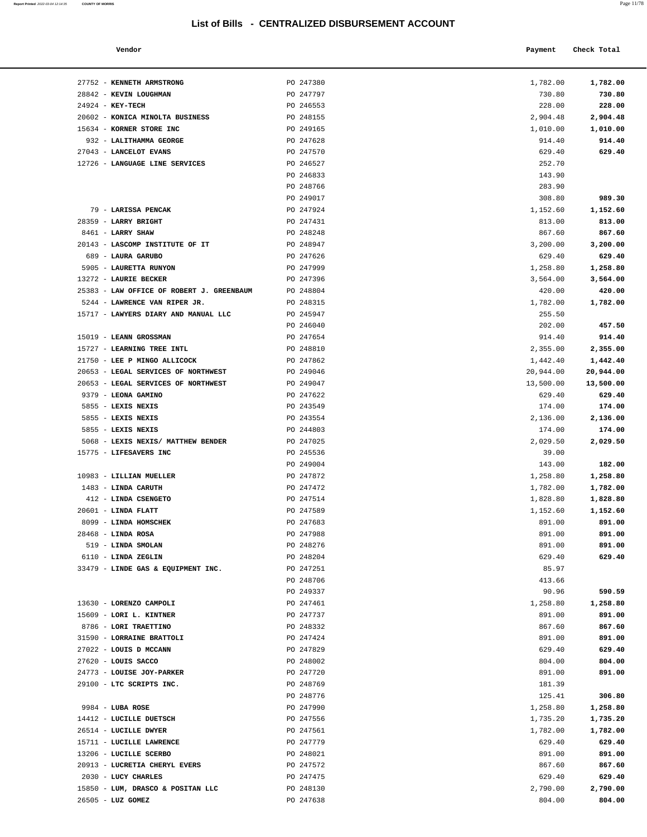| Report Printed 2022-03-04 12:14:35 | <b>COUNTY OF MORRIS</b> | Page 11/78 |
|------------------------------------|-------------------------|------------|
|                                    |                         |            |

| 1,782.00  | 1,782.00  |
|-----------|-----------|
| 730.80    | 730.80    |
| 228.00    | 228.00    |
| 2,904.48  | 2,904.48  |
| 1,010.00  | 1,010.00  |
| 914.40    | 914.40    |
| 629.40    | 629.40    |
| 252.70    |           |
| 143.90    |           |
| 283.90    |           |
| 308.80    | 989.30    |
| 1,152.60  | 1,152.60  |
| 813.00    | 813.00    |
| 867.60    | 867.60    |
| 3,200.00  | 3,200.00  |
| 629.40    | 629.40    |
| 1,258.80  | 1,258.80  |
| 3,564.00  | 3,564.00  |
| 420.00    | 420.00    |
| 1,782.00  | 1,782.00  |
| 255.50    |           |
| 202.00    | 457.50    |
| 914.40    | 914.40    |
| 2,355.00  | 2,355.00  |
| 1,442.40  | 1,442.40  |
| 20,944.00 | 20,944.00 |
| 13,500.00 | 13,500.00 |
| 629.40    | 629.40    |
| 174.00    | 174.00    |
| 2,136.00  | 2,136.00  |
| 174.00    | 174.00    |
| 2,029.50  | 2,029.50  |
| 39.00     |           |
| 143.00    | 182.00    |
| 1,258.80  | 1,258.80  |
| 1,782.00  | 1,782.00  |
| 1,828.80  | 1,828.80  |
| 1,152.60  | 1,152.60  |
| 891.00    | 891.00    |
| 891.00    | 891.00    |
| 891.00    | 891.00    |
| 629.40    | 629.40    |
| 85.97     |           |
| 413.66    |           |
| 90.96     | 590.59    |
| 1,258.80  | 1,258.80  |
| 891.00    | 891.00    |
| 867.60    | 867.60    |
| 891.00    | 891.00    |
| 629.40    | 629.40    |
| 804.00    | 804.00    |
| 891.00    | 891.00    |
| 181.39    |           |
| 125.41    | 306.80    |
| 1,258.80  | 1,258.80  |
| 1,735.20  | 1,735.20  |
| 1,782.00  | 1,782.00  |
| 629.40    | 629.40    |
| 891.00    | 891.00    |
| 867.60    | 867.60    |
| 629.40    | 629.40    |
| 2,790.00  | 2,790.00  |
| 804.00    | 804.00    |

| Vendor                                              |                        | Payment            | Check Total        |
|-----------------------------------------------------|------------------------|--------------------|--------------------|
|                                                     |                        |                    |                    |
| 27752 - KENNETH ARMSTRONG<br>28842 - KEVIN LOUGHMAN | PO 247380<br>PO 247797 | 1,782.00<br>730.80 | 1,782.00<br>730.80 |
| 24924 - KEY-TECH                                    | PO 246553              | 228.00             | 228.00             |
| 20602 - KONICA MINOLTA BUSINESS                     | PO 248155              | 2,904.48           | 2,904.48           |
| 15634 - KORNER STORE INC                            | PO 249165              | 1,010.00           | 1,010.00           |
| 932 - LALITHAMMA GEORGE                             | PO 247628              | 914.40             | 914.40             |
| 27043 - LANCELOT EVANS                              | PO 247570              | 629.40             | 629.40             |
| 12726 - LANGUAGE LINE SERVICES                      | PO 246527              | 252.70             |                    |
|                                                     | PO 246833              | 143.90             |                    |
|                                                     | PO 248766              | 283.90             |                    |
|                                                     | PO 249017              | 308.80             | 989.30             |
| 79 - LARISSA PENCAK                                 | PO 247924              | 1,152.60           | 1,152.60           |
| 28359 - LARRY BRIGHT                                | PO 247431              | 813.00             | 813.00             |
| 8461 - LARRY SHAW                                   | PO 248248              | 867.60             | 867.60             |
| 20143 - LASCOMP INSTITUTE OF IT                     | PO 248947              | 3,200.00           | 3,200.00           |
| 689 - LAURA GARUBO                                  | PO 247626              | 629.40             | 629.40             |
| 5905 - LAURETTA RUNYON                              | PO 247999              | 1,258.80           | 1,258.80           |
| 13272 - LAURIE BECKER                               | PO 247396              | 3,564.00           | 3,564.00           |
| 25383 - LAW OFFICE OF ROBERT J. GREENBAUM           | PO 248804              | 420.00             | 420.00             |
| 5244 - LAWRENCE VAN RIPER JR.                       | PO 248315              | 1,782.00           | 1,782.00           |
| 15717 - LAWYERS DIARY AND MANUAL LLC                | PO 245947              | 255.50             |                    |
|                                                     | PO 246040              | 202.00             | 457.50             |
| 15019 - LEANN GROSSMAN                              | PO 247654              | 914.40             | 914.40             |
| 15727 - LEARNING TREE INTL                          | PO 248810              | 2,355.00           | 2,355.00           |
| 21750 - LEE P MINGO ALLICOCK                        | PO 247862              | 1,442.40           | 1,442.40           |
| 20653 - LEGAL SERVICES OF NORTHWEST                 | PO 249046              | 20,944.00          | 20,944.00          |
| 20653 - LEGAL SERVICES OF NORTHWEST                 | PO 249047              | 13,500.00          | 13,500.00          |
| 9379 - LEONA GAMINO                                 | PO 247622              | 629.40             | 629.40             |
| 5855 - LEXIS NEXIS                                  | PO 243549              | 174.00             | 174.00             |
| 5855 - LEXIS NEXIS                                  | PO 243554              | 2,136.00           | 2,136.00           |
| 5855 - LEXIS NEXIS                                  | PO 244803              | 174.00             | 174.00             |
| 5068 - LEXIS NEXIS/ MATTHEW BENDER                  | PO 247025              | 2,029.50           | 2,029.50           |
| 15775 - LIFESAVERS INC                              | PO 245536              | 39.00              |                    |
|                                                     | PO 249004              | 143.00             | 182.00             |
| 10983 - LILLIAN MUELLER                             | PO 247872              | 1,258.80           | 1,258.80           |
| 1483 - LINDA CARUTH                                 | PO 247472              | 1,782.00           | 1,782.00           |
| 412 - LINDA CSENGETO                                | PO 247514              | 1,828.80           | 1,828.80           |
| $20601$ - LINDA FLATT                               | PO 247589              | 1,152.60           | 1,152.60           |
| 8099 - LINDA HOMSCHEK                               | PO 247683              | 891.00             | 891.00             |
| $28468$ - LINDA ROSA                                | PO 247988              | 891.00             | 891.00             |
| 519 - LINDA SMOLAN                                  | PO 248276              | 891.00             | 891.00             |
| 6110 - LINDA ZEGLIN                                 | PO 248204              | 629.40             | 629.40             |
| 33479 - LINDE GAS & EQUIPMENT INC.                  | PO 247251              | 85.97              |                    |
|                                                     | PO 248706              | 413.66             |                    |
|                                                     | PO 249337              | 90.96              | 590.59             |
| 13630 - LORENZO CAMPOLI                             | PO 247461              | 1,258.80           | 1,258.80           |
| 15609 - LORI L. KINTNER                             | PO 247737              | 891.00             | 891.00             |
| 8786 - LORI TRAETTINO                               | PO 248332              | 867.60             | 867.60             |
| 31590 - LORRAINE BRATTOLI                           | PO 247424              | 891.00             | 891.00             |
| 27022 - LOUIS D MCCANN                              | PO 247829              | 629.40             | 629.40             |
| 27620 - LOUIS SACCO                                 | PO 248002              | 804.00             | 804.00             |
| 24773 - LOUISE JOY-PARKER                           | PO 247720              | 891.00             | 891.00             |
| 29100 - LTC SCRIPTS INC.                            | PO 248769              | 181.39             |                    |
|                                                     | PO 248776              | 125.41             | 306.80             |
| $9984$ - LUBA ROSE                                  | PO 247990              | 1,258.80           | 1,258.80           |
| 14412 - LUCILLE DUETSCH                             | PO 247556              | 1,735.20           | 1,735.20           |
| 26514 - LUCILLE DWYER                               | PO 247561              | 1,782.00           | 1,782.00           |
| 15711 - LUCILLE LAWRENCE                            | PO 247779              | 629.40             | 629.40             |
| 13206 - LUCILLE SCERBO                              | PO 248021              | 891.00             | 891.00             |
| 20913 - LUCRETIA CHERYL EVERS                       | PO 247572              | 867.60             | 867.60             |
| 2030 - LUCY CHARLES                                 | PO 247475              | 629.40             | 629.40             |

15850 - **LUM, DRASCO & POSITAN LLC** PO 248130 26505 - **LUZ GOMEZ** PO 247638 804.00 **804.00**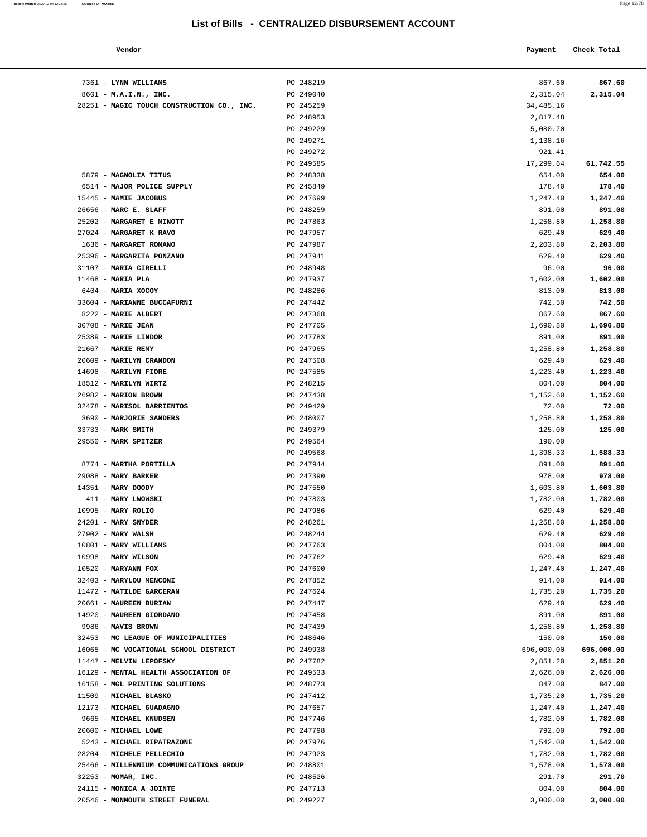|        | -------------- |         |             |
|--------|----------------|---------|-------------|
|        |                |         |             |
| Vendor |                | Payment | Check Total |
|        |                |         |             |

| 7361 - LYNN WILLIAMS                                     | PO 248219              | 867.60             | 867.60             |
|----------------------------------------------------------|------------------------|--------------------|--------------------|
| 8601 - M.A.I.N., INC.                                    | PO 249040              | 2,315.04           | 2,315.04           |
| 28251 - MAGIC TOUCH CONSTRUCTION CO., INC.               | PO 245259              | 34,485.16          |                    |
|                                                          | PO 248953              | 2,817.48           |                    |
|                                                          | PO 249229              | 5,080.70           |                    |
|                                                          | PO 249271              | 1,138.16           |                    |
|                                                          | PO 249272              | 921.41             |                    |
|                                                          | PO 249585              | 17,299.64          | 61,742.55          |
| 5879 - MAGNOLIA TITUS                                    | PO 248338              | 654.00             | 654.00             |
| 6514 - MAJOR POLICE SUPPLY                               | PO 245849              | 178.40             | 178.40             |
| 15445 - MAMIE JACOBUS                                    | PO 247699              | 1,247.40           | 1,247.40           |
| 26656 - MARC E. SLAFF                                    | PO 248259              | 891.00             | 891.00             |
| 25202 - MARGARET E MINOTT                                | PO 247863              | 1,258.80           | 1,258.80           |
| 27024 - MARGARET K RAVO                                  | PO 247957              | 629.40             | 629.40             |
| 1636 - MARGARET ROMANO                                   | PO 247987              | 2,203.80           | 2,203.80           |
| 25396 - MARGARITA PONZANO                                | PO 247941              | 629.40             | 629.40             |
| 31107 - MARIA CIRELLI                                    | PO 248948              | 96.00              | 96.00              |
| $11468$ - MARIA PLA                                      | PO 247937              | 1,602.00           | 1,602.00           |
| 6404 - MARIA XOCOY                                       | PO 248286              | 813.00             | 813.00             |
| 33604 - MARIANNE BUCCAFURNI                              | PO 247442              | 742.50             | 742.50             |
| 8222 - MARIE ALBERT                                      | PO 247368              | 867.60             | 867.60             |
| 30708 - MARIE JEAN                                       | PO 247705              | 1,690.80           | 1,690.80           |
| 25389 - MARIE LINDOR<br>21667 - MARIE REMY               | PO 247783              | 891.00             | 891.00             |
|                                                          | PO 247965              | 1,258.80           | 1,258.80           |
| 20609 - MARILYN CRANDON<br>14698 - MARILYN FIORE         | PO 247508<br>PO 247585 | 629.40<br>1,223.40 | 629.40<br>1,223.40 |
| 18512 - MARILYN WIRTZ                                    | PO 248215              | 804.00             | 804.00             |
| 26982 - MARION BROWN                                     | PO 247438              | 1,152.60           | 1,152.60           |
| 32478 - MARISOL BARRIENTOS                               | PO 249429              | 72.00              | 72.00              |
| 3690 - MARJORIE SANDERS                                  | PO 248007              | 1,258.80           | 1,258.80           |
| 33733 - MARK SMITH                                       | PO 249379              | 125.00             | 125.00             |
| 29550 - MARK SPITZER                                     | PO 249564              | 190.00             |                    |
|                                                          | PO 249568              | 1,398.33           | 1,588.33           |
| 8774 - MARTHA PORTILLA                                   | PO 247944              | 891.00             | 891.00             |
| $29088$ - MARY BARKER                                    | PO 247390              | 978.00             | 978.00             |
| 14351 - MARY DOODY                                       | PO 247550              | 1,603.80           | 1,603.80           |
| 411 - MARY LWOWSKI                                       | PO 247803              | 1,782.00           | 1,782.00           |
| 10995 - MARY ROLIO                                       | PO 247986              | 629.40             | 629.40             |
| 24201 - MARY SNYDER                                      | PO 248261              | 1,258.80           | 1,258.80           |
| $27902$ - MARY WALSH                                     | PO 248244              | 629.40             | 629.40             |
| 10801 - MARY WILLIAMS                                    | PO 247763              | 804.00             | 804.00             |
| 10998 - MARY WILSON                                      | PO 247762              | 629.40             | 629.40             |
| $10520$ - MARYANN FOX                                    | PO 247600              | 1,247.40           | 1,247.40           |
| 32403 - MARYLOU MENCONI                                  | PO 247852              | 914.00             | 914.00             |
| 11472 - MATILDE GARCERAN                                 | PO 247624              | 1,735.20           | 1,735.20           |
| 20661 - MAUREEN BURIAN                                   | PO 247447              | 629.40             | 629.40             |
| 14920 - MAUREEN GIORDANO                                 | PO 247458              | 891.00             | 891.00             |
| 9986 - MAVIS BROWN                                       | PO 247439              | 1,258.80           | 1,258.80           |
| 32453 - MC LEAGUE OF MUNICIPALITIES                      | PO 248646              | 150.00             | 150.00             |
| 16065 - MC VOCATIONAL SCHOOL DISTRICT                    | PO 249938              | 696,000.00         | 696,000.00         |
| 11447 - MELVIN LEPOFSKY                                  | PO 247782              | 2,851.20           | 2,851.20           |
| 16129 - MENTAL HEALTH ASSOCIATION OF                     | PO 249533              | 2,626.00           | 2,626.00           |
| 16158 - MGL PRINTING SOLUTIONS<br>11509 - MICHAEL BLASKO | PO 248773<br>PO 247412 | 847.00<br>1,735.20 | 847.00<br>1,735.20 |
| 12173 - MICHAEL GUADAGNO                                 | PO 247657              | 1,247.40           | 1,247.40           |
| 9665 - MICHAEL KNUDSEN                                   | PO 247746              | 1,782.00           | 1,782.00           |
| 20600 - MICHAEL LOWE                                     | PO 247798              | 792.00             | 792.00             |
| 5243 - MICHAEL RIPATRAZONE                               | PO 247976              | 1,542.00           | 1,542.00           |
| 28204 - MICHELE PELLECHIO                                | PO 247923              | 1,782.00           | 1,782.00           |
| 25466 - MILLENNIUM COMMUNICATIONS GROUP                  | PO 248801              | 1,578.00           | 1,578.00           |
| 32253 - MOMAR, INC.                                      | PO 248526              | 291.70             | 291.70             |
| 24115 - MONICA A JOINTE                                  | PO 247713              | 804.00             | 804.00             |
| 20546 - MONMOUTH STREET FUNERAL                          | PO 249227              | 3,000.00           | 3,000.00           |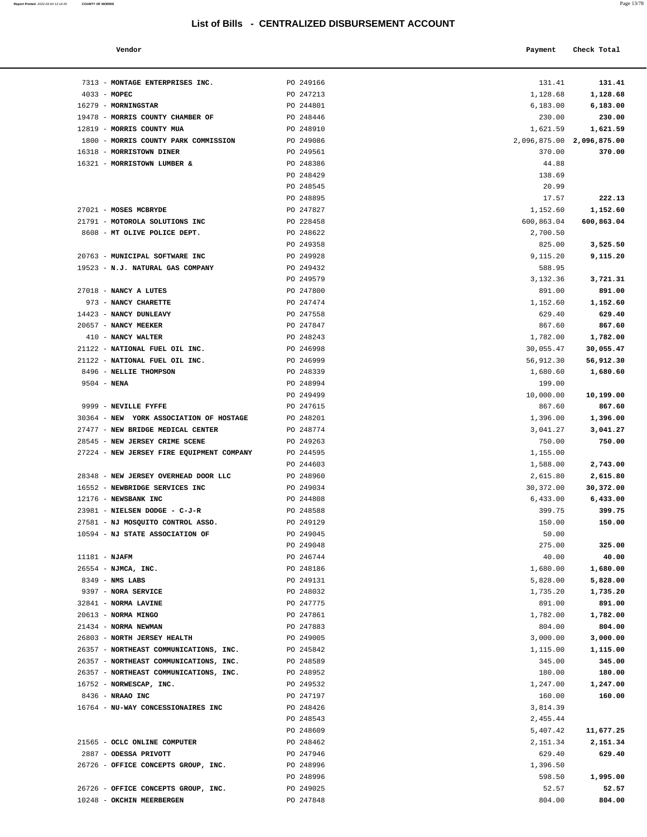**Report Printed** 2022-03-04 12:14:35 **COUNTY OF MORRIS** 

| a.<br>× | ۰.<br>× |  |
|---------|---------|--|
|         |         |  |

| Vendor                              |                        | Payment            | Check Total               |
|-------------------------------------|------------------------|--------------------|---------------------------|
| MONTAGE ENTERPRISES INC.            | PO 249166              | 131.41             | 131.41                    |
| MOPEC                               | PO 247213              | 1,128.68           | 1,128.68                  |
| <b>MORNINGSTAR</b>                  | PO 244801              | 6,183.00           | 6,183.00                  |
| MORRIS COUNTY CHAMBER OF            | PO 248446              | 230.00             | 230.00                    |
| <b>MORRIS COUNTY MUA</b>            | PO 248910              | 1,621.59           | 1,621.59                  |
| MORRIS COUNTY PARK COMMISSION       | PO 249086              |                    | 2,096,875.00 2,096,875.00 |
| <b>MORRISTOWN DINER</b>             | PO 249561              | 370.00             | 370.00                    |
| MORRISTOWN LUMBER &                 | PO 248386              | 44.88              |                           |
|                                     | PO 248429              | 138.69             |                           |
|                                     | PO 248545              | 20.99              |                           |
|                                     | PO 248895              | 17.57              | 222.13                    |
| <b>MOSES MCBRYDE</b>                | PO 247827              | 1,152.60           | 1,152.60                  |
| MOTOROLA SOLUTIONS INC              | PO 228458              | 600,863.04         | 600,863.04                |
| MT OLIVE POLICE DEPT.               | PO 248622              | 2,700.50           |                           |
|                                     | PO 249358              | 825.00             | 3,525.50                  |
| MUNICIPAL SOFTWARE INC              | PO 249928              | 9,115.20           | 9,115.20                  |
| <b>N.J. NATURAL GAS COMPANY</b>     | PO 249432              | 588.95             |                           |
|                                     | PO 249579              | 3,132.36           | 3,721.31                  |
| <b>NANCY A LUTES</b>                | PO 247800              | 891.00             | 891.00                    |
| <b>NANCY CHARETTE</b>               | PO 247474              | 1,152.60           | 1,152.60                  |
| <b>NANCY DUNLEAVY</b>               | PO 247558              | 629.40             | 629.40                    |
| <b>NANCY MEEKER</b>                 | PO 247847              | 867.60             | 867.60                    |
| NANCY WALTER                        | PO 248243              | 1,782.00           | 1,782.00                  |
| NATIONAL FUEL OIL INC.              | PO 246998              | 30,055.47          | 30,055.47                 |
| NATIONAL FUEL OIL INC.              | PO 246999              | 56,912.30          | 56,912.30                 |
| <b>NELLIE THOMPSON</b>              | PO 248339<br>PO 248994 | 1,680.60<br>199.00 | 1,680.60                  |
| NENA                                | PO 249499              | 10,000.00          |                           |
| NEVILLE FYFFE                       | PO 247615              | 867.60             | 10,199.00<br>867.60       |
| NEW YORK ASSOCIATION OF HOSTAGE     | PO 248201              | 1,396.00           | 1,396.00                  |
| NEW BRIDGE MEDICAL CENTER           | PO 248774              | 3,041.27           | 3,041.27                  |
| NEW JERSEY CRIME SCENE              | PO 249263              | 750.00             | 750.00                    |
| NEW JERSEY FIRE EQUIPMENT COMPANY   | PO 244595              | 1,155.00           |                           |
|                                     | PO 244603              | 1,588.00           | 2,743.00                  |
| <b>NEW JERSEY OVERHEAD DOOR LLC</b> | PO 248960              | 2,615.80           | 2,615.80                  |
| NEWBRIDGE SERVICES INC              | PO 249034              | 30,372.00          | 30,372.00                 |
| NEWSBANK INC                        | PO 244808              | 6,433.00           | 6,433.00                  |
| NIELSEN DODGE - C-J-R               | PO 248588              | 399.75             | 399.75                    |
| NJ MOSQUITO CONTROL ASSO.           | PO 249129              | 150.00             | 150.00                    |
| NJ STATE ASSOCIATION OF             | PO 249045              | 50.00              |                           |
|                                     | PO 249048              | 275.00             | 325.00                    |
| <b>NJAFM</b>                        | PO 246744              | 40.00              | 40.00                     |
| NJMCA, INC.                         | PO 248186              | 1,680.00           | 1,680.00                  |
| NMS LABS                            | PO 249131              | 5,828.00           | 5,828.00                  |
| <b>NORA SERVICE</b>                 | PO 248032              | 1,735.20           | 1,735.20                  |
| <b>NORMA LAVINE</b>                 | PO 247775              | 891.00             | 891.00                    |
| NORMA MINGO                         | PO 247861              | 1,782.00           | 1,782.00                  |
| NORMA NEWMAN                        | PO 247883              | 804.00             | 804.00                    |
| NORTH JERSEY HEALTH                 | PO 249005              | 3,000.00           | 3,000.00                  |
| NORTHEAST COMMUNICATIONS, INC.      | PO 245842              | 1,115.00           | 1,115.00                  |
| NORTHEAST COMMUNICATIONS, INC.      | PO 248589              | 345.00             | 345.00                    |
| NORTHEAST COMMUNICATIONS, INC.      | PO 248952              | 180.00             | 180.00                    |
| NORWESCAP, INC.                     | PO 249532              | 1,247.00           | 1,247.00                  |
| NRAAO INC                           | PO 247197              | 160.00             | 160.00                    |
| NU-WAY CONCESSIONAIRES INC          | PO 248426              | 3,814.39           |                           |
|                                     | PO 248543              | 2,455.44           |                           |
|                                     | PO 248609              | 5,407.42           | 11,677.25                 |
| OCLC ONLINE COMPUTER                | PO 248462              | 2,151.34           | 2,151.34                  |
| <b>ODESSA PRIVOTT</b>               | PO 247946              | 629.40             | 629.40                    |
| OFFICE CONCEPTS GROUP INC.          | <b>PO 248996</b>       | 1 396 50           |                           |

| 7313 - MONTAGE ENTERPRISES INC.           | PO 249166 | 131.41                    | 131.41     |
|-------------------------------------------|-----------|---------------------------|------------|
| $4033 - MOPEC$                            | PO 247213 | 1,128.68                  | 1,128.68   |
| 16279 - MORNINGSTAR                       | PO 244801 | 6,183.00                  | 6,183.00   |
| 19478 - MORRIS COUNTY CHAMBER OF          | PO 248446 | 230.00                    | 230.00     |
| 12819 - MORRIS COUNTY MUA                 | PO 248910 | 1,621.59                  | 1,621.59   |
| 1800 - MORRIS COUNTY PARK COMMISSION      | PO 249086 | 2,096,875.00 2,096,875.00 |            |
| 16318 - MORRISTOWN DINER                  | PO 249561 | 370.00                    | 370.00     |
| 16321 - MORRISTOWN LUMBER &               | PO 248386 | 44.88                     |            |
|                                           | PO 248429 | 138.69                    |            |
|                                           | PO 248545 | 20.99                     |            |
|                                           | PO 248895 | 17.57                     | 222.13     |
| 27021 - MOSES MCBRYDE                     | PO 247827 | 1,152.60                  | 1,152.60   |
| 21791 - MOTOROLA SOLUTIONS INC            | PO 228458 | 600,863.04                | 600,863.04 |
| 8608 - MT OLIVE POLICE DEPT.              | PO 248622 | 2,700.50                  |            |
|                                           | PO 249358 | 825.00                    | 3,525.50   |
| 20763 - MUNICIPAL SOFTWARE INC            | PO 249928 | 9,115.20                  | 9,115.20   |
| 19523 - N.J. NATURAL GAS COMPANY          | PO 249432 | 588.95                    |            |
|                                           | PO 249579 | 3,132.36                  | 3,721.31   |
| 27018 - NANCY A LUTES                     | PO 247800 | 891.00                    | 891.00     |
| 973 - NANCY CHARETTE                      | PO 247474 | 1,152.60                  | 1,152.60   |
| 14423 - NANCY DUNLEAVY                    | PO 247558 | 629.40                    | 629.40     |
| 20657 - NANCY MEEKER                      | PO 247847 | 867.60                    | 867.60     |
| 410 - NANCY WALTER                        | PO 248243 | 1,782.00                  | 1,782.00   |
| 21122 - NATIONAL FUEL OIL INC.            | PO 246998 | 30,055.47                 | 30,055.47  |
| 21122 - NATIONAL FUEL OIL INC.            | PO 246999 | 56,912.30                 | 56,912.30  |
|                                           | PO 248339 |                           |            |
| 8496 - NELLIE THOMPSON                    |           | 1,680.60                  | 1,680.60   |
| $9504 - NENA$                             | PO 248994 | 199.00                    |            |
|                                           | PO 249499 | 10,000.00                 | 10,199.00  |
| 9999 - NEVILLE FYFFE                      | PO 247615 | 867.60                    | 867.60     |
| 30364 - NEW YORK ASSOCIATION OF HOSTAGE   | PO 248201 | 1,396.00                  | 1,396.00   |
| 27477 - NEW BRIDGE MEDICAL CENTER         | PO 248774 | 3,041.27                  | 3,041.27   |
| 28545 - NEW JERSEY CRIME SCENE            | PO 249263 | 750.00                    | 750.00     |
| 27224 - NEW JERSEY FIRE EQUIPMENT COMPANY | PO 244595 | 1,155.00                  |            |
|                                           | PO 244603 | 1,588.00                  | 2,743.00   |
| 28348 - NEW JERSEY OVERHEAD DOOR LLC      | PO 248960 | 2,615.80                  | 2,615.80   |
| 16552 - NEWBRIDGE SERVICES INC            | PO 249034 | 30,372.00                 | 30,372.00  |
| 12176 - NEWSBANK INC                      | PO 244808 | 6,433.00                  | 6,433.00   |
| 23981 - NIELSEN DODGE - C-J-R             | PO 248588 | 399.75                    | 399.75     |
| 27581 - NJ MOSQUITO CONTROL ASSO.         | PO 249129 | 150.00                    | 150.00     |
| 10594 - NJ STATE ASSOCIATION OF           | PO 249045 | 50.00                     |            |
|                                           | PO 249048 | 275.00                    | 325.00     |
| 11181 - NJAFM                             | PO 246744 | 40.00                     | 40.00      |
| 26554 - NJMCA, INC.                       | PO 248186 | 1,680.00                  | 1,680.00   |
| $8349$ - NMS LABS                         | PO 249131 | 5,828.00                  | 5,828.00   |
| 9397 - NORA SERVICE                       | PO 248032 | 1,735.20                  | 1,735.20   |
| 32841 - NORMA LAVINE                      | PO 247775 | 891.00                    | 891.00     |
| 20613 - NORMA MINGO                       | PO 247861 | 1,782.00                  | 1,782.00   |
| 21434 - NORMA NEWMAN                      | PO 247883 | 804.00                    | 804.00     |
| 26803 - NORTH JERSEY HEALTH               | PO 249005 | 3,000.00                  | 3,000.00   |
| 26357 - NORTHEAST COMMUNICATIONS, INC.    | PO 245842 | 1,115.00                  | 1,115.00   |
| 26357 - NORTHEAST COMMUNICATIONS, INC.    | PO 248589 | 345.00                    | 345.00     |
| 26357 - NORTHEAST COMMUNICATIONS, INC.    | PO 248952 | 180.00                    | 180.00     |
| 16752 - NORWESCAP, INC.                   | PO 249532 | 1,247.00                  | 1,247.00   |
| 8436 - NRAAO INC                          | PO 247197 | 160.00                    | 160.00     |
| 16764 - NU-WAY CONCESSIONAIRES INC        | PO 248426 | 3,814.39                  |            |
|                                           | PO 248543 | 2,455.44                  |            |
|                                           | PO 248609 | 5,407.42                  | 11,677.25  |
| 21565 - OCLC ONLINE COMPUTER              | PO 248462 | 2,151.34                  | 2,151.34   |
| 2887 - ODESSA PRIVOTT                     | PO 247946 | 629.40                    | 629.40     |
| 26726 - OFFICE CONCEPTS GROUP, INC.       | PO 248996 | 1,396.50                  |            |
|                                           | PO 248996 | 598.50                    | 1,995.00   |
| 26726 - OFFICE CONCEPTS GROUP, INC.       | PO 249025 | 52.57                     | 52.57      |
| 10248 - OKCHIN MEERBERGEN                 | PO 247848 | 804.00                    | 804.00     |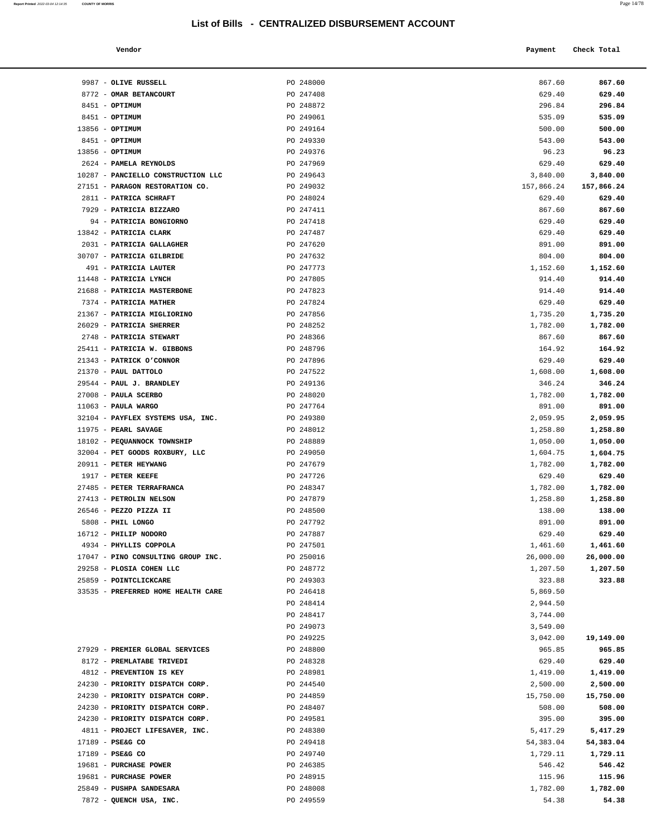| Report Printed 2022-03-04 12:14:35<br>the contract of the contract of the contract of the contract of the contract of the contract of the contract of | <b>COUNTY OF MORRIS</b> |  |  | Page 14/78 |
|-------------------------------------------------------------------------------------------------------------------------------------------------------|-------------------------|--|--|------------|
|                                                                                                                                                       |                         |  |  |            |

| Vendor                                            |                        | Payment            | Check Total        |
|---------------------------------------------------|------------------------|--------------------|--------------------|
|                                                   |                        |                    |                    |
| 9987 - OLIVE RUSSELL                              | PO 248000              | 867.60             | 867.60             |
| 8772 - OMAR BETANCOURT                            | PO 247408              |                    | 629.40             |
| 8451 - OPTIMUM                                    | PO 248872              | 629.40<br>296.84   | 296.84             |
| 8451 - OPTIMUM                                    | PO 249061              | 535.09             | 535.09             |
| $13856 - OPTIMUM$                                 | PO 249164              | 500.00             | 500.00             |
| 8451 - OPTIMUM                                    | PO 249330              | 543.00             | 543.00             |
| 13856 - OPTIMUM                                   | PO 249376              | 96.23              | 96.23              |
| 2624 - PAMELA REYNOLDS                            | PO 247969              | 629.40             | 629.40             |
| 10287 - PANCIELLO CONSTRUCTION LLC                | PO 249643              | 3,840.00           | 3,840.00           |
| 27151 - PARAGON RESTORATION CO.                   | PO 249032              | 157,866.24         | 157,866.24         |
| 2811 - PATRICA SCHRAFT                            | PO 248024              | 629.40             | 629.40             |
| 7929 - PATRICIA BIZZARO                           | PO 247411              | 867.60             | 867.60             |
| 94 - PATRICIA BONGIORNO                           | PO 247418              | 629.40             | 629.40             |
| 13842 - PATRICIA CLARK                            | PO 247487              | 629.40             | 629.40             |
| 2031 - PATRICIA GALLAGHER                         | PO 247620              | 891.00             | 891.00             |
| 30707 - PATRICIA GILBRIDE                         | PO 247632              | 804.00             | 804.00             |
| 491 - PATRICIA LAUTER                             | PO 247773              | 1,152.60           | 1,152.60           |
| 11448 - PATRICIA LYNCH                            | PO 247805              | 914.40             | 914.40             |
| 21688 - PATRICIA MASTERBONE                       | PO 247823              | 914.40             | 914.40             |
| 7374 - PATRICIA MATHER                            | PO 247824              | 629.40             | 629.40             |
| 21367 - PATRICIA MIGLIORINO                       | PO 247856              | 1,735.20           | 1,735.20           |
| 26029 - PATRICIA SHERRER                          | PO 248252              | 1,782.00           | 1,782.00           |
| 2748 - PATRICIA STEWART                           | PO 248366              | 867.60             | 867.60             |
| 25411 - PATRICIA W. GIBBONS                       | PO 248796              | 164.92             | 164.92             |
| 21343 - PATRICK O'CONNOR                          | PO 247896              | 629.40             | 629.40             |
| 21370 - PAUL DATTOLO                              | PO 247522              | 1,608.00           | 1,608.00           |
| 29544 - PAUL J. BRANDLEY                          | PO 249136              | 346.24             | 346.24             |
| $27008$ - PAULA SCERBO                            | PO 248020              | 1,782.00           | 1,782.00           |
| $11063$ - PAULA WARGO                             | PO 247764              | 891.00             | 891.00             |
| 32104 - PAYFLEX SYSTEMS USA, INC.                 | PO 249380              | 2,059.95           | 2,059.95           |
| 11975 - PEARL SAVAGE                              | PO 248012              | 1,258.80           | 1,258.80           |
| 18102 - PEQUANNOCK TOWNSHIP                       | PO 248889              | 1,050.00           | 1,050.00           |
| 32004 - PET GOODS ROXBURY, LLC                    | PO 249050              | 1,604.75           | 1,604.75           |
| 20911 - PETER HEYWANG                             | PO 247679              | 1,782.00           | 1,782.00           |
| $1917$ - PETER KEEFE                              | PO 247726              | 629.40             | 629.40             |
| 27485 - PETER TERRAFRANCA                         | PO 248347              | 1,782.00           | 1,782.00           |
| 27413 - PETROLIN NELSON<br>26546 - PEZZO PIZZA II | PO 247879<br>PO 248500 | 1,258.80<br>138.00 | 1,258.80<br>138.00 |
| 5808 - PHIL LONGO                                 | PO 247792              | 891.00             | 891.00             |
| 16712 - PHILIP NODORO                             | PO 247887              | 629.40             | 629.40             |
| 4934 - PHYLLIS COPPOLA                            | PO 247501              | 1,461.60           | 1,461.60           |
| 17047 - PINO CONSULTING GROUP INC.                | PO 250016              | 26,000.00          | 26,000.00          |
| 29258 - PLOSIA COHEN LLC                          | PO 248772              | 1,207.50           | 1,207.50           |
| 25859 - POINTCLICKCARE                            | PO 249303              | 323.88             | 323.88             |
| 33535 - PREFERRED HOME HEALTH CARE                | PO 246418              | 5,869.50           |                    |
|                                                   | PO 248414              | 2,944.50           |                    |
|                                                   | PO 248417              | 3,744.00           |                    |
|                                                   | PO 249073              | 3,549.00           |                    |
|                                                   | PO 249225              | 3,042.00           | 19,149.00          |
| 27929 - PREMIER GLOBAL SERVICES                   | PO 248800              | 965.85             | 965.85             |
| 8172 - PREMLATABE TRIVEDI                         | PO 248328              | 629.40             | 629.40             |
| 4812 - PREVENTION IS KEY                          | PO 248981              | 1,419.00           | 1,419.00           |
| 24230 - PRIORITY DISPATCH CORP.                   | PO 244540              | 2,500.00           | 2,500.00           |
| 24230 - PRIORITY DISPATCH CORP.                   | PO 244859              | 15,750.00          | 15,750.00          |
| 24230 - PRIORITY DISPATCH CORP.                   | PO 248407              | 508.00             | 508.00             |
| 24230 - PRIORITY DISPATCH CORP.                   | PO 249581              | 395.00             | 395.00             |
| 4811 - PROJECT LIFESAVER, INC.                    | PO 248380              | 5,417.29           | 5,417.29           |
| 17189 - PSE&G CO                                  | PO 249418              | 54, 383.04         | 54,383.04          |
| 17189 - PSE&G CO                                  | PO 249740              | 1,729.11           | 1,729.11           |
| 19681 - PURCHASE POWER                            | PO 246385              | 546.42             | 546.42             |
| 19681 - PURCHASE POWER                            | PO 248915              | 115.96             | 115.96             |
| 25849 - PUSHPA SANDESARA                          | PO 248008              | 1,782.00           | 1,782.00           |
| 7872 - QUENCH USA, INC.                           | PO 249559              | 54.38              | 54.38              |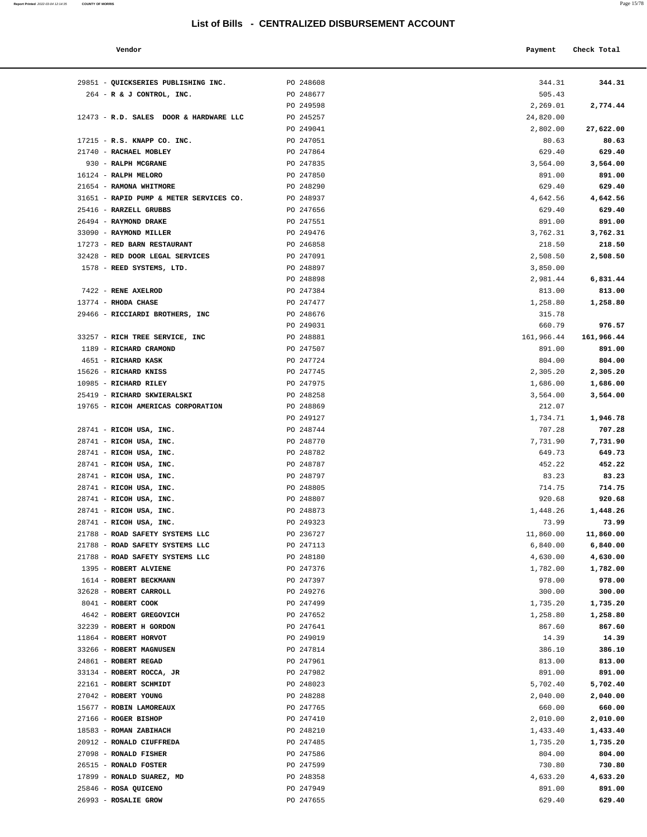#### **Report Printed** 2022-03-04 12:14:35 **COUNTY OF MORRIS** Page 15/78

#### **List of Bills - CENTRALIZED DISBURSEMENT ACCOUNT**

| Vendor                      |           | Payment | Check Total |
|-----------------------------|-----------|---------|-------------|
| QUICKSERIES PUBLISHING INC. | PO 248608 | 344.31  | 344.31      |
| R & J CONTROL, INC.         | PO 248677 | 505.43  |             |

| 29851 - QUICKSERIES PUBLISHING INC.                | PO 248608              | 344.31             | 344.31             |
|----------------------------------------------------|------------------------|--------------------|--------------------|
| 264 - R & J CONTROL, INC.                          | PO 248677              | 505.43             |                    |
|                                                    | PO 249598              | 2,269.01           | 2,774.44           |
| 12473 - R.D. SALES DOOR & HARDWARE LLC             | PO 245257              | 24,820.00          |                    |
|                                                    | PO 249041              | 2,802.00           | 27,622.00          |
| 17215 - R.S. KNAPP CO. INC.                        | PO 247051              | 80.63              | 80.63              |
| 21740 - RACHAEL MOBLEY                             | PO 247864              | 629.40             | 629.40             |
| 930 - RALPH MCGRANE                                | PO 247835              | 3,564.00           | 3,564.00           |
| 16124 - RALPH MELORO                               | PO 247850              | 891.00             | 891.00             |
| 21654 - RAMONA WHITMORE                            | PO 248290              | 629.40             | 629.40             |
| 31651 - RAPID PUMP & METER SERVICES CO.            | PO 248937              | 4,642.56           | 4,642.56           |
| 25416 - RARZELL GRUBBS                             | PO 247656              | 629.40             | 629.40             |
| 26494 - RAYMOND DRAKE                              | PO 247551              | 891.00             | 891.00             |
| 33090 - RAYMOND MILLER                             | PO 249476              | 3,762.31           | 3,762.31           |
| 17273 - RED BARN RESTAURANT                        | PO 246858              | 218.50             | 218.50             |
| 32428 - RED DOOR LEGAL SERVICES                    | PO 247091              | 2,508.50           | 2,508.50           |
| 1578 - REED SYSTEMS, LTD.                          | PO 248897              | 3,850.00           |                    |
|                                                    | PO 248898              | 2,981.44           | 6,831.44           |
| 7422 - RENE AXELROD                                | PO 247384              | 813.00             | 813.00             |
| $13774$ - RHODA CHASE                              | PO 247477              | 1,258.80           | 1,258.80           |
| 29466 - RICCIARDI BROTHERS, INC                    | PO 248676              | 315.78             |                    |
|                                                    | PO 249031              | 660.79             | 976.57             |
| 33257 - RICH TREE SERVICE, INC                     | PO 248881              | 161,966.44         | 161,966.44         |
| 1189 - RICHARD CRAMOND                             | PO 247507              | 891.00             | 891.00             |
| 4651 - RICHARD KASK                                | PO 247724              | 804.00             | 804.00             |
| 15626 - RICHARD KNISS                              | PO 247745              | 2,305.20           | 2,305.20           |
| 10985 - RICHARD RILEY                              | PO 247975              | 1,686.00           | 1,686.00           |
| 25419 - RICHARD SKWIERALSKI                        | PO 248258              | 3,564.00           | 3,564.00           |
| 19765 - RICOH AMERICAS CORPORATION                 | PO 248869              | 212.07             |                    |
|                                                    | PO 249127              | 1,734.71           | 1,946.78           |
| 28741 - RICOH USA, INC.                            | PO 248744              | 707.28             | 707.28             |
| 28741 - RICOH USA, INC.                            | PO 248770              | 7,731.90           | 7,731.90           |
| 28741 - RICOH USA, INC.                            | PO 248782              | 649.73             | 649.73             |
| 28741 - RICOH USA, INC.                            | PO 248787              | 452.22             | 452.22             |
| 28741 - RICOH USA, INC.                            | PO 248797              | 83.23              | 83.23              |
| 28741 - RICOH USA, INC.                            | PO 248805              | 714.75             | 714.75             |
| 28741 - RICOH USA, INC.<br>28741 - RICOH USA, INC. | PO 248807<br>PO 248873 | 920.68<br>1,448.26 | 920.68<br>1,448.26 |
| 28741 - RICOH USA, INC.                            | PO 249323              | 73.99              | 73.99              |
| 21788 - ROAD SAFETY SYSTEMS LLC                    | PO 236727              | 11,860.00          | 11,860.00          |
| 21788 - ROAD SAFETY SYSTEMS LLC                    | PO 247113              | 6,840.00           | 6,840.00           |
| 21788 - ROAD SAFETY SYSTEMS LLC                    | PO 248180              | 4,630.00           | 4,630.00           |
| 1395 - ROBERT ALVIENE                              | PO 247376              | 1,782.00           | 1,782.00           |
| 1614 - ROBERT BECKMANN                             | PO 247397              | 978.00             | 978.00             |
| 32628 - ROBERT CARROLL                             | PO 249276              | 300.00             | 300.00             |
| 8041 - ROBERT COOK                                 | PO 247499              | 1,735.20           | 1,735.20           |
| 4642 - ROBERT GREGOVICH                            | PO 247652              | 1,258.80           | 1,258.80           |
| 32239 - ROBERT H GORDON                            | PO 247641              | 867.60             | 867.60             |
| 11864 - ROBERT HORVOT                              | PO 249019              | 14.39              | 14.39              |
| 33266 - ROBERT MAGNUSEN                            | PO 247814              | 386.10             | 386.10             |
| 24861 - ROBERT REGAD                               | PO 247961              | 813.00             | 813.00             |
| 33134 - ROBERT ROCCA, JR                           | PO 247982              | 891.00             | 891.00             |
| 22161 - ROBERT SCHMIDT                             | PO 248023              | 5,702.40           | 5,702.40           |
| 27042 - ROBERT YOUNG                               | PO 248288              | 2,040.00           | 2,040.00           |
| 15677 - ROBIN LAMOREAUX                            | PO 247765              | 660.00             | 660.00             |
| 27166 - ROGER BISHOP                               | PO 247410              | 2,010.00           | 2,010.00           |
| 18583 - ROMAN ZABIHACH                             | PO 248210              | 1,433.40           | 1,433.40           |
| 20912 - RONALD CIUFFREDA                           | PO 247485              | 1,735.20           | 1,735.20           |
| 27098 - RONALD FISHER                              | PO 247586              | 804.00             | 804.00             |
| 26515 - RONALD FOSTER                              | PO 247599              | 730.80             | 730.80             |
| 17899 - RONALD SUAREZ, MD                          | PO 248358              | 4,633.20           | 4,633.20           |
| 25846 - ROSA QUICENO                               | PO 247949              | 891.00             | 891.00             |

26993 - **ROSALIE GROW** PO 247655 629.40 **629.40**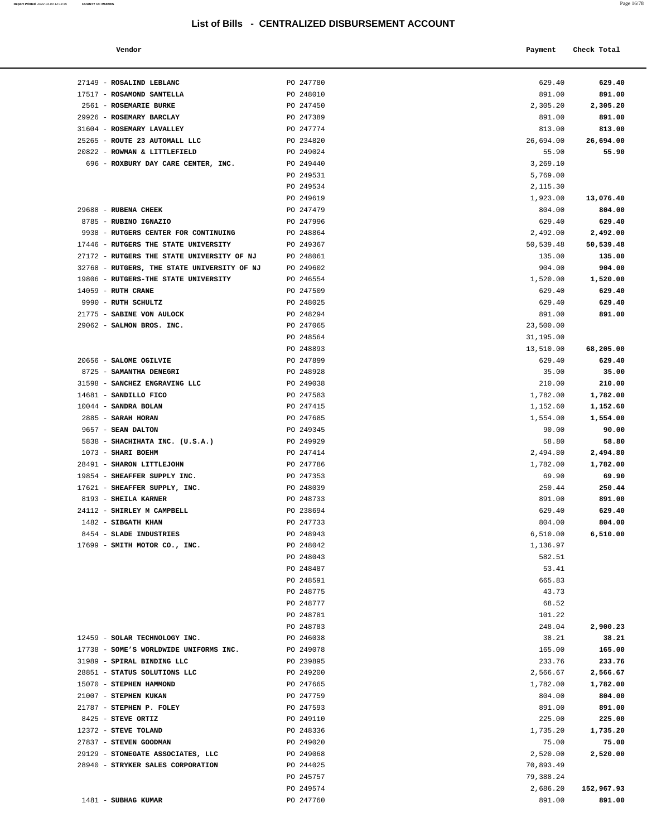17517 - **ROSAMOND SANTELLA** PO 248010 891.00 **891.00**

| Report Printed 2022-03-04 12:14:35 COUNTY OF MORRIS | Page 16/78 |  |
|-----------------------------------------------------|------------|--|
|                                                     |            |  |

| Vendor                   |           | Payment | Check Total |
|--------------------------|-----------|---------|-------------|
| 27149 - ROSALIND LEBLANC | PO 247780 | 629.40  | 629.40      |

| 2561 - ROSEMARIE BURKE                      | PO 247450 | 2,305.20  | 2,305.20             |
|---------------------------------------------|-----------|-----------|----------------------|
| 29926 - ROSEMARY BARCLAY                    | PO 247389 | 891.00    | 891.00               |
| 31604 - ROSEMARY LAVALLEY                   | PO 247774 | 813.00    | 813.00               |
| 25265 - ROUTE 23 AUTOMALL LLC               | PO 234820 | 26,694.00 | 26,694.00            |
| 20822 - ROWMAN & LITTLEFIELD                | PO 249024 | 55.90     | 55.90                |
| 696 - ROXBURY DAY CARE CENTER, INC.         | PO 249440 | 3,269.10  |                      |
|                                             | PO 249531 | 5,769.00  |                      |
|                                             | PO 249534 | 2,115.30  |                      |
|                                             | PO 249619 | 1,923.00  | 13,076.40            |
| 29688 - RUBENA CHEEK                        | PO 247479 | 804.00    | 804.00               |
| 8785 - RUBINO IGNAZIO                       | PO 247996 | 629.40    | 629.40               |
| 9938 - RUTGERS CENTER FOR CONTINUING        | PO 248864 | 2,492.00  | 2,492.00             |
| 17446 - RUTGERS THE STATE UNIVERSITY        | PO 249367 | 50,539.48 | 50,539.48            |
| 27172 - RUTGERS THE STATE UNIVERSITY OF NJ  | PO 248061 | 135.00    | 135.00               |
| 32768 - RUTGERS, THE STATE UNIVERSITY OF NJ | PO 249602 | 904.00    | 904.00               |
| 19806 - RUTGERS-THE STATE UNIVERSITY        | PO 246554 | 1,520.00  | 1,520.00             |
| 14059 - RUTH CRANE                          | PO 247509 | 629.40    | 629.40               |
| 9990 - RUTH SCHULTZ                         | PO 248025 | 629.40    | 629.40               |
| 21775 - SABINE VON AULOCK                   | PO 248294 | 891.00    | 891.00               |
| 29062 - SALMON BROS. INC.                   | PO 247065 | 23,500.00 |                      |
|                                             | PO 248564 | 31,195.00 |                      |
|                                             | PO 248893 | 13,510.00 | 68,205.00            |
| 20656 - SALOME OGILVIE                      | PO 247899 | 629.40    | 629.40               |
| 8725 - SAMANTHA DENEGRI                     | PO 248928 | 35.00     | 35.00                |
| 31598 - SANCHEZ ENGRAVING LLC               | PO 249038 | 210.00    | 210.00               |
| 14681 - SANDILLO FICO                       | PO 247583 | 1,782.00  | 1,782.00             |
| 10044 - SANDRA BOLAN                        | PO 247415 | 1,152.60  | 1,152.60             |
| 2885 - SARAH HORAN                          | PO 247685 | 1,554.00  | 1,554.00             |
| 9657 - SEAN DALTON                          | PO 249345 | 90.00     | 90.00                |
| 5838 - SHACHIHATA INC. (U.S.A.)             | PO 249929 | 58.80     | 58.80                |
| 1073 - SHARI BOEHM                          | PO 247414 | 2,494.80  | 2,494.80             |
| 28491 - SHARON LITTLEJOHN                   | PO 247786 | 1,782.00  | 1,782.00             |
| 19854 - SHEAFFER SUPPLY INC.                | PO 247353 | 69.90     | 69.90                |
| 17621 - SHEAFFER SUPPLY, INC.               | PO 248039 | 250.44    | 250.44               |
| 8193 - SHEILA KARNER                        | PO 248733 | 891.00    | 891.00               |
| 24112 - SHIRLEY M CAMPBELL                  | PO 238694 | 629.40    | 629.40               |
| 1482 - SIBGATH KHAN                         | PO 247733 | 804.00    | 804.00               |
| 8454 - SLADE INDUSTRIES                     | PO 248943 | 6,510.00  | 6,510.00             |
| 17699 - SMITH MOTOR CO., INC.               | PO 248042 | 1,136.97  |                      |
|                                             | PO 248043 | 582.51    |                      |
|                                             | PO 248487 | 53.41     |                      |
|                                             | PO 248591 | 665.83    |                      |
|                                             | PO 248775 | 43.73     |                      |
|                                             | PO 248777 | 68.52     |                      |
|                                             | PO 248781 | 101.22    |                      |
|                                             | PO 248783 | 248.04    | 2,900.23             |
| 12459 - SOLAR TECHNOLOGY INC.               | PO 246038 | 38.21     | 38.21                |
| 17738 - SOME'S WORLDWIDE UNIFORMS INC.      | PO 249078 | 165.00    | 165.00               |
| 31989 - SPIRAL BINDING LLC                  | PO 239895 | 233.76    | 233.76               |
| 28851 - STATUS SOLUTIONS LLC                | PO 249200 | 2,566.67  | 2,566.67             |
| 15070 - STEPHEN HAMMOND                     | PO 247665 | 1,782.00  | 1,782.00             |
| 21007 - STEPHEN KUKAN                       | PO 247759 | 804.00    | 804.00               |
| 21787 - STEPHEN P. FOLEY                    | PO 247593 | 891.00    | 891.00               |
| 8425 - STEVE ORTIZ                          | PO 249110 | 225.00    | 225.00               |
| 12372 - STEVE TOLAND                        | PO 248336 | 1,735.20  | 1,735.20             |
| 27837 - STEVEN GOODMAN                      | PO 249020 | 75.00     | 75.00                |
| 29129 - STONEGATE ASSOCIATES, LLC           | PO 249068 | 2,520.00  | 2,520.00             |
| 28940 - STRYKER SALES CORPORATION           | PO 244025 | 70,893.49 |                      |
|                                             | PO 245757 | 79,388.24 |                      |
| 1481 - SUBHAG KUMAR                         | PO 249574 | 2,686.20  | 152,967.93<br>891.00 |
|                                             | PO 247760 | 891.00    |                      |
|                                             |           |           |                      |
|                                             |           |           |                      |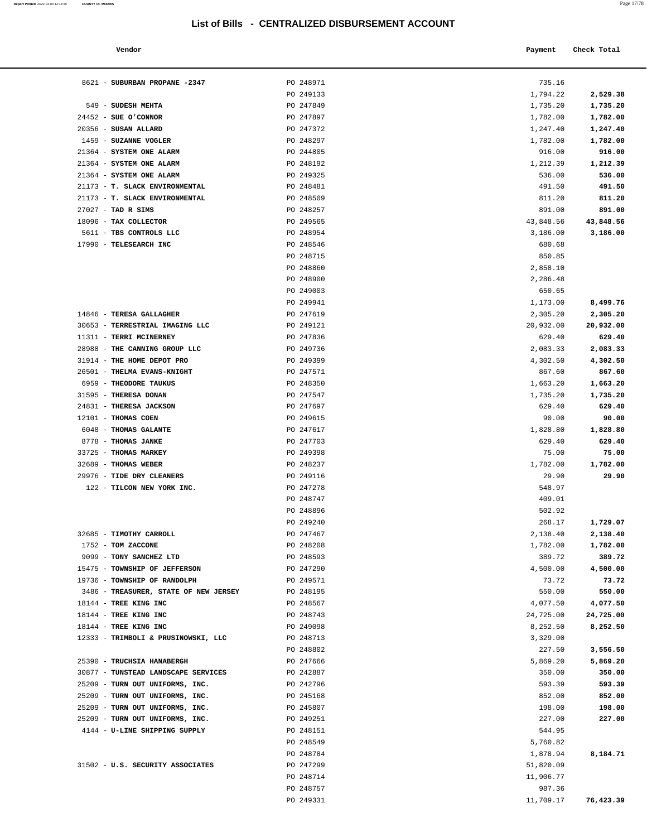#### **Vendor Payment** Check Total **Payment** Check Total **Payment**

**Report Printed** 2022-03-04 12:14:35 **COUNTY OF MORRIS** Page 17/78

|    | ۰. |
|----|----|
|    |    |
| a. | ۰  |
|    |    |
| ×  | ×  |
|    | ۰  |
|    |    |

| 8621 - SUBURBAN PROPANE -2347         | PO 248971 | 735.16    |           |
|---------------------------------------|-----------|-----------|-----------|
|                                       | PO 249133 | 1,794.22  | 2,529.38  |
| 549 - SUDESH MEHTA                    | PO 247849 | 1,735.20  | 1,735.20  |
| $24452$ - SUE O'CONNOR                | PO 247897 | 1,782.00  | 1,782.00  |
| 20356 - SUSAN ALLARD                  | PO 247372 | 1,247.40  | 1,247.40  |
| 1459 - SUZANNE VOGLER                 | PO 248297 | 1,782.00  | 1,782.00  |
| 21364 - SYSTEM ONE ALARM              | PO 244805 | 916.00    | 916.00    |
| 21364 - SYSTEM ONE ALARM              | PO 248192 | 1,212.39  | 1,212.39  |
| 21364 - SYSTEM ONE ALARM              | PO 249325 | 536.00    | 536.00    |
| 21173 - T. SLACK ENVIRONMENTAL        | PO 248481 | 491.50    | 491.50    |
| 21173 - T. SLACK ENVIRONMENTAL        | PO 248509 | 811.20    | 811.20    |
| 27027 - TAD R SIMS                    | PO 248257 | 891.00    | 891.00    |
| 18096 - TAX COLLECTOR                 | PO 249565 | 43,848.56 | 43,848.56 |
| 5611 - TBS CONTROLS LLC               | PO 248954 | 3,186.00  | 3,186.00  |
| 17990 - TELESEARCH INC                | PO 248546 | 680.68    |           |
|                                       | PO 248715 | 850.85    |           |
|                                       | PO 248860 | 2,858.10  |           |
|                                       | PO 248900 | 2,286.48  |           |
|                                       | PO 249003 | 650.65    |           |
|                                       | PO 249941 | 1,173.00  | 8,499.76  |
| 14846 - TERESA GALLAGHER              | PO 247619 | 2,305.20  | 2,305.20  |
| 30653 - TERRESTRIAL IMAGING LLC       | PO 249121 | 20,932.00 | 20,932.00 |
| 11311 - TERRI MCINERNEY               | PO 247836 | 629.40    | 629.40    |
| 28988 - THE CANNING GROUP LLC         | PO 249736 | 2,083.33  | 2,083.33  |
| 31914 - THE HOME DEPOT PRO            | PO 249399 | 4,302.50  | 4,302.50  |
| 26501 - THELMA EVANS-KNIGHT           | PO 247571 | 867.60    | 867.60    |
| 6959 - THEODORE TAUKUS                | PO 248350 | 1,663.20  | 1,663.20  |
| 31595 - THERESA DONAN                 | PO 247547 | 1,735.20  | 1,735.20  |
| 24831 - THERESA JACKSON               | PO 247697 | 629.40    | 629.40    |
| 12101 - THOMAS COEN                   | PO 249615 | 90.00     | 90.00     |
| 6048 - THOMAS GALANTE                 | PO 247617 | 1,828.80  | 1,828.80  |
| 8778 - THOMAS JANKE                   | PO 247703 | 629.40    | 629.40    |
| 33725 - THOMAS MARKEY                 | PO 249398 | 75.00     | 75.00     |
| 32689 - THOMAS WEBER                  | PO 248237 | 1,782.00  | 1,782.00  |
| 29976 - TIDE DRY CLEANERS             | PO 249116 | 29.90     | 29.90     |
| 122 - TILCON NEW YORK INC.            | PO 247278 | 548.97    |           |
|                                       | PO 248747 | 409.01    |           |
|                                       | PO 248896 | 502.92    |           |
|                                       | PO 249240 | 268.17    | 1,729.07  |
| 32685 - TIMOTHY CARROLL               | PO 247467 | 2,138.40  | 2,138.40  |
| 1752 - TOM ZACCONE                    | PO 248208 | 1,782.00  | 1,782.00  |
| 9099 - TONY SANCHEZ LTD               | PO 248593 | 389.72    | 389.72    |
| 15475 - TOWNSHIP OF JEFFERSON         | PO 247290 | 4,500.00  | 4,500.00  |
| 19736 - TOWNSHIP OF RANDOLPH          | PO 249571 | 73.72     | 73.72     |
| 3486 - TREASURER, STATE OF NEW JERSEY | PO 248195 | 550.00    | 550.00    |
| 18144 - TREE KING INC                 | PO 248567 | 4,077.50  | 4,077.50  |
| 18144 - TREE KING INC                 | PO 248743 | 24,725.00 | 24,725.00 |
| 18144 - TREE KING INC                 | PO 249098 | 8,252.50  | 8,252.50  |
| 12333 - TRIMBOLI & PRUSINOWSKI, LLC   | PO 248713 | 3,329.00  |           |
|                                       | PO 248802 | 227.50    | 3,556.50  |
| 25390 - TRUCHSIA HANABERGH            | PO 247666 | 5,869.20  | 5,869.20  |
| 30877 - TUNSTEAD LANDSCAPE SERVICES   | PO 242887 | 350.00    | 350.00    |
| 25209 - TURN OUT UNIFORMS, INC.       | PO 242796 | 593.39    | 593.39    |
| 25209 - TURN OUT UNIFORMS, INC.       | PO 245168 | 852.00    | 852.00    |
| 25209 - TURN OUT UNIFORMS, INC.       | PO 245807 | 198.00    | 198.00    |
| 25209 - TURN OUT UNIFORMS, INC.       | PO 249251 | 227.00    | 227.00    |
| 4144 - U-LINE SHIPPING SUPPLY         | PO 248151 | 544.95    |           |
|                                       | PO 248549 | 5,760.82  |           |
|                                       | PO 248784 | 1,878.94  | 8,184.71  |
| 31502 - U.S. SECURITY ASSOCIATES      | PO 247299 | 51,820.09 |           |
|                                       | PO 248714 | 11,906.77 |           |
|                                       | PO 248757 | 987.36    |           |
|                                       | PO 249331 | 11,709.17 | 76,423.39 |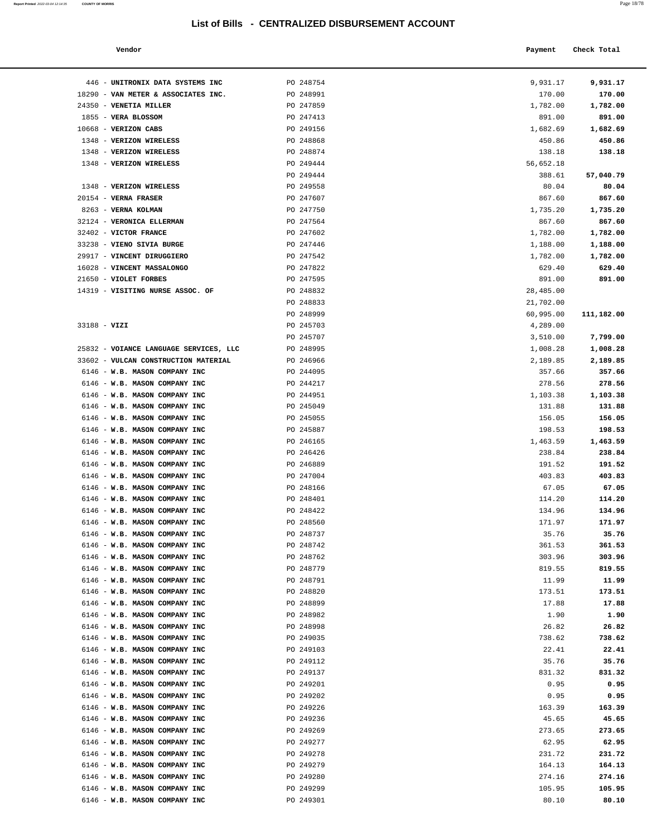6146 - **W.B. MASON COMPANY INC** PO 249301

| Report Printed 2022-03-04 12:14:35 | <b>COUNTY OF MORRIS</b> | Page 18/78 |
|------------------------------------|-------------------------|------------|
|                                    |                         |            |

| Vendor                              |           | Payment   | Check Total |
|-------------------------------------|-----------|-----------|-------------|
| UNITRONIX DATA SYSTEMS INC          | PO 248754 | 9,931.17  | 9,931.17    |
| VAN METER & ASSOCIATES INC.         | PO 248991 | 170.00    | 170.00      |
| VENETIA MILLER                      | PO 247859 | 1,782.00  | 1,782.00    |
| <b>VERA BLOSSOM</b>                 | PO 247413 | 891.00    | 891.00      |
| <b>VERIZON CABS</b>                 | PO 249156 | 1,682.69  | 1,682.69    |
| <b>VERIZON WIRELESS</b>             | PO 248868 | 450.86    | 450.86      |
| VERIZON WIRELESS                    | PO 248874 | 138.18    | 138.18      |
| <b>VERIZON WIRELESS</b>             | PO 249444 | 56,652.18 |             |
|                                     | PO 249444 | 388.61    | 57,040.79   |
| <b>VERIZON WIRELESS</b>             | PO 249558 | 80.04     | 80.04       |
| <b>VERNA FRASER</b>                 | PO 247607 | 867.60    | 867.60      |
| <b>VERNA KOLMAN</b>                 | PO 247750 | 1,735.20  | 1,735.20    |
| <b>VERONICA ELLERMAN</b>            | PO 247564 | 867.60    | 867.60      |
| <b>VICTOR FRANCE</b>                | PO 247602 | 1,782.00  | 1,782.00    |
| VIENO SIVIA BURGE                   | PO 247446 | 1,188.00  | 1,188.00    |
| VINCENT DIRUGGIERO                  | PO 247542 | 1,782.00  | 1,782.00    |
| <b>VINCENT MASSALONGO</b>           | PO 247822 | 629.40    | 629.40      |
| <b>VIOLET FORBES</b>                | PO 247595 | 891.00    | 891.00      |
| VISITING NURSE ASSOC. OF            | PO 248832 | 28,485.00 |             |
|                                     | PO 248833 | 21,702.00 |             |
|                                     | PO 248999 | 60,995.00 | 111,182.00  |
|                                     | PO 245703 | 4,289.00  |             |
| VIZI                                | PO 245707 |           |             |
|                                     |           | 3,510.00  | 7,799.00    |
| VOIANCE LANGUAGE SERVICES, LLC      | PO 248995 | 1,008.28  | 1,008.28    |
| <b>VULCAN CONSTRUCTION MATERIAL</b> | PO 246966 | 2,189.85  | 2,189.85    |
| W.B. MASON COMPANY INC              | PO 244095 | 357.66    | 357.66      |
| W.B. MASON COMPANY INC              | PO 244217 | 278.56    | 278.56      |
| W.B. MASON COMPANY INC              | PO 244951 | 1,103.38  | 1,103.38    |
| W.B. MASON COMPANY INC              | PO 245049 | 131.88    | 131.88      |
| W.B. MASON COMPANY INC              | PO 245055 | 156.05    | 156.05      |
| W.B. MASON COMPANY INC              | PO 245887 | 198.53    | 198.53      |
| W.B. MASON COMPANY INC              | PO 246165 | 1,463.59  | 1,463.59    |
| W.B. MASON COMPANY INC              | PO 246426 | 238.84    | 238.84      |
| W.B. MASON COMPANY INC              | PO 246889 | 191.52    | 191.52      |
| W.B. MASON COMPANY INC              | PO 247004 | 403.83    | 403.83      |
| W.B. MASON COMPANY INC              | PO 248166 | 67.05     | 67.05       |
| W.B. MASON COMPANY INC              | PO 248401 | 114.20    | 114.20      |
| W.B. MASON COMPANY INC              | PO 248422 | 134.96    | 134.96      |
| W.B. MASON COMPANY INC              | PO 248560 | 171.97    | 171.97      |
| W.B. MASON COMPANY INC              | PO 248737 | 35.76     | 35.76       |
| W.B. MASON COMPANY INC              | PO 248742 | 361.53    | 361.53      |
| W.B. MASON COMPANY INC              | PO 248762 | 303.96    | 303.96      |
| W.B. MASON COMPANY INC              | PO 248779 | 819.55    | 819.55      |
| W.B. MASON COMPANY INC              | PO 248791 | 11.99     | 11.99       |
| W.B. MASON COMPANY INC              | PO 248820 | 173.51    | 173.51      |
| W.B. MASON COMPANY INC              | PO 248899 | 17.88     | 17.88       |
| W.B. MASON COMPANY INC              | PO 248982 | 1.90      | 1.90        |
| W.B. MASON COMPANY INC              | PO 248998 | 26.82     | 26.82       |
| W.B. MASON COMPANY INC              | PO 249035 | 738.62    | 738.62      |
| W.B. MASON COMPANY INC              | PO 249103 | 22.41     | 22.41       |
| W.B. MASON COMPANY INC              | PO 249112 | 35.76     | 35.76       |
| W.B. MASON COMPANY INC              | PO 249137 | 831.32    | 831.32      |
| W.B. MASON COMPANY INC              | PO 249201 | 0.95      | 0.95        |
| W.B. MASON COMPANY INC              | PO 249202 | 0.95      | 0.95        |
| W.B. MASON COMPANY INC              | PO 249226 | 163.39    | 163.39      |
| W.B. MASON COMPANY INC              | PO 249236 | 45.65     | 45.65       |
|                                     |           |           |             |
| W.B. MASON COMPANY INC              | PO 249269 | 273.65    | 273.65      |
| W.B. MASON COMPANY INC              | PO 249277 | 62.95     | 62.95       |
| W.B. MASON COMPANY INC              | PO 249278 | 231.72    | 231.72      |
| W.B. MASON COMPANY INC              | PO 249279 | 164.13    | 164.13      |
| W.B. MASON COMPANY INC              | PO 249280 | 274.16    | 274.16      |
| W.B. MASON COMPANY INC              | PO 249299 | 105.95    | 105.95      |
| W.B. MASON COMPANY INC              | PO 249301 | 80.10     | 80.10       |
|                                     |           |           |             |

| 446 - UNITRONIX DATA SYSTEMS INC                               | PO 248754              | 9,931.17             | 9,931.17      |
|----------------------------------------------------------------|------------------------|----------------------|---------------|
| 18290 - VAN METER & ASSOCIATES INC.                            | PO 248991              | 170.00               | 170.00        |
| 24350 - VENETIA MILLER                                         | PO 247859              | 1,782.00             | 1,782.00      |
| 1855 - VERA BLOSSOM                                            | PO 247413              | 891.00               | 891.00        |
| 10668 - VERIZON CABS                                           | PO 249156              | 1,682.69             | 1,682.69      |
| 1348 - VERIZON WIRELESS                                        | PO 248868              | 450.86               | 450.86        |
| 1348 - VERIZON WIRELESS                                        | PO 248874              | 138.18               | 138.18        |
| 1348 - VERIZON WIRELESS                                        | PO 249444              | 56,652.18            |               |
|                                                                | PO 249444              | 388.61               | 57,040.79     |
| 1348 - VERIZON WIRELESS                                        | PO 249558              | 80.04                | 80.04         |
| $20154$ - VERNA FRASER                                         | PO 247607              | 867.60               | 867.60        |
| 8263 - VERNA KOLMAN                                            | PO 247750              | 1,735.20             | 1,735.20      |
| 32124 - VERONICA ELLERMAN                                      | PO 247564              | 867.60               | 867.60        |
| 32402 - VICTOR FRANCE                                          | PO 247602              | 1,782.00             | 1,782.00      |
| 33238 - VIENO SIVIA BURGE                                      | PO 247446              | 1,188.00             | 1,188.00      |
| 29917 - VINCENT DIRUGGIERO                                     | PO 247542              | 1,782.00             | 1,782.00      |
| 16028 - VINCENT MASSALONGO                                     | PO 247822              | 629.40               | 629.40        |
| 21650 - VIOLET FORBES                                          | PO 247595              | 891.00               | 891.00        |
| 14319 - VISITING NURSE ASSOC. OF                               | PO 248832              | 28,485.00            |               |
|                                                                | PO 248833              | 21,702.00            |               |
|                                                                | PO 248999              | 60,995.00            | 111,182.00    |
| 33188 - VIZI                                                   | PO 245703<br>PO 245707 | 4,289.00             | 7,799.00      |
| 25832 - VOIANCE LANGUAGE SERVICES, LLC                         | PO 248995              | 3,510.00<br>1,008.28 | 1,008.28      |
| 33602 - VULCAN CONSTRUCTION MATERIAL                           | PO 246966              | 2,189.85             | 2,189.85      |
| 6146 - W.B. MASON COMPANY INC                                  | PO 244095              | 357.66               | 357.66        |
| 6146 - W.B. MASON COMPANY INC                                  | PO 244217              | 278.56               | 278.56        |
| 6146 - W.B. MASON COMPANY INC                                  | PO 244951              | 1,103.38             | 1,103.38      |
| 6146 - W.B. MASON COMPANY INC                                  | PO 245049              | 131.88               | 131.88        |
| 6146 - W.B. MASON COMPANY INC                                  | PO 245055              | 156.05               | 156.05        |
| 6146 - W.B. MASON COMPANY INC                                  | PO 245887              | 198.53               | 198.53        |
| 6146 - W.B. MASON COMPANY INC                                  | PO 246165              | 1,463.59             | 1,463.59      |
| 6146 - W.B. MASON COMPANY INC                                  | PO 246426              | 238.84               | 238.84        |
| 6146 - W.B. MASON COMPANY INC                                  | PO 246889              | 191.52               | 191.52        |
| 6146 - W.B. MASON COMPANY INC                                  | PO 247004              | 403.83               | 403.83        |
| 6146 - W.B. MASON COMPANY INC                                  | PO 248166              | 67.05                | 67.05         |
| 6146 - W.B. MASON COMPANY INC                                  | PO 248401              | 114.20               | 114.20        |
| 6146 - W.B. MASON COMPANY INC                                  | PO 248422              | 134.96               | 134.96        |
| 6146 - W.B. MASON COMPANY INC                                  | PO 248560              | 171.97               | 171.97        |
| 6146 - W.B. MASON COMPANY INC                                  | PO 248737              | 35.76                | 35.76         |
| 6146 - W.B. MASON COMPANY INC                                  | PO 248742              | 361.53               | 361.53        |
| 6146 - W.B. MASON COMPANY INC                                  | PO 248762              | 303.96               | 303.96        |
| 6146 - W.B. MASON COMPANY INC                                  | PO 248779              | 819.55               | 819.55        |
| 6146 - W.B. MASON COMPANY INC                                  | PO 248791              | 11.99                | 11.99         |
| 6146 - W.B. MASON COMPANY INC                                  | PO 248820              | 173.51               | 173.51        |
| 6146 - W.B. MASON COMPANY INC                                  | PO 248899              | 17.88                | 17.88         |
| 6146 - W.B. MASON COMPANY INC<br>6146 - W.B. MASON COMPANY INC | PO 248982<br>PO 248998 | 1.90<br>26.82        | 1.90<br>26.82 |
| 6146 - W.B. MASON COMPANY INC                                  | PO 249035              | 738.62               | 738.62        |
| 6146 - W.B. MASON COMPANY INC                                  | PO 249103              | 22.41                | 22.41         |
| 6146 - W.B. MASON COMPANY INC                                  | PO 249112              | 35.76                | 35.76         |
| 6146 - W.B. MASON COMPANY INC                                  | PO 249137              | 831.32               | 831.32        |
| 6146 - W.B. MASON COMPANY INC                                  | PO 249201              | 0.95                 | 0.95          |
| 6146 - W.B. MASON COMPANY INC                                  | PO 249202              | 0.95                 | 0.95          |
| 6146 - W.B. MASON COMPANY INC                                  | PO 249226              | 163.39               | 163.39        |
| 6146 - W.B. MASON COMPANY INC                                  | PO 249236              | 45.65                | 45.65         |
| 6146 - W.B. MASON COMPANY INC                                  | PO 249269              | 273.65               | 273.65        |
| 6146 - W.B. MASON COMPANY INC                                  | PO 249277              | 62.95                | 62.95         |
| 6146 - W.B. MASON COMPANY INC                                  | PO 249278              | 231.72               | 231.72        |
| 6146 - W.B. MASON COMPANY INC                                  | PO 249279              | 164.13               | 164.13        |
| 6146 - W.B. MASON COMPANY INC                                  | PO 249280              | 274.16               | 274.16        |
| 6146 - W.B. MASON COMPANY INC                                  | PO 249299              | 105.95               | 105.95        |
| $6146 - W$ R MASON COMPANY TNC                                 | <b>DO 249301</b>       | 80 10                | <b>80.10</b>  |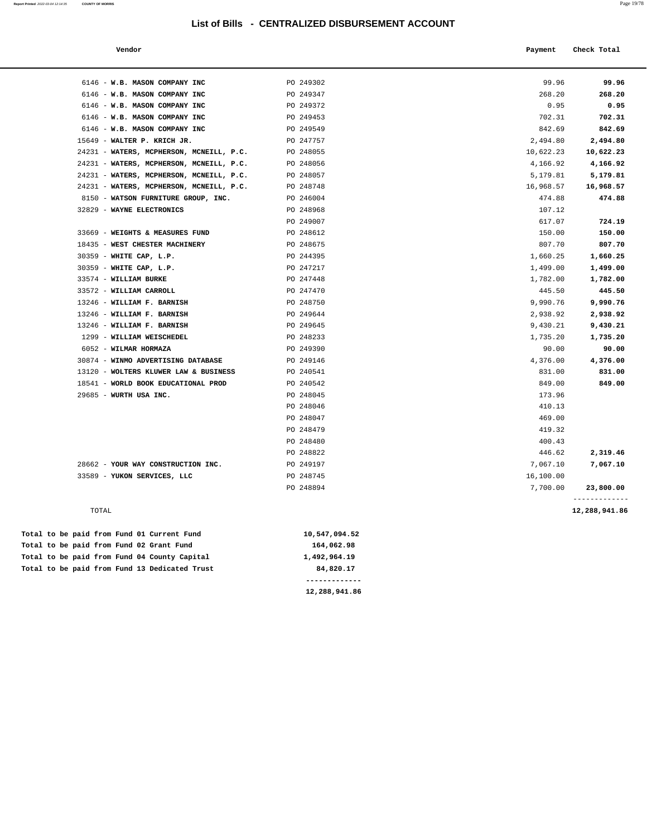| Vendor                                   |           | Payment   | Check Total   |
|------------------------------------------|-----------|-----------|---------------|
|                                          |           |           |               |
| 6146 - W.B. MASON COMPANY INC            | PO 249302 | 99.96     | 99.96         |
| 6146 - W.B. MASON COMPANY INC            | PO 249347 | 268.20    | 268.20        |
| 6146 - W.B. MASON COMPANY INC            | PO 249372 | 0.95      | 0.95          |
| 6146 - W.B. MASON COMPANY INC            | PO 249453 | 702.31    | 702.31        |
| 6146 - W.B. MASON COMPANY INC            | PO 249549 | 842.69    | 842.69        |
| 15649 - WALTER P. KRICH JR.              | PO 247757 | 2,494.80  | 2,494.80      |
| 24231 - WATERS, MCPHERSON, MCNEILL, P.C. | PO 248055 | 10,622.23 | 10,622.23     |
| 24231 - WATERS, MCPHERSON, MCNEILL, P.C. | PO 248056 | 4,166.92  | 4,166.92      |
| 24231 - WATERS, MCPHERSON, MCNEILL, P.C. | PO 248057 | 5,179.81  | 5,179.81      |
| 24231 - WATERS, MCPHERSON, MCNEILL, P.C. | PO 248748 | 16,968.57 | 16,968.57     |
| 8150 - WATSON FURNITURE GROUP, INC.      | PO 246004 | 474.88    | 474.88        |
| 32829 - WAYNE ELECTRONICS                | PO 248968 | 107.12    |               |
|                                          | PO 249007 | 617.07    | 724.19        |
| 33669 - WEIGHTS & MEASURES FUND          | PO 248612 | 150.00    | 150.00        |
| 18435 - WEST CHESTER MACHINERY           | PO 248675 | 807.70    | 807.70        |
| 30359 - WHITE CAP, L.P.                  | PO 244395 | 1,660.25  | 1,660.25      |
| 30359 - WHITE CAP, L.P.                  | PO 247217 | 1,499.00  | 1,499.00      |
| 33574 - WILLIAM BURKE                    | PO 247448 | 1,782.00  | 1,782.00      |
| 33572 - WILLIAM CARROLL                  | PO 247470 | 445.50    | 445.50        |
| 13246 - WILLIAM F. BARNISH               | PO 248750 | 9,990.76  | 9,990.76      |
| 13246 - WILLIAM F. BARNISH               | PO 249644 | 2,938.92  | 2,938.92      |
| 13246 - WILLIAM F. BARNISH               | PO 249645 | 9,430.21  | 9,430.21      |
| 1299 - WILLIAM WEISCHEDEL                | PO 248233 | 1,735.20  | 1,735.20      |
| 6052 - WILMAR HORMAZA                    | PO 249390 | 90.00     | 90.00         |
| 30874 - WINMO ADVERTISING DATABASE       | PO 249146 | 4,376.00  | 4,376.00      |
| 13120 - WOLTERS KLUWER LAW & BUSINESS    | PO 240541 | 831.00    | 831.00        |
| 18541 - WORLD BOOK EDUCATIONAL PROD      | PO 240542 | 849.00    | 849.00        |
| 29685 - WURTH USA INC.                   | PO 248045 | 173.96    |               |
|                                          | PO 248046 | 410.13    |               |
|                                          | PO 248047 | 469.00    |               |
|                                          | PO 248479 | 419.32    |               |
|                                          | PO 248480 | 400.43    |               |
|                                          | PO 248822 | 446.62    | 2,319.46      |
| 28662 - YOUR WAY CONSTRUCTION INC.       | PO 249197 | 7,067.10  | 7,067.10      |
| 33589 - YUKON SERVICES, LLC              | PO 248745 | 16,100.00 |               |
|                                          | PO 248894 | 7,700.00  | 23,800.00     |
| TOTAL                                    |           |           | 12,288,941.86 |

|  |  |  | Total to be paid from Fund 13 Dedicated Trust | 84,820.17     |
|--|--|--|-----------------------------------------------|---------------|
|  |  |  | Total to be paid from Fund 04 County Capital  | 1,492,964.19  |
|  |  |  | Total to be paid from Fund 02 Grant Fund      | 164,062.98    |
|  |  |  | Total to be paid from Fund 01 Current Fund    | 10,547,094.52 |

**12,288,941.86**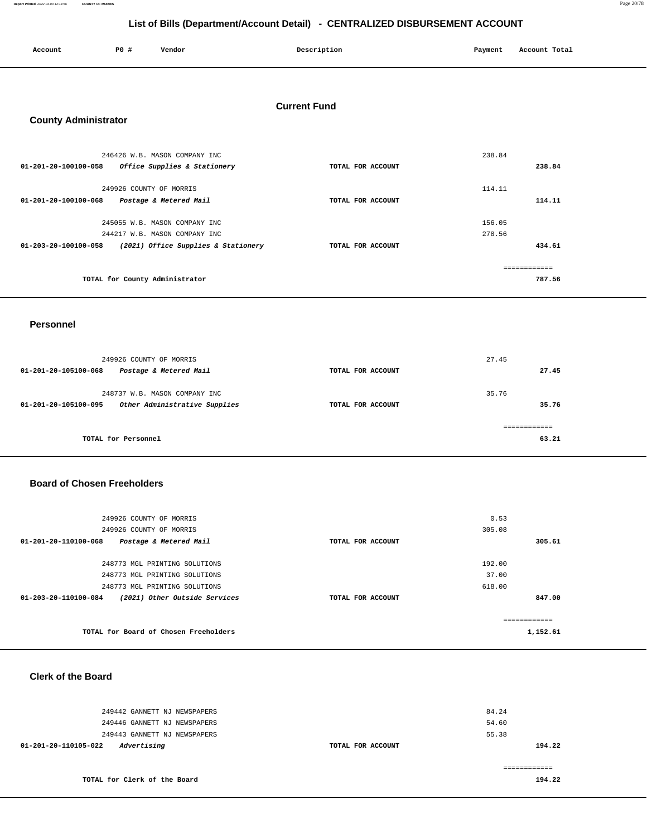**Report Printed** 2022-03-04 12:14:56 **COUNTY OF MORRIS** Page 20/78

#### **List of Bills (Department/Account Detail) - CENTRALIZED DISBURSEMENT ACCOUNT**

| Account<br>. | P <sub>0</sub> | Vendor | Description | Payment | Account Total |
|--------------|----------------|--------|-------------|---------|---------------|
|              |                |        |             |         |               |

#### **Current Fund**

### **County Administrator**

| 246426 W.B. MASON COMPANY INC                               |                   | 238.84 |
|-------------------------------------------------------------|-------------------|--------|
| 01-201-20-100100-058<br>Office Supplies & Stationery        | TOTAL FOR ACCOUNT | 238.84 |
| 249926 COUNTY OF MORRIS                                     |                   | 114.11 |
| $01 - 201 - 20 - 100100 - 068$<br>Postage & Metered Mail    | TOTAL FOR ACCOUNT | 114.11 |
|                                                             |                   |        |
| 245055 W.B. MASON COMPANY INC                               |                   | 156.05 |
| 244217 W.B. MASON COMPANY INC                               |                   | 278.56 |
| (2021) Office Supplies & Stationery<br>01-203-20-100100-058 | TOTAL FOR ACCOUNT | 434.61 |
|                                                             |                   |        |
| TOTAL for County Administrator                              |                   | 787.56 |

#### **Personnel**

| 249926 COUNTY OF MORRIS<br>Postage & Metered Mail<br>01-201-20-105100-068                        | TOTAL FOR ACCOUNT | 27.45<br>27.45 |
|--------------------------------------------------------------------------------------------------|-------------------|----------------|
| 248737 W.B. MASON COMPANY INC<br>Other Administrative Supplies<br>$01 - 201 - 20 - 105100 - 095$ | TOTAL FOR ACCOUNT | 35.76<br>35.76 |
| TOTAL for Personnel                                                                              |                   | 63.21          |

#### **Board of Chosen Freeholders**

| 249926 COUNTY OF MORRIS                                         |                   | 0.53          |
|-----------------------------------------------------------------|-------------------|---------------|
| 249926 COUNTY OF MORRIS                                         |                   | 305.08        |
| $01 - 201 - 20 - 110100 - 068$<br>Postage & Metered Mail        | TOTAL FOR ACCOUNT | 305.61        |
| 248773 MGL PRINTING SOLUTIONS                                   |                   | 192.00        |
| 248773 MGL PRINTING SOLUTIONS                                   |                   | 37.00         |
| 248773 MGL PRINTING SOLUTIONS                                   |                   | 618.00        |
| $01 - 203 - 20 - 110100 - 084$<br>(2021) Other Outside Services | TOTAL FOR ACCOUNT | 847.00        |
|                                                                 |                   | ------------- |
| TOTAL for Board of Chosen Freeholders                           |                   | 1,152.61      |

#### **Clerk of the Board**

| 249442 GANNETT NJ NEWSPAPERS<br>249446 GANNETT NJ NEWSPAPERS<br>249443 GANNETT NJ NEWSPAPERS |                   | 84.24<br>54.60<br>55.38 |
|----------------------------------------------------------------------------------------------|-------------------|-------------------------|
| Advertising<br>01-201-20-110105-022                                                          | TOTAL FOR ACCOUNT | 194.22                  |
| TOTAL for Clerk of the Board                                                                 |                   | 194.22                  |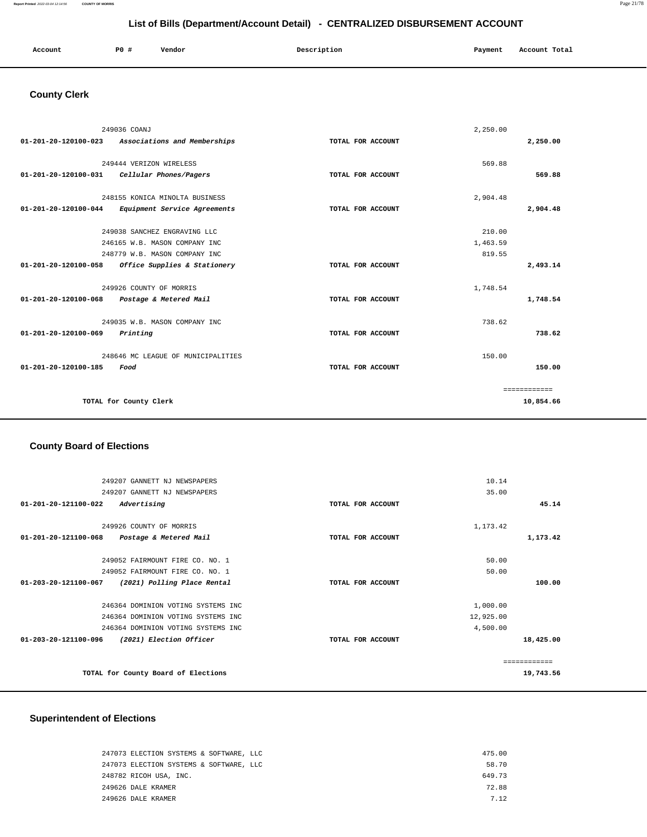#### **Report Printed** 2022-03-04 12:14:56 **COUNTY OF MORRIS** Page 21/78

#### **List of Bills (Department/Account Detail) - CENTRALIZED DISBURSEMENT ACCOUNT**

| Account | <b>PO #</b> | Vendor | Description | Payment | Account Total |
|---------|-------------|--------|-------------|---------|---------------|
|         |             |        |             |         |               |

## **County Clerk**

| 249036 COANJ         |                                    |                   | 2,250.00 |              |
|----------------------|------------------------------------|-------------------|----------|--------------|
| 01-201-20-120100-023 | Associations and Memberships       | TOTAL FOR ACCOUNT |          | 2,250.00     |
|                      |                                    |                   |          |              |
|                      | 249444 VERIZON WIRELESS            |                   | 569.88   |              |
| 01-201-20-120100-031 | Cellular Phones/Pagers             | TOTAL FOR ACCOUNT |          | 569.88       |
|                      | 248155 KONICA MINOLTA BUSINESS     |                   | 2,904.48 |              |
| 01-201-20-120100-044 | Equipment Service Agreements       | TOTAL FOR ACCOUNT |          | 2,904.48     |
|                      | 249038 SANCHEZ ENGRAVING LLC       |                   | 210.00   |              |
|                      | 246165 W.B. MASON COMPANY INC      |                   | 1,463.59 |              |
|                      | 248779 W.B. MASON COMPANY INC      |                   | 819.55   |              |
| 01-201-20-120100-058 | Office Supplies & Stationery       | TOTAL FOR ACCOUNT |          | 2,493.14     |
|                      | 249926 COUNTY OF MORRIS            |                   | 1,748.54 |              |
| 01-201-20-120100-068 | Postage & Metered Mail             | TOTAL FOR ACCOUNT |          | 1,748.54     |
|                      |                                    |                   |          |              |
|                      | 249035 W.B. MASON COMPANY INC      |                   | 738.62   |              |
| 01-201-20-120100-069 | Printing                           | TOTAL FOR ACCOUNT |          | 738.62       |
|                      | 248646 MC LEAGUE OF MUNICIPALITIES |                   | 150.00   |              |
| 01-201-20-120100-185 | Food                               | TOTAL FOR ACCOUNT |          | 150.00       |
|                      |                                    |                   |          | ============ |
|                      | TOTAL for County Clerk             |                   |          | 10,854.66    |

### **County Board of Elections**

| 249207 GANNETT NJ NEWSPAPERS                                  |                   | 10.14     |           |
|---------------------------------------------------------------|-------------------|-----------|-----------|
| 249207 GANNETT NJ NEWSPAPERS                                  |                   | 35.00     |           |
| Advertising<br>01-201-20-121100-022                           | TOTAL FOR ACCOUNT |           | 45.14     |
| 249926 COUNTY OF MORRIS                                       |                   | 1,173.42  |           |
| 01-201-20-121100-068<br>Postage & Metered Mail                | TOTAL FOR ACCOUNT |           | 1,173.42  |
| 249052 FAIRMOUNT FIRE CO. NO. 1                               |                   | 50.00     |           |
| 249052 FAIRMOUNT FIRE CO. NO. 1                               |                   | 50.00     |           |
| $01 - 203 - 20 - 121100 - 067$<br>(2021) Polling Place Rental | TOTAL FOR ACCOUNT |           | 100.00    |
| 246364 DOMINION VOTING SYSTEMS INC                            |                   | 1,000.00  |           |
| 246364 DOMINION VOTING SYSTEMS INC                            |                   | 12,925.00 |           |
| 246364 DOMINION VOTING SYSTEMS INC                            |                   | 4,500.00  |           |
| (2021) Election Officer<br>01-203-20-121100-096               | TOTAL FOR ACCOUNT |           | 18,425.00 |
|                                                               |                   |           |           |
| TOTAL for County Board of Elections                           |                   |           | 19,743.56 |

### **Superintendent of Elections**

| 247073 ELECTION SYSTEMS & SOFTWARE, LLC | 475.00 |
|-----------------------------------------|--------|
| 247073 ELECTION SYSTEMS & SOFTWARE, LLC | 58.70  |
| 248782 RICOH USA, INC.                  | 649.73 |
| 249626 DALE KRAMER                      | 72.88  |
| 249626 DALE KRAMER                      | 7 1 2  |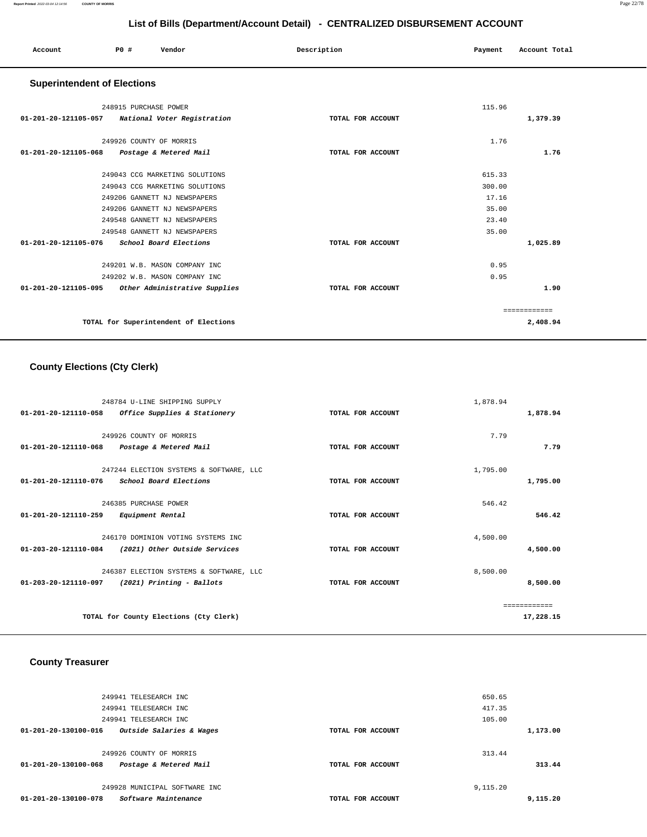| Account                            | PO# | Vendor | Description | Payment | Account Total |  |
|------------------------------------|-----|--------|-------------|---------|---------------|--|
| <b>Superintendent of Flections</b> |     |        |             |         |               |  |

| <b>Superintendent of Elections</b> |  |
|------------------------------------|--|
|------------------------------------|--|

|                                | 248915 PURCHASE POWER                            |                   | 115.96 |              |
|--------------------------------|--------------------------------------------------|-------------------|--------|--------------|
|                                | 01-201-20-121105-057 National Voter Registration | TOTAL FOR ACCOUNT |        | 1,379.39     |
|                                |                                                  |                   |        |              |
|                                | 249926 COUNTY OF MORRIS                          |                   | 1.76   |              |
| $01 - 201 - 20 - 121105 - 068$ | Postage & Metered Mail                           | TOTAL FOR ACCOUNT |        | 1.76         |
|                                | 249043 CCG MARKETING SOLUTIONS                   |                   | 615.33 |              |
|                                |                                                  |                   | 300.00 |              |
|                                | 249043 CCG MARKETING SOLUTIONS                   |                   |        |              |
|                                | 249206 GANNETT NJ NEWSPAPERS                     |                   | 17.16  |              |
|                                | 249206 GANNETT NJ NEWSPAPERS                     |                   | 35.00  |              |
|                                | 249548 GANNETT NJ NEWSPAPERS                     |                   | 23.40  |              |
|                                | 249548 GANNETT NJ NEWSPAPERS                     |                   | 35.00  |              |
| 01-201-20-121105-076           | School Board Elections                           | TOTAL FOR ACCOUNT |        | 1,025.89     |
|                                | 249201 W.B. MASON COMPANY INC                    |                   | 0.95   |              |
|                                | 249202 W.B. MASON COMPANY INC                    |                   | 0.95   |              |
| $01 - 201 - 20 - 121105 - 095$ | Other Administrative Supplies                    | TOTAL FOR ACCOUNT |        | 1.90         |
|                                |                                                  |                   |        | ------------ |
|                                | TOTAL for Superintendent of Elections            |                   |        | 2,408.94     |

#### **County Elections (Cty Clerk)**

| 248784 U-LINE SHIPPING SUPPLY                         | 1,878.94          |              |
|-------------------------------------------------------|-------------------|--------------|
| 01-201-20-121110-058<br>Office Supplies & Stationery  | TOTAL FOR ACCOUNT | 1,878.94     |
| 249926 COUNTY OF MORRIS                               | 7.79              |              |
| 01-201-20-121110-068<br>Postage & Metered Mail        | TOTAL FOR ACCOUNT | 7.79         |
| 247244 ELECTION SYSTEMS & SOFTWARE, LLC               | 1,795.00          |              |
| 01-201-20-121110-076<br>School Board Elections        | TOTAL FOR ACCOUNT | 1,795.00     |
| 246385 PURCHASE POWER                                 | 546.42            |              |
| 01-201-20-121110-259<br>Equipment Rental              | TOTAL FOR ACCOUNT | 546.42       |
| 246170 DOMINION VOTING SYSTEMS INC                    | 4,500.00          |              |
| 01-203-20-121110-084<br>(2021) Other Outside Services | TOTAL FOR ACCOUNT | 4,500.00     |
| 246387 ELECTION SYSTEMS & SOFTWARE, LLC               | 8,500.00          |              |
| 01-203-20-121110-097<br>(2021) Printing - Ballots     | TOTAL FOR ACCOUNT | 8,500.00     |
|                                                       |                   | ------------ |
| TOTAL for County Elections (Cty Clerk)                |                   | 17,228.15    |

### **County Treasurer**

| 249941 TELESEARCH INC                            |                   | 650.65   |          |
|--------------------------------------------------|-------------------|----------|----------|
| 249941 TELESEARCH INC                            |                   | 417.35   |          |
| 249941 TELESEARCH INC                            |                   | 105.00   |          |
| Outside Salaries & Wages<br>01-201-20-130100-016 | TOTAL FOR ACCOUNT |          | 1,173.00 |
|                                                  |                   |          |          |
| 249926 COUNTY OF MORRIS                          |                   | 313.44   |          |
| Postage & Metered Mail<br>01-201-20-130100-068   | TOTAL FOR ACCOUNT |          | 313.44   |
|                                                  |                   |          |          |
| 249928 MUNICIPAL SOFTWARE INC                    |                   | 9,115.20 |          |
| Software Maintenance<br>01-201-20-130100-078     | TOTAL FOR ACCOUNT |          | 9,115.20 |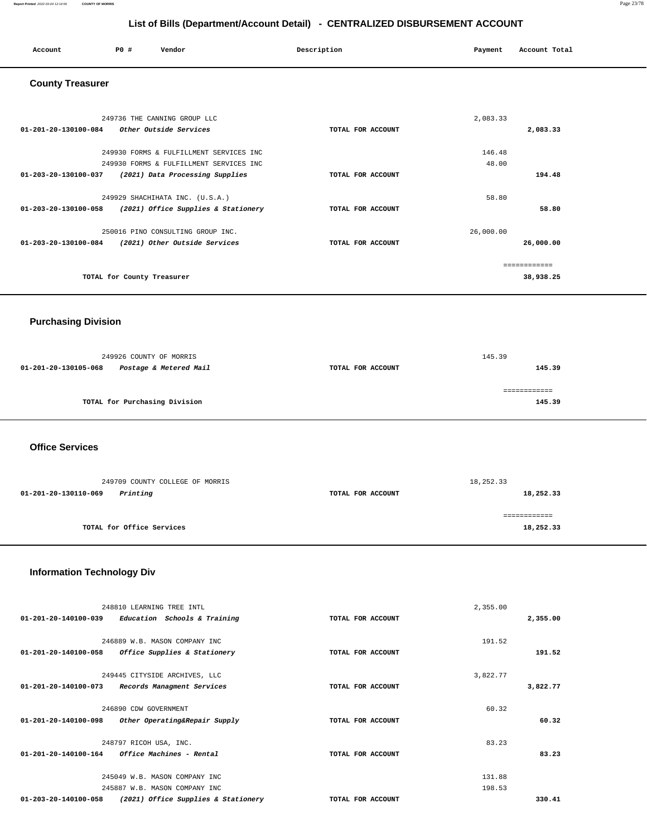#### **Report Printed** 2022-03-04 12:14:56 **COUNTY OF MORRIS** Page 23/78

#### **List of Bills (Department/Account Detail) - CENTRALIZED DISBURSEMENT ACCOUNT**

| Account | PO# | Vendor | Description | Payment Account Total |
|---------|-----|--------|-------------|-----------------------|
|         |     |        |             |                       |

#### **County Treasurer**

| 249736 THE CANNING GROUP LLC                                      |                   | 2,083.33  |              |
|-------------------------------------------------------------------|-------------------|-----------|--------------|
| Other Outside Services<br>01-201-20-130100-084                    | TOTAL FOR ACCOUNT |           | 2,083.33     |
| 249930 FORMS & FULFILLMENT SERVICES INC                           |                   | 146.48    |              |
| 249930 FORMS & FULFILLMENT SERVICES INC                           |                   | 48.00     |              |
| $01 - 203 - 20 - 130100 - 037$<br>(2021) Data Processing Supplies | TOTAL FOR ACCOUNT |           | 194.48       |
| 249929 SHACHIHATA INC. (U.S.A.)                                   |                   | 58.80     |              |
| 01-203-20-130100-058<br>(2021) Office Supplies & Stationery       | TOTAL FOR ACCOUNT |           | 58.80        |
| 250016 PINO CONSULTING GROUP INC.                                 |                   | 26,000.00 |              |
| $01 - 203 - 20 - 130100 - 084$<br>(2021) Other Outside Services   | TOTAL FOR ACCOUNT |           | 26,000.00    |
|                                                                   |                   |           | ------------ |
| TOTAL for County Treasurer                                        |                   |           | 38,938.25    |

### **Purchasing Division**

| 249926 COUNTY OF MORRIS |                               |                   | 145.39 |
|-------------------------|-------------------------------|-------------------|--------|
| 01-201-20-130105-068    | Postage & Metered Mail        | TOTAL FOR ACCOUNT | 145.39 |
|                         | TOTAL for Purchasing Division |                   | 145.39 |

 **Office Services** 

| 249709 COUNTY COLLEGE OF MORRIS  |                   | 18,252.33 |
|----------------------------------|-------------------|-----------|
| Printing<br>01-201-20-130110-069 | TOTAL FOR ACCOUNT | 18,252.33 |
|                                  |                   |           |
| TOTAL for Office Services        |                   | 18,252.33 |

### **Information Technology Div**

| 248810 LEARNING TREE INTL                                       |                   | 2,355.00 |          |
|-----------------------------------------------------------------|-------------------|----------|----------|
| $01 - 201 - 20 - 140100 - 039$<br>Education Schools & Training  | TOTAL FOR ACCOUNT |          | 2,355.00 |
|                                                                 |                   |          |          |
| 246889 W.B. MASON COMPANY INC                                   |                   | 191.52   |          |
| $01 - 201 - 20 - 140100 - 058$<br>Office Supplies & Stationery  | TOTAL FOR ACCOUNT |          | 191.52   |
| 249445 CITYSIDE ARCHIVES, LLC                                   |                   | 3,822.77 |          |
| 01-201-20-140100-073                                            |                   |          |          |
| Records Managment Services                                      | TOTAL FOR ACCOUNT |          | 3,822.77 |
| 246890 CDW GOVERNMENT                                           |                   | 60.32    |          |
| $01 - 201 - 20 - 140100 - 098$<br>Other Operating&Repair Supply | TOTAL FOR ACCOUNT |          | 60.32    |
| 248797 RICOH USA, INC.                                          |                   | 83.23    |          |
| 01-201-20-140100-164<br>Office Machines - Rental                | TOTAL FOR ACCOUNT |          | 83.23    |
|                                                                 |                   |          |          |
| 245049 W.B. MASON COMPANY INC                                   |                   | 131.88   |          |
| 245887 W.B. MASON COMPANY INC                                   |                   | 198.53   |          |
| 01-203-20-140100-058<br>(2021) Office Supplies & Stationery     | TOTAL FOR ACCOUNT |          | 330.41   |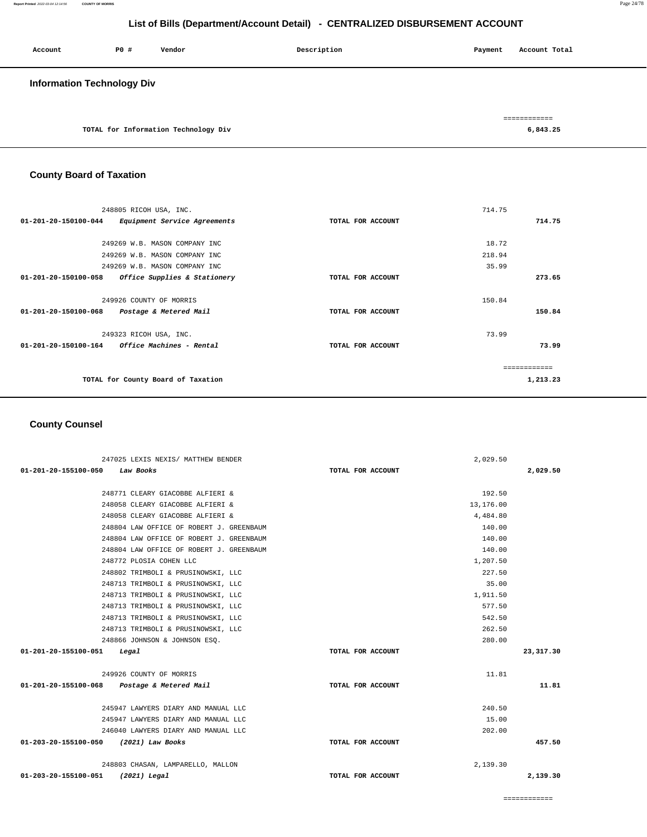| Account                           | PO# | Vendor                               | Description | Payment | Account Total            |
|-----------------------------------|-----|--------------------------------------|-------------|---------|--------------------------|
| <b>Information Technology Div</b> |     |                                      |             |         |                          |
|                                   |     | TOTAL for Information Technology Div |             |         | ============<br>6,843.25 |

#### **County Board of Taxation**

| 248805 RICOH USA, INC.                                         |                   | 714.75        |
|----------------------------------------------------------------|-------------------|---------------|
| $01 - 201 - 20 - 150100 - 044$<br>Equipment Service Agreements | TOTAL FOR ACCOUNT | 714.75        |
|                                                                |                   |               |
| 249269 W.B. MASON COMPANY INC                                  |                   | 18.72         |
| 249269 W.B. MASON COMPANY INC                                  |                   | 218.94        |
| 249269 W.B. MASON COMPANY INC                                  |                   | 35.99         |
| 01-201-20-150100-058<br>Office Supplies & Stationery           | TOTAL FOR ACCOUNT | 273.65        |
|                                                                |                   |               |
| 249926 COUNTY OF MORRIS                                        |                   | 150.84        |
| 01-201-20-150100-068<br>Postage & Metered Mail                 | TOTAL FOR ACCOUNT | 150.84        |
| 249323 RICOH USA, INC.                                         |                   | 73.99         |
| $01-201-20-150100-164$ Office Machines - Rental                | TOTAL FOR ACCOUNT | 73.99         |
|                                                                |                   |               |
|                                                                |                   | ------------- |
| TOTAL for County Board of Taxation                             |                   | 1,213.23      |
|                                                                |                   |               |

#### **County Counsel**

| 247025 LEXIS NEXIS/ MATTHEW BENDER          |                   | 2,029.50  |             |
|---------------------------------------------|-------------------|-----------|-------------|
| 01-201-20-155100-050 Law Books              | TOTAL FOR ACCOUNT |           | 2,029.50    |
|                                             |                   |           |             |
| 248771 CLEARY GIACOBBE ALFIERI &            |                   | 192.50    |             |
| 248058 CLEARY GIACOBBE ALFIERI &            |                   | 13,176.00 |             |
| 248058 CLEARY GIACOBBE ALFIERI &            |                   | 4,484.80  |             |
| 248804 LAW OFFICE OF ROBERT J. GREENBAUM    |                   | 140.00    |             |
| 248804 LAW OFFICE OF ROBERT J. GREENBAUM    |                   | 140.00    |             |
| 248804 LAW OFFICE OF ROBERT J. GREENBAUM    |                   | 140.00    |             |
| 248772 PLOSIA COHEN LLC                     |                   | 1,207.50  |             |
| 248802 TRIMBOLI & PRUSINOWSKI, LLC          |                   | 227.50    |             |
| 248713 TRIMBOLI & PRUSINOWSKI, LLC          |                   | 35.00     |             |
| 248713 TRIMBOLI & PRUSINOWSKI, LLC          |                   | 1,911.50  |             |
| 248713 TRIMBOLI & PRUSINOWSKI, LLC          |                   | 577.50    |             |
| 248713 TRIMBOLI & PRUSINOWSKI, LLC          |                   | 542.50    |             |
| 248713 TRIMBOLI & PRUSINOWSKI, LLC          |                   | 262.50    |             |
| 248866 JOHNSON & JOHNSON ESO.               |                   | 280.00    |             |
| 01-201-20-155100-051 Legal                  | TOTAL FOR ACCOUNT |           | 23, 317, 30 |
| 249926 COUNTY OF MORRIS                     |                   | 11.81     |             |
| 01-201-20-155100-068 Postage & Metered Mail | TOTAL FOR ACCOUNT |           | 11.81       |
| 245947 LAWYERS DIARY AND MANUAL LLC         |                   | 240.50    |             |
| 245947 LAWYERS DIARY AND MANUAL LLC         |                   | 15.00     |             |
| 246040 LAWYERS DIARY AND MANUAL LLC         |                   | 202.00    |             |
| 01-203-20-155100-050 (2021) Law Books       | TOTAL FOR ACCOUNT |           | 457.50      |
|                                             |                   |           |             |
| 248803 CHASAN, LAMPARELLO, MALLON           |                   | 2,139.30  |             |
| 01-203-20-155100-051 (2021) Legal           | TOTAL FOR ACCOUNT |           | 2,139.30    |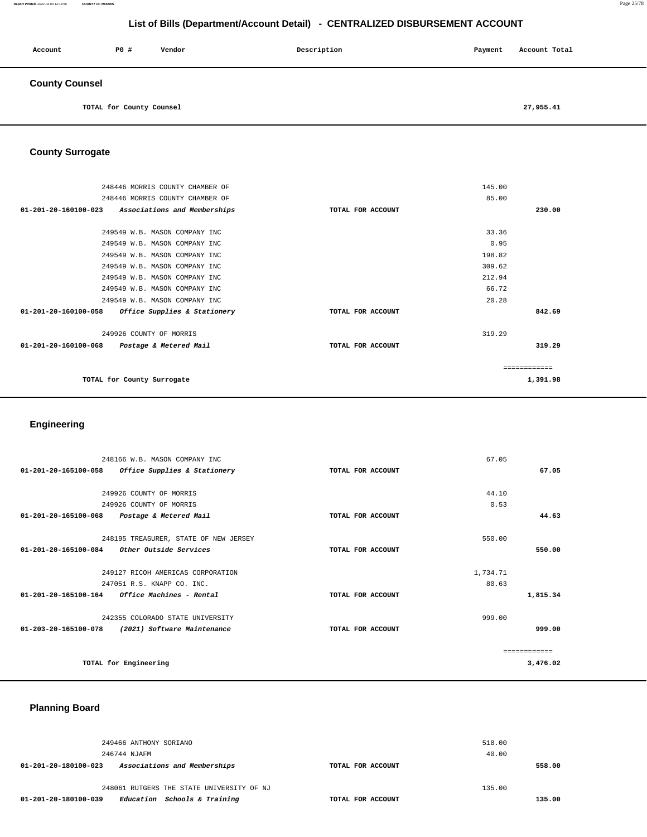#### **Report Printed** 2022-03-04 12:14:56 **COUNTY OF MORRIS** Page 25/78

#### **List of Bills (Department/Account Detail) - CENTRALIZED DISBURSEMENT ACCOUNT**

| Account               | <b>PO #</b>              | Vendor | Description | Payment | Account Total |
|-----------------------|--------------------------|--------|-------------|---------|---------------|
| <b>County Counsel</b> |                          |        |             |         |               |
|                       | TOTAL for County Counsel |        |             |         | 27,955.41     |

#### **County Surrogate**

| 248446 MORRIS COUNTY CHAMBER OF                      |                   | 145.00       |
|------------------------------------------------------|-------------------|--------------|
| 248446 MORRIS COUNTY CHAMBER OF                      |                   | 85.00        |
| 01-201-20-160100-023<br>Associations and Memberships | TOTAL FOR ACCOUNT | 230.00       |
|                                                      |                   |              |
| 249549 W.B. MASON COMPANY INC                        |                   | 33.36        |
| 249549 W.B. MASON COMPANY INC                        |                   | 0.95         |
| 249549 W.B. MASON COMPANY INC                        |                   | 198.82       |
| 249549 W.B. MASON COMPANY INC                        |                   | 309.62       |
| 249549 W.B. MASON COMPANY INC                        |                   | 212.94       |
| 249549 W.B. MASON COMPANY INC                        |                   | 66.72        |
| 249549 W.B. MASON COMPANY INC                        |                   | 20.28        |
| 01-201-20-160100-058 Office Supplies & Stationery    | TOTAL FOR ACCOUNT | 842.69       |
| 249926 COUNTY OF MORRIS                              |                   | 319.29       |
| 01-201-20-160100-068 Postage & Metered Mail          | TOTAL FOR ACCOUNT | 319.29       |
|                                                      |                   | ============ |
|                                                      |                   |              |
| TOTAL for County Surrogate                           |                   | 1,391.98     |
|                                                      |                   |              |

#### **Engineering**

| 248166 W.B. MASON COMPANY INC                                  |                   | 67.05    |          |
|----------------------------------------------------------------|-------------------|----------|----------|
| 01-201-20-165100-058<br>Office Supplies & Stationery           | TOTAL FOR ACCOUNT |          | 67.05    |
|                                                                |                   |          |          |
| 249926 COUNTY OF MORRIS                                        |                   | 44.10    |          |
| 249926 COUNTY OF MORRIS                                        |                   | 0.53     |          |
| $01 - 201 - 20 - 165100 - 068$<br>Postage & Metered Mail       | TOTAL FOR ACCOUNT |          | 44.63    |
| 248195 TREASURER, STATE OF NEW JERSEY                          |                   | 550.00   |          |
| $01 - 201 - 20 - 165100 - 084$<br>Other Outside Services       | TOTAL FOR ACCOUNT |          | 550.00   |
| 249127 RICOH AMERICAS CORPORATION                              |                   | 1,734.71 |          |
| 247051 R.S. KNAPP CO. INC.                                     |                   | 80.63    |          |
| 01-201-20-165100-164<br><i><b>Office Machines - Rental</b></i> | TOTAL FOR ACCOUNT |          | 1,815.34 |
| 242355 COLORADO STATE UNIVERSITY                               |                   | 999.00   |          |
| 01-203-20-165100-078<br>(2021) Software Maintenance            | TOTAL FOR ACCOUNT |          | 999.00   |
|                                                                |                   |          |          |
| TOTAL for Engineering                                          |                   |          | 3,476.02 |
|                                                                |                   |          |          |

### **Planning Board**

| 249466 ANTHONY SORIANO                               |                   | 518.00 |
|------------------------------------------------------|-------------------|--------|
| 246744 NJAFM                                         |                   | 40.00  |
| Associations and Memberships<br>01-201-20-180100-023 | TOTAL FOR ACCOUNT | 558.00 |
|                                                      |                   |        |
| 248061 RUTGERS THE STATE UNIVERSITY OF NJ            |                   | 135.00 |
| Education Schools & Training<br>01-201-20-180100-039 | TOTAL FOR ACCOUNT | 135.00 |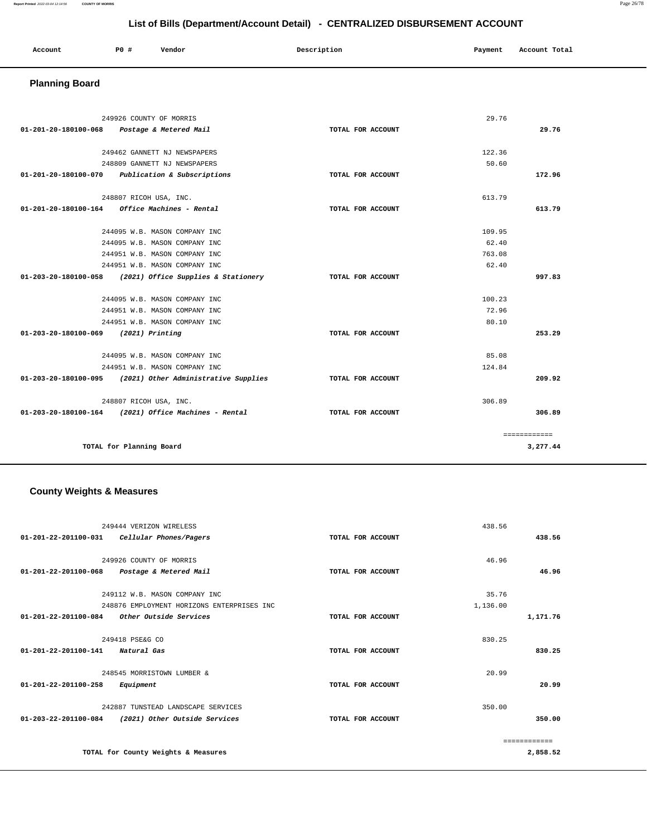| Account<br>. | P <sub>0</sub> | Vendor | Description | Pavment<br>$\sim$ $\sim$ | Account Total<br>.<br>. |
|--------------|----------------|--------|-------------|--------------------------|-------------------------|
|              |                |        |             |                          |                         |

## **Planning Board**

|                                      | 249926 COUNTY OF MORRIS                                   |                   | 29.76  |              |
|--------------------------------------|-----------------------------------------------------------|-------------------|--------|--------------|
|                                      | 01-201-20-180100-068 Postage & Metered Mail               | TOTAL FOR ACCOUNT |        | 29.76        |
|                                      |                                                           |                   | 122.36 |              |
|                                      | 249462 GANNETT NJ NEWSPAPERS                              |                   |        |              |
|                                      | 248809 GANNETT NJ NEWSPAPERS                              |                   | 50.60  |              |
| 01-201-20-180100-070                 | Publication & Subscriptions                               | TOTAL FOR ACCOUNT |        | 172.96       |
|                                      | 248807 RICOH USA, INC.                                    |                   | 613.79 |              |
| 01-201-20-180100-164                 | Office Machines - Rental                                  | TOTAL FOR ACCOUNT |        | 613.79       |
|                                      | 244095 W.B. MASON COMPANY INC                             |                   | 109.95 |              |
|                                      | 244095 W.B. MASON COMPANY INC                             |                   | 62.40  |              |
|                                      | 244951 W.B. MASON COMPANY INC                             |                   | 763.08 |              |
|                                      | 244951 W.B. MASON COMPANY INC                             |                   | 62.40  |              |
|                                      | 01-203-20-180100-058 (2021) Office Supplies & Stationery  | TOTAL FOR ACCOUNT |        | 997.83       |
|                                      |                                                           |                   |        |              |
|                                      | 244095 W.B. MASON COMPANY INC.                            |                   | 100.23 |              |
|                                      | 244951 W.B. MASON COMPANY INC                             |                   | 72.96  |              |
|                                      | 244951 W.B. MASON COMPANY INC                             |                   | 80.10  |              |
| 01-203-20-180100-069 (2021) Printing |                                                           | TOTAL FOR ACCOUNT |        | 253.29       |
|                                      | 244095 W.B. MASON COMPANY INC                             |                   | 85.08  |              |
|                                      | 244951 W.B. MASON COMPANY INC                             |                   | 124.84 |              |
|                                      | 01-203-20-180100-095 (2021) Other Administrative Supplies | TOTAL FOR ACCOUNT |        | 209.92       |
|                                      | 248807 RICOH USA, INC.                                    |                   | 306.89 |              |
|                                      | $01-203-20-180100-164$ (2021) Office Machines - Rental    | TOTAL FOR ACCOUNT |        | 306.89       |
|                                      |                                                           |                   |        |              |
|                                      |                                                           |                   |        | ============ |
|                                      | TOTAL for Planning Board                                  |                   |        | 3,277.44     |

## **County Weights & Measures**

|                      | 249444 VERIZON WIRELESS                    |                   | 438.56       |
|----------------------|--------------------------------------------|-------------------|--------------|
| 01-201-22-201100-031 | Cellular Phones/Pagers                     | TOTAL FOR ACCOUNT | 438.56       |
|                      |                                            |                   |              |
|                      | 249926 COUNTY OF MORRIS                    |                   | 46.96        |
| 01-201-22-201100-068 | Postage & Metered Mail                     | TOTAL FOR ACCOUNT | 46.96        |
|                      | 249112 W.B. MASON COMPANY INC              |                   | 35.76        |
|                      | 248876 EMPLOYMENT HORIZONS ENTERPRISES INC |                   | 1,136.00     |
| 01-201-22-201100-084 | Other Outside Services                     | TOTAL FOR ACCOUNT | 1,171.76     |
|                      | 249418 PSE&G CO                            |                   | 830.25       |
| 01-201-22-201100-141 | Natural Gas                                | TOTAL FOR ACCOUNT | 830.25       |
|                      | 248545 MORRISTOWN LUMBER &                 |                   | 20.99        |
| 01-201-22-201100-258 | Equipment                                  | TOTAL FOR ACCOUNT | 20.99        |
|                      | 242887 TUNSTEAD LANDSCAPE SERVICES         |                   | 350.00       |
| 01-203-22-201100-084 | (2021) Other Outside Services              | TOTAL FOR ACCOUNT | 350.00       |
|                      |                                            |                   | ------------ |
|                      | TOTAL for County Weights & Measures        |                   | 2,858.52     |
|                      |                                            |                   |              |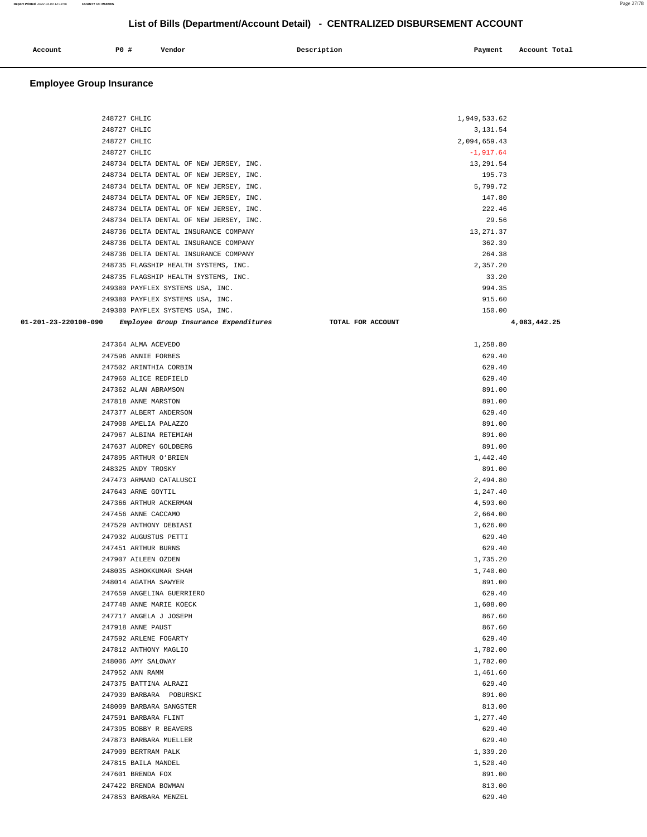| Account | P0 # | Vendor | Description | Payment | Account Total |
|---------|------|--------|-------------|---------|---------------|
|         |      |        |             |         |               |

| 248727 CHLIC         |                                         | 1,949,533.62      |              |
|----------------------|-----------------------------------------|-------------------|--------------|
| 248727 CHLIC         |                                         | 3,131.54          |              |
| 248727 CHLIC         |                                         | 2,094,659.43      |              |
| 248727 CHLIC         |                                         | $-1, 917.64$      |              |
|                      | 248734 DELTA DENTAL OF NEW JERSEY, INC. | 13,291.54         |              |
|                      | 248734 DELTA DENTAL OF NEW JERSEY, INC. | 195.73            |              |
|                      | 248734 DELTA DENTAL OF NEW JERSEY, INC. | 5,799.72          |              |
|                      | 248734 DELTA DENTAL OF NEW JERSEY, INC. | 147.80            |              |
|                      | 248734 DELTA DENTAL OF NEW JERSEY, INC. | 222.46            |              |
|                      | 248734 DELTA DENTAL OF NEW JERSEY, INC. | 29.56             |              |
|                      | 248736 DELTA DENTAL INSURANCE COMPANY   | 13, 271.37        |              |
|                      | 248736 DELTA DENTAL INSURANCE COMPANY   | 362.39            |              |
|                      | 248736 DELTA DENTAL INSURANCE COMPANY   | 264.38            |              |
|                      | 248735 FLAGSHIP HEALTH SYSTEMS, INC.    | 2,357.20          |              |
|                      | 248735 FLAGSHIP HEALTH SYSTEMS, INC.    | 33.20             |              |
|                      | 249380 PAYFLEX SYSTEMS USA, INC.        | 994.35            |              |
|                      | 249380 PAYFLEX SYSTEMS USA, INC.        | 915.60            |              |
|                      | 249380 PAYFLEX SYSTEMS USA, INC.        | 150.00            |              |
| 01-201-23-220100-090 | Employee Group Insurance Expenditures   | TOTAL FOR ACCOUNT | 4,083,442.25 |
|                      |                                         |                   |              |
|                      | 247364 ALMA ACEVEDO                     | 1,258.80          |              |
|                      | 247596 ANNIE FORBES                     | 629.40            |              |
|                      | 247502 ARINTHIA CORBIN                  | 629.40            |              |
|                      | 247960 ALICE REDFIELD                   | 629.40            |              |
|                      | 247362 ALAN ABRAMSON                    | 891.00            |              |
|                      | 247818 ANNE MARSTON                     | 891.00            |              |
|                      | 247377 ALBERT ANDERSON                  | 629.40            |              |
|                      | 247908 AMELIA PALAZZO                   | 891.00            |              |
|                      | 247967 ALBINA RETEMIAH                  | 891.00            |              |
|                      | 247637 AUDREY GOLDBERG                  | 891.00            |              |
|                      | 247895 ARTHUR O'BRIEN                   | 1,442.40          |              |
|                      | 248325 ANDY TROSKY                      | 891.00            |              |
|                      | 247473 ARMAND CATALUSCI                 | 2,494.80          |              |
|                      | 247643 ARNE GOYTIL                      | 1,247.40          |              |
|                      | 247366 ARTHUR ACKERMAN                  | 4,593.00          |              |
|                      | 247456 ANNE CACCAMO                     | 2,664.00          |              |
|                      | 247529 ANTHONY DEBIASI                  | 1,626.00          |              |
|                      | 247932 AUGUSTUS PETTI                   | 629.40            |              |
|                      | 247451 ARTHUR BURNS                     | 629.40            |              |
|                      | 247907 AILEEN OZDEN                     | 1,735.20          |              |
|                      | 248035 ASHOKKUMAR SHAH                  | 1,740.00          |              |
|                      | 248014 AGATHA SAWYER                    | 891.00            |              |
|                      | 247659 ANGELINA GUERRIERO               | 629.40            |              |
|                      | 247748 ANNE MARIE KOECK                 | 1,608.00          |              |
|                      | 247717 ANGELA J JOSEPH                  | 867.60            |              |
|                      | 247918 ANNE PAUST                       | 867.60            |              |
|                      | 247592 ARLENE FOGARTY                   | 629.40            |              |
|                      | 247812 ANTHONY MAGLIO                   | 1,782.00          |              |
|                      | 248006 AMY SALOWAY                      | 1,782.00          |              |
|                      | 247952 ANN RAMM                         | 1,461.60          |              |
|                      | 247375 BATTINA ALRAZI                   | 629.40            |              |
|                      | 247939 BARBARA POBURSKI                 | 891.00            |              |
|                      | 248009 BARBARA SANGSTER                 | 813.00            |              |
|                      | 247591 BARBARA FLINT                    | 1,277.40          |              |
|                      | 247395 BOBBY R BEAVERS                  | 629.40            |              |
|                      | 247873 BARBARA MUELLER                  | 629.40            |              |
|                      | 247909 BERTRAM PALK                     | 1,339.20          |              |
|                      | 247815 BAILA MANDEL                     | 1,520.40          |              |
|                      | 247601 BRENDA FOX                       | 891.00            |              |
|                      | 247422 BRENDA BOWMAN                    | 813.00            |              |
|                      | 247853 BARBARA MENZEL                   | 629.40            |              |
|                      |                                         |                   |              |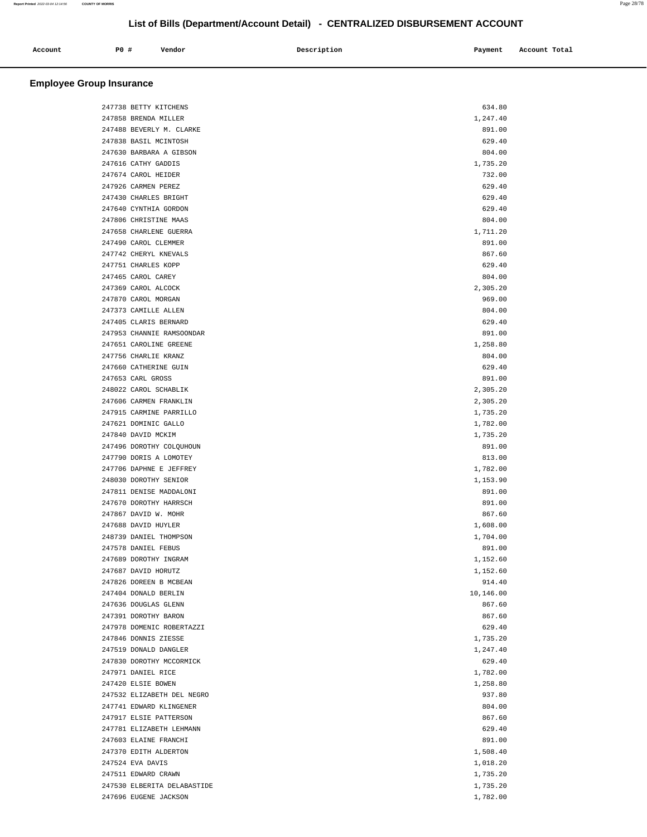| Account<br>. | P0 # | Vendor | Description | Payment<br>$\sim$ $\sim$ | Account Total<br>.<br>. |
|--------------|------|--------|-------------|--------------------------|-------------------------|
|              |      |        |             |                          |                         |

| 247738 BETTY KITCHENS       | 634.80    |  |
|-----------------------------|-----------|--|
| 247858 BRENDA MILLER        |           |  |
|                             | 1,247.40  |  |
| 247488 BEVERLY M. CLARKE    | 891.00    |  |
| 247838 BASIL MCINTOSH       | 629.40    |  |
| 247630 BARBARA A GIBSON     | 804.00    |  |
| 247616 CATHY GADDIS         | 1,735.20  |  |
| 247674 CAROL HEIDER         | 732.00    |  |
| 247926 CARMEN PEREZ         | 629.40    |  |
| 247430 CHARLES BRIGHT       | 629.40    |  |
| 247640 CYNTHIA GORDON       | 629.40    |  |
| 247806 CHRISTINE MAAS       | 804.00    |  |
| 247658 CHARLENE GUERRA      | 1,711.20  |  |
| 247490 CAROL CLEMMER        | 891.00    |  |
| 247742 CHERYL KNEVALS       | 867.60    |  |
| 247751 CHARLES KOPP         | 629.40    |  |
| 247465 CAROL CAREY          | 804.00    |  |
| 247369 CAROL ALCOCK         | 2,305.20  |  |
| 247870 CAROL MORGAN         | 969.00    |  |
|                             |           |  |
| 247373 CAMILLE ALLEN        | 804.00    |  |
| 247405 CLARIS BERNARD       | 629.40    |  |
| 247953 CHANNIE RAMSOONDAR   | 891.00    |  |
| 247651 CAROLINE GREENE      | 1,258.80  |  |
| 247756 CHARLIE KRANZ        | 804.00    |  |
| 247660 CATHERINE GUIN       | 629.40    |  |
| 247653 CARL GROSS           | 891.00    |  |
| 248022 CAROL SCHABLIK       | 2,305.20  |  |
| 247606 CARMEN FRANKLIN      | 2,305.20  |  |
| 247915 CARMINE PARRILLO     | 1,735.20  |  |
| 247621 DOMINIC GALLO        | 1,782.00  |  |
| 247840 DAVID MCKIM          | 1,735.20  |  |
| 247496 DOROTHY COLQUHOUN    | 891.00    |  |
| 247790 DORIS A LOMOTEY      | 813.00    |  |
| 247706 DAPHNE E JEFFREY     | 1,782.00  |  |
| 248030 DOROTHY SENIOR       | 1,153.90  |  |
| 247811 DENISE MADDALONI     | 891.00    |  |
| 247670 DOROTHY HARRSCH      | 891.00    |  |
| 247867 DAVID W. MOHR        | 867.60    |  |
| 247688 DAVID HUYLER         | 1,608.00  |  |
| 248739 DANIEL THOMPSON      | 1,704.00  |  |
|                             |           |  |
| 247578 DANIEL FEBUS         | 891.00    |  |
| 247689 DOROTHY INGRAM       | 1,152.60  |  |
| 247687 DAVID HORUTZ         | 1,152.60  |  |
| 247826 DOREEN B MCBEAN      | 914.40    |  |
| 247404 DONALD BERLIN        | 10,146.00 |  |
| 247636 DOUGLAS GLENN        | 867.60    |  |
| 247391 DOROTHY BARON        | 867.60    |  |
| 247978 DOMENIC ROBERTAZZI   | 629.40    |  |
| 247846 DONNIS ZIESSE        | 1,735.20  |  |
| 247519 DONALD DANGLER       | 1,247.40  |  |
| 247830 DOROTHY MCCORMICK    | 629.40    |  |
| 247971 DANIEL RICE          | 1,782.00  |  |
| 247420 ELSIE BOWEN          | 1,258.80  |  |
| 247532 ELIZABETH DEL NEGRO  | 937.80    |  |
| 247741 EDWARD KLINGENER     | 804.00    |  |
| 247917 ELSIE PATTERSON      | 867.60    |  |
| 247781 ELIZABETH LEHMANN    | 629.40    |  |
| 247603 ELAINE FRANCHI       | 891.00    |  |
| 247370 EDITH ALDERTON       | 1,508.40  |  |
| 247524 EVA DAVIS            |           |  |
|                             | 1,018.20  |  |
| 247511 EDWARD CRAWN         | 1,735.20  |  |
| 247530 ELBERITA DELABASTIDE | 1,735.20  |  |
| 247696 EUGENE JACKSON       | 1,782.00  |  |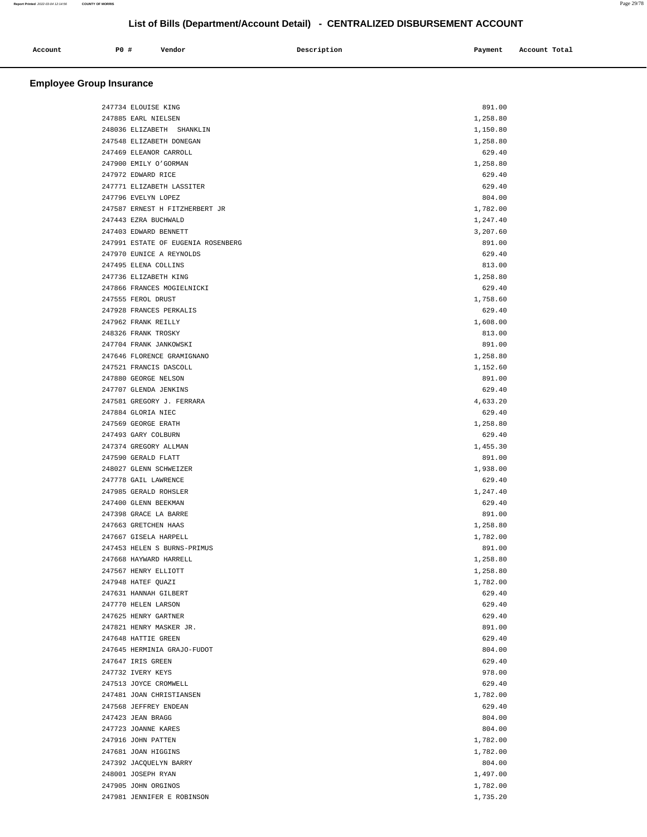| Account | <b>PO #</b> | Vendor | Description | Payment<br>. | Account Total |
|---------|-------------|--------|-------------|--------------|---------------|
|         |             |        |             |              |               |

|  | 247734 ELOUISE KING                | 891.00   |  |
|--|------------------------------------|----------|--|
|  | 247885 EARL NIELSEN                | 1,258.80 |  |
|  | 248036 ELIZABETH SHANKLIN          | 1,150.80 |  |
|  | 247548 ELIZABETH DONEGAN           | 1,258.80 |  |
|  | 247469 ELEANOR CARROLL             | 629.40   |  |
|  | 247900 EMILY O'GORMAN              | 1,258.80 |  |
|  | 247972 EDWARD RICE                 | 629.40   |  |
|  | 247771 ELIZABETH LASSITER          | 629.40   |  |
|  | 247796 EVELYN LOPEZ                | 804.00   |  |
|  | 247587 ERNEST H FITZHERBERT JR     | 1,782.00 |  |
|  | 247443 EZRA BUCHWALD               | 1,247.40 |  |
|  | 247403 EDWARD BENNETT              | 3,207.60 |  |
|  | 247991 ESTATE OF EUGENIA ROSENBERG | 891.00   |  |
|  | 247970 EUNICE A REYNOLDS           | 629.40   |  |
|  | 247495 ELENA COLLINS               | 813.00   |  |
|  | 247736 ELIZABETH KING              | 1,258.80 |  |
|  | 247866 FRANCES MOGIELNICKI         | 629.40   |  |
|  | 247555 FEROL DRUST                 | 1,758.60 |  |
|  | 247928 FRANCES PERKALIS            | 629.40   |  |
|  | 247962 FRANK REILLY                | 1,608.00 |  |
|  | 248326 FRANK TROSKY                | 813.00   |  |
|  | 247704 FRANK JANKOWSKI             | 891.00   |  |
|  | 247646 FLORENCE GRAMIGNANO         | 1,258.80 |  |
|  | 247521 FRANCIS DASCOLL             | 1,152.60 |  |
|  | 247880 GEORGE NELSON               | 891.00   |  |
|  | 247707 GLENDA JENKINS              | 629.40   |  |
|  | 247581 GREGORY J. FERRARA          | 4,633.20 |  |
|  | 247884 GLORIA NIEC                 | 629.40   |  |
|  | 247569 GEORGE ERATH                | 1,258.80 |  |
|  | 247493 GARY COLBURN                | 629.40   |  |
|  | 247374 GREGORY ALLMAN              | 1,455.30 |  |
|  | 247590 GERALD FLATT                | 891.00   |  |
|  | 248027 GLENN SCHWEIZER             | 1,938.00 |  |
|  | 247778 GAIL LAWRENCE               | 629.40   |  |
|  | 247985 GERALD ROHSLER              | 1,247.40 |  |
|  | 247400 GLENN BEEKMAN               | 629.40   |  |
|  | 247398 GRACE LA BARRE              | 891.00   |  |
|  | 247663 GRETCHEN HAAS               | 1,258.80 |  |
|  | 247667 GISELA HARPELL              | 1,782.00 |  |
|  | 247453 HELEN S BURNS-PRIMUS        | 891.00   |  |
|  | 247668 HAYWARD HARRELL             | 1,258.80 |  |
|  | 247567 HENRY ELLIOTT               | 1,258.80 |  |
|  | 247948 HATEF QUAZI                 | 1,782.00 |  |
|  | 247631 HANNAH GILBERT              | 629.40   |  |
|  | 247770 HELEN LARSON                | 629.40   |  |
|  | 247625 HENRY GARTNER               | 629.40   |  |
|  | 247821 HENRY MASKER JR.            | 891.00   |  |
|  | 247648 HATTIE GREEN                | 629.40   |  |
|  | 247645 HERMINIA GRAJO-FUDOT        | 804.00   |  |
|  | 247647 IRIS GREEN                  | 629.40   |  |
|  | 247732 IVERY KEYS                  | 978.00   |  |
|  | 247513 JOYCE CROMWELL              | 629.40   |  |
|  | 247481 JOAN CHRISTIANSEN           | 1,782.00 |  |
|  | 247568 JEFFREY ENDEAN              | 629.40   |  |
|  | 247423 JEAN BRAGG                  | 804.00   |  |
|  | 247723 JOANNE KARES                | 804.00   |  |
|  | 247916 JOHN PATTEN                 | 1,782.00 |  |
|  | 247681 JOAN HIGGINS                | 1,782.00 |  |
|  | 247392 JACQUELYN BARRY             | 804.00   |  |
|  | 248001 JOSEPH RYAN                 | 1,497.00 |  |
|  | 247905 JOHN ORGINOS                | 1,782.00 |  |
|  | 247981 JENNIFER E ROBINSON         | 1,735.20 |  |
|  |                                    |          |  |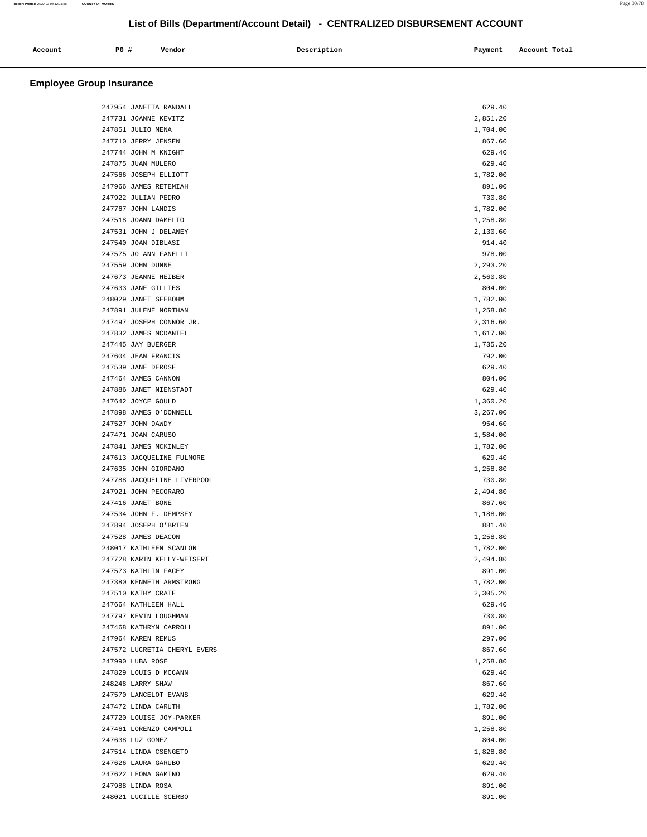|                      |        |             |         | Account Total |
|----------------------|--------|-------------|---------|---------------|
| P0 #<br>Account<br>. | Vendor | Description | Payment |               |
|                      |        |             |         |               |

| 247954 JANEITA RANDALL       | 629.40   |  |
|------------------------------|----------|--|
| 247731 JOANNE KEVITZ         | 2,851.20 |  |
| 247851 JULIO MENA            | 1,704.00 |  |
| 247710 JERRY JENSEN          | 867.60   |  |
| 247744 JOHN M KNIGHT         | 629.40   |  |
| 247875 JUAN MULERO           | 629.40   |  |
| 247566 JOSEPH ELLIOTT        | 1,782.00 |  |
| 247966 JAMES RETEMIAH        | 891.00   |  |
|                              |          |  |
| 247922 JULIAN PEDRO          | 730.80   |  |
| 247767 JOHN LANDIS           | 1,782.00 |  |
| 247518 JOANN DAMELIO         | 1,258.80 |  |
| 247531 JOHN J DELANEY        | 2,130.60 |  |
| 247540 JOAN DIBLASI          | 914.40   |  |
| 247575 JO ANN FANELLI        | 978.00   |  |
| 247559 JOHN DUNNE            | 2,293.20 |  |
| 247673 JEANNE HEIBER         | 2,560.80 |  |
| 247633 JANE GILLIES          | 804.00   |  |
| 248029 JANET SEEBOHM         | 1,782.00 |  |
| 247891 JULENE NORTHAN        | 1,258.80 |  |
| 247497 JOSEPH CONNOR JR.     | 2,316.60 |  |
|                              |          |  |
| 247832 JAMES MCDANIEL        | 1,617.00 |  |
| 247445 JAY BUERGER           | 1,735.20 |  |
| 247604 JEAN FRANCIS          | 792.00   |  |
| 247539 JANE DEROSE           | 629.40   |  |
| 247464 JAMES CANNON          | 804.00   |  |
| 247886 JANET NIENSTADT       | 629.40   |  |
| 247642 JOYCE GOULD           | 1,360.20 |  |
| 247898 JAMES O'DONNELL       | 3,267.00 |  |
| 247527 JOHN DAWDY            | 954.60   |  |
| 247471 JOAN CARUSO           | 1,584.00 |  |
| 247841 JAMES MCKINLEY        | 1,782.00 |  |
| 247613 JACQUELINE FULMORE    | 629.40   |  |
|                              |          |  |
| 247635 JOHN GIORDANO         | 1,258.80 |  |
| 247788 JACQUELINE LIVERPOOL  | 730.80   |  |
| 247921 JOHN PECORARO         | 2,494.80 |  |
| 247416 JANET BONE            | 867.60   |  |
| 247534 JOHN F. DEMPSEY       | 1,188.00 |  |
| 247894 JOSEPH O'BRIEN        | 881.40   |  |
| 247528 JAMES DEACON          | 1,258.80 |  |
| 248017 KATHLEEN SCANLON      | 1,782.00 |  |
| 247728 KARIN KELLY-WEISERT   | 2,494.80 |  |
| 247573 KATHLIN FACEY         | 891.00   |  |
| 247380 KENNETH ARMSTRONG     | 1,782.00 |  |
| 247510 KATHY CRATE           | 2,305.20 |  |
| 247664 KATHLEEN HALL         | 629.40   |  |
|                              |          |  |
| 247797 KEVIN LOUGHMAN        | 730.80   |  |
| 247468 KATHRYN CARROLL       | 891.00   |  |
| 247964 KAREN REMUS           | 297.00   |  |
| 247572 LUCRETIA CHERYL EVERS | 867.60   |  |
| 247990 LUBA ROSE             | 1,258.80 |  |
| 247829 LOUIS D MCCANN        | 629.40   |  |
| 248248 LARRY SHAW            | 867.60   |  |
| 247570 LANCELOT EVANS        | 629.40   |  |
| 247472 LINDA CARUTH          | 1,782.00 |  |
| 247720 LOUISE JOY-PARKER     | 891.00   |  |
| 247461 LORENZO CAMPOLI       | 1,258.80 |  |
|                              |          |  |
| 247638 LUZ GOMEZ             | 804.00   |  |
| 247514 LINDA CSENGETO        | 1,828.80 |  |
| 247626 LAURA GARUBO          | 629.40   |  |
| 247622 LEONA GAMINO          | 629.40   |  |
| 247988 LINDA ROSA            | 891.00   |  |
| 248021 LUCILLE SCERBO        | 891.00   |  |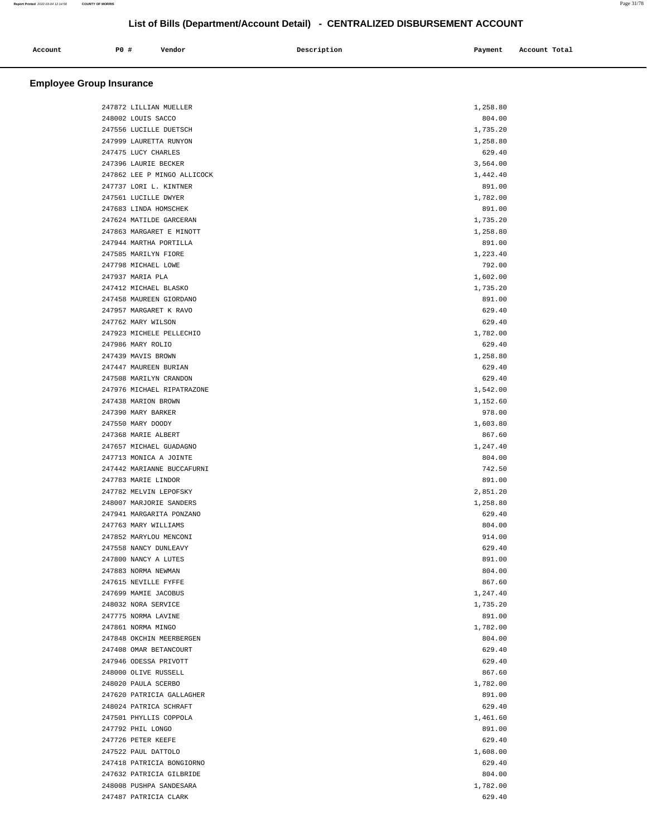| Account | PO# | Vendor | Description        | Payment       | Account Total |
|---------|-----|--------|--------------------|---------------|---------------|
| .       |     |        | $\sim$ $\sim$<br>. | $\sim$ $\sim$ | .<br>.        |
|         |     |        |                    |               |               |

| 247872 LILLIAN MUELLER      | 1,258.80 |
|-----------------------------|----------|
| 248002 LOUIS SACCO          | 804.00   |
| 247556 LUCILLE DUETSCH      | 1,735.20 |
| 247999 LAURETTA RUNYON      | 1,258.80 |
| 247475 LUCY CHARLES         | 629.40   |
| 247396 LAURIE BECKER        | 3,564.00 |
| 247862 LEE P MINGO ALLICOCK | 1,442.40 |
| 247737 LORI L. KINTNER      | 891.00   |
| 247561 LUCILLE DWYER        | 1,782.00 |
| 247683 LINDA HOMSCHEK       | 891.00   |
| 247624 MATILDE GARCERAN     | 1,735.20 |
| 247863 MARGARET E MINOTT    | 1,258.80 |
| 247944 MARTHA PORTILLA      | 891.00   |
| 247585 MARILYN FIORE        | 1,223.40 |
| 247798 MICHAEL LOWE         | 792.00   |
| 247937 MARIA PLA            | 1,602.00 |
| 247412 MICHAEL BLASKO       | 1,735.20 |
| 247458 MAUREEN GIORDANO     | 891.00   |
| 247957 MARGARET K RAVO      | 629.40   |
| 247762 MARY WILSON          | 629.40   |
| 247923 MICHELE PELLECHIO    | 1,782.00 |
| 247986 MARY ROLIO           | 629.40   |
| 247439 MAVIS BROWN          | 1,258.80 |
| 247447 MAUREEN BURIAN       | 629.40   |
| 247508 MARILYN CRANDON      | 629.40   |
| 247976 MICHAEL RIPATRAZONE  | 1,542.00 |
| 247438 MARION BROWN         | 1,152.60 |
| 247390 MARY BARKER          | 978.00   |
| 247550 MARY DOODY           | 1,603.80 |
| 247368 MARIE ALBERT         | 867.60   |
| 247657 MICHAEL GUADAGNO     | 1,247.40 |
| 247713 MONICA A JOINTE      | 804.00   |
| 247442 MARIANNE BUCCAFURNI  | 742.50   |
| 247783 MARIE LINDOR         | 891.00   |
| 247782 MELVIN LEPOFSKY      | 2,851.20 |
| 248007 MARJORIE SANDERS     | 1,258.80 |
| 247941 MARGARITA PONZANO    | 629.40   |
| 247763 MARY WILLIAMS        | 804.00   |
| 247852 MARYLOU MENCONI      | 914.00   |
| 247558 NANCY DUNLEAVY       | 629.40   |
| 247800 NANCY A LUTES        | 891.00   |
| 247883 NORMA NEWMAN         | 804.00   |
| 247615 NEVILLE FYFFE        | 867.60   |
| 247699 MAMIE JACOBUS        | 1,247.40 |
| 248032 NORA SERVICE         | 1,735.20 |
| 247775 NORMA LAVINE         | 891.00   |
| 247861 NORMA MINGO          | 1,782.00 |
| 247848 OKCHIN MEERBERGEN    | 804.00   |
| 247408 OMAR BETANCOURT      | 629.40   |
| 247946 ODESSA PRIVOTT       | 629.40   |
| 248000 OLIVE RUSSELL        | 867.60   |
| 248020 PAULA SCERBO         | 1,782.00 |
| 247620 PATRICIA GALLAGHER   | 891.00   |
| 248024 PATRICA SCHRAFT      | 629.40   |
| 247501 PHYLLIS COPPOLA      | 1,461.60 |
| 247792 PHIL LONGO           | 891.00   |
| 247726 PETER KEEFE          | 629.40   |
| 247522 PAUL DATTOLO         | 1,608.00 |
| 247418 PATRICIA BONGIORNO   | 629.40   |
| 247632 PATRICIA GILBRIDE    | 804.00   |
| 248008 PUSHPA SANDESARA     | 1,782.00 |
| 247487 PATRICIA CLARK       | 629.40   |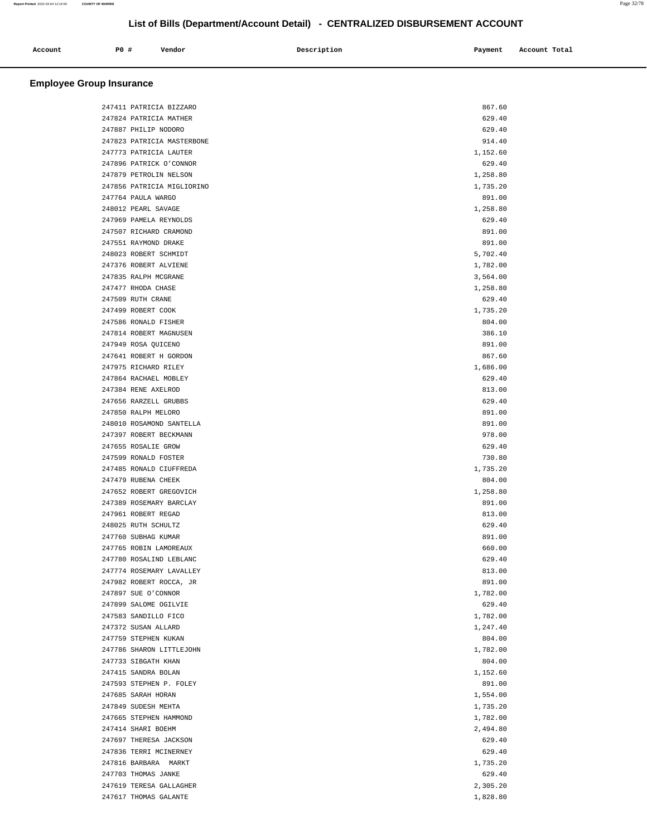| Account<br>. | P0 # | Vendor | Description | Payment | Account Total<br>. |
|--------------|------|--------|-------------|---------|--------------------|
|              |      |        |             |         |                    |

| 247411 PATRICIA BIZZARO    | 867.60   |  |
|----------------------------|----------|--|
| 247824 PATRICIA MATHER     | 629.40   |  |
| 247887 PHILIP NODORO       | 629.40   |  |
| 247823 PATRICIA MASTERBONE | 914.40   |  |
| 247773 PATRICIA LAUTER     | 1,152.60 |  |
| 247896 PATRICK O'CONNOR    | 629.40   |  |
| 247879 PETROLIN NELSON     | 1,258.80 |  |
| 247856 PATRICIA MIGLIORINO | 1,735.20 |  |
| 247764 PAULA WARGO         | 891.00   |  |
| 248012 PEARL SAVAGE        | 1,258.80 |  |
| 247969 PAMELA REYNOLDS     | 629.40   |  |
| 247507 RICHARD CRAMOND     | 891.00   |  |
| 247551 RAYMOND DRAKE       | 891.00   |  |
| 248023 ROBERT SCHMIDT      | 5,702.40 |  |
| 247376 ROBERT ALVIENE      | 1,782.00 |  |
| 247835 RALPH MCGRANE       |          |  |
|                            | 3,564.00 |  |
| 247477 RHODA CHASE         | 1,258.80 |  |
| 247509 RUTH CRANE          | 629.40   |  |
| 247499 ROBERT COOK         | 1,735.20 |  |
| 247586 RONALD FISHER       | 804.00   |  |
| 247814 ROBERT MAGNUSEN     | 386.10   |  |
| 247949 ROSA QUICENO        | 891.00   |  |
| 247641 ROBERT H GORDON     | 867.60   |  |
| 247975 RICHARD RILEY       | 1,686.00 |  |
| 247864 RACHAEL MOBLEY      | 629.40   |  |
| 247384 RENE AXELROD        | 813.00   |  |
| 247656 RARZELL GRUBBS      | 629.40   |  |
| 247850 RALPH MELORO        | 891.00   |  |
| 248010 ROSAMOND SANTELLA   | 891.00   |  |
| 247397 ROBERT BECKMANN     | 978.00   |  |
| 247655 ROSALIE GROW        | 629.40   |  |
| 247599 RONALD FOSTER       | 730.80   |  |
| 247485 RONALD CIUFFREDA    | 1,735.20 |  |
| 247479 RUBENA CHEEK        | 804.00   |  |
| 247652 ROBERT GREGOVICH    | 1,258.80 |  |
| 247389 ROSEMARY BARCLAY    | 891.00   |  |
| 247961 ROBERT REGAD        | 813.00   |  |
| 248025 RUTH SCHULTZ        | 629.40   |  |
| 247760 SUBHAG KUMAR        | 891.00   |  |
| 247765 ROBIN LAMOREAUX     | 660.00   |  |
| 247780 ROSALIND LEBLANC    | 629.40   |  |
| 247774 ROSEMARY LAVALLEY   | 813.00   |  |
| 247982 ROBERT ROCCA, JR    | 891.00   |  |
| 247897 SUE O'CONNOR        | 1,782.00 |  |
| 247899 SALOME OGILVIE      | 629.40   |  |
| 247583 SANDILLO FICO       | 1,782.00 |  |
| 247372 SUSAN ALLARD        | 1,247.40 |  |
| 247759 STEPHEN KUKAN       | 804.00   |  |
| 247786 SHARON LITTLEJOHN   | 1,782.00 |  |
| 247733 SIBGATH KHAN        | 804.00   |  |
|                            |          |  |
| 247415 SANDRA BOLAN        | 1,152.60 |  |
| 247593 STEPHEN P. FOLEY    | 891.00   |  |
| 247685 SARAH HORAN         | 1,554.00 |  |
| 247849 SUDESH MEHTA        | 1,735.20 |  |
| 247665 STEPHEN HAMMOND     | 1,782.00 |  |
| 247414 SHARI BOEHM         | 2,494.80 |  |
| 247697 THERESA JACKSON     | 629.40   |  |
| 247836 TERRI MCINERNEY     | 629.40   |  |
| 247816 BARBARA MARKT       | 1,735.20 |  |
| 247703 THOMAS JANKE        | 629.40   |  |
| 247619 TERESA GALLAGHER    | 2,305.20 |  |
| 247617 THOMAS GALANTE      | 1,828.80 |  |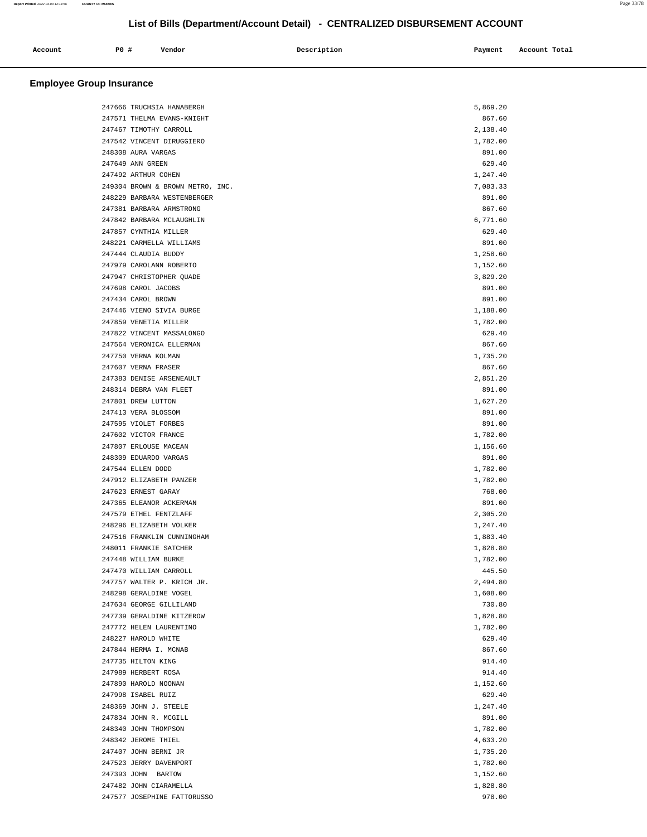| Account | PO# | Vendor | Description | Payment | Account Total |
|---------|-----|--------|-------------|---------|---------------|
|         |     |        |             |         |               |

## **Employee Group Insurance**

| 247666 TRUCHSIA HANABERGH        | 5,869.20 |
|----------------------------------|----------|
| 247571 THELMA EVANS-KNIGHT       | 867.60   |
| 247467 TIMOTHY CARROLL           | 2,138.40 |
| 247542 VINCENT DIRUGGIERO        | 1,782.00 |
| 248308 AURA VARGAS               | 891.00   |
| 247649 ANN GREEN                 | 629.40   |
| 247492 ARTHUR COHEN              | 1,247.40 |
| 249304 BROWN & BROWN METRO, INC. | 7,083.33 |
| 248229 BARBARA WESTENBERGER      | 891.00   |
| 247381 BARBARA ARMSTRONG         | 867.60   |
| 247842 BARBARA MCLAUGHLIN        | 6,771.60 |
| 247857 CYNTHIA MILLER            | 629.40   |
| 248221 CARMELLA WILLIAMS         | 891.00   |
| 247444 CLAUDIA BUDDY             | 1,258.60 |
| 247979 CAROLANN ROBERTO          | 1,152.60 |
| 247947 CHRISTOPHER QUADE         | 3,829.20 |
| 247698 CAROL JACOBS              | 891.00   |
| 247434 CAROL BROWN               | 891.00   |
| 247446 VIENO SIVIA BURGE         | 1,188.00 |
| 247859 VENETIA MILLER            | 1,782.00 |
| 247822 VINCENT MASSALONGO        | 629.40   |
| 247564 VERONICA ELLERMAN         | 867.60   |
| 247750 VERNA KOLMAN              | 1,735.20 |
| 247607 VERNA FRASER              | 867.60   |
| 247383 DENISE ARSENEAULT         | 2,851.20 |
| 248314 DEBRA VAN FLEET           | 891.00   |
| 247801 DREW LUTTON               | 1,627.20 |
| 247413 VERA BLOSSOM              | 891.00   |
| 247595 VIOLET FORBES             | 891.00   |
| 247602 VICTOR FRANCE             | 1,782.00 |
| 247807 ERLOUSE MACEAN            | 1,156.60 |
| 248309 EDUARDO VARGAS            | 891.00   |
| 247544 ELLEN DODD                | 1,782.00 |
| 247912 ELIZABETH PANZER          | 1,782.00 |
| 247623 ERNEST GARAY              | 768.00   |
| 247365 ELEANOR ACKERMAN          | 891.00   |
| 247579 ETHEL FENTZLAFF           | 2,305.20 |
| 248296 ELIZABETH VOLKER          | 1,247.40 |
| 247516 FRANKLIN CUNNINGHAM       | 1,883.40 |
| 248011 FRANKIE SATCHER           | 1,828.80 |
| 247448 WILLIAM BURKE             | 1,782.00 |
| 247470 WILLIAM CARROLL           | 445.50   |
| 247757 WALTER P. KRICH JR.       | 2,494.80 |
| 248298 GERALDINE VOGEL           | 1,608.00 |
| 247634 GEORGE GILLILAND          | 730.80   |
| 247739 GERALDINE KITZEROW        | 1,828.80 |
| 247772 HELEN LAURENTINO          | 1,782.00 |
| 248227 HAROLD WHITE              | 629.40   |
| 247844 HERMA I. MCNAB            | 867.60   |
| 247735 HILTON KING               | 914.40   |
| 247989 HERBERT ROSA              | 914.40   |
| 247890 HAROLD NOONAN             | 1,152.60 |
| 247998 ISABEL RUIZ               | 629.40   |
| 248369 JOHN J. STEELE            | 1,247.40 |
| 247834 JOHN R. MCGILL            | 891.00   |
| 248340 JOHN THOMPSON             | 1,782.00 |
| 248342 JEROME THIEL              | 4,633.20 |
| 247407 JOHN BERNI JR             | 1,735.20 |
| 247523 JERRY DAVENPORT           | 1,782.00 |
| 247393 JOHN BARTOW               | 1,152.60 |
| 247482 JOHN CIARAMELLA           | 1,828.80 |
| 247577 JOSEPHINE FATTORUSSO      | 978.00   |

**Report Printed** 2022-03-04 12:14:56 **COUNTY OF MORRIS** Page 33/78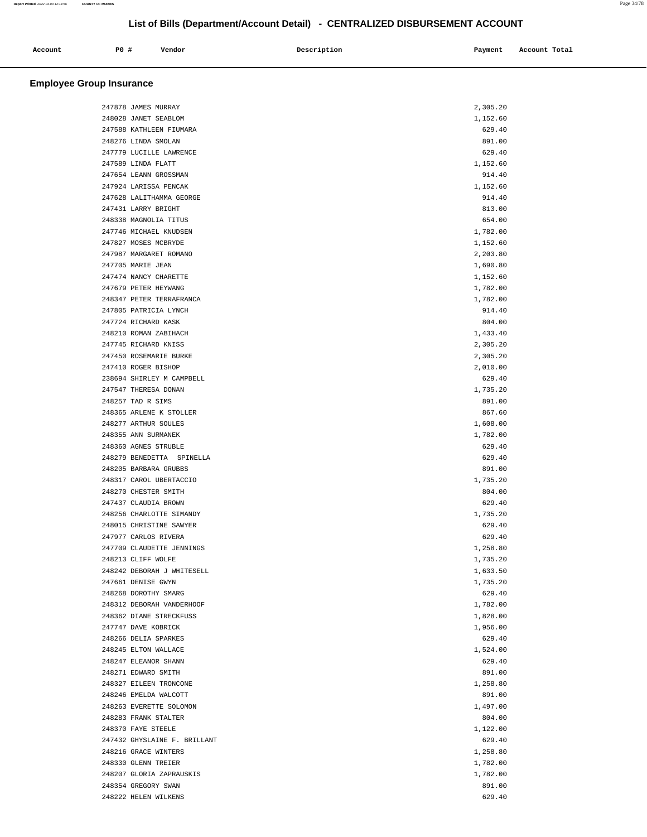| Account | <b>PO #</b> | Vendor | Description | Payment | Account Total |
|---------|-------------|--------|-------------|---------|---------------|
| .       |             |        |             |         |               |
|         |             |        |             |         |               |

## **Employee Group Insurance**

| 247878 JAMES MURRAY          | 2,305.20 |  |
|------------------------------|----------|--|
| 248028 JANET SEABLOM         | 1,152.60 |  |
| 247588 KATHLEEN FIUMARA      | 629.40   |  |
| 248276 LINDA SMOLAN          | 891.00   |  |
| 247779 LUCILLE LAWRENCE      | 629.40   |  |
| 247589 LINDA FLATT           | 1,152.60 |  |
| 247654 LEANN GROSSMAN        |          |  |
|                              | 914.40   |  |
| 247924 LARISSA PENCAK        | 1,152.60 |  |
| 247628 LALITHAMMA GEORGE     | 914.40   |  |
| 247431 LARRY BRIGHT          | 813.00   |  |
| 248338 MAGNOLIA TITUS        | 654.00   |  |
| 247746 MICHAEL KNUDSEN       | 1,782.00 |  |
| 247827 MOSES MCBRYDE         | 1,152.60 |  |
| 247987 MARGARET ROMANO       | 2,203.80 |  |
|                              |          |  |
| 247705 MARIE JEAN            | 1,690.80 |  |
| 247474 NANCY CHARETTE        | 1,152.60 |  |
| 247679 PETER HEYWANG         | 1,782.00 |  |
| 248347 PETER TERRAFRANCA     | 1,782.00 |  |
| 247805 PATRICIA LYNCH        | 914.40   |  |
| 247724 RICHARD KASK          | 804.00   |  |
| 248210 ROMAN ZABIHACH        | 1,433.40 |  |
| 247745 RICHARD KNISS         | 2,305.20 |  |
|                              |          |  |
| 247450 ROSEMARIE BURKE       | 2,305.20 |  |
| 247410 ROGER BISHOP          | 2,010.00 |  |
| 238694 SHIRLEY M CAMPBELL    | 629.40   |  |
| 247547 THERESA DONAN         | 1,735.20 |  |
| 248257 TAD R SIMS            | 891.00   |  |
| 248365 ARLENE K STOLLER      | 867.60   |  |
| 248277 ARTHUR SOULES         | 1,608.00 |  |
|                              |          |  |
| 248355 ANN SURMANEK          | 1,782.00 |  |
| 248360 AGNES STRUBLE         | 629.40   |  |
| 248279 BENEDETTA SPINELLA    | 629.40   |  |
| 248205 BARBARA GRUBBS        | 891.00   |  |
| 248317 CAROL UBERTACCIO      | 1,735.20 |  |
| 248270 CHESTER SMITH         | 804.00   |  |
| 247437 CLAUDIA BROWN         | 629.40   |  |
| 248256 CHARLOTTE SIMANDY     | 1,735.20 |  |
|                              |          |  |
| 248015 CHRISTINE SAWYER      | 629.40   |  |
| 247977 CARLOS RIVERA         | 629.40   |  |
| 247709 CLAUDETTE JENNINGS    | 1,258.80 |  |
| 248213 CLIFF WOLFE           | 1,735.20 |  |
| 248242 DEBORAH J WHITESELL   | 1,633.50 |  |
| 247661 DENISE GWYN           | 1,735.20 |  |
| 248268 DOROTHY SMARG         | 629.40   |  |
| 248312 DEBORAH VANDERHOOF    | 1,782.00 |  |
| 248362 DIANE STRECKFUSS      | 1,828.00 |  |
|                              |          |  |
| 247747 DAVE KOBRICK          | 1,956.00 |  |
| 248266 DELIA SPARKES         | 629.40   |  |
| 248245 ELTON WALLACE         | 1,524.00 |  |
| 248247 ELEANOR SHANN         | 629.40   |  |
| 248271 EDWARD SMITH          | 891.00   |  |
| 248327 EILEEN TRONCONE       | 1,258.80 |  |
| 248246 EMELDA WALCOTT        | 891.00   |  |
| 248263 EVERETTE SOLOMON      | 1,497.00 |  |
|                              |          |  |
| 248283 FRANK STALTER         | 804.00   |  |
| 248370 FAYE STEELE           | 1,122.00 |  |
| 247432 GHYSLAINE F. BRILLANT | 629.40   |  |
| 248216 GRACE WINTERS         | 1,258.80 |  |
| 248330 GLENN TREIER          | 1,782.00 |  |
| 248207 GLORIA ZAPRAUSKIS     | 1,782.00 |  |
| 248354 GREGORY SWAN          | 891.00   |  |
|                              |          |  |
| 248222 HELEN WILKENS         | 629.40   |  |

**Report Printed** 2022-03-04 12:14:56 **COUNTY OF MORRIS** Page 34/78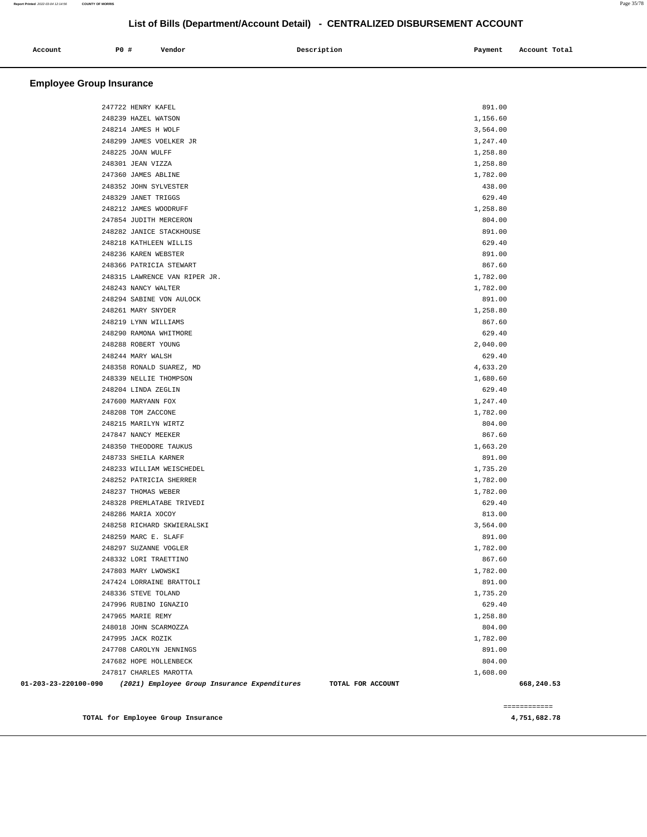| Account | <b>PO #</b> | Vendor | Description | Payment | Account Total |
|---------|-------------|--------|-------------|---------|---------------|
|         |             |        |             |         |               |
|         |             |        |             |         |               |

### **Employee Group Insurance**

|                      |                                                                   |          | ============ |
|----------------------|-------------------------------------------------------------------|----------|--------------|
| 01-203-23-220100-090 | TOTAL FOR ACCOUNT<br>(2021) Employee Group Insurance Expenditures |          | 668,240.53   |
|                      | 247817 CHARLES MAROTTA                                            | 1,608.00 |              |
|                      | 247682 HOPE HOLLENBECK                                            | 804.00   |              |
|                      | 247708 CAROLYN JENNINGS                                           | 891.00   |              |
|                      | 247995 JACK ROZIK                                                 | 1,782.00 |              |
|                      | 248018 JOHN SCARMOZZA                                             | 804.00   |              |
|                      | 247965 MARIE REMY                                                 | 1,258.80 |              |
|                      | 247996 RUBINO IGNAZIO                                             | 629.40   |              |
|                      | 248336 STEVE TOLAND                                               | 1,735.20 |              |
|                      | 247424 LORRAINE BRATTOLI                                          | 891.00   |              |
|                      | 247803 MARY LWOWSKI                                               | 1,782.00 |              |
|                      | 248332 LORI TRAETTINO                                             | 867.60   |              |
|                      | 248297 SUZANNE VOGLER                                             | 1,782.00 |              |
|                      | 248259 MARC E. SLAFF                                              | 891.00   |              |
|                      | 248258 RICHARD SKWIERALSKI                                        | 3,564.00 |              |
|                      | 248286 MARIA XOCOY                                                | 813.00   |              |
|                      | 248328 PREMLATABE TRIVEDI                                         | 629.40   |              |
|                      | 248237 THOMAS WEBER                                               | 1,782.00 |              |
|                      | 248252 PATRICIA SHERRER                                           | 1,782.00 |              |
|                      | 248233 WILLIAM WEISCHEDEL                                         | 1,735.20 |              |
|                      | 248733 SHEILA KARNER                                              | 891.00   |              |
|                      | 248350 THEODORE TAUKUS                                            | 1,663.20 |              |
|                      | 247847 NANCY MEEKER                                               | 867.60   |              |
|                      | 248215 MARILYN WIRTZ                                              | 804.00   |              |
|                      | 248208 TOM ZACCONE                                                | 1,782.00 |              |
|                      | 247600 MARYANN FOX                                                | 1,247.40 |              |
|                      | 248204 LINDA ZEGLIN                                               | 629.40   |              |
|                      | 248339 NELLIE THOMPSON                                            | 1,680.60 |              |
|                      | 248358 RONALD SUAREZ, MD                                          | 4,633.20 |              |
|                      | 248244 MARY WALSH                                                 | 629.40   |              |
|                      | 248288 ROBERT YOUNG                                               | 2,040.00 |              |
|                      | 248290 RAMONA WHITMORE                                            | 629.40   |              |
|                      | 248219 LYNN WILLIAMS                                              | 867.60   |              |
|                      | 248261 MARY SNYDER                                                | 1,258.80 |              |
|                      | 248294 SABINE VON AULOCK                                          | 891.00   |              |
|                      | 248243 NANCY WALTER                                               | 1,782.00 |              |
|                      | 248315 LAWRENCE VAN RIPER JR.                                     | 1,782.00 |              |
|                      | 248366 PATRICIA STEWART                                           | 867.60   |              |
|                      | 248236 KAREN WEBSTER                                              | 891.00   |              |
|                      | 248218 KATHLEEN WILLIS                                            | 629.40   |              |
|                      | 248282 JANICE STACKHOUSE                                          | 891.00   |              |
|                      | 247854 JUDITH MERCERON                                            | 804.00   |              |
|                      | 248212 JAMES WOODRUFF                                             | 1,258.80 |              |
|                      | 248329 JANET TRIGGS                                               | 629.40   |              |
|                      | 248352 JOHN SYLVESTER                                             | 438.00   |              |
|                      | 247360 JAMES ABLINE                                               | 1,782.00 |              |
|                      | 248301 JEAN VIZZA                                                 | 1,258.80 |              |
|                      | 248225 JOAN WULFF                                                 | 1,258.80 |              |
|                      | 248299 JAMES VOELKER JR                                           | 1,247.40 |              |
|                      | 248214 JAMES H WOLF                                               | 3,564.00 |              |
|                      | 248239 HAZEL WATSON                                               | 1,156.60 |              |
|                      | 247722 HENRY KAFEL                                                | 891.00   |              |
|                      |                                                                   |          |              |

**TOTAL for Employee Group Insurance 4,751,682.78** 

============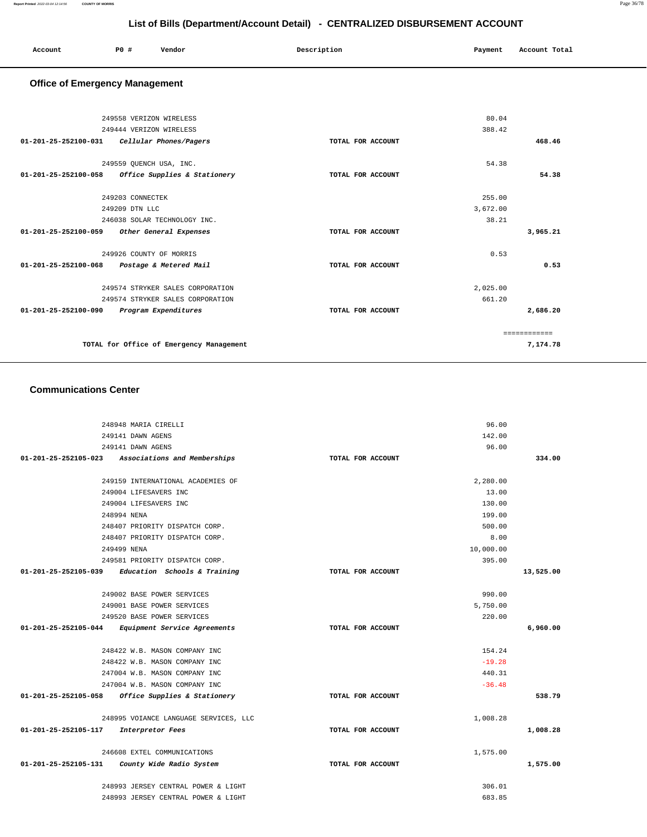| Account | P <sub>0</sub> | Vendor | Description | Payment | Account Total |
|---------|----------------|--------|-------------|---------|---------------|
|         |                |        |             |         |               |

## **Office of Emergency Management**

| 249558 VERIZON WIRELESS                  |                                  |                   | 80.04    |              |
|------------------------------------------|----------------------------------|-------------------|----------|--------------|
| 249444 VERIZON WIRELESS                  |                                  |                   | 388.42   |              |
| $01 - 201 - 25 - 252100 - 031$           | Cellular Phones/Pagers           | TOTAL FOR ACCOUNT |          | 468.46       |
|                                          |                                  |                   |          |              |
| 249559 QUENCH USA, INC.                  |                                  |                   | 54.38    |              |
| $01 - 201 - 25 - 252100 - 058$           | Office Supplies & Stationery     | TOTAL FOR ACCOUNT |          | 54.38        |
|                                          |                                  |                   |          |              |
|                                          | 249203 CONNECTEK                 |                   | 255.00   |              |
|                                          | 249209 DTN LLC                   |                   | 3,672.00 |              |
|                                          | 246038 SOLAR TECHNOLOGY INC.     |                   | 38.21    |              |
| 01-201-25-252100-059                     | Other General Expenses           | TOTAL FOR ACCOUNT |          | 3,965.21     |
|                                          |                                  |                   |          |              |
|                                          | 249926 COUNTY OF MORRIS          |                   | 0.53     |              |
| $01 - 201 - 25 - 252100 - 068$           | Postage & Metered Mail           | TOTAL FOR ACCOUNT |          | 0.53         |
|                                          |                                  |                   |          |              |
|                                          | 249574 STRYKER SALES CORPORATION |                   | 2,025.00 |              |
|                                          | 249574 STRYKER SALES CORPORATION |                   | 661.20   |              |
| 01-201-25-252100-090                     | Program Expenditures             | TOTAL FOR ACCOUNT |          | 2,686.20     |
|                                          |                                  |                   |          |              |
|                                          |                                  |                   |          | ============ |
| TOTAL for Office of Emergency Management |                                  |                   | 7,174.78 |              |
|                                          |                                  |                   |          |              |

#### **Communications Center**

|                      | 248948 MARIA CIRELLI                                |                   | 96.00     |           |
|----------------------|-----------------------------------------------------|-------------------|-----------|-----------|
|                      | 249141 DAWN AGENS                                   |                   | 142.00    |           |
|                      | 249141 DAWN AGENS                                   |                   | 96.00     |           |
|                      | 01-201-25-252105-023 Associations and Memberships   | TOTAL FOR ACCOUNT |           | 334.00    |
|                      |                                                     |                   |           |           |
|                      | 249159 INTERNATIONAL ACADEMIES OF                   |                   | 2,280.00  |           |
|                      | 249004 LIFESAVERS INC                               |                   | 13.00     |           |
|                      | 249004 LIFESAVERS INC                               |                   | 130.00    |           |
|                      | 248994 NENA                                         |                   | 199.00    |           |
|                      | 248407 PRIORITY DISPATCH CORP.                      |                   | 500.00    |           |
|                      | 248407 PRIORITY DISPATCH CORP.                      |                   | 8.00      |           |
|                      | 249499 NENA                                         |                   | 10,000.00 |           |
|                      | 249581 PRIORITY DISPATCH CORP.                      |                   | 395.00    |           |
|                      | $01-201-25-252105-039$ Education Schools & Training | TOTAL FOR ACCOUNT |           | 13,525.00 |
|                      |                                                     |                   |           |           |
|                      | 249002 BASE POWER SERVICES                          |                   | 990.00    |           |
|                      | 249001 BASE POWER SERVICES                          |                   | 5,750.00  |           |
|                      | 249520 BASE POWER SERVICES                          |                   | 220.00    |           |
|                      | 01-201-25-252105-044 Equipment Service Agreements   | TOTAL FOR ACCOUNT |           | 6,960.00  |
|                      |                                                     |                   |           |           |
|                      | 248422 W.B. MASON COMPANY INC                       |                   | 154.24    |           |
|                      | 248422 W.B. MASON COMPANY INC                       |                   | $-19.28$  |           |
|                      | 247004 W.B. MASON COMPANY INC                       |                   | 440.31    |           |
|                      | 247004 W.B. MASON COMPANY INC                       |                   | $-36.48$  |           |
|                      | 01-201-25-252105-058 Office Supplies & Stationery   | TOTAL FOR ACCOUNT |           | 538.79    |
|                      | 248995 VOIANCE LANGUAGE SERVICES, LLC               |                   | 1,008.28  |           |
| 01-201-25-252105-117 | Interpretor Fees                                    | TOTAL FOR ACCOUNT |           | 1,008.28  |
|                      |                                                     |                   |           |           |
|                      | 246608 EXTEL COMMUNICATIONS                         |                   | 1,575.00  |           |
| 01-201-25-252105-131 | County Wide Radio System                            | TOTAL FOR ACCOUNT |           | 1,575.00  |
|                      | 248993 JERSEY CENTRAL POWER & LIGHT                 |                   | 306.01    |           |
|                      | 248993 JERSEY CENTRAL POWER & LIGHT                 |                   | 683.85    |           |
|                      |                                                     |                   |           |           |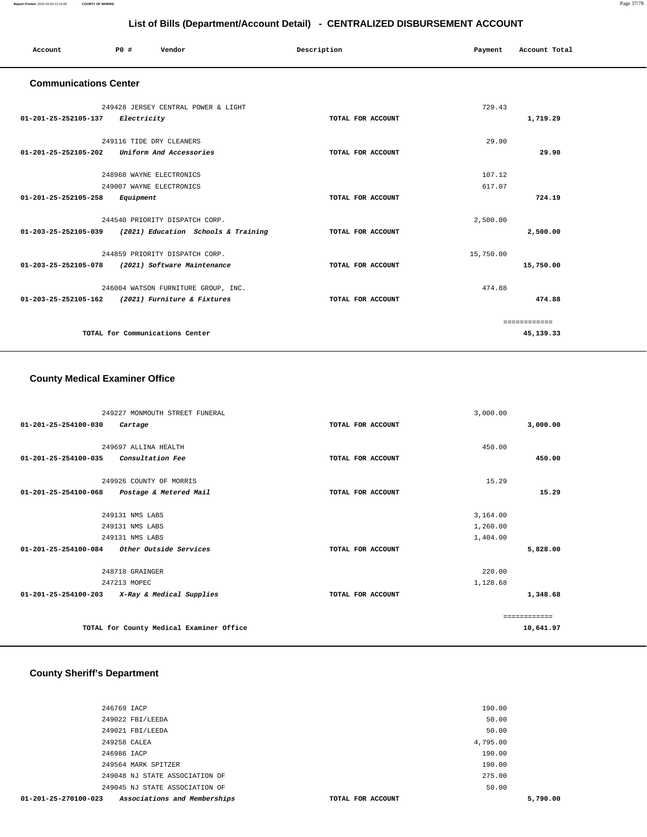| Account                                          | PO#                      | Vendor                                                   | Description       | Payment   | Account Total |
|--------------------------------------------------|--------------------------|----------------------------------------------------------|-------------------|-----------|---------------|
| <b>Communications Center</b>                     |                          |                                                          |                   |           |               |
|                                                  |                          | 249428 JERSEY CENTRAL POWER & LIGHT                      |                   | 729.43    |               |
| 01-201-25-252105-137                             | Electricity              |                                                          | TOTAL FOR ACCOUNT |           | 1,719.29      |
|                                                  | 249116 TIDE DRY CLEANERS |                                                          |                   | 29.90     |               |
| 01-201-25-252105-202                             |                          | Uniform And Accessories                                  | TOTAL FOR ACCOUNT |           | 29.90         |
|                                                  |                          |                                                          |                   |           |               |
|                                                  | 248968 WAYNE ELECTRONICS |                                                          |                   | 107.12    |               |
|                                                  | 249007 WAYNE ELECTRONICS |                                                          |                   | 617.07    |               |
| 01-201-25-252105-258                             | Equipment                |                                                          | TOTAL FOR ACCOUNT |           | 724.19        |
|                                                  |                          | 244540 PRIORITY DISPATCH CORP.                           |                   | 2,500.00  |               |
|                                                  |                          | 01-203-25-252105-039 (2021) Education Schools & Training | TOTAL FOR ACCOUNT |           | 2,500.00      |
|                                                  |                          | 244859 PRIORITY DISPATCH CORP.                           |                   | 15,750.00 |               |
| 01-203-25-252105-078 (2021) Software Maintenance |                          |                                                          | TOTAL FOR ACCOUNT |           | 15,750.00     |
|                                                  |                          | 246004 WATSON FURNITURE GROUP, INC.                      |                   | 474.88    |               |
| 01-203-25-252105-162 (2021) Furniture & Fixtures |                          |                                                          | TOTAL FOR ACCOUNT |           | 474.88        |
|                                                  |                          |                                                          |                   |           | ============  |
|                                                  |                          | TOTAL for Communications Center                          |                   |           | 45,139.33     |
|                                                  |                          |                                                          |                   |           |               |

#### **County Medical Examiner Office**

| 249227 MONMOUTH STREET FUNERAL                           |                   | 3,000.00 |              |
|----------------------------------------------------------|-------------------|----------|--------------|
| 01-201-25-254100-030<br>Cartage                          | TOTAL FOR ACCOUNT |          | 3,000.00     |
| 249697 ALLINA HEALTH                                     |                   | 450.00   |              |
| <i>Consultation Fee</i><br>01-201-25-254100-035          | TOTAL FOR ACCOUNT |          | 450.00       |
|                                                          |                   |          |              |
| 249926 COUNTY OF MORRIS                                  |                   | 15.29    |              |
| $01 - 201 - 25 - 254100 - 068$<br>Postage & Metered Mail | TOTAL FOR ACCOUNT |          | 15.29        |
|                                                          |                   |          |              |
| 249131 NMS LABS                                          |                   | 3,164.00 |              |
| 249131 NMS LABS                                          |                   | 1,260.00 |              |
| 249131 NMS LABS                                          |                   | 1,404.00 |              |
| 01-201-25-254100-084<br>Other Outside Services           | TOTAL FOR ACCOUNT |          | 5,828.00     |
| 248718 GRAINGER                                          |                   | 220.00   |              |
| 247213 MOPEC                                             |                   | 1,128.68 |              |
| 01-201-25-254100-203<br>X-Ray & Medical Supplies         | TOTAL FOR ACCOUNT |          | 1,348.68     |
|                                                          |                   |          | ------------ |
| TOTAL for County Medical Examiner Office                 |                   |          | 10,641.97    |

# **County Sheriff's Department**

| 01-201-25-270100-023 | Associations and Memberships   | TOTAL FOR ACCOUNT | 5,790.00 |
|----------------------|--------------------------------|-------------------|----------|
|                      | 249045 NJ STATE ASSOCIATION OF | 50.00             |          |
|                      | 249048 NJ STATE ASSOCIATION OF | 275.00            |          |
|                      | 249564 MARK SPITZER            | 190.00            |          |
|                      | 246986 IACP                    | 190.00            |          |
|                      | 249258 CALEA                   | 4,795.00          |          |
|                      | 249021 FBI/LEEDA               | 50.00             |          |
|                      | 249022 FBI/LEEDA               | 50.00             |          |
|                      | 246769 IACP                    | 190.00            |          |
|                      |                                |                   |          |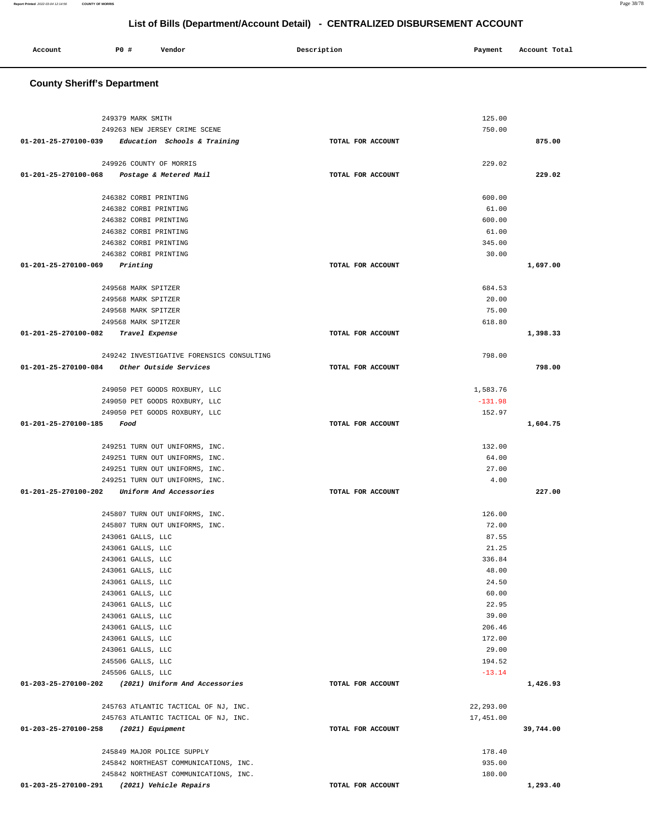#### **County Sheriff's Department** 249379 MARK SMITH 249263 NEW JERSEY CRIME SCENE **01-201-25-270100-039 Education Schools & Training TOTAL FOR ACCOUNT**  125.00 750.00 **875.00** 249926 COUNTY OF MORRIS **01-201-25-270100-068 Postage & Metered Mail TOTAL FOR ACCOUNT**  229.02 **229.02** 246382 CORBI PRINTING 246382 CORBI PRINTING 246382 CORBI PRINTING 246382 CORBI PRINTING 246382 CORBI PRINTING 246382 CORBI PRINTING **01-201-25-270100-069 Printing TOTAL FOR ACCOUNT**  600.00 61.00 600.00 61.00 345.00 30.00 **1,697.00** 249568 MARK SPITZER 249568 MARK SPITZER 249568 MARK SPITZER 249568 MARK SPITZER **01-201-25-270100-082 Travel Expense TOTAL FOR ACCOUNT**  684.53 20.00 75.00 618.80 **1,398.33** 249242 INVESTIGATIVE FORENSICS CONSULTING **01-201-25-270100-084 Other Outside Services TOTAL FOR ACCOUNT**  798.00 **798.00** 249050 PET GOODS ROXBURY, LLC 249050 PET GOODS ROXBURY, LLC 249050 PET GOODS ROXBURY, LLC **01-201-25-270100-185 Food TOTAL FOR ACCOUNT**  1,583.76 -131.98 152.97 **1,604.75** 249251 TURN OUT UNIFORMS, INC. 249251 TURN OUT UNIFORMS, INC. 249251 TURN OUT UNIFORMS, INC. 249251 TURN OUT UNIFORMS, INC. **01-201-25-270100-202 Uniform And Accessories TOTAL FOR ACCOUNT**  132.00 64.00 27.00 4.00 **227.00** 245807 TURN OUT UNIFORMS, INC. 245807 TURN OUT UNIFORMS, INC. 243061 GALLS, LLC 243061 GALLS, LLC 243061 GALLS, LLC 243061 GALLS, LLC 243061 GALLS, LLC 243061 GALLS, LLC 243061 GALLS, LLC 243061 GALLS, LLC 243061 GALLS, LLC 243061 GALLS, LLC 243061 GALLS, LLC 245506 GALLS, LLC 245506 GALLS, LLC **01-203-25-270100-202 (2021) Uniform And Accessories TOTAL FOR ACCOUNT**  126.00 72.00 87.55 21.25 336.84 48.00 24.50 60.00 22.95 39.00 206.46 172.00 29.00 194.52 -13.14 **1,426.93** 245763 ATLANTIC TACTICAL OF NJ, INC. 245763 ATLANTIC TACTICAL OF NJ, INC. **01-203-25-270100-258 (2021) Equipment TOTAL FOR ACCOUNT**  22,293.00 17,451.00 **39,744.00** 245849 MAJOR POLICE SUPPLY 245842 NORTHEAST COMMUNICATIONS, INC. 245842 NORTHEAST COMMUNICATIONS, INC. **01-203-25-270100-291 (2021) Vehicle Repairs TOTAL FOR ACCOUNT**  178.40 935.00 180.00 **1,293.40**

**List of Bills (Department/Account Detail) - CENTRALIZED DISBURSEMENT ACCOUNT**

 **Account P0 # Vendor Description Payment Account Total**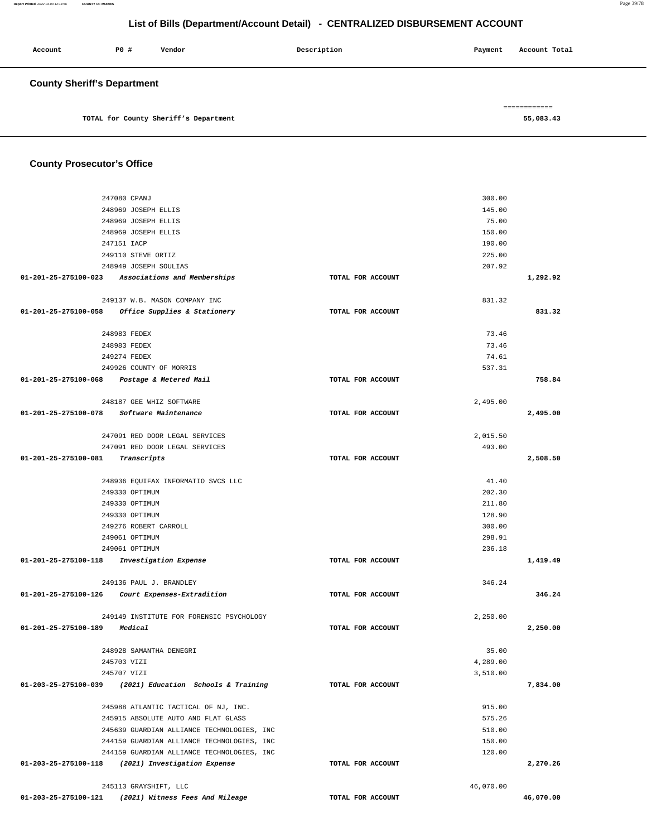| Account                            | PO# | Vendor                                | Description | Payment | Account Total |  |
|------------------------------------|-----|---------------------------------------|-------------|---------|---------------|--|
| <b>County Sheriff's Department</b> |     |                                       |             |         |               |  |
|                                    |     |                                       |             |         | ============  |  |
|                                    |     | TOTAL for County Sheriff's Department |             |         | 55,083.43     |  |

# **County Prosecutor's Office**

| 247080 CPANJ                                             |                   | 300.00    |           |
|----------------------------------------------------------|-------------------|-----------|-----------|
| 248969 JOSEPH ELLIS                                      |                   | 145.00    |           |
| 248969 JOSEPH ELLIS                                      |                   | 75.00     |           |
| 248969 JOSEPH ELLIS                                      |                   | 150.00    |           |
| 247151 IACP                                              |                   | 190.00    |           |
| 249110 STEVE ORTIZ                                       |                   | 225.00    |           |
| 248949 JOSEPH SOULIAS                                    |                   | 207.92    |           |
| 01-201-25-275100-023<br>Associations and Memberships     | TOTAL FOR ACCOUNT |           | 1,292.92  |
| 249137 W.B. MASON COMPANY INC                            |                   | 831.32    |           |
| 01-201-25-275100-058 Office Supplies & Stationery        | TOTAL FOR ACCOUNT |           | 831.32    |
|                                                          |                   |           |           |
| 248983 FEDEX                                             |                   | 73.46     |           |
| 248983 FEDEX                                             |                   | 73.46     |           |
| 249274 FEDEX                                             |                   | 74.61     |           |
| 249926 COUNTY OF MORRIS                                  |                   | 537.31    |           |
| 01-201-25-275100-068 Postage & Metered Mail              | TOTAL FOR ACCOUNT |           | 758.84    |
|                                                          |                   |           |           |
| 248187 GEE WHIZ SOFTWARE                                 |                   | 2,495.00  |           |
| 01-201-25-275100-078<br><i>Software Maintenance</i>      | TOTAL FOR ACCOUNT |           | 2,495.00  |
|                                                          |                   |           |           |
| 247091 RED DOOR LEGAL SERVICES                           |                   | 2,015.50  |           |
| 247091 RED DOOR LEGAL SERVICES                           |                   | 493.00    |           |
| 01-201-25-275100-081<br>Transcripts                      | TOTAL FOR ACCOUNT |           | 2,508.50  |
|                                                          |                   |           |           |
| 248936 EOUIFAX INFORMATIO SVCS LLC                       |                   | 41.40     |           |
| 249330 OPTIMUM                                           |                   | 202.30    |           |
| 249330 OPTIMUM                                           |                   | 211.80    |           |
| 249330 OPTIMUM                                           |                   | 128.90    |           |
| 249276 ROBERT CARROLL                                    |                   | 300.00    |           |
| 249061 OPTIMUM                                           |                   | 298.91    |           |
| 249061 OPTIMUM                                           |                   | 236.18    |           |
| 01-201-25-275100-118 Investigation Expense               | TOTAL FOR ACCOUNT |           | 1,419.49  |
| 249136 PAUL J. BRANDLEY                                  |                   | 346.24    |           |
| 01-201-25-275100-126 Court Expenses-Extradition          | TOTAL FOR ACCOUNT |           | 346.24    |
|                                                          |                   |           |           |
| 249149 INSTITUTE FOR FORENSIC PSYCHOLOGY                 |                   | 2,250.00  |           |
| 01-201-25-275100-189<br>Medical                          | TOTAL FOR ACCOUNT |           | 2,250.00  |
|                                                          |                   |           |           |
| 248928 SAMANTHA DENEGRI                                  |                   | 35.00     |           |
| 245703 VIZI                                              |                   | 4,289.00  |           |
| 245707 VIZI                                              |                   | 3,510.00  |           |
| 01-203-25-275100-039 (2021) Education Schools & Training | TOTAL FOR ACCOUNT |           | 7,834.00  |
|                                                          |                   |           |           |
| 245988 ATLANTIC TACTICAL OF NJ, INC.                     |                   | 915.00    |           |
| 245915 ABSOLUTE AUTO AND FLAT GLASS                      |                   | 575.26    |           |
| 245639 GUARDIAN ALLIANCE TECHNOLOGIES, INC               |                   | 510.00    |           |
| 244159 GUARDIAN ALLIANCE TECHNOLOGIES, INC               |                   | 150.00    |           |
| 244159 GUARDIAN ALLIANCE TECHNOLOGIES, INC               |                   | 120.00    |           |
| 01-203-25-275100-118 (2021) Investigation Expense        | TOTAL FOR ACCOUNT |           | 2,270.26  |
|                                                          |                   |           |           |
| 245113 GRAYSHIFT, LLC                                    |                   | 46,070.00 |           |
| 01-203-25-275100-121 (2021) Witness Fees And Mileage     | TOTAL FOR ACCOUNT |           | 46,070.00 |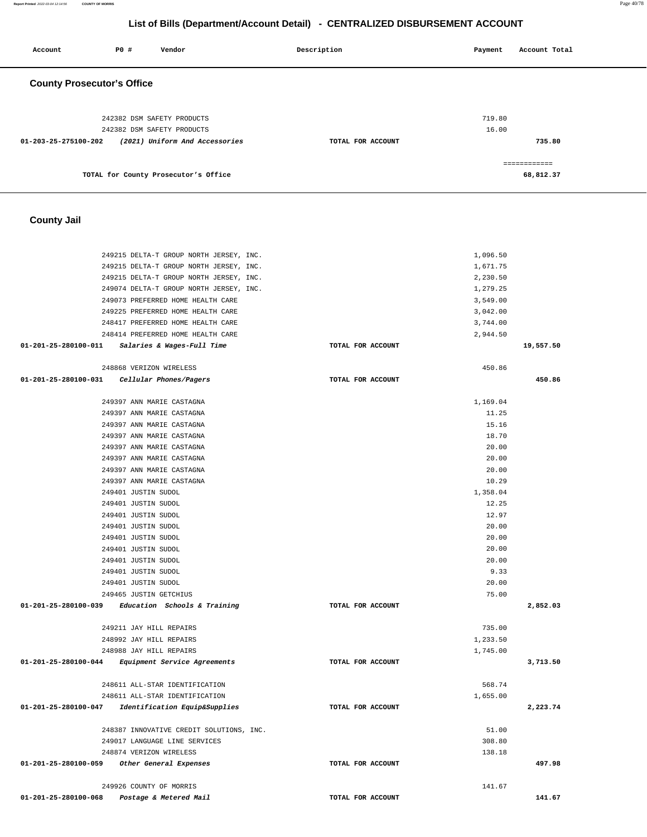**Report Printed** 2022-03-04 12:14:56 **COUNTY OF MORRIS** Page 40/78

# **List of Bills (Department/Account Detail) - CENTRALIZED DISBURSEMENT ACCOUNT**

| Account                           | P0 # | Vendor                               | Description       | Payment | Account Total |
|-----------------------------------|------|--------------------------------------|-------------------|---------|---------------|
| <b>County Prosecutor's Office</b> |      |                                      |                   |         |               |
|                                   |      | 242382 DSM SAFETY PRODUCTS           |                   | 719.80  |               |
|                                   |      | 242382 DSM SAFETY PRODUCTS           |                   | 16.00   |               |
| 01-203-25-275100-202              |      | (2021) Uniform And Accessories       | TOTAL FOR ACCOUNT |         | 735.80        |
|                                   |      |                                      |                   |         | ============  |
|                                   |      | TOTAL for County Prosecutor's Office |                   |         | 68,812.37     |

#### **County Jail**

| 249215 DELTA-T GROUP NORTH JERSEY, INC.            | 1,096.50          |           |
|----------------------------------------------------|-------------------|-----------|
| 249215 DELTA-T GROUP NORTH JERSEY, INC.            | 1,671.75          |           |
| 249215 DELTA-T GROUP NORTH JERSEY, INC.            | 2,230.50          |           |
| 249074 DELTA-T GROUP NORTH JERSEY, INC.            | 1,279.25          |           |
| 249073 PREFERRED HOME HEALTH CARE                  | 3,549.00          |           |
| 249225 PREFERRED HOME HEALTH CARE                  | 3,042.00          |           |
| 248417 PREFERRED HOME HEALTH CARE                  | 3,744.00          |           |
| 248414 PREFERRED HOME HEALTH CARE                  | 2,944.50          |           |
| 01-201-25-280100-011 Salaries & Wages-Full Time    | TOTAL FOR ACCOUNT | 19,557.50 |
|                                                    |                   |           |
|                                                    |                   |           |
| 248868 VERIZON WIRELESS                            | 450.86            |           |
| 01-201-25-280100-031 Cellular Phones/Pagers        | TOTAL FOR ACCOUNT | 450.86    |
| 249397 ANN MARIE CASTAGNA                          | 1,169.04          |           |
|                                                    |                   |           |
| 249397 ANN MARIE CASTAGNA                          | 11.25             |           |
| 249397 ANN MARIE CASTAGNA                          | 15.16             |           |
| 249397 ANN MARIE CASTAGNA                          | 18.70             |           |
| 249397 ANN MARIE CASTAGNA                          | 20.00             |           |
| 249397 ANN MARIE CASTAGNA                          | 20.00             |           |
| 249397 ANN MARIE CASTAGNA                          | 20.00             |           |
| 249397 ANN MARIE CASTAGNA                          | 10.29             |           |
| 249401 JUSTIN SUDOL                                | 1,358.04          |           |
| 249401 JUSTIN SUDOL                                | 12.25             |           |
| 249401 JUSTIN SUDOL                                | 12.97             |           |
| 249401 JUSTIN SUDOL                                | 20.00             |           |
| 249401 JUSTIN SUDOL                                | 20.00             |           |
| 249401 JUSTIN SUDOL                                | 20.00             |           |
| 249401 JUSTIN SUDOL                                | 20.00             |           |
| 249401 JUSTIN SUDOL                                | 9.33              |           |
| 249401 JUSTIN SUDOL                                | 20.00             |           |
| 249465 JUSTIN GETCHIUS                             | 75.00             |           |
| 01-201-25-280100-039 Education Schools & Training  | TOTAL FOR ACCOUNT | 2,852.03  |
|                                                    |                   |           |
| 249211 JAY HILL REPAIRS                            | 735.00            |           |
| 248992 JAY HILL REPAIRS                            | 1,233.50          |           |
| 248988 JAY HILL REPAIRS                            | 1,745.00          |           |
| 01-201-25-280100-044 Equipment Service Agreements  | TOTAL FOR ACCOUNT | 3,713.50  |
|                                                    |                   |           |
| 248611 ALL-STAR IDENTIFICATION                     | 568.74            |           |
| 248611 ALL-STAR IDENTIFICATION                     | 1,655.00          |           |
| 01-201-25-280100-047 Identification Equip&Supplies | TOTAL FOR ACCOUNT | 2,223.74  |
|                                                    |                   |           |
| 248387 INNOVATIVE CREDIT SOLUTIONS, INC.           | 51.00             |           |
| 249017 LANGUAGE LINE SERVICES                      | 308.80            |           |
| 248874 VERIZON WIRELESS                            | 138.18            |           |
| 01-201-25-280100-059<br>Other General Expenses     | TOTAL FOR ACCOUNT | 497.98    |
|                                                    |                   |           |
| 249926 COUNTY OF MORRIS                            | 141.67            |           |
| 01-201-25-280100-068<br>Postage & Metered Mail     | TOTAL FOR ACCOUNT | 141.67    |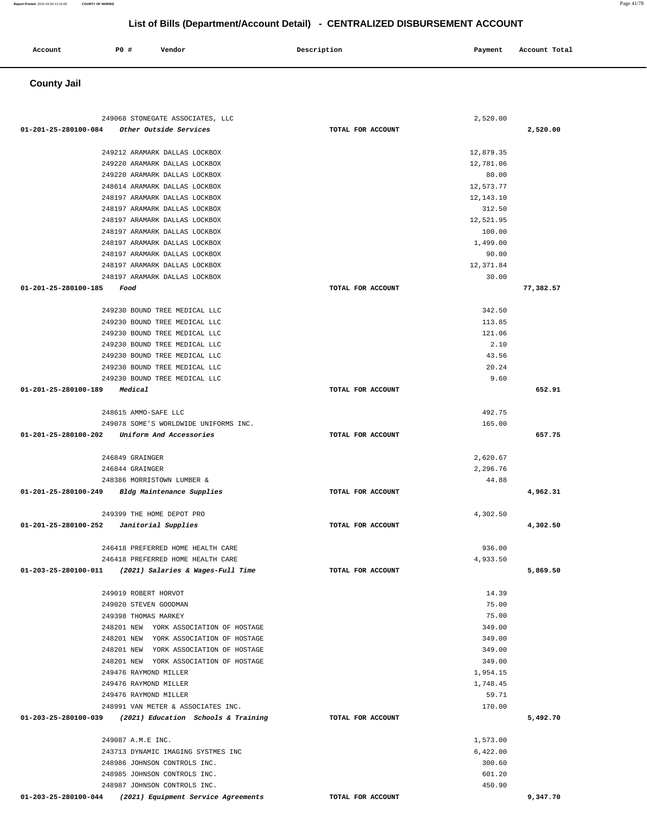| Account | PO# | Vendor | Description | Payment | Account Total |
|---------|-----|--------|-------------|---------|---------------|
|         |     |        |             |         |               |
|         |     |        |             |         |               |

#### **County Jail**

| 249068 STONEGATE ASSOCIATES, LLC                         |                   | 2,520.00  |           |
|----------------------------------------------------------|-------------------|-----------|-----------|
| 01-201-25-280100-084<br>Other Outside Services           | TOTAL FOR ACCOUNT |           | 2,520.00  |
|                                                          |                   |           |           |
| 249212 ARAMARK DALLAS LOCKBOX                            |                   | 12,879.35 |           |
| 249220 ARAMARK DALLAS LOCKBOX                            |                   | 12,781.06 |           |
| 249220 ARAMARK DALLAS LOCKBOX                            |                   | 80.00     |           |
| 248614 ARAMARK DALLAS LOCKBOX                            |                   | 12,573.77 |           |
| 248197 ARAMARK DALLAS LOCKBOX                            |                   | 12,143.10 |           |
| 248197 ARAMARK DALLAS LOCKBOX                            |                   | 312.50    |           |
| 248197 ARAMARK DALLAS LOCKBOX                            |                   | 12,521.95 |           |
| 248197 ARAMARK DALLAS LOCKBOX                            |                   | 100.00    |           |
| 248197 ARAMARK DALLAS LOCKBOX                            |                   | 1,499.00  |           |
| 248197 ARAMARK DALLAS LOCKBOX                            |                   | 90.00     |           |
| 248197 ARAMARK DALLAS LOCKBOX                            |                   | 12,371.84 |           |
| 248197 ARAMARK DALLAS LOCKBOX                            |                   | 30.00     |           |
| 01-201-25-280100-185<br>Food                             | TOTAL FOR ACCOUNT |           | 77,382.57 |
|                                                          |                   |           |           |
| 249230 BOUND TREE MEDICAL LLC                            |                   | 342.50    |           |
| 249230 BOUND TREE MEDICAL LLC                            |                   | 113.85    |           |
| 249230 BOUND TREE MEDICAL LLC                            |                   | 121.06    |           |
| 249230 BOUND TREE MEDICAL LLC                            |                   | 2.10      |           |
| 249230 BOUND TREE MEDICAL LLC                            |                   | 43.56     |           |
| 249230 BOUND TREE MEDICAL LLC                            |                   | 20.24     |           |
| 249230 BOUND TREE MEDICAL LLC                            |                   | 9.60      |           |
| 01-201-25-280100-189<br>Medical                          | TOTAL FOR ACCOUNT |           | 652.91    |
|                                                          |                   |           |           |
| 248615 AMMO-SAFE LLC                                     |                   | 492.75    |           |
| 249078 SOME'S WORLDWIDE UNIFORMS INC.                    |                   | 165.00    |           |
| 01-201-25-280100-202 Uniform And Accessories             | TOTAL FOR ACCOUNT |           | 657.75    |
|                                                          |                   |           |           |
| 246849 GRAINGER                                          |                   | 2,620.67  |           |
| 246844 GRAINGER                                          |                   | 2,296.76  |           |
| 248386 MORRISTOWN LUMBER &                               |                   | 44.88     |           |
| 01-201-25-280100-249 Bldg Maintenance Supplies           | TOTAL FOR ACCOUNT |           | 4,962.31  |
| 249399 THE HOME DEPOT PRO                                |                   |           |           |
|                                                          | TOTAL FOR ACCOUNT | 4,302.50  |           |
| $01-201-25-280100-252$ Janitorial Supplies               |                   |           | 4,302.50  |
| 246418 PREFERRED HOME HEALTH CARE                        |                   | 936.00    |           |
| 246418 PREFERRED HOME HEALTH CARE                        |                   | 4,933.50  |           |
| 01-203-25-280100-011 (2021) Salaries & Wages-Full Time   | TOTAL FOR ACCOUNT |           | 5,869.50  |
|                                                          |                   |           |           |
| 249019 ROBERT HORVOT                                     |                   | 14.39     |           |
| 249020 STEVEN GOODMAN                                    |                   | 75.00     |           |
| 249398 THOMAS MARKEY                                     |                   | 75.00     |           |
| 248201 NEW YORK ASSOCIATION OF HOSTAGE                   |                   | 349.00    |           |
| 248201 NEW YORK ASSOCIATION OF HOSTAGE                   |                   | 349.00    |           |
| 248201 NEW YORK ASSOCIATION OF HOSTAGE                   |                   | 349.00    |           |
| 248201 NEW YORK ASSOCIATION OF HOSTAGE                   |                   | 349.00    |           |
| 249476 RAYMOND MILLER                                    |                   | 1,954.15  |           |
| 249476 RAYMOND MILLER                                    |                   | 1,748.45  |           |
| 249476 RAYMOND MILLER                                    |                   | 59.71     |           |
| 248991 VAN METER & ASSOCIATES INC.                       |                   | 170.00    |           |
| 01-203-25-280100-039 (2021) Education Schools & Training | TOTAL FOR ACCOUNT |           | 5,492.70  |
|                                                          |                   |           |           |
| 249087 A.M.E INC.                                        |                   | 1,573.00  |           |
| 243713 DYNAMIC IMAGING SYSTMES INC                       |                   | 6,422.00  |           |
| 248986 JOHNSON CONTROLS INC.                             |                   | 300.60    |           |
| 248985 JOHNSON CONTROLS INC.                             |                   | 601.20    |           |
|                                                          |                   |           |           |
| 248987 JOHNSON CONTROLS INC.                             |                   | 450.90    |           |

**01-203-25-280100-044 (2021) Equipment Service Agreements TOTAL FOR ACCOUNT** 

**Report Printed** 2022-03-04 12:14:56 **COUNTY OF MORRIS** Page 41/78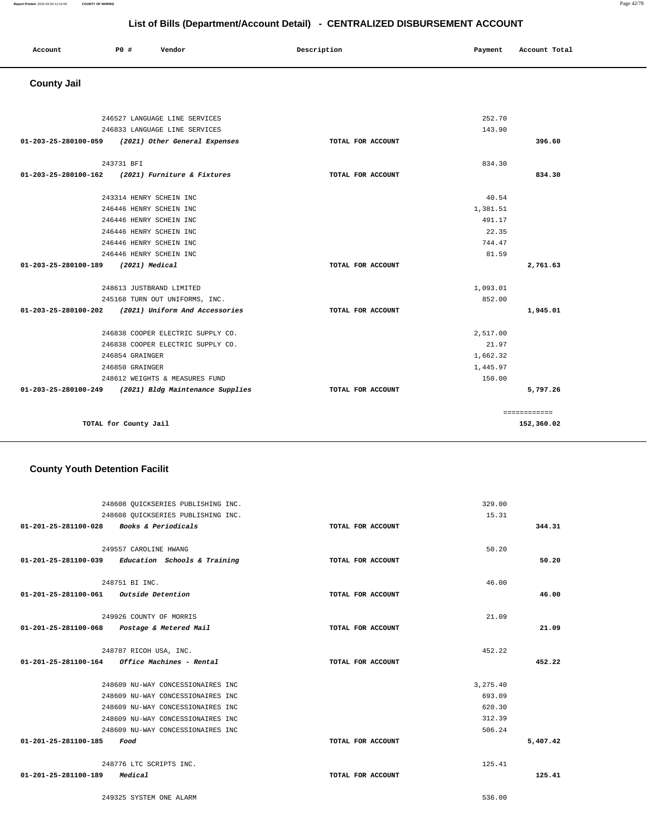|                                        | 248608 OUICKSERIES PUBLISHING INC.                      |                   | 15.31    |          |
|----------------------------------------|---------------------------------------------------------|-------------------|----------|----------|
| 01-201-25-281100-028                   | <b>Books &amp; Periodicals</b>                          | TOTAL FOR ACCOUNT |          | 344.31   |
|                                        |                                                         |                   |          |          |
|                                        | 249557 CAROLINE HWANG                                   |                   | 50.20    |          |
|                                        | $01-201-25-281100-039$ Education Schools & Training     | TOTAL FOR ACCOUNT |          | 50.20    |
|                                        |                                                         |                   |          |          |
|                                        | 248751 BI INC.                                          |                   | 46.00    |          |
| 01-201-25-281100-061 Outside Detention |                                                         | TOTAL FOR ACCOUNT |          | 46.00    |
|                                        | 249926 COUNTY OF MORRIS                                 |                   | 21.09    |          |
|                                        |                                                         |                   |          |          |
|                                        | 01-201-25-281100-068 Postage & Metered Mail             | TOTAL FOR ACCOUNT |          | 21.09    |
|                                        | 248787 RICOH USA, INC.                                  |                   | 452.22   |          |
|                                        | $01 - 201 - 25 - 281100 - 164$ Office Machines - Rental | TOTAL FOR ACCOUNT |          | 452.22   |
|                                        |                                                         |                   |          |          |
|                                        | 248609 NU-WAY CONCESSIONAIRES INC                       |                   | 3,275.40 |          |
|                                        | 248609 NU-WAY CONCESSIONAIRES INC                       |                   | 693.09   |          |
|                                        | 248609 NU-WAY CONCESSIONAIRES INC                       |                   | 620.30   |          |
|                                        | 248609 NU-WAY CONCESSIONAIRES INC                       |                   | 312.39   |          |
|                                        | 248609 NU-WAY CONCESSIONAIRES INC                       |                   | 506.24   |          |
| 01-201-25-281100-185                   | Food                                                    | TOTAL FOR ACCOUNT |          | 5,407.42 |
|                                        | 248776 LTC SCRIPTS INC.                                 |                   | 125.41   |          |
|                                        |                                                         |                   |          |          |
| 01-201-25-281100-189                   | Medical                                                 | TOTAL FOR ACCOUNT |          | 125.41   |
|                                        |                                                         |                   |          |          |

#### **County Youth Detention Facilit**

248608 QUICKSERIES PUBLISHING INC.

|                      | 246527 LANGUAGE LINE SERVICES                       |                   | 252.70   |              |
|----------------------|-----------------------------------------------------|-------------------|----------|--------------|
|                      | 246833 LANGUAGE LINE SERVICES                       |                   | 143.90   |              |
|                      | 01-203-25-280100-059 (2021) Other General Expenses  | TOTAL FOR ACCOUNT |          | 396.60       |
|                      | 243731 BFI                                          |                   | 834.30   |              |
|                      | 01-203-25-280100-162 (2021) Furniture & Fixtures    | TOTAL FOR ACCOUNT |          | 834.30       |
|                      | 243314 HENRY SCHEIN INC                             |                   | 40.54    |              |
|                      | 246446 HENRY SCHEIN INC                             |                   | 1,381.51 |              |
|                      | 246446 HENRY SCHEIN INC                             |                   | 491.17   |              |
|                      | 246446 HENRY SCHEIN INC                             |                   | 22.35    |              |
|                      | 246446 HENRY SCHEIN INC                             |                   | 744.47   |              |
|                      | 246446 HENRY SCHEIN INC                             |                   | 81.59    |              |
| 01-203-25-280100-189 | $(2021)$ Medical                                    | TOTAL FOR ACCOUNT |          | 2,761.63     |
|                      | 248613 JUSTBRAND LIMITED                            |                   | 1,093.01 |              |
|                      | 245168 TURN OUT UNIFORMS, INC.                      |                   | 852.00   |              |
|                      | 01-203-25-280100-202 (2021) Uniform And Accessories | TOTAL FOR ACCOUNT |          | 1,945.01     |
|                      | 246838 COOPER ELECTRIC SUPPLY CO.                   |                   | 2,517.00 |              |
|                      | 246838 COOPER ELECTRIC SUPPLY CO.                   |                   | 21.97    |              |
|                      | 246854 GRAINGER                                     |                   | 1,662.32 |              |
|                      | 246850 GRAINGER                                     |                   | 1,445.97 |              |
|                      | 248612 WEIGHTS & MEASURES FUND                      |                   | 150.00   |              |
| 01-203-25-280100-249 | (2021) Bldg Maintenance Supplies                    | TOTAL FOR ACCOUNT |          | 5,797.26     |
|                      |                                                     |                   |          | ============ |
|                      | TOTAL for County Jail                               |                   |          | 152,360.02   |

#### **County Jail**

# **Account** 20 **P P**  $\uparrow$  **Payment** Payment Account Total

329.00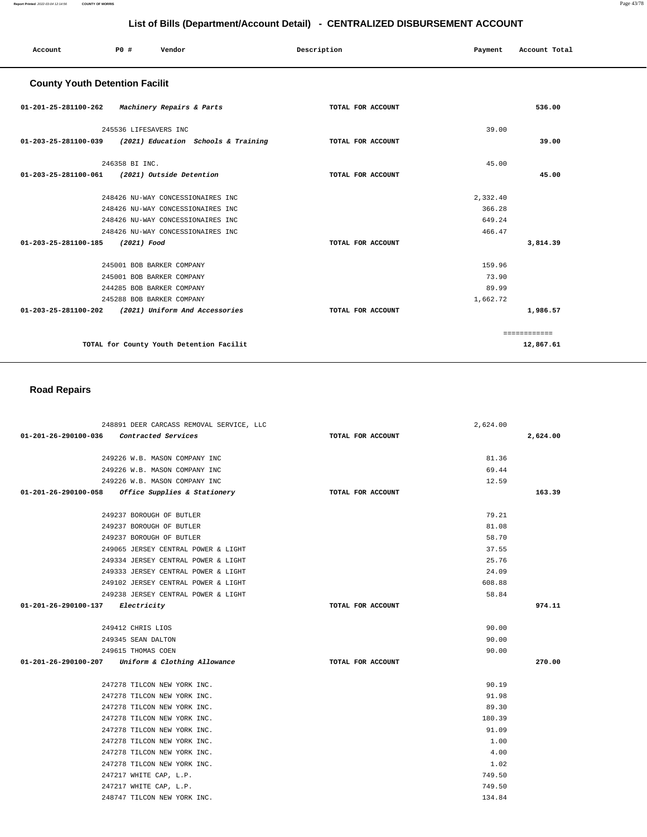| Account                                             | P0 #                      | Vendor                                                     | Description       | Payment  | Account Total |
|-----------------------------------------------------|---------------------------|------------------------------------------------------------|-------------------|----------|---------------|
| <b>County Youth Detention Facilit</b>               |                           |                                                            |                   |          |               |
| 01-201-25-281100-262 Machinery Repairs & Parts      |                           |                                                            | TOTAL FOR ACCOUNT |          | 536.00        |
|                                                     | 245536 LIFESAVERS INC     |                                                            |                   | 39.00    |               |
|                                                     |                           | $01-203-25-281100-039$ (2021) Education Schools & Training | TOTAL FOR ACCOUNT |          | 39.00         |
|                                                     | 246358 BI INC.            |                                                            |                   | 45.00    |               |
| 01-203-25-281100-061 (2021) Outside Detention       |                           |                                                            | TOTAL FOR ACCOUNT |          | 45.00         |
|                                                     |                           | 248426 NU-WAY CONCESSIONAIRES INC                          |                   | 2,332.40 |               |
|                                                     |                           | 248426 NU-WAY CONCESSIONAIRES INC                          |                   | 366.28   |               |
|                                                     |                           | 248426 NU-WAY CONCESSIONAIRES INC                          |                   | 649.24   |               |
|                                                     |                           | 248426 NU-WAY CONCESSIONAIRES INC                          |                   | 466.47   |               |
| 01-203-25-281100-185                                | (2021) Food               |                                                            | TOTAL FOR ACCOUNT |          | 3,814.39      |
|                                                     | 245001 BOB BARKER COMPANY |                                                            |                   | 159.96   |               |
|                                                     | 245001 BOB BARKER COMPANY |                                                            |                   | 73.90    |               |
|                                                     | 244285 BOB BARKER COMPANY |                                                            |                   | 89.99    |               |
|                                                     | 245288 BOB BARKER COMPANY |                                                            |                   | 1,662.72 |               |
| 01-203-25-281100-202 (2021) Uniform And Accessories |                           |                                                            | TOTAL FOR ACCOUNT |          | 1,986.57      |
|                                                     |                           |                                                            |                   |          | ============  |
|                                                     |                           | TOTAL for County Youth Detention Facilit                   |                   |          | 12,867.61     |

# **Road Repairs**

| 248891 DEER CARCASS REMOVAL SERVICE, LLC          |                   | 2,624.00 |          |
|---------------------------------------------------|-------------------|----------|----------|
| 01-201-26-290100-036 Contracted Services          | TOTAL FOR ACCOUNT |          | 2,624.00 |
| 249226 W.B. MASON COMPANY INC                     |                   | 81.36    |          |
| 249226 W.B. MASON COMPANY INC                     |                   | 69.44    |          |
| 249226 W.B. MASON COMPANY INC                     |                   | 12.59    |          |
| 01-201-26-290100-058 Office Supplies & Stationery | TOTAL FOR ACCOUNT |          | 163.39   |
|                                                   |                   |          |          |
| 249237 BOROUGH OF BUTLER                          |                   | 79.21    |          |
| 249237 BOROUGH OF BUTLER                          |                   | 81.08    |          |
| 249237 BOROUGH OF BUTLER                          |                   | 58.70    |          |
| 249065 JERSEY CENTRAL POWER & LIGHT               |                   | 37.55    |          |
| 249334 JERSEY CENTRAL POWER & LIGHT               |                   | 25.76    |          |
| 249333 JERSEY CENTRAL POWER & LIGHT               |                   | 24.09    |          |
| 249102 JERSEY CENTRAL POWER & LIGHT               |                   | 608.88   |          |
| 249238 JERSEY CENTRAL POWER & LIGHT               |                   | 58.84    |          |
| 01-201-26-290100-137 Electricity                  | TOTAL FOR ACCOUNT |          | 974.11   |
|                                                   |                   |          |          |
| 249412 CHRIS LIOS                                 |                   | 90.00    |          |
| 249345 SEAN DALTON                                |                   | 90.00    |          |
| 249615 THOMAS COEN                                |                   | 90.00    |          |
| 01-201-26-290100-207 Uniform & Clothing Allowance | TOTAL FOR ACCOUNT |          | 270.00   |
|                                                   |                   |          |          |
| 247278 TILCON NEW YORK INC.                       |                   | 90.19    |          |
| 247278 TILCON NEW YORK INC.                       |                   | 91.98    |          |
| 247278 TILCON NEW YORK INC.                       |                   | 89.30    |          |
| 247278 TILCON NEW YORK INC.                       |                   | 180.39   |          |
| 247278 TILCON NEW YORK INC.                       |                   | 91.09    |          |
| 247278 TILCON NEW YORK INC.                       |                   | 1.00     |          |
| 247278 TILCON NEW YORK INC.                       |                   | 4.00     |          |
| 247278 TILCON NEW YORK INC.                       |                   | 1.02     |          |
| 247217 WHITE CAP, L.P.                            |                   | 749.50   |          |
| 247217 WHITE CAP, L.P.                            |                   | 749.50   |          |
| 248747 TILCON NEW YORK INC.                       |                   | 134.84   |          |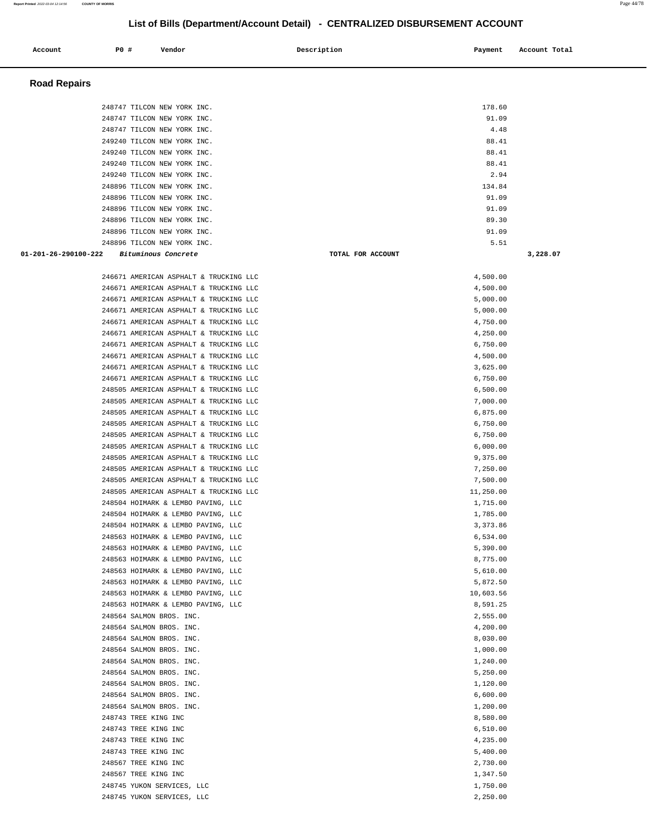| Account              | <b>PO #</b>          | Vendor                                                                           | Description | Payment                   | Account Total |
|----------------------|----------------------|----------------------------------------------------------------------------------|-------------|---------------------------|---------------|
| <b>Road Repairs</b>  |                      |                                                                                  |             |                           |               |
|                      |                      |                                                                                  |             |                           |               |
|                      |                      | 248747 TILCON NEW YORK INC.                                                      |             | 178.60                    |               |
|                      |                      | 248747 TILCON NEW YORK INC.<br>248747 TILCON NEW YORK INC.                       |             | 91.09<br>4.48             |               |
|                      |                      | 249240 TILCON NEW YORK INC.                                                      |             | 88.41                     |               |
|                      |                      | 249240 TILCON NEW YORK INC.                                                      |             | 88.41                     |               |
|                      |                      | 249240 TILCON NEW YORK INC.                                                      |             | 88.41                     |               |
|                      |                      | 249240 TILCON NEW YORK INC.                                                      |             | 2.94                      |               |
|                      |                      | 248896 TILCON NEW YORK INC.                                                      |             | 134.84                    |               |
|                      |                      | 248896 TILCON NEW YORK INC.                                                      |             | 91.09                     |               |
|                      |                      | 248896 TILCON NEW YORK INC.                                                      |             | 91.09                     |               |
|                      |                      | 248896 TILCON NEW YORK INC.                                                      |             | 89.30                     |               |
|                      |                      | 248896 TILCON NEW YORK INC.                                                      |             | 91.09                     |               |
| 01-201-26-290100-222 |                      | 248896 TILCON NEW YORK INC.                                                      |             | 5.51<br>TOTAL FOR ACCOUNT | 3,228.07      |
|                      |                      | Bituminous Concrete                                                              |             |                           |               |
|                      |                      | 246671 AMERICAN ASPHALT & TRUCKING LLC                                           |             | 4,500.00                  |               |
|                      |                      | 246671 AMERICAN ASPHALT & TRUCKING LLC                                           |             | 4,500.00                  |               |
|                      |                      | 246671 AMERICAN ASPHALT & TRUCKING LLC                                           |             | 5,000.00                  |               |
|                      |                      | 246671 AMERICAN ASPHALT & TRUCKING LLC<br>246671 AMERICAN ASPHALT & TRUCKING LLC |             | 5,000.00<br>4,750.00      |               |
|                      |                      | 246671 AMERICAN ASPHALT & TRUCKING LLC                                           |             | 4,250.00                  |               |
|                      |                      | 246671 AMERICAN ASPHALT & TRUCKING LLC                                           |             | 6,750.00                  |               |
|                      |                      | 246671 AMERICAN ASPHALT & TRUCKING LLC                                           |             | 4,500.00                  |               |
|                      |                      | 246671 AMERICAN ASPHALT & TRUCKING LLC                                           |             | 3,625.00                  |               |
|                      |                      | 246671 AMERICAN ASPHALT & TRUCKING LLC                                           |             | 6,750.00                  |               |
|                      |                      | 248505 AMERICAN ASPHALT & TRUCKING LLC                                           |             | 6,500.00                  |               |
|                      |                      | 248505 AMERICAN ASPHALT & TRUCKING LLC                                           |             | 7,000.00                  |               |
|                      |                      | 248505 AMERICAN ASPHALT & TRUCKING LLC                                           |             | 6,875.00                  |               |
|                      |                      | 248505 AMERICAN ASPHALT & TRUCKING LLC                                           |             | 6,750.00                  |               |
|                      |                      | 248505 AMERICAN ASPHALT & TRUCKING LLC                                           |             | 6,750.00                  |               |
|                      |                      | 248505 AMERICAN ASPHALT & TRUCKING LLC                                           |             | 6,000.00                  |               |
|                      |                      | 248505 AMERICAN ASPHALT & TRUCKING LLC                                           |             | 9,375.00                  |               |
|                      |                      | 248505 AMERICAN ASPHALT & TRUCKING LLC                                           |             | 7,250.00                  |               |
|                      |                      | 248505 AMERICAN ASPHALT & TRUCKING LLC<br>248505 AMERICAN ASPHALT & TRUCKING LLC |             | 7,500.00<br>11,250.00     |               |
|                      |                      | 248504 HOIMARK & LEMBO PAVING, LLC                                               |             | 1,715.00                  |               |
|                      |                      | 248504 HOIMARK & LEMBO PAVING, LLC                                               |             | 1,785.00                  |               |
|                      |                      | 248504 HOIMARK & LEMBO PAVING, LLC                                               |             | 3,373.86                  |               |
|                      |                      | 248563 HOIMARK & LEMBO PAVING, LLC                                               |             | 6,534.00                  |               |
|                      |                      | 248563 HOIMARK & LEMBO PAVING, LLC                                               |             | 5,390.00                  |               |
|                      |                      | 248563 HOIMARK & LEMBO PAVING, LLC                                               |             | 8,775.00                  |               |
|                      |                      | 248563 HOIMARK & LEMBO PAVING, LLC                                               |             | 5,610.00                  |               |
|                      |                      | 248563 HOIMARK & LEMBO PAVING, LLC                                               |             | 5,872.50                  |               |
|                      |                      | 248563 HOIMARK & LEMBO PAVING, LLC                                               |             | 10,603.56                 |               |
|                      |                      | 248563 HOIMARK & LEMBO PAVING, LLC                                               |             | 8,591.25                  |               |
|                      |                      | 248564 SALMON BROS. INC.                                                         |             | 2,555.00                  |               |
|                      |                      | 248564 SALMON BROS. INC.                                                         |             | 4,200.00<br>8,030.00      |               |
|                      |                      | 248564 SALMON BROS. INC.<br>248564 SALMON BROS. INC.                             |             | 1,000.00                  |               |
|                      |                      | 248564 SALMON BROS. INC.                                                         |             | 1,240.00                  |               |
|                      |                      | 248564 SALMON BROS. INC.                                                         |             | 5,250.00                  |               |
|                      |                      | 248564 SALMON BROS. INC.                                                         |             | 1,120.00                  |               |
|                      |                      | 248564 SALMON BROS. INC.                                                         |             | 6,600.00                  |               |
|                      |                      | 248564 SALMON BROS. INC.                                                         |             | 1,200.00                  |               |
|                      | 248743 TREE KING INC |                                                                                  |             | 8,580.00                  |               |
|                      | 248743 TREE KING INC |                                                                                  |             | 6,510.00                  |               |
|                      | 248743 TREE KING INC |                                                                                  |             | 4,235.00                  |               |
|                      | 248743 TREE KING INC |                                                                                  |             | 5,400.00                  |               |
|                      | 248567 TREE KING INC |                                                                                  |             | 2,730.00                  |               |
|                      | 248567 TREE KING INC |                                                                                  |             | 1,347.50                  |               |
|                      |                      | 248745 YUKON SERVICES, LLC<br>248745 YUKON SERVICES, LLC                         |             | 1,750.00<br>2,250.00      |               |
|                      |                      |                                                                                  |             |                           |               |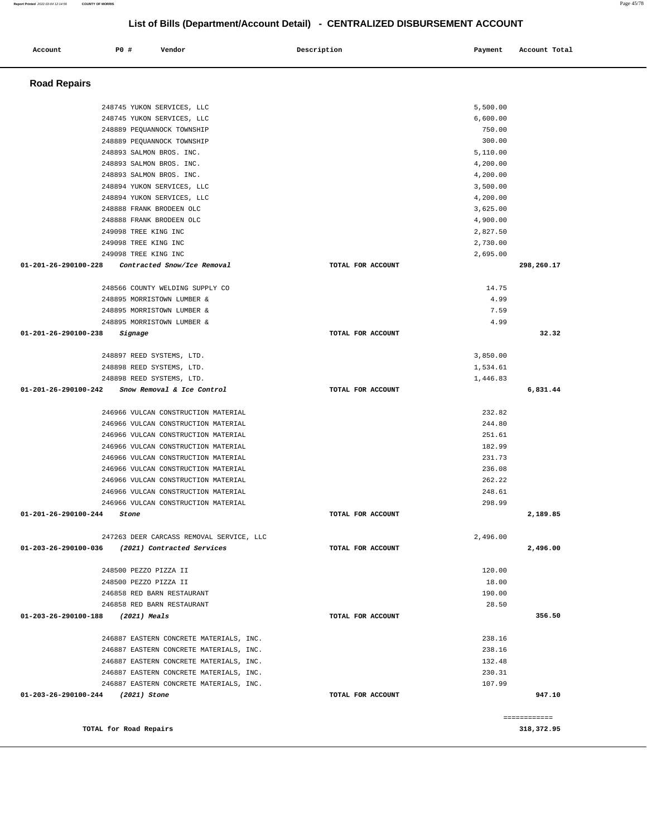| Account                           | <b>PO #</b> | Vendor                                                                     | Description       | Payment          | Account Total |
|-----------------------------------|-------------|----------------------------------------------------------------------------|-------------------|------------------|---------------|
|                                   |             |                                                                            |                   |                  |               |
| <b>Road Repairs</b>               |             |                                                                            |                   |                  |               |
|                                   |             |                                                                            |                   |                  |               |
|                                   |             | 248745 YUKON SERVICES, LLC                                                 |                   | 5,500.00         |               |
|                                   |             | 248745 YUKON SERVICES, LLC                                                 |                   | 6,600.00         |               |
|                                   |             | 248889 PEQUANNOCK TOWNSHIP                                                 |                   | 750.00           |               |
|                                   |             | 248889 PEQUANNOCK TOWNSHIP                                                 |                   | 300.00           |               |
|                                   |             | 248893 SALMON BROS. INC.                                                   |                   | 5,110.00         |               |
|                                   |             | 248893 SALMON BROS. INC.                                                   |                   | 4,200.00         |               |
|                                   |             | 248893 SALMON BROS. INC.                                                   |                   | 4,200.00         |               |
|                                   |             | 248894 YUKON SERVICES, LLC                                                 |                   | 3,500.00         |               |
|                                   |             | 248894 YUKON SERVICES, LLC                                                 |                   | 4,200.00         |               |
|                                   |             | 248888 FRANK BRODEEN OLC                                                   |                   | 3,625.00         |               |
|                                   |             | 248888 FRANK BRODEEN OLC                                                   |                   | 4,900.00         |               |
|                                   |             | 249098 TREE KING INC                                                       |                   | 2,827.50         |               |
|                                   |             | 249098 TREE KING INC                                                       |                   | 2,730.00         |               |
|                                   |             | 249098 TREE KING INC                                                       |                   | 2,695.00         |               |
| 01-201-26-290100-228              |             | Contracted Snow/Ice Removal                                                | TOTAL FOR ACCOUNT |                  | 298,260.17    |
|                                   |             | 248566 COUNTY WELDING SUPPLY CO                                            |                   | 14.75            |               |
|                                   |             | 248895 MORRISTOWN LUMBER &                                                 |                   | 4.99             |               |
|                                   |             | 248895 MORRISTOWN LUMBER &                                                 |                   | 7.59             |               |
|                                   |             | 248895 MORRISTOWN LUMBER &                                                 |                   | 4.99             |               |
| 01-201-26-290100-238              |             | Signage                                                                    | TOTAL FOR ACCOUNT |                  | 32.32         |
|                                   |             |                                                                            |                   |                  |               |
|                                   |             | 248897 REED SYSTEMS, LTD.                                                  |                   | 3,850.00         |               |
|                                   |             | 248898 REED SYSTEMS, LTD.                                                  |                   | 1,534.61         |               |
|                                   |             | 248898 REED SYSTEMS, LTD.                                                  |                   | 1,446.83         |               |
| 01-201-26-290100-242              |             | Snow Removal & Ice Control                                                 | TOTAL FOR ACCOUNT |                  | 6,831.44      |
|                                   |             |                                                                            |                   |                  |               |
|                                   |             | 246966 VULCAN CONSTRUCTION MATERIAL                                        |                   | 232.82           |               |
|                                   |             | 246966 VULCAN CONSTRUCTION MATERIAL                                        |                   | 244.80           |               |
|                                   |             | 246966 VULCAN CONSTRUCTION MATERIAL<br>246966 VULCAN CONSTRUCTION MATERIAL |                   | 251.61<br>182.99 |               |
|                                   |             | 246966 VULCAN CONSTRUCTION MATERIAL                                        |                   | 231.73           |               |
|                                   |             | 246966 VULCAN CONSTRUCTION MATERIAL                                        |                   | 236.08           |               |
|                                   |             | 246966 VULCAN CONSTRUCTION MATERIAL                                        |                   | 262.22           |               |
|                                   |             | 246966 VULCAN CONSTRUCTION MATERIAL                                        |                   | 248.61           |               |
|                                   |             | 246966 VULCAN CONSTRUCTION MATERIAL                                        |                   | 298.99           |               |
| 01-201-26-290100-244              |             | Stone                                                                      | TOTAL FOR ACCOUNT |                  | 2,189.85      |
|                                   |             |                                                                            |                   |                  |               |
|                                   |             | 247263 DEER CARCASS REMOVAL SERVICE, LLC                                   |                   | 2,496.00         |               |
| 01-203-26-290100-036              |             | (2021) Contracted Services                                                 | TOTAL FOR ACCOUNT |                  | 2,496.00      |
|                                   |             |                                                                            |                   |                  |               |
|                                   |             | 248500 PEZZO PIZZA II                                                      |                   | 120.00           |               |
|                                   |             | 248500 PEZZO PIZZA II                                                      |                   | 18.00            |               |
|                                   |             | 246858 RED BARN RESTAURANT                                                 |                   | 190.00           |               |
| 01-203-26-290100-188              |             | 246858 RED BARN RESTAURANT<br>(2021) Meals                                 | TOTAL FOR ACCOUNT | 28.50            | 356.50        |
|                                   |             |                                                                            |                   |                  |               |
|                                   |             | 246887 EASTERN CONCRETE MATERIALS, INC.                                    |                   | 238.16           |               |
|                                   |             | 246887 EASTERN CONCRETE MATERIALS, INC.                                    |                   | 238.16           |               |
|                                   |             | 246887 EASTERN CONCRETE MATERIALS, INC.                                    |                   | 132.48           |               |
|                                   |             | 246887 EASTERN CONCRETE MATERIALS, INC.                                    |                   | 230.31           |               |
|                                   |             | 246887 EASTERN CONCRETE MATERIALS, INC.                                    |                   | 107.99           |               |
| 01-203-26-290100-244 (2021) Stone |             |                                                                            | TOTAL FOR ACCOUNT |                  | 947.10        |
|                                   |             |                                                                            |                   |                  |               |
|                                   |             |                                                                            |                   |                  | ============  |
|                                   |             | TOTAL for Road Repairs                                                     |                   |                  | 318, 372.95   |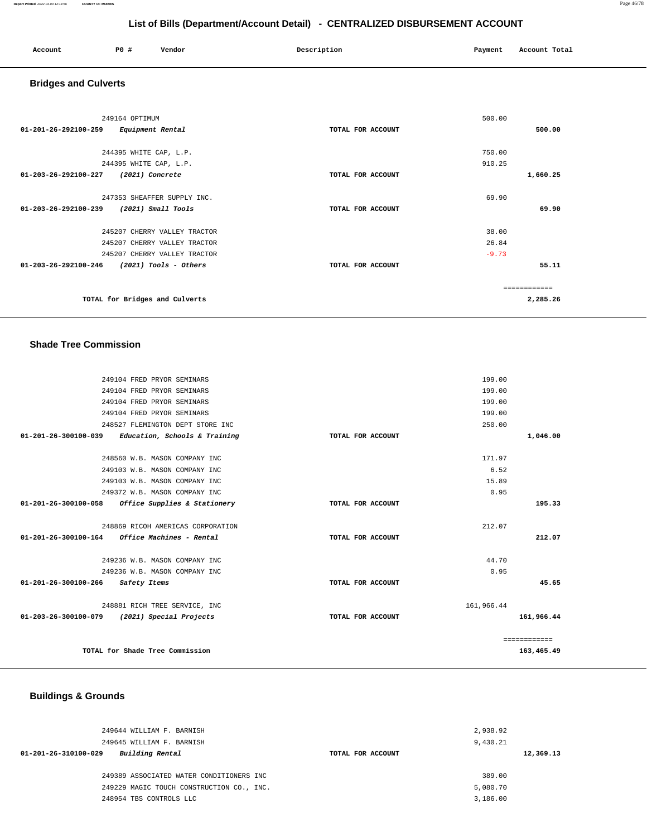| Account<br>. | <b>PO #</b> | Vendor | _ _ _ _<br>Description | Payment | Account Total |
|--------------|-------------|--------|------------------------|---------|---------------|
|              |             |        |                        |         |               |

# **Bridges and Culverts**

| 249164 OPTIMUM                                            |                   | 500.00   |
|-----------------------------------------------------------|-------------------|----------|
| $01 - 201 - 26 - 292100 - 259$<br>Equipment Rental        | TOTAL FOR ACCOUNT | 500.00   |
| 244395 WHITE CAP, L.P.                                    |                   | 750.00   |
| 244395 WHITE CAP, L.P.                                    |                   | 910.25   |
| 01-203-26-292100-227<br>(2021) Concrete                   | TOTAL FOR ACCOUNT | 1,660.25 |
|                                                           |                   |          |
| 247353 SHEAFFER SUPPLY INC.                               |                   | 69.90    |
| 01-203-26-292100-239<br>$(2021)$ Small Tools              | TOTAL FOR ACCOUNT | 69.90    |
| 245207 CHERRY VALLEY TRACTOR                              |                   | 38.00    |
| 245207 CHERRY VALLEY TRACTOR                              |                   | 26.84    |
| 245207 CHERRY VALLEY TRACTOR                              |                   | $-9.73$  |
| $01 - 203 - 26 - 292100 - 246$<br>$(2021)$ Tools - Others | TOTAL FOR ACCOUNT | 55.11    |
|                                                           |                   |          |
|                                                           |                   |          |
| TOTAL for Bridges and Culverts                            |                   | 2,285.26 |

#### **Shade Tree Commission**

|                                                         | 249104 FRED PRYOR SEMINARS        | 199.00            |              |
|---------------------------------------------------------|-----------------------------------|-------------------|--------------|
|                                                         | 249104 FRED PRYOR SEMINARS        | 199.00            |              |
|                                                         | 249104 FRED PRYOR SEMINARS        | 199.00            |              |
|                                                         | 249104 FRED PRYOR SEMINARS        | 199.00            |              |
|                                                         | 248527 FLEMINGTON DEPT STORE INC  | 250.00            |              |
| $01-201-26-300100-039$ Education, Schools & Training    |                                   | TOTAL FOR ACCOUNT | 1,046.00     |
|                                                         | 248560 W.B. MASON COMPANY INC     | 171.97            |              |
|                                                         | 249103 W.B. MASON COMPANY INC     | 6.52              |              |
|                                                         | 249103 W.B. MASON COMPANY INC     | 15.89             |              |
|                                                         | 249372 W.B. MASON COMPANY INC     | 0.95              |              |
|                                                         |                                   |                   |              |
| 01-201-26-300100-058 Office Supplies & Stationery       |                                   | TOTAL FOR ACCOUNT | 195.33       |
|                                                         | 248869 RICOH AMERICAS CORPORATION | 212.07            |              |
| $01 - 201 - 26 - 300100 - 164$ Office Machines - Rental |                                   | TOTAL FOR ACCOUNT | 212.07       |
|                                                         |                                   |                   |              |
|                                                         | 249236 W.B. MASON COMPANY INC     | 44.70             |              |
|                                                         | 249236 W.B. MASON COMPANY INC     | 0.95              |              |
| 01-201-26-300100-266 Safety Items                       |                                   | TOTAL FOR ACCOUNT | 45.65        |
|                                                         | 248881 RICH TREE SERVICE, INC     | 161,966.44        |              |
| 01-203-26-300100-079                                    | (2021) Special Projects           | TOTAL FOR ACCOUNT | 161,966.44   |
|                                                         |                                   |                   |              |
|                                                         |                                   |                   | ============ |
|                                                         | TOTAL for Shade Tree Commission   |                   | 163,465.49   |

# **Buildings & Grounds**

| 249644 WILLIAM F. BARNISH                 |                   | 2,938.92  |
|-------------------------------------------|-------------------|-----------|
| 249645 WILLIAM F. BARNISH                 |                   | 9,430.21  |
| Building Rental<br>01-201-26-310100-029   | TOTAL FOR ACCOUNT | 12,369.13 |
|                                           |                   |           |
| 249389 ASSOCIATED WATER CONDITIONERS INC  |                   | 389.00    |
| 249229 MAGIC TOUCH CONSTRUCTION CO., INC. |                   | 5,080.70  |
| 248954 TBS CONTROLS LLC                   |                   | 3,186.00  |
|                                           |                   |           |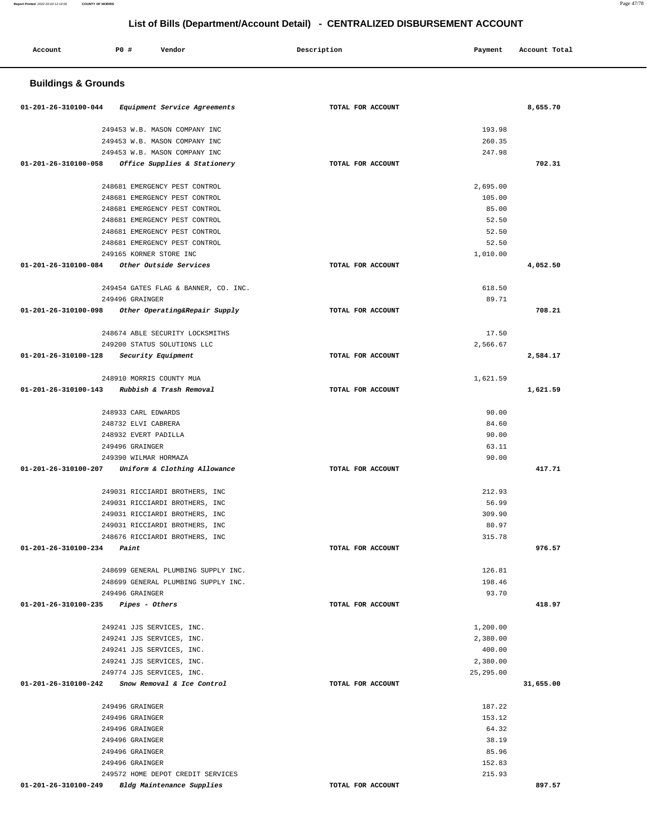۳

| Account                        | <b>PO #</b><br>Vendor                | Description       | Payment    | Account Total |  |  |  |
|--------------------------------|--------------------------------------|-------------------|------------|---------------|--|--|--|
| <b>Buildings &amp; Grounds</b> |                                      |                   |            |               |  |  |  |
| 01-201-26-310100-044           | Equipment Service Agreements         | TOTAL FOR ACCOUNT |            | 8,655.70      |  |  |  |
|                                | 249453 W.B. MASON COMPANY INC        |                   | 193.98     |               |  |  |  |
|                                | 249453 W.B. MASON COMPANY INC        |                   | 260.35     |               |  |  |  |
|                                | 249453 W.B. MASON COMPANY INC        |                   | 247.98     |               |  |  |  |
| 01-201-26-310100-058           | Office Supplies & Stationery         | TOTAL FOR ACCOUNT |            | 702.31        |  |  |  |
|                                | 248681 EMERGENCY PEST CONTROL        |                   | 2,695.00   |               |  |  |  |
|                                | 248681 EMERGENCY PEST CONTROL        |                   | 105.00     |               |  |  |  |
|                                | 248681 EMERGENCY PEST CONTROL        |                   | 85.00      |               |  |  |  |
|                                | 248681 EMERGENCY PEST CONTROL        |                   | 52.50      |               |  |  |  |
|                                | 248681 EMERGENCY PEST CONTROL        |                   | 52.50      |               |  |  |  |
|                                | 248681 EMERGENCY PEST CONTROL        |                   | 52.50      |               |  |  |  |
|                                | 249165 KORNER STORE INC              |                   | 1,010.00   |               |  |  |  |
| 01-201-26-310100-084           | Other Outside Services               | TOTAL FOR ACCOUNT |            | 4,052.50      |  |  |  |
|                                | 249454 GATES FLAG & BANNER, CO. INC. |                   | 618.50     |               |  |  |  |
|                                | 249496 GRAINGER                      |                   | 89.71      |               |  |  |  |
| 01-201-26-310100-098           | Other Operating&Repair Supply        | TOTAL FOR ACCOUNT |            | 708.21        |  |  |  |
|                                | 248674 ABLE SECURITY LOCKSMITHS      |                   | 17.50      |               |  |  |  |
|                                | 249200 STATUS SOLUTIONS LLC          |                   | 2,566.67   |               |  |  |  |
| 01-201-26-310100-128           | Security Equipment                   | TOTAL FOR ACCOUNT |            | 2,584.17      |  |  |  |
|                                |                                      |                   |            |               |  |  |  |
|                                | 248910 MORRIS COUNTY MUA             |                   | 1,621.59   |               |  |  |  |
| 01-201-26-310100-143           | Rubbish & Trash Removal              | TOTAL FOR ACCOUNT |            | 1,621.59      |  |  |  |
|                                | 248933 CARL EDWARDS                  |                   | 90.00      |               |  |  |  |
|                                | 248732 ELVI CABRERA                  |                   | 84.60      |               |  |  |  |
|                                | 248932 EVERT PADILLA                 |                   | 90.00      |               |  |  |  |
|                                | 249496 GRAINGER                      |                   | 63.11      |               |  |  |  |
|                                | 249390 WILMAR HORMAZA                |                   | 90.00      |               |  |  |  |
| 01-201-26-310100-207           | Uniform & Clothing Allowance         | TOTAL FOR ACCOUNT |            | 417.71        |  |  |  |
|                                | 249031 RICCIARDI BROTHERS, INC       |                   | 212.93     |               |  |  |  |
|                                | 249031 RICCIARDI BROTHERS, INC       |                   | 56.99      |               |  |  |  |
|                                | 249031 RICCIARDI BROTHERS, INC       |                   | 309.90     |               |  |  |  |
|                                | 249031 RICCIARDI BROTHERS, INC       |                   | 80.97      |               |  |  |  |
|                                | 248676 RICCIARDI BROTHERS, INC       |                   | 315.78     |               |  |  |  |
| 01-201-26-310100-234           | Paint                                | TOTAL FOR ACCOUNT |            | 976.57        |  |  |  |
|                                | 248699 GENERAL PLUMBING SUPPLY INC.  |                   | 126.81     |               |  |  |  |
|                                | 248699 GENERAL PLUMBING SUPPLY INC.  |                   | 198.46     |               |  |  |  |
|                                | 249496 GRAINGER                      |                   | 93.70      |               |  |  |  |
| 01-201-26-310100-235           | <i>Pipes - Others</i>                | TOTAL FOR ACCOUNT |            | 418.97        |  |  |  |
|                                | 249241 JJS SERVICES, INC.            |                   | 1,200.00   |               |  |  |  |
|                                | 249241 JJS SERVICES, INC.            |                   | 2,380.00   |               |  |  |  |
|                                | 249241 JJS SERVICES, INC.            |                   | 400.00     |               |  |  |  |
|                                | 249241 JJS SERVICES, INC.            |                   | 2,380.00   |               |  |  |  |
|                                | 249774 JJS SERVICES, INC.            |                   | 25, 295.00 |               |  |  |  |
| 01-201-26-310100-242           | Snow Removal & Ice Control           | TOTAL FOR ACCOUNT |            | 31,655.00     |  |  |  |
|                                | 249496 GRAINGER                      |                   | 187.22     |               |  |  |  |
|                                | 249496 GRAINGER                      |                   | 153.12     |               |  |  |  |
|                                | 249496 GRAINGER                      |                   | 64.32      |               |  |  |  |
|                                | 249496 GRAINGER                      |                   | 38.19      |               |  |  |  |
|                                | 249496 GRAINGER                      |                   | 85.96      |               |  |  |  |
|                                | 249496 GRAINGER                      |                   | 152.83     |               |  |  |  |
|                                | 249572 HOME DEPOT CREDIT SERVICES    |                   | 215.93     |               |  |  |  |
| 01-201-26-310100-249           | Bldg Maintenance Supplies            | TOTAL FOR ACCOUNT |            | 897.57        |  |  |  |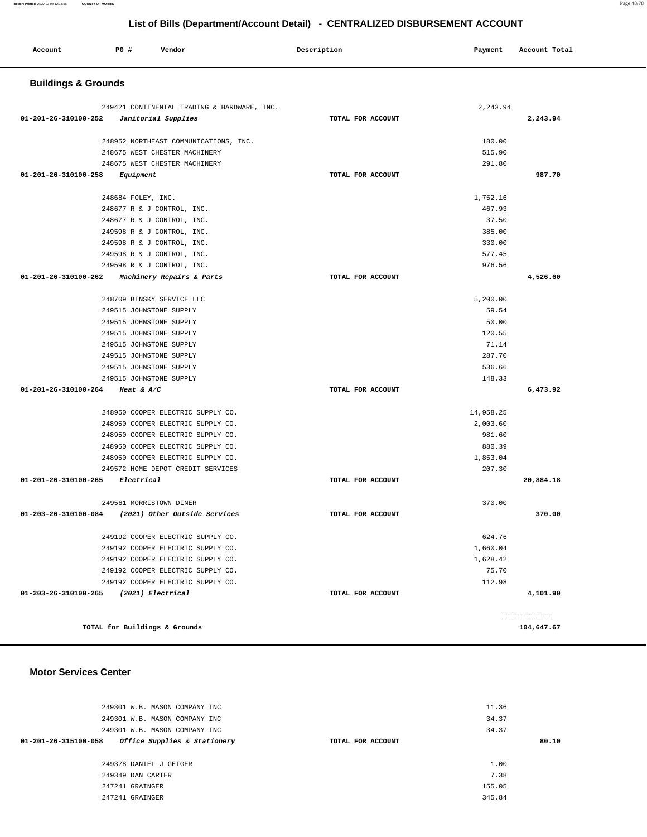| P0 #<br>Account<br>Vendor                                              | Description       | Payment            | Account Total |  |  |  |
|------------------------------------------------------------------------|-------------------|--------------------|---------------|--|--|--|
| <b>Buildings &amp; Grounds</b>                                         |                   |                    |               |  |  |  |
| 249421 CONTINENTAL TRADING & HARDWARE, INC.                            |                   | 2,243.94           |               |  |  |  |
| 01-201-26-310100-252<br>Janitorial Supplies                            | TOTAL FOR ACCOUNT |                    | 2,243.94      |  |  |  |
|                                                                        |                   |                    |               |  |  |  |
| 248952 NORTHEAST COMMUNICATIONS, INC.                                  |                   | 180.00             |               |  |  |  |
| 248675 WEST CHESTER MACHINERY                                          |                   | 515.90             |               |  |  |  |
| 248675 WEST CHESTER MACHINERY                                          |                   | 291.80             |               |  |  |  |
| 01-201-26-310100-258<br>Equipment                                      | TOTAL FOR ACCOUNT |                    | 987.70        |  |  |  |
| 248684 FOLEY, INC.                                                     |                   | 1,752.16           |               |  |  |  |
| 248677 R & J CONTROL, INC.                                             |                   | 467.93             |               |  |  |  |
| 248677 R & J CONTROL, INC.                                             |                   | 37.50              |               |  |  |  |
| 249598 R & J CONTROL, INC.                                             |                   | 385.00             |               |  |  |  |
| 249598 R & J CONTROL, INC.                                             |                   | 330.00             |               |  |  |  |
| 249598 R & J CONTROL, INC.                                             |                   | 577.45             |               |  |  |  |
| 249598 R & J CONTROL, INC.                                             |                   | 976.56             |               |  |  |  |
| 01-201-26-310100-262<br>Machinery Repairs & Parts                      | TOTAL FOR ACCOUNT |                    | 4,526.60      |  |  |  |
| 248709 BINSKY SERVICE LLC                                              |                   | 5,200.00           |               |  |  |  |
| 249515 JOHNSTONE SUPPLY                                                |                   | 59.54              |               |  |  |  |
| 249515 JOHNSTONE SUPPLY                                                |                   | 50.00              |               |  |  |  |
| 249515 JOHNSTONE SUPPLY                                                |                   | 120.55             |               |  |  |  |
| 249515 JOHNSTONE SUPPLY                                                |                   | 71.14              |               |  |  |  |
| 249515 JOHNSTONE SUPPLY                                                |                   | 287.70             |               |  |  |  |
| 249515 JOHNSTONE SUPPLY                                                |                   | 536.66             |               |  |  |  |
| 249515 JOHNSTONE SUPPLY                                                |                   | 148.33             |               |  |  |  |
| 01-201-26-310100-264<br>Heat & $A/C$                                   | TOTAL FOR ACCOUNT |                    | 6,473.92      |  |  |  |
|                                                                        |                   |                    |               |  |  |  |
| 248950 COOPER ELECTRIC SUPPLY CO.                                      |                   | 14,958.25          |               |  |  |  |
| 248950 COOPER ELECTRIC SUPPLY CO.                                      |                   | 2,003.60           |               |  |  |  |
| 248950 COOPER ELECTRIC SUPPLY CO.                                      |                   | 981.60             |               |  |  |  |
| 248950 COOPER ELECTRIC SUPPLY CO.<br>248950 COOPER ELECTRIC SUPPLY CO. |                   | 880.39<br>1,853.04 |               |  |  |  |
| 249572 HOME DEPOT CREDIT SERVICES                                      |                   | 207.30             |               |  |  |  |
| 01-201-26-310100-265<br>Electrical                                     | TOTAL FOR ACCOUNT |                    | 20,884.18     |  |  |  |
|                                                                        |                   |                    |               |  |  |  |
| 249561 MORRISTOWN DINER                                                |                   | 370.00             |               |  |  |  |
| 01-203-26-310100-084<br>(2021) Other Outside Services                  | TOTAL FOR ACCOUNT |                    | 370.00        |  |  |  |
| 249192 COOPER ELECTRIC SUPPLY CO.                                      |                   | 624.76             |               |  |  |  |
| 249192 COOPER ELECTRIC SUPPLY CO.                                      |                   | 1,660.04           |               |  |  |  |
| 249192 COOPER ELECTRIC SUPPLY CO.                                      |                   | 1,628.42           |               |  |  |  |
| 249192 COOPER ELECTRIC SUPPLY CO.                                      |                   | 75.70              |               |  |  |  |
| 249192 COOPER ELECTRIC SUPPLY CO.                                      |                   | 112.98             |               |  |  |  |
| 01-203-26-310100-265<br>(2021) Electrical                              | TOTAL FOR ACCOUNT |                    | 4,101.90      |  |  |  |
|                                                                        |                   |                    | ============  |  |  |  |
| TOTAL for Buildings & Grounds                                          |                   |                    | 104,647.67    |  |  |  |

#### **Motor Services Center**

| 249301 W.B. MASON COMPANY INC                        |                   | 11.36  |       |
|------------------------------------------------------|-------------------|--------|-------|
| 249301 W.B. MASON COMPANY INC                        |                   | 34.37  |       |
| 249301 W.B. MASON COMPANY INC                        |                   | 34.37  |       |
| Office Supplies & Stationery<br>01-201-26-315100-058 | TOTAL FOR ACCOUNT |        | 80.10 |
|                                                      |                   |        |       |
| 249378 DANIEL J GEIGER                               |                   | 1.00   |       |
| 249349 DAN CARTER                                    |                   | 7.38   |       |
| 247241 GRAINGER                                      |                   | 155.05 |       |
| 247241 GRAINGER                                      |                   | 345.84 |       |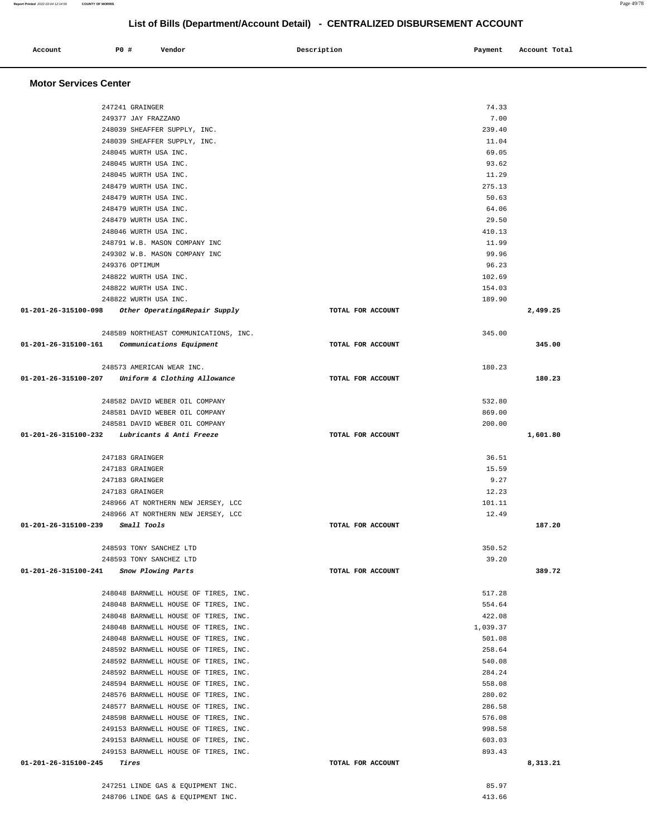#### **Account** 20 **#** Vendor 20 **Description** Payment Account Total  **Motor Services Center**  247241 GRAINGER 74.33 249377 JAY FRAZZANO 7.00 248039 SHEAFFER SUPPLY, INC. 239.40 248039 SHEAFFER SUPPLY, INC. 11.04 248045 WURTH USA INC. 69.05 248045 WURTH USA INC. 93.62 248045 WURTH USA INC. 11.29 248479 WURTH USA INC. 275.13 248479 WURTH USA INC. 50.63 248479 WURTH USA INC. 64.06 248479 WURTH USA INC. 29.50 248046 WURTH USA INC. 410.13 248791 W.B. MASON COMPANY INC 11.99 249302 W.B. MASON COMPANY INC 99.96 249376 OPTIMUM 96.23 248822 WURTH USA INC. 102.69 248822 WURTH USA INC. 154.03 248822 WURTH USA INC. 189.90  **01-201-26-315100-098 Other Operating&Repair Supply TOTAL FOR ACCOUNT 2,499.25** 248589 NORTHEAST COMMUNICATIONS, INC. 345.00  **01-201-26-315100-161 Communications Equipment TOTAL FOR ACCOUNT 345.00** 248573 AMERICAN WEAR INC. 180.23  **01-201-26-315100-207 Uniform & Clothing Allowance TOTAL FOR ACCOUNT 180.23** 248582 DAVID WEBER OIL COMPANY 532.80 248581 DAVID WEBER OIL COMPANY 869.00 248581 DAVID WEBER OIL COMPANY 200.00  **01-201-26-315100-232 Lubricants & Anti Freeze TOTAL FOR ACCOUNT 1,601.80** 247183 GRAINGER 36.51 247183 GRAINGER 15.59 247183 GRAINGER 9.27 247183 GRAINGER 12.23 248966 AT NORTHERN NEW JERSEY, LCC 30 and 248966 AT NORTHERN NEW JERSEY, LCC 248966 AT NORTHERN NEW JERSEY, LCC 12.49  **01-201-26-315100-239 Small Tools TOTAL FOR ACCOUNT 187.20** 248593 TONY SANCHEZ LTD 350.52 248593 TONY SANCHEZ LTD 39.20  **01-201-26-315100-241 Snow Plowing Parts TOTAL FOR ACCOUNT 389.72** 248048 BARNWELL HOUSE OF TIRES, INC. 517.28 248048 BARNWELL HOUSE OF TIRES, INC. 554.64 248048 BARNWELL HOUSE OF TIRES, INC. 422.08 248048 BARNWELL HOUSE OF TIRES, INC. 1,039.37 248048 BARNWELL HOUSE OF TIRES, INC. 501.08 248592 BARNWELL HOUSE OF TIRES, INC. 258.64 248592 BARNWELL HOUSE OF TIRES, INC. 540.08 248592 BARNWELL HOUSE OF TIRES, INC. 284.24 248594 BARNWELL HOUSE OF TIRES, INC. 558.08 248576 BARNWELL HOUSE OF TIRES, INC. 280.02 248577 BARNWELL HOUSE OF TIRES, INC. 286.58 248598 BARNWELL HOUSE OF TIRES, INC. 576.08 249153 BARNWELL HOUSE OF TIRES, INC. 998.58 249153 BARNWELL HOUSE OF TIRES, INC. 603.03 249153 BARNWELL HOUSE OF TIRES, INC. 893.43  **01-201-26-315100-245 Tires TOTAL FOR ACCOUNT 8,313.21** 247251 LINDE GAS & EQUIPMENT INC. 85.97

248706 LINDE GAS & EQUIPMENT INC. 413.66

**Report Printed** 2022-03-04 12:14:56 **COUNTY OF MORRIS** Page 49/78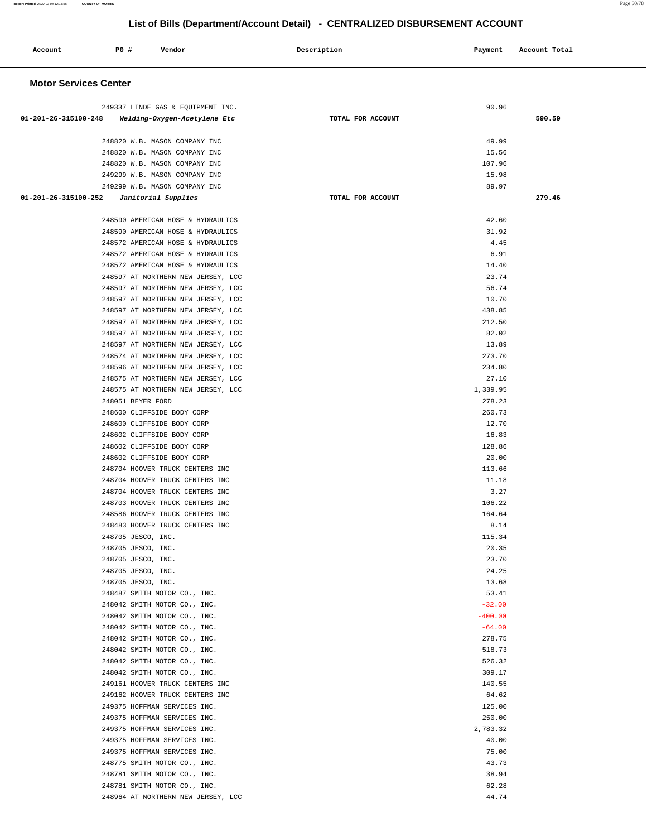| Account                      | P0 # | Vendor                                                                                 | Description       | Payment               | Account Total |
|------------------------------|------|----------------------------------------------------------------------------------------|-------------------|-----------------------|---------------|
| <b>Motor Services Center</b> |      |                                                                                        |                   |                       |               |
|                              |      | 249337 LINDE GAS & EQUIPMENT INC.<br>01-201-26-315100-248 Welding-Oxygen-Acetylene Etc | TOTAL FOR ACCOUNT | 90.96                 | 590.59        |
|                              |      | 248820 W.B. MASON COMPANY INC<br>248820 W.B. MASON COMPANY INC                         |                   | 49.99<br>15.56        |               |
|                              |      | 248820 W.B. MASON COMPANY INC<br>249299 W.B. MASON COMPANY INC                         |                   | 107.96<br>15.98       |               |
| 01-201-26-315100-252         |      | 249299 W.B. MASON COMPANY INC<br>Janitorial Supplies                                   | TOTAL FOR ACCOUNT | 89.97                 | 279.46        |
|                              |      | 248590 AMERICAN HOSE & HYDRAULICS                                                      |                   | 42.60                 |               |
|                              |      | 248590 AMERICAN HOSE & HYDRAULICS                                                      |                   | 31.92                 |               |
|                              |      | 248572 AMERICAN HOSE & HYDRAULICS                                                      |                   | 4.45                  |               |
|                              |      | 248572 AMERICAN HOSE & HYDRAULICS                                                      |                   | 6.91                  |               |
|                              |      | 248572 AMERICAN HOSE & HYDRAULICS                                                      |                   | 14.40                 |               |
|                              |      | 248597 AT NORTHERN NEW JERSEY, LCC<br>248597 AT NORTHERN NEW JERSEY, LCC               |                   | 23.74<br>56.74        |               |
|                              |      | 248597 AT NORTHERN NEW JERSEY, LCC                                                     |                   | 10.70                 |               |
|                              |      | 248597 AT NORTHERN NEW JERSEY, LCC                                                     |                   | 438.85                |               |
|                              |      | 248597 AT NORTHERN NEW JERSEY, LCC                                                     |                   | 212.50                |               |
|                              |      | 248597 AT NORTHERN NEW JERSEY, LCC                                                     |                   | 82.02                 |               |
|                              |      | 248597 AT NORTHERN NEW JERSEY, LCC<br>248574 AT NORTHERN NEW JERSEY, LCC               |                   | 13.89<br>273.70       |               |
|                              |      | 248596 AT NORTHERN NEW JERSEY, LCC                                                     |                   | 234.80                |               |
|                              |      | 248575 AT NORTHERN NEW JERSEY, LCC                                                     |                   | 27.10                 |               |
|                              |      | 248575 AT NORTHERN NEW JERSEY, LCC                                                     |                   | 1,339.95              |               |
|                              |      | 248051 BEYER FORD                                                                      |                   | 278.23                |               |
|                              |      | 248600 CLIFFSIDE BODY CORP<br>248600 CLIFFSIDE BODY CORP                               |                   | 260.73<br>12.70       |               |
|                              |      | 248602 CLIFFSIDE BODY CORP                                                             |                   | 16.83                 |               |
|                              |      | 248602 CLIFFSIDE BODY CORP                                                             |                   | 128.86                |               |
|                              |      | 248602 CLIFFSIDE BODY CORP                                                             |                   | 20.00                 |               |
|                              |      | 248704 HOOVER TRUCK CENTERS INC                                                        |                   | 113.66                |               |
|                              |      | 248704 HOOVER TRUCK CENTERS INC<br>248704 HOOVER TRUCK CENTERS INC                     |                   | 11.18<br>3.27         |               |
|                              |      | 248703 HOOVER TRUCK CENTERS INC                                                        |                   | 106.22                |               |
|                              |      | 248586 HOOVER TRUCK CENTERS INC                                                        |                   | 164.64                |               |
|                              |      | 248483 HOOVER TRUCK CENTERS INC                                                        |                   | 8.14                  |               |
|                              |      | 248705 JESCO, INC.                                                                     |                   | 115.34                |               |
|                              |      | 248705 JESCO, INC.<br>248705 JESCO, INC.                                               |                   | 20.35<br>23.70        |               |
|                              |      | 248705 JESCO, INC.                                                                     |                   | 24.25                 |               |
|                              |      | 248705 JESCO, INC.                                                                     |                   | 13.68                 |               |
|                              |      | 248487 SMITH MOTOR CO., INC.                                                           |                   | 53.41                 |               |
|                              |      | 248042 SMITH MOTOR CO., INC.                                                           |                   | $-32.00$              |               |
|                              |      | 248042 SMITH MOTOR CO., INC.<br>248042 SMITH MOTOR CO., INC.                           |                   | $-400.00$<br>$-64.00$ |               |
|                              |      | 248042 SMITH MOTOR CO., INC.                                                           |                   | 278.75                |               |
|                              |      | 248042 SMITH MOTOR CO., INC.                                                           |                   | 518.73                |               |
|                              |      | 248042 SMITH MOTOR CO., INC.                                                           |                   | 526.32                |               |
|                              |      | 248042 SMITH MOTOR CO., INC.                                                           |                   | 309.17                |               |
|                              |      | 249161 HOOVER TRUCK CENTERS INC<br>249162 HOOVER TRUCK CENTERS INC                     |                   | 140.55<br>64.62       |               |
|                              |      | 249375 HOFFMAN SERVICES INC.                                                           |                   | 125.00                |               |
|                              |      | 249375 HOFFMAN SERVICES INC.                                                           |                   | 250.00                |               |
|                              |      | 249375 HOFFMAN SERVICES INC.                                                           |                   | 2,783.32              |               |
|                              |      | 249375 HOFFMAN SERVICES INC.                                                           |                   | 40.00                 |               |
|                              |      | 249375 HOFFMAN SERVICES INC.<br>248775 SMITH MOTOR CO., INC.                           |                   | 75.00<br>43.73        |               |
|                              |      | 248781 SMITH MOTOR CO., INC.                                                           |                   | 38.94                 |               |
|                              |      | 248781 SMITH MOTOR CO., INC.                                                           |                   | 62.28                 |               |
|                              |      | 248964 AT NORTHERN NEW JERSEY, LCC                                                     |                   | 44.74                 |               |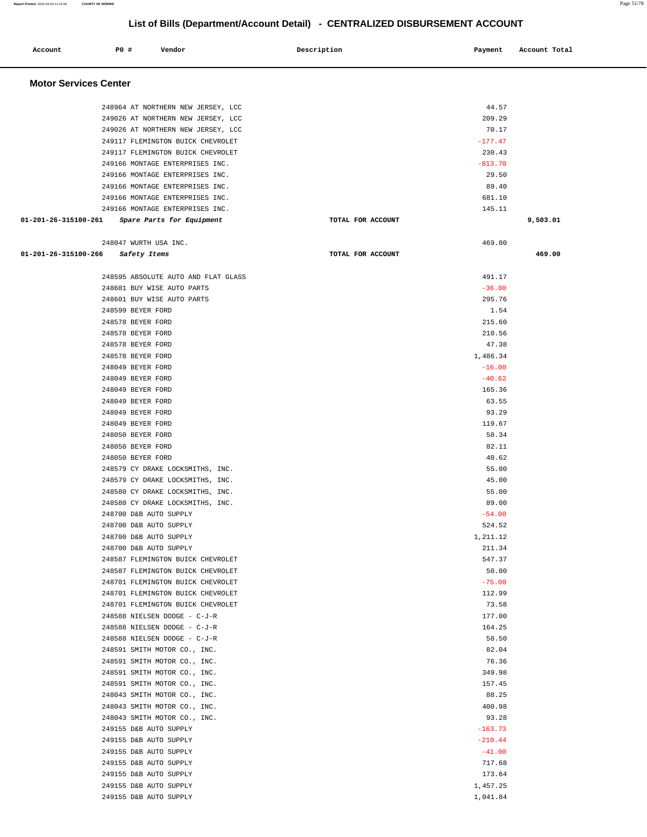| Account                      | <b>PO #</b>                            | Vendor                                           | Description |                   | Payment            | Account Total |
|------------------------------|----------------------------------------|--------------------------------------------------|-------------|-------------------|--------------------|---------------|
| <b>Motor Services Center</b> |                                        |                                                  |             |                   |                    |               |
|                              |                                        | 248964 AT NORTHERN NEW JERSEY, LCC               |             |                   | 44.57              |               |
|                              |                                        | 249026 AT NORTHERN NEW JERSEY, LCC               |             |                   | 209.29             |               |
|                              |                                        | 249026 AT NORTHERN NEW JERSEY, LCC               |             |                   | 70.17              |               |
|                              |                                        | 249117 FLEMINGTON BUICK CHEVROLET                |             |                   | $-177.47$          |               |
|                              |                                        | 249117 FLEMINGTON BUICK CHEVROLET                |             |                   | 230.43             |               |
|                              |                                        | 249166 MONTAGE ENTERPRISES INC.                  |             |                   | $-813.70$          |               |
|                              |                                        | 249166 MONTAGE ENTERPRISES INC.                  |             |                   | 29.50              |               |
|                              |                                        | 249166 MONTAGE ENTERPRISES INC.                  |             |                   | 89.40              |               |
|                              |                                        | 249166 MONTAGE ENTERPRISES INC.                  |             |                   | 681.10             |               |
|                              |                                        | 249166 MONTAGE ENTERPRISES INC.                  |             |                   | 145.11             |               |
| 01-201-26-315100-261         |                                        | Spare Parts for Equipment                        |             | TOTAL FOR ACCOUNT |                    | 9,503.01      |
|                              |                                        | 248047 WURTH USA INC.                            |             |                   | 469.00             |               |
| 01-201-26-315100-266         |                                        | Safety Items                                     |             | TOTAL FOR ACCOUNT |                    | 469.00        |
|                              |                                        | 248595 ABSOLUTE AUTO AND FLAT GLASS              |             |                   | 491.17             |               |
|                              |                                        | 248601 BUY WISE AUTO PARTS                       |             |                   | $-36.00$           |               |
|                              |                                        | 248601 BUY WISE AUTO PARTS                       |             |                   | 295.76             |               |
|                              | 248599 BEYER FORD                      |                                                  |             |                   | 1.54               |               |
|                              | 248578 BEYER FORD                      |                                                  |             |                   | 215.60             |               |
|                              | 248578 BEYER FORD                      |                                                  |             |                   | 210.56             |               |
|                              | 248578 BEYER FORD                      |                                                  |             |                   | 47.38              |               |
|                              | 248578 BEYER FORD                      |                                                  |             |                   | 1,486.34           |               |
|                              | 248049 BEYER FORD                      |                                                  |             |                   | $-16.00$           |               |
|                              | 248049 BEYER FORD                      |                                                  |             |                   | $-40.62$           |               |
|                              | 248049 BEYER FORD                      |                                                  |             |                   | 165.36             |               |
|                              | 248049 BEYER FORD                      |                                                  |             |                   | 63.55              |               |
|                              | 248049 BEYER FORD                      |                                                  |             |                   | 93.29<br>119.67    |               |
|                              | 248049 BEYER FORD<br>248050 BEYER FORD |                                                  |             |                   | 58.34              |               |
|                              | 248050 BEYER FORD                      |                                                  |             |                   | 82.11              |               |
|                              | 248050 BEYER FORD                      |                                                  |             |                   | 40.62              |               |
|                              |                                        | 248579 CY DRAKE LOCKSMITHS, INC.                 |             |                   | 55.00              |               |
|                              |                                        | 248579 CY DRAKE LOCKSMITHS, INC.                 |             |                   | 45.00              |               |
|                              |                                        | 248580 CY DRAKE LOCKSMITHS, INC.                 |             |                   | 55.00              |               |
|                              |                                        | 248580 CY DRAKE LOCKSMITHS, INC.                 |             |                   | 89.00              |               |
|                              |                                        | 248700 D&B AUTO SUPPLY                           |             |                   | $-54.00$           |               |
|                              |                                        | 248700 D&B AUTO SUPPLY                           |             |                   | 524.52             |               |
|                              |                                        | 248700 D&B AUTO SUPPLY                           |             |                   | 1,211.12           |               |
|                              |                                        | 248700 D&B AUTO SUPPLY                           |             |                   | 211.34             |               |
|                              |                                        | 248587 FLEMINGTON BUICK CHEVROLET                |             |                   | 547.37             |               |
|                              |                                        | 248587 FLEMINGTON BUICK CHEVROLET                |             |                   | 50.00              |               |
|                              |                                        | 248701 FLEMINGTON BUICK CHEVROLET                |             |                   | $-75.00$           |               |
|                              |                                        | 248701 FLEMINGTON BUICK CHEVROLET                |             |                   | 112.99             |               |
|                              |                                        | 248701 FLEMINGTON BUICK CHEVROLET                |             |                   | 73.58              |               |
|                              |                                        | 248588 NIELSEN DODGE - C-J-R                     |             |                   | 177.00             |               |
|                              |                                        | 248588 NIELSEN DODGE - C-J-R                     |             |                   | 164.25             |               |
|                              |                                        | 248588 NIELSEN DODGE - C-J-R                     |             |                   | 58.50              |               |
|                              |                                        | 248591 SMITH MOTOR CO., INC.                     |             |                   | 82.04              |               |
|                              |                                        | 248591 SMITH MOTOR CO., INC.                     |             |                   | 76.36              |               |
|                              |                                        | 248591 SMITH MOTOR CO., INC.                     |             |                   | 349.98             |               |
|                              |                                        | 248591 SMITH MOTOR CO., INC.                     |             |                   | 157.45             |               |
|                              |                                        | 248043 SMITH MOTOR CO., INC.                     |             |                   | 88.25              |               |
|                              |                                        | 248043 SMITH MOTOR CO., INC.                     |             |                   | 400.98             |               |
|                              |                                        | 248043 SMITH MOTOR CO., INC.                     |             |                   | 93.28<br>$-163.73$ |               |
|                              |                                        | 249155 D&B AUTO SUPPLY<br>249155 D&B AUTO SUPPLY |             |                   | $-210.44$          |               |
|                              |                                        | 249155 D&B AUTO SUPPLY                           |             |                   | $-41.00$           |               |
|                              |                                        | 249155 D&B AUTO SUPPLY                           |             |                   | 717.68             |               |
|                              |                                        | 249155 D&B AUTO SUPPLY                           |             |                   | 173.64             |               |
|                              |                                        | 249155 D&B AUTO SUPPLY                           |             |                   | 1,457.25           |               |
|                              |                                        | 249155 D&B AUTO SUPPLY                           |             |                   | 1,041.84           |               |
|                              |                                        |                                                  |             |                   |                    |               |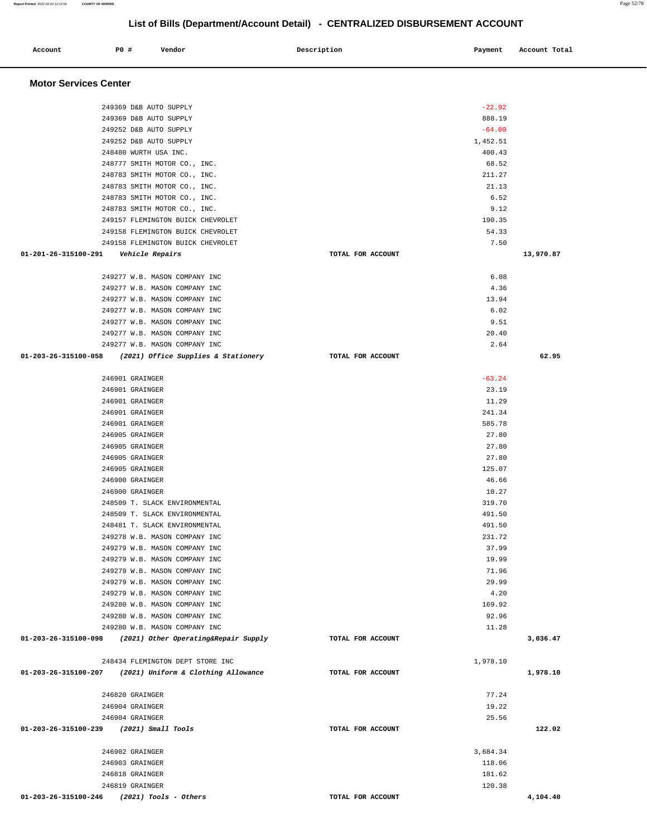۳

| Account                                 | P0 #                               | Vendor                                                                                     | Description       | Payment            | Account Total |
|-----------------------------------------|------------------------------------|--------------------------------------------------------------------------------------------|-------------------|--------------------|---------------|
|                                         |                                    |                                                                                            |                   |                    |               |
| <b>Motor Services Center</b>            |                                    |                                                                                            |                   |                    |               |
|                                         |                                    |                                                                                            |                   |                    |               |
|                                         |                                    | 249369 D&B AUTO SUPPLY                                                                     |                   | $-22.92$           |               |
|                                         |                                    | 249369 D&B AUTO SUPPLY                                                                     |                   | 888.19             |               |
|                                         |                                    | 249252 D&B AUTO SUPPLY                                                                     |                   | $-64.00$           |               |
|                                         |                                    | 249252 D&B AUTO SUPPLY<br>248480 WURTH USA INC.                                            |                   | 1,452.51<br>400.43 |               |
|                                         |                                    | 248777 SMITH MOTOR CO., INC.                                                               |                   | 68.52              |               |
|                                         |                                    | 248783 SMITH MOTOR CO., INC.                                                               |                   | 211.27             |               |
|                                         |                                    | 248783 SMITH MOTOR CO., INC.                                                               |                   | 21.13              |               |
|                                         |                                    | 248783 SMITH MOTOR CO., INC.                                                               |                   | 6.52               |               |
|                                         |                                    | 248783 SMITH MOTOR CO., INC.<br>249157 FLEMINGTON BUICK CHEVROLET                          |                   | 9.12<br>190.35     |               |
|                                         |                                    | 249158 FLEMINGTON BUICK CHEVROLET                                                          |                   | 54.33              |               |
|                                         |                                    | 249158 FLEMINGTON BUICK CHEVROLET                                                          |                   | 7.50               |               |
| 01-201-26-315100-291                    |                                    | Vehicle Repairs                                                                            | TOTAL FOR ACCOUNT |                    | 13,970.87     |
|                                         |                                    |                                                                                            |                   |                    |               |
|                                         |                                    | 249277 W.B. MASON COMPANY INC                                                              |                   | 6.08               |               |
|                                         |                                    | 249277 W.B. MASON COMPANY INC                                                              |                   | 4.36<br>13.94      |               |
|                                         |                                    | 249277 W.B. MASON COMPANY INC<br>249277 W.B. MASON COMPANY INC                             |                   | 6.02               |               |
|                                         |                                    | 249277 W.B. MASON COMPANY INC                                                              |                   | 9.51               |               |
|                                         |                                    | 249277 W.B. MASON COMPANY INC                                                              |                   | 20.40              |               |
|                                         |                                    | 249277 W.B. MASON COMPANY INC                                                              |                   | 2.64               |               |
| 01-203-26-315100-058                    |                                    | (2021) Office Supplies & Stationery                                                        | TOTAL FOR ACCOUNT |                    | 62.95         |
|                                         | 246901 GRAINGER                    |                                                                                            |                   | $-63.24$           |               |
|                                         | 246901 GRAINGER                    |                                                                                            |                   | 23.19              |               |
|                                         | 246901 GRAINGER                    |                                                                                            |                   | 11.29              |               |
|                                         | 246901 GRAINGER                    |                                                                                            |                   | 241.34             |               |
|                                         | 246901 GRAINGER                    |                                                                                            |                   | 585.78             |               |
|                                         | 246905 GRAINGER                    |                                                                                            |                   | 27.80              |               |
|                                         | 246905 GRAINGER                    |                                                                                            |                   | 27.80              |               |
|                                         | 246905 GRAINGER<br>246905 GRAINGER |                                                                                            |                   | 27.80<br>125.07    |               |
|                                         | 246900 GRAINGER                    |                                                                                            |                   | 46.66              |               |
|                                         | 246900 GRAINGER                    |                                                                                            |                   | 10.27              |               |
|                                         |                                    | 248509 T. SLACK ENVIRONMENTAL                                                              |                   | 319.70             |               |
|                                         |                                    | 248509 T. SLACK ENVIRONMENTAL                                                              |                   | 491.50             |               |
|                                         |                                    | 248481 T. SLACK ENVIRONMENTAL                                                              |                   | 491.50             |               |
|                                         |                                    | 249278 W.B. MASON COMPANY INC<br>249279 W.B. MASON COMPANY INC                             |                   | 231.72<br>37.99    |               |
|                                         |                                    | 249279 W.B. MASON COMPANY INC                                                              |                   | 19.99              |               |
|                                         |                                    | 249279 W.B. MASON COMPANY INC                                                              |                   | 71.96              |               |
|                                         |                                    | 249279 W.B. MASON COMPANY INC                                                              |                   | 29.99              |               |
|                                         |                                    | 249279 W.B. MASON COMPANY INC                                                              |                   | 4.20               |               |
|                                         |                                    | 249280 W.B. MASON COMPANY INC                                                              |                   | 169.92             |               |
|                                         |                                    | 249280 W.B. MASON COMPANY INC                                                              |                   | 92.96              |               |
|                                         |                                    | 249280 W.B. MASON COMPANY INC<br>01-203-26-315100-098 (2021) Other Operating&Repair Supply | TOTAL FOR ACCOUNT | 11.28              | 3,036.47      |
|                                         |                                    |                                                                                            |                   |                    |               |
|                                         |                                    | 248434 FLEMINGTON DEPT STORE INC                                                           |                   | 1,978.10           |               |
|                                         |                                    | 01-203-26-315100-207 (2021) Uniform & Clothing Allowance                                   | TOTAL FOR ACCOUNT |                    | 1,978.10      |
|                                         |                                    |                                                                                            |                   |                    |               |
|                                         | 246820 GRAINGER<br>246904 GRAINGER |                                                                                            |                   | 77.24<br>19.22     |               |
|                                         | 246904 GRAINGER                    |                                                                                            |                   | 25.56              |               |
| 01-203-26-315100-239 (2021) Small Tools |                                    |                                                                                            | TOTAL FOR ACCOUNT |                    | 122.02        |
|                                         |                                    |                                                                                            |                   |                    |               |
|                                         | 246902 GRAINGER                    |                                                                                            |                   | 3,684.34           |               |
|                                         | 246903 GRAINGER                    |                                                                                            |                   | 118.06             |               |
|                                         | 246818 GRAINGER<br>246819 GRAINGER |                                                                                            |                   | 181.62<br>120.38   |               |
| 01-203-26-315100-246                    |                                    | (2021) Tools - Others                                                                      | TOTAL FOR ACCOUNT |                    | 4,104.40      |
|                                         |                                    |                                                                                            |                   |                    |               |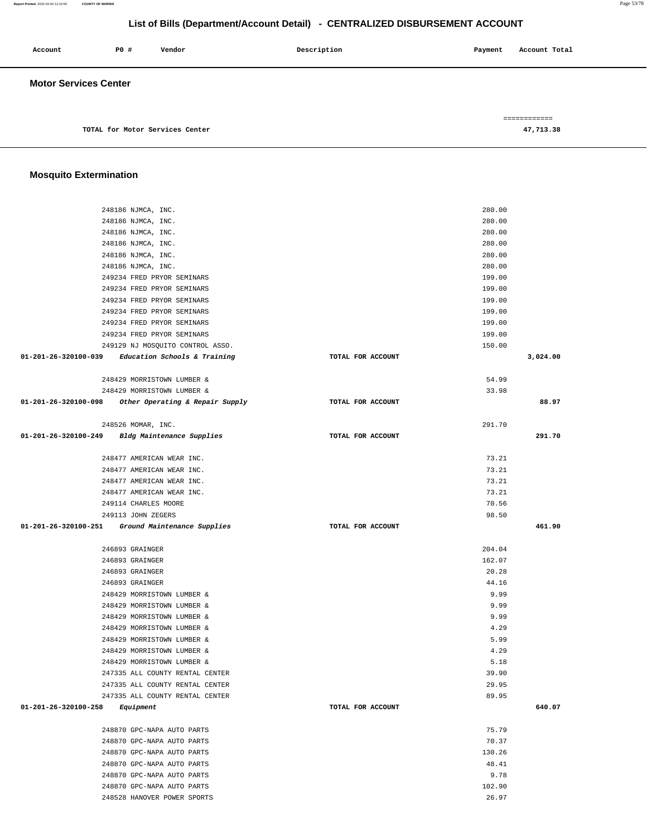| Account                      | P0 # | Vendor                          | Description | Account Total<br>Payment  |
|------------------------------|------|---------------------------------|-------------|---------------------------|
| <b>Motor Services Center</b> |      |                                 |             |                           |
|                              |      | TOTAL for Motor Services Center |             | ============<br>47,713.38 |

#### **Mosquito Extermination**

| 248186 NJMCA, INC.                                     |                   | 280.00   |        |
|--------------------------------------------------------|-------------------|----------|--------|
| 248186 NJMCA, INC.                                     |                   | 280.00   |        |
| 248186 NJMCA, INC.                                     |                   | 280.00   |        |
| 248186 NJMCA, INC.                                     |                   | 280.00   |        |
| 248186 NJMCA, INC.                                     |                   | 280.00   |        |
| 248186 NJMCA, INC.                                     |                   | 280.00   |        |
| 249234 FRED PRYOR SEMINARS                             |                   | 199.00   |        |
| 249234 FRED PRYOR SEMINARS                             |                   | 199.00   |        |
| 249234 FRED PRYOR SEMINARS                             |                   | 199.00   |        |
| 249234 FRED PRYOR SEMINARS                             |                   | 199.00   |        |
| 249234 FRED PRYOR SEMINARS                             |                   | 199.00   |        |
| 249234 FRED PRYOR SEMINARS                             |                   | 199.00   |        |
| 249129 NJ MOSQUITO CONTROL ASSO.                       |                   | 150.00   |        |
| 01-201-26-320100-039 Education Schools & Training      | TOTAL FOR ACCOUNT | 3,024.00 |        |
| 248429 MORRISTOWN LUMBER &                             |                   | 54.99    |        |
| 248429 MORRISTOWN LUMBER &                             |                   | 33.98    |        |
| $01-201-26-320100-098$ Other Operating & Repair Supply | TOTAL FOR ACCOUNT |          | 88.97  |
| 248526 MOMAR, INC.                                     |                   | 291.70   |        |
| 01-201-26-320100-249 Bldg Maintenance Supplies         | TOTAL FOR ACCOUNT |          | 291.70 |
|                                                        |                   |          |        |
| 248477 AMERICAN WEAR INC.                              |                   | 73.21    |        |
| 248477 AMERICAN WEAR INC.                              |                   | 73.21    |        |
| 248477 AMERICAN WEAR INC.                              |                   | 73.21    |        |
| 248477 AMERICAN WEAR INC.                              |                   | 73.21    |        |
| 249114 CHARLES MOORE                                   |                   | 70.56    |        |
| 249113 JOHN ZEGERS                                     |                   | 98.50    |        |
| 01-201-26-320100-251 Ground Maintenance Supplies       | TOTAL FOR ACCOUNT |          | 461.90 |
|                                                        |                   |          |        |
| 246893 GRAINGER                                        |                   | 204.04   |        |
| 246893 GRAINGER                                        |                   | 162.07   |        |
| 246893 GRAINGER                                        |                   | 20.28    |        |
| 246893 GRAINGER                                        |                   | 44.16    |        |
| 248429 MORRISTOWN LUMBER &                             |                   | 9.99     |        |
| 248429 MORRISTOWN LUMBER &                             |                   | 9.99     |        |
| 248429 MORRISTOWN LUMBER &                             |                   | 9.99     |        |
| 248429 MORRISTOWN LUMBER &                             |                   | 4.29     |        |
| 248429 MORRISTOWN LUMBER &                             |                   | 5.99     |        |
| 248429 MORRISTOWN LUMBER &                             |                   | 4.29     |        |
| 248429 MORRISTOWN LUMBER &                             |                   | 5.18     |        |
| 247335 ALL COUNTY RENTAL CENTER                        |                   | 39.90    |        |
| 247335 ALL COUNTY RENTAL CENTER                        |                   | 29.95    |        |
| 247335 ALL COUNTY RENTAL CENTER                        |                   | 89.95    |        |
| $01 - 201 - 26 - 320100 - 258$ Equipment               | TOTAL FOR ACCOUNT |          | 640.07 |
| 248870 GPC-NAPA AUTO PARTS                             |                   | 75.79    |        |
| 248870 GPC-NAPA AUTO PARTS                             |                   | 70.37    |        |
| 248870 GPC-NAPA AUTO PARTS                             |                   | 130.26   |        |
| 248870 GPC-NAPA AUTO PARTS                             |                   | 48.41    |        |
| 248870 GPC-NAPA AUTO PARTS                             |                   | 9.78     |        |
| 248870 GPC-NAPA AUTO PARTS                             |                   | 102.90   |        |

248528 HANOVER POWER SPORTS 26.97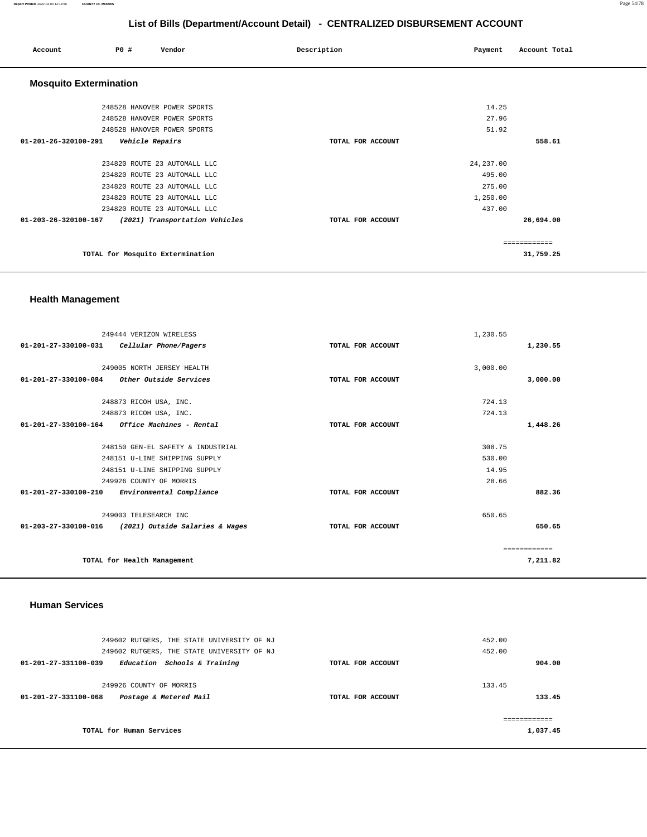#### **Report Printed** 2022-03-04 12:14:56 **COUNTY OF MORRIS** Page 54/78

#### **List of Bills (Department/Account Detail) - CENTRALIZED DISBURSEMENT ACCOUNT**

| Account                       | PO#             | Vendor                                                       | Description       | Payment              | Account Total |
|-------------------------------|-----------------|--------------------------------------------------------------|-------------------|----------------------|---------------|
| <b>Mosquito Extermination</b> |                 |                                                              |                   |                      |               |
|                               |                 | 248528 HANOVER POWER SPORTS                                  |                   | 14.25                |               |
|                               |                 | 248528 HANOVER POWER SPORTS                                  |                   | 27.96                |               |
|                               |                 | 248528 HANOVER POWER SPORTS                                  |                   | 51.92                |               |
| 01-201-26-320100-291          | Vehicle Repairs |                                                              | TOTAL FOR ACCOUNT |                      | 558.61        |
|                               |                 | 234820 ROUTE 23 AUTOMALL LLC<br>234820 ROUTE 23 AUTOMALL LLC |                   | 24, 237.00<br>495.00 |               |
|                               |                 | 234820 ROUTE 23 AUTOMALL LLC                                 |                   | 275.00               |               |
|                               |                 | 234820 ROUTE 23 AUTOMALL LLC                                 |                   | 1,250.00             |               |
|                               |                 | 234820 ROUTE 23 AUTOMALL LLC                                 |                   | 437.00               |               |
| 01-203-26-320100-167          |                 | (2021) Transportation Vehicles                               | TOTAL FOR ACCOUNT |                      | 26,694.00     |
|                               |                 |                                                              |                   |                      | ============  |
|                               |                 | TOTAL for Mosquito Extermination                             |                   |                      | 31,759.25     |

# **Health Management**

|                      | 249444 VERIZON WIRELESS                     |                   | 1,230.55 |              |
|----------------------|---------------------------------------------|-------------------|----------|--------------|
|                      | 01-201-27-330100-031 Cellular Phone/Pagers  | TOTAL FOR ACCOUNT |          | 1,230.55     |
|                      |                                             |                   |          |              |
|                      | 249005 NORTH JERSEY HEALTH                  |                   | 3,000.00 |              |
|                      | 01-201-27-330100-084 Other Outside Services | TOTAL FOR ACCOUNT |          | 3,000.00     |
|                      | 248873 RICOH USA, INC.                      |                   | 724.13   |              |
|                      | 248873 RICOH USA, INC.                      |                   | 724.13   |              |
| 01-201-27-330100-164 | Office Machines - Rental                    | TOTAL FOR ACCOUNT |          | 1,448.26     |
|                      | 248150 GEN-EL SAFETY & INDUSTRIAL           |                   | 308.75   |              |
|                      | 248151 U-LINE SHIPPING SUPPLY               |                   | 530.00   |              |
|                      | 248151 U-LINE SHIPPING SUPPLY               |                   | 14.95    |              |
|                      | 249926 COUNTY OF MORRIS                     |                   | 28.66    |              |
| 01-201-27-330100-210 | Environmental Compliance                    | TOTAL FOR ACCOUNT |          | 882.36       |
|                      | 249003 TELESEARCH INC                       |                   | 650.65   |              |
| 01-203-27-330100-016 | (2021) Outside Salaries & Wages             | TOTAL FOR ACCOUNT |          | 650.65       |
|                      |                                             |                   |          | ============ |
|                      | TOTAL for Health Management                 |                   |          | 7,211.82     |
|                      |                                             |                   |          |              |

#### **Human Services**

| 249602 RUTGERS, THE STATE UNIVERSITY OF NJ<br>249602 RUTGERS, THE STATE UNIVERSITY OF NJ |                   | 452.00<br>452.00 |
|------------------------------------------------------------------------------------------|-------------------|------------------|
| 01-201-27-331100-039<br>Education Schools & Training                                     | TOTAL FOR ACCOUNT | 904.00           |
| 249926 COUNTY OF MORRIS<br>Postage & Metered Mail<br>01-201-27-331100-068                | TOTAL FOR ACCOUNT | 133.45<br>133.45 |
| TOTAL for Human Services                                                                 |                   | 1,037.45         |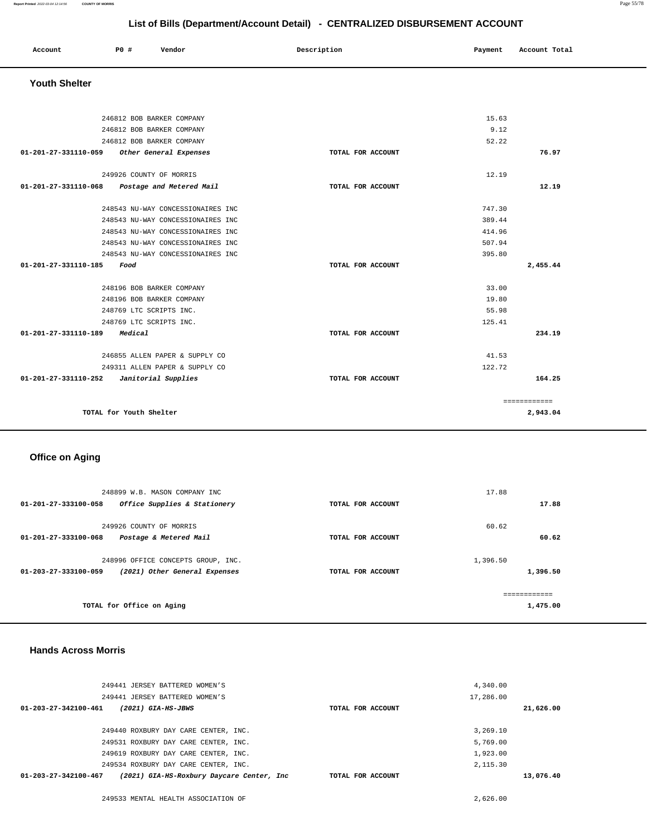#### **Report Printed** 2022-03-04 12:14:56 **COUNTY OF MORRIS** Page 55/78

#### **List of Bills (Department/Account Detail) - CENTRALIZED DISBURSEMENT ACCOUNT**

| Account | PO# | Vendor | Description | Payment | Account Total |
|---------|-----|--------|-------------|---------|---------------|
|         |     |        |             |         |               |

#### **Youth Shelter**

| 246812 BOB BARKER COMPANY                     |                   | 15.63        |
|-----------------------------------------------|-------------------|--------------|
| 246812 BOB BARKER COMPANY                     |                   | 9.12         |
| 246812 BOB BARKER COMPANY                     |                   | 52.22        |
| 01-201-27-331110-059 Other General Expenses   | TOTAL FOR ACCOUNT | 76.97        |
|                                               |                   |              |
| 249926 COUNTY OF MORRIS                       |                   | 12.19        |
| 01-201-27-331110-068 Postage and Metered Mail | TOTAL FOR ACCOUNT | 12.19        |
|                                               |                   |              |
| 248543 NU-WAY CONCESSIONAIRES INC             |                   | 747.30       |
| 248543 NU-WAY CONCESSIONAIRES INC             |                   | 389.44       |
| 248543 NU-WAY CONCESSIONAIRES INC             |                   | 414.96       |
| 248543 NU-WAY CONCESSIONAIRES INC             |                   | 507.94       |
| 248543 NU-WAY CONCESSIONAIRES INC             |                   | 395.80       |
| 01-201-27-331110-185<br>Food                  | TOTAL FOR ACCOUNT | 2,455.44     |
|                                               |                   |              |
| 248196 BOB BARKER COMPANY                     |                   | 33.00        |
| 248196 BOB BARKER COMPANY                     |                   | 19.80        |
| 248769 LTC SCRIPTS INC.                       |                   | 55.98        |
| 248769 LTC SCRIPTS INC.                       |                   | 125.41       |
| 01-201-27-331110-189<br>Medical               | TOTAL FOR ACCOUNT | 234.19       |
|                                               |                   |              |
| 246855 ALLEN PAPER & SUPPLY CO                |                   | 41.53        |
| 249311 ALLEN PAPER & SUPPLY CO                |                   | 122.72       |
| 01-201-27-331110-252    Janitorial Supplies   | TOTAL FOR ACCOUNT | 164.25       |
|                                               |                   |              |
|                                               |                   | ============ |
| TOTAL for Youth Shelter                       |                   | 2,943.04     |
|                                               |                   |              |

# **Office on Aging**

| 248899 W.B. MASON COMPANY INC                                  |                   | 17.88         |
|----------------------------------------------------------------|-------------------|---------------|
| $01 - 201 - 27 - 333100 - 058$<br>Office Supplies & Stationery | TOTAL FOR ACCOUNT | 17.88         |
|                                                                |                   |               |
| 249926 COUNTY OF MORRIS                                        |                   | 60.62         |
| Postage & Metered Mail<br>01-201-27-333100-068                 | TOTAL FOR ACCOUNT | 60.62         |
| 248996 OFFICE CONCEPTS GROUP, INC.                             |                   | 1,396.50      |
| 01-203-27-333100-059<br>(2021) Other General Expenses          | TOTAL FOR ACCOUNT | 1,396.50      |
|                                                                |                   | ------------- |
| TOTAL for Office on Aging                                      |                   | 1,475.00      |

#### **Hands Across Morris**

| 249441 JERSEY BATTERED WOMEN'S                                     |                   | 4,340.00  |  |
|--------------------------------------------------------------------|-------------------|-----------|--|
| 249441 JERSEY BATTERED WOMEN'S                                     |                   | 17,286.00 |  |
| $01 - 203 - 27 - 342100 - 461$<br>$(2021)$ GIA-HS-JBWS             | TOTAL FOR ACCOUNT | 21,626.00 |  |
|                                                                    |                   |           |  |
| 249440 ROXBURY DAY CARE CENTER, INC.                               |                   | 3,269,10  |  |
| 249531 ROXBURY DAY CARE CENTER, INC.                               |                   | 5,769.00  |  |
| 249619 ROXBURY DAY CARE CENTER, INC.                               |                   | 1,923.00  |  |
| 249534 ROXBURY DAY CARE CENTER, INC.                               |                   | 2,115.30  |  |
| 01-203-27-342100-467<br>(2021) GIA-HS-Roxbury Daycare Center, Inc. | TOTAL FOR ACCOUNT | 13,076.40 |  |
|                                                                    |                   |           |  |
| 249533 MENTAL HEALTH ASSOCIATION OF                                |                   | 2,626,00  |  |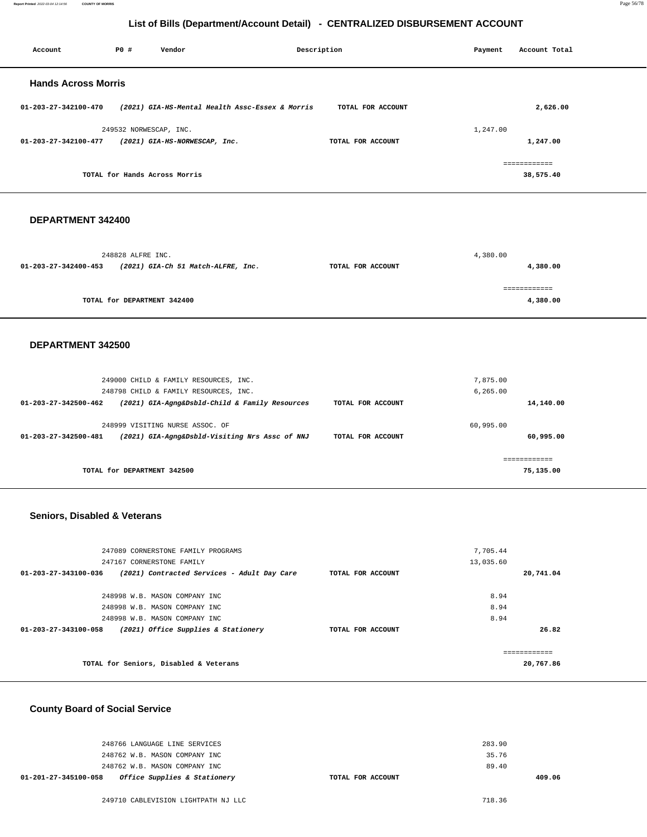**Report Printed** 2022-03-04 12:14:56 **COUNTY OF MORRIS** Page 56/78

#### **List of Bills (Department/Account Detail) - CENTRALIZED DISBURSEMENT ACCOUNT**

| Account                    | PO#                    | Vendor                                          | Description       | Payment  | Account Total          |
|----------------------------|------------------------|-------------------------------------------------|-------------------|----------|------------------------|
| <b>Hands Across Morris</b> |                        |                                                 |                   |          |                        |
| 01-203-27-342100-470       |                        | (2021) GIA-HS-Mental Health Assc-Essex & Morris | TOTAL FOR ACCOUNT |          | 2,626.00               |
|                            | 249532 NORWESCAP, INC. |                                                 |                   | 1,247.00 |                        |
| 01-203-27-342100-477       |                        | (2021) GIA-HS-NORWESCAP, Inc.                   | TOTAL FOR ACCOUNT |          | 1,247.00               |
|                            |                        | TOTAL for Hands Across Morris                   |                   |          | =========<br>38,575.40 |

#### **DEPARTMENT 342400**

|                      | 248828 ALFRE INC.                  |                   | 4,380.00 |
|----------------------|------------------------------------|-------------------|----------|
| 01-203-27-342400-453 | (2021) GIA-Ch 51 Match-ALFRE, Inc. | TOTAL FOR ACCOUNT | 4,380.00 |
|                      |                                    |                   |          |
|                      |                                    |                   |          |
|                      | TOTAL for DEPARTMENT 342400        |                   | 4,380.00 |
|                      |                                    |                   |          |

#### **DEPARTMENT 342500**

|                                | 249000 CHILD & FAMILY RESOURCES, INC.<br>248798 CHILD & FAMILY RESOURCES, INC.    |                   | 7,875.00<br>6, 265.00  |
|--------------------------------|-----------------------------------------------------------------------------------|-------------------|------------------------|
| $01 - 203 - 27 - 342500 - 462$ | (2021) GIA-Agng&Dsbld-Child & Family Resources                                    | TOTAL FOR ACCOUNT | 14,140.00              |
| $01 - 203 - 27 - 342500 - 481$ | 248999 VISITING NURSE ASSOC. OF<br>(2021) GIA-Agng&Dsbld-Visiting Nrs Assc of NNJ | TOTAL FOR ACCOUNT | 60,995.00<br>60,995.00 |
|                                |                                                                                   |                   |                        |
|                                | TOTAL for DEPARTMENT 342500                                                       |                   | 75,135.00              |

#### **Seniors, Disabled & Veterans**

| 247089 CORNERSTONE FAMILY PROGRAMS                                  |                   | 7,705.44  |
|---------------------------------------------------------------------|-------------------|-----------|
| 247167 CORNERSTONE FAMILY                                           |                   | 13,035.60 |
| 01-203-27-343100-036<br>(2021) Contracted Services - Adult Day Care | TOTAL FOR ACCOUNT | 20,741.04 |
|                                                                     |                   |           |
| 248998 W.B. MASON COMPANY INC                                       |                   | 8.94      |
| 248998 W.B. MASON COMPANY INC                                       |                   | 8.94      |
| 248998 W.B. MASON COMPANY INC                                       |                   | 8.94      |
| 01-203-27-343100-058<br>(2021) Office Supplies & Stationery         | TOTAL FOR ACCOUNT | 26.82     |
|                                                                     |                   |           |
|                                                                     |                   |           |
| TOTAL for Seniors, Disabled & Veterans                              |                   | 20,767.86 |
|                                                                     |                   |           |

#### **County Board of Social Service**

| 01-201-27-345100-058 | Office Supplies & Stationery  | TOTAL FOR ACCOUNT | 409.06 |
|----------------------|-------------------------------|-------------------|--------|
|                      | 248762 W.B. MASON COMPANY INC |                   | 89.40  |
|                      | 248762 W.B. MASON COMPANY INC |                   | 35.76  |
|                      | 248766 LANGUAGE LINE SERVICES |                   | 283.90 |
|                      |                               |                   |        |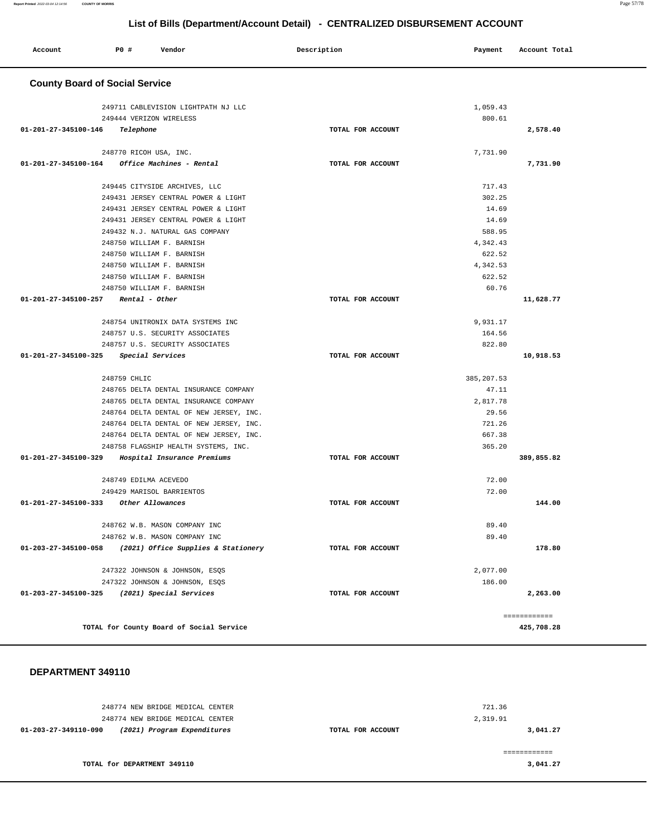| Account                               | P0 #                                                   | Vendor                                                                          | Description       | Payment            | Account Total |
|---------------------------------------|--------------------------------------------------------|---------------------------------------------------------------------------------|-------------------|--------------------|---------------|
| <b>County Board of Social Service</b> |                                                        |                                                                                 |                   |                    |               |
|                                       |                                                        | 249711 CABLEVISION LIGHTPATH NJ LLC                                             |                   | 1,059.43           |               |
|                                       | 249444 VERIZON WIRELESS                                |                                                                                 |                   | 800.61             |               |
| 01-201-27-345100-146                  | Telephone                                              |                                                                                 | TOTAL FOR ACCOUNT |                    | 2,578.40      |
|                                       |                                                        |                                                                                 |                   |                    |               |
|                                       | 248770 RICOH USA, INC.                                 |                                                                                 |                   | 7,731.90           |               |
| 01-201-27-345100-164                  |                                                        | Office Machines - Rental                                                        | TOTAL FOR ACCOUNT |                    | 7,731.90      |
|                                       |                                                        |                                                                                 |                   |                    |               |
|                                       |                                                        | 249445 CITYSIDE ARCHIVES, LLC                                                   |                   | 717.43             |               |
|                                       |                                                        | 249431 JERSEY CENTRAL POWER & LIGHT                                             |                   | 302.25             |               |
|                                       |                                                        | 249431 JERSEY CENTRAL POWER & LIGHT                                             |                   | 14.69              |               |
|                                       |                                                        | 249431 JERSEY CENTRAL POWER & LIGHT                                             |                   | 14.69              |               |
|                                       |                                                        | 249432 N.J. NATURAL GAS COMPANY                                                 |                   | 588.95             |               |
|                                       | 248750 WILLIAM F. BARNISH                              |                                                                                 |                   | 4,342.43<br>622.52 |               |
|                                       | 248750 WILLIAM F. BARNISH<br>248750 WILLIAM F. BARNISH |                                                                                 |                   | 4,342.53           |               |
|                                       | 248750 WILLIAM F. BARNISH                              |                                                                                 |                   | 622.52             |               |
|                                       | 248750 WILLIAM F. BARNISH                              |                                                                                 |                   | 60.76              |               |
| 01-201-27-345100-257                  | Rental - Other                                         |                                                                                 | TOTAL FOR ACCOUNT |                    | 11,628.77     |
|                                       |                                                        |                                                                                 |                   |                    |               |
|                                       |                                                        | 248754 UNITRONIX DATA SYSTEMS INC                                               |                   | 9,931.17           |               |
|                                       |                                                        | 248757 U.S. SECURITY ASSOCIATES                                                 |                   | 164.56             |               |
|                                       |                                                        | 248757 U.S. SECURITY ASSOCIATES                                                 |                   | 822.80             |               |
| 01-201-27-345100-325                  | Special Services                                       |                                                                                 | TOTAL FOR ACCOUNT |                    | 10,918.53     |
|                                       |                                                        |                                                                                 |                   |                    |               |
|                                       | 248759 CHLIC                                           |                                                                                 |                   | 385, 207.53        |               |
|                                       |                                                        | 248765 DELTA DENTAL INSURANCE COMPANY                                           |                   | 47.11              |               |
|                                       |                                                        | 248765 DELTA DENTAL INSURANCE COMPANY                                           |                   | 2,817.78           |               |
|                                       |                                                        | 248764 DELTA DENTAL OF NEW JERSEY, INC.                                         |                   | 29.56              |               |
|                                       |                                                        | 248764 DELTA DENTAL OF NEW JERSEY, INC.                                         |                   | 721.26             |               |
|                                       |                                                        | 248764 DELTA DENTAL OF NEW JERSEY, INC.<br>248758 FLAGSHIP HEALTH SYSTEMS, INC. |                   | 667.38<br>365.20   |               |
| 01-201-27-345100-329                  |                                                        | Hospital Insurance Premiums                                                     | TOTAL FOR ACCOUNT |                    | 389,855.82    |
|                                       |                                                        |                                                                                 |                   |                    |               |
|                                       | 248749 EDILMA ACEVEDO                                  |                                                                                 |                   | 72.00              |               |
|                                       | 249429 MARISOL BARRIENTOS                              |                                                                                 |                   | 72.00              |               |
| 01-201-27-345100-333 Other Allowances |                                                        |                                                                                 | TOTAL FOR ACCOUNT |                    | 144.00        |
|                                       |                                                        |                                                                                 |                   |                    |               |
|                                       |                                                        | 248762 W.B. MASON COMPANY INC                                                   |                   | 89.40              |               |
|                                       |                                                        | 248762 W.B. MASON COMPANY INC                                                   |                   | 89.40              |               |
| 01-203-27-345100-058                  |                                                        | (2021) Office Supplies & Stationery                                             | TOTAL FOR ACCOUNT |                    | 178.80        |
|                                       |                                                        |                                                                                 |                   |                    |               |
|                                       |                                                        | 247322 JOHNSON & JOHNSON, ESQS                                                  |                   | 2,077.00           |               |
| 01-203-27-345100-325                  |                                                        | 247322 JOHNSON & JOHNSON, ESQS<br>(2021) Special Services                       | TOTAL FOR ACCOUNT | 186.00             | 2,263.00      |
|                                       |                                                        |                                                                                 |                   |                    |               |
|                                       |                                                        |                                                                                 |                   |                    | ============  |
|                                       |                                                        | TOTAL for County Board of Social Service                                        |                   |                    | 425,708.28    |
|                                       |                                                        |                                                                                 |                   |                    |               |
|                                       |                                                        |                                                                                 |                   |                    |               |
|                                       |                                                        |                                                                                 |                   |                    |               |
| DEPARTMENT 349110                     |                                                        |                                                                                 |                   |                    |               |

| 248774 NEW BRIDGE MEDICAL CENTER<br>248774 NEW BRIDGE MEDICAL CENTER | 721.36<br>2,319.91 |          |
|----------------------------------------------------------------------|--------------------|----------|
| (2021) Program Expenditures<br>01-203-27-349110-090                  | TOTAL FOR ACCOUNT  | 3,041.27 |
|                                                                      |                    |          |
| TOTAL for DEPARTMENT 349110                                          |                    | 3,041.27 |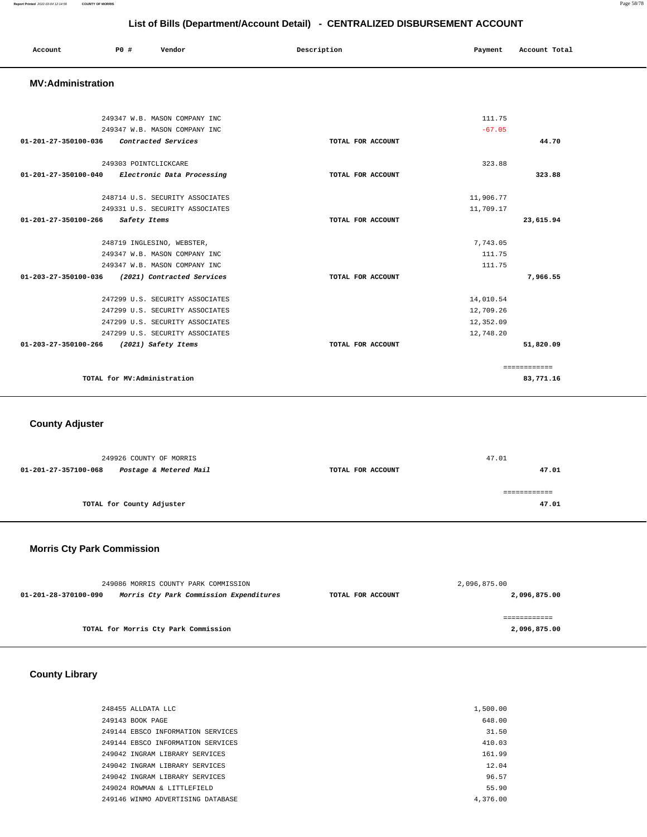| Account<br>. | <b>PO #</b> | Vendor | Description | Payment<br>___ | Account Total<br>.<br>. |
|--------------|-------------|--------|-------------|----------------|-------------------------|
|              |             |        |             |                |                         |

#### **MV:Administration**

| 249347 W.B. MASON COMPANY INC                                |                   | 111.75    |              |
|--------------------------------------------------------------|-------------------|-----------|--------------|
| 249347 W.B. MASON COMPANY INC                                |                   | $-67.05$  |              |
| 01-201-27-350100-036<br>Contracted Services                  | TOTAL FOR ACCOUNT |           | 44.70        |
|                                                              |                   |           |              |
| 249303 POINTCLICKCARE                                        |                   | 323.88    |              |
| Electronic Data Processing<br>01-201-27-350100-040           | TOTAL FOR ACCOUNT |           | 323.88       |
|                                                              |                   |           |              |
| 248714 U.S. SECURITY ASSOCIATES                              |                   | 11,906.77 |              |
| 249331 U.S. SECURITY ASSOCIATES                              |                   | 11,709.17 |              |
| $01 - 201 - 27 - 350100 - 266$<br>Safety Items               | TOTAL FOR ACCOUNT |           | 23,615.94    |
|                                                              |                   |           |              |
| 248719 INGLESINO, WEBSTER,                                   |                   | 7,743.05  |              |
| 249347 W.B. MASON COMPANY INC                                |                   | 111.75    |              |
| 249347 W.B. MASON COMPANY INC                                |                   | 111.75    |              |
| $01 - 203 - 27 - 350100 - 036$<br>(2021) Contracted Services | TOTAL FOR ACCOUNT |           | 7,966.55     |
|                                                              |                   |           |              |
| 247299 U.S. SECURITY ASSOCIATES                              |                   | 14,010.54 |              |
| 247299 U.S. SECURITY ASSOCIATES                              |                   | 12,709.26 |              |
| 247299 U.S. SECURITY ASSOCIATES                              |                   | 12,352.09 |              |
| 247299 U.S. SECURITY ASSOCIATES                              |                   | 12,748.20 |              |
| $01 - 203 - 27 - 350100 - 266$<br>(2021) Safety Items        | TOTAL FOR ACCOUNT |           | 51,820.09    |
|                                                              |                   |           | ============ |
| TOTAL for MV:Administration                                  |                   |           | 83,771.16    |

 **County Adjuster** 

| 249926 COUNTY OF MORRIS                        |                   | 47.01 |
|------------------------------------------------|-------------------|-------|
| Postage & Metered Mail<br>01-201-27-357100-068 | TOTAL FOR ACCOUNT | 47.01 |
|                                                |                   |       |
|                                                |                   |       |
| TOTAL for County Adjuster                      |                   | 47.01 |
|                                                |                   |       |

# **Morris Cty Park Commission**

| 249086 MORRIS COUNTY PARK COMMISSION                            |                   | 2,096,875.00 |
|-----------------------------------------------------------------|-------------------|--------------|
| Morris Cty Park Commission Expenditures<br>01-201-28-370100-090 | TOTAL FOR ACCOUNT | 2,096,875.00 |
|                                                                 |                   |              |
|                                                                 |                   |              |
| TOTAL for Morris Cty Park Commission                            |                   | 2,096,875.00 |

 **County Library** 

| 248455 ALLDATA LLC                | 1,500.00 |
|-----------------------------------|----------|
| 249143 BOOK PAGE                  | 648.00   |
| 249144 EBSCO INFORMATION SERVICES | 31.50    |
| 249144 EBSCO INFORMATION SERVICES | 410.03   |
| 249042 INGRAM LIBRARY SERVICES    | 161.99   |
| 249042 INGRAM LIBRARY SERVICES    | 12.04    |
| 249042 INGRAM LIBRARY SERVICES    | 96.57    |
| 249024 ROWMAN & LITTLEFIELD       | 55.90    |
| 249146 WINMO ADVERTISING DATABASE | 4.376.00 |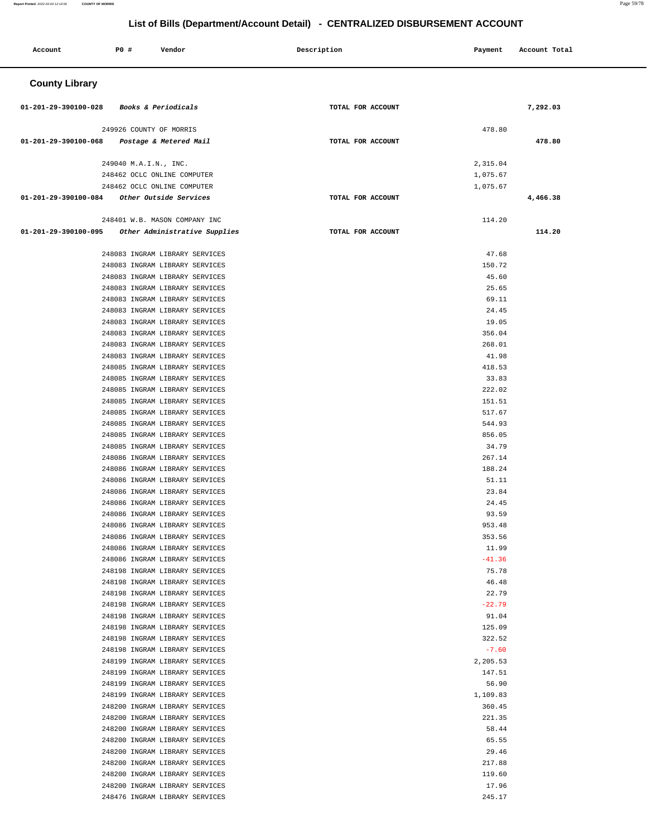| <b>PO #</b><br>Account | Vendor                                                           | Description       | Payment              | Account Total |
|------------------------|------------------------------------------------------------------|-------------------|----------------------|---------------|
| <b>County Library</b>  |                                                                  |                   |                      |               |
| 01-201-29-390100-028   | Books & Periodicals                                              | TOTAL FOR ACCOUNT |                      | 7,292.03      |
|                        | 249926 COUNTY OF MORRIS                                          |                   | 478.80               |               |
| 01-201-29-390100-068   | Postage & Metered Mail                                           | TOTAL FOR ACCOUNT |                      | 478.80        |
|                        |                                                                  |                   |                      |               |
|                        | 249040 M.A.I.N., INC.<br>248462 OCLC ONLINE COMPUTER             |                   | 2,315.04<br>1,075.67 |               |
|                        | 248462 OCLC ONLINE COMPUTER                                      |                   | 1,075.67             |               |
| 01-201-29-390100-084   | Other Outside Services                                           | TOTAL FOR ACCOUNT |                      | 4,466.38      |
|                        | 248401 W.B. MASON COMPANY INC                                    |                   | 114.20               |               |
| 01-201-29-390100-095   | Other Administrative Supplies                                    | TOTAL FOR ACCOUNT |                      | 114.20        |
|                        |                                                                  |                   |                      |               |
|                        | 248083 INGRAM LIBRARY SERVICES                                   |                   | 47.68                |               |
|                        | 248083 INGRAM LIBRARY SERVICES                                   |                   | 150.72               |               |
|                        | 248083 INGRAM LIBRARY SERVICES<br>248083 INGRAM LIBRARY SERVICES |                   | 45.60<br>25.65       |               |
|                        | 248083 INGRAM LIBRARY SERVICES                                   |                   | 69.11                |               |
|                        | 248083 INGRAM LIBRARY SERVICES                                   |                   | 24.45                |               |
|                        | 248083 INGRAM LIBRARY SERVICES                                   |                   | 19.05                |               |
|                        | 248083 INGRAM LIBRARY SERVICES                                   |                   | 356.04               |               |
|                        | 248083 INGRAM LIBRARY SERVICES                                   |                   | 268.01               |               |
|                        | 248083 INGRAM LIBRARY SERVICES                                   |                   | 41.98                |               |
|                        | 248085 INGRAM LIBRARY SERVICES                                   |                   | 418.53               |               |
|                        | 248085 INGRAM LIBRARY SERVICES                                   |                   | 33.83                |               |
|                        | 248085 INGRAM LIBRARY SERVICES                                   |                   | 222.02               |               |
|                        | 248085 INGRAM LIBRARY SERVICES                                   |                   | 151.51               |               |
|                        | 248085 INGRAM LIBRARY SERVICES<br>248085 INGRAM LIBRARY SERVICES |                   | 517.67<br>544.93     |               |
|                        | 248085 INGRAM LIBRARY SERVICES                                   |                   | 856.05               |               |
|                        | 248085 INGRAM LIBRARY SERVICES                                   |                   | 34.79                |               |
|                        | 248086 INGRAM LIBRARY SERVICES                                   |                   | 267.14               |               |
|                        | 248086 INGRAM LIBRARY SERVICES                                   |                   | 188.24               |               |
|                        | 248086 INGRAM LIBRARY SERVICES                                   |                   | 51.11                |               |
|                        | 248086 INGRAM LIBRARY SERVICES                                   |                   | 23.84                |               |
|                        | 248086 INGRAM LIBRARY SERVICES                                   |                   | 24.45                |               |
|                        | 248086 INGRAM LIBRARY SERVICES                                   |                   | 93.59                |               |
|                        | 248086 INGRAM LIBRARY SERVICES<br>248086 INGRAM LIBRARY SERVICES |                   | 953.48<br>353.56     |               |
|                        | 248086 INGRAM LIBRARY SERVICES                                   |                   | 11.99                |               |
|                        | 248086 INGRAM LIBRARY SERVICES                                   |                   | $-41.36$             |               |
|                        | 248198 INGRAM LIBRARY SERVICES                                   |                   | 75.78                |               |
|                        | 248198 INGRAM LIBRARY SERVICES                                   |                   | 46.48                |               |
|                        | 248198 INGRAM LIBRARY SERVICES                                   |                   | 22.79                |               |
|                        | 248198 INGRAM LIBRARY SERVICES                                   |                   | $-22.79$             |               |
|                        | 248198 INGRAM LIBRARY SERVICES                                   |                   | 91.04                |               |
|                        | 248198 INGRAM LIBRARY SERVICES                                   |                   | 125.09               |               |
|                        | 248198 INGRAM LIBRARY SERVICES<br>248198 INGRAM LIBRARY SERVICES |                   | 322.52<br>$-7.60$    |               |
|                        | 248199 INGRAM LIBRARY SERVICES                                   |                   | 2,205.53             |               |
|                        | 248199 INGRAM LIBRARY SERVICES                                   |                   | 147.51               |               |
|                        | 248199 INGRAM LIBRARY SERVICES                                   |                   | 56.90                |               |
|                        | 248199 INGRAM LIBRARY SERVICES                                   |                   | 1,109.83             |               |
|                        | 248200 INGRAM LIBRARY SERVICES                                   |                   | 360.45               |               |
|                        | 248200 INGRAM LIBRARY SERVICES                                   |                   | 221.35               |               |
|                        | 248200 INGRAM LIBRARY SERVICES                                   |                   | 58.44                |               |
|                        | 248200 INGRAM LIBRARY SERVICES                                   |                   | 65.55                |               |
|                        | 248200 INGRAM LIBRARY SERVICES<br>248200 INGRAM LIBRARY SERVICES |                   | 29.46<br>217.88      |               |
|                        | 248200 INGRAM LIBRARY SERVICES                                   |                   | 119.60               |               |
|                        | 248200 INGRAM LIBRARY SERVICES                                   |                   | 17.96                |               |
|                        | 248476 INGRAM LIBRARY SERVICES                                   |                   | 245.17               |               |
|                        |                                                                  |                   |                      |               |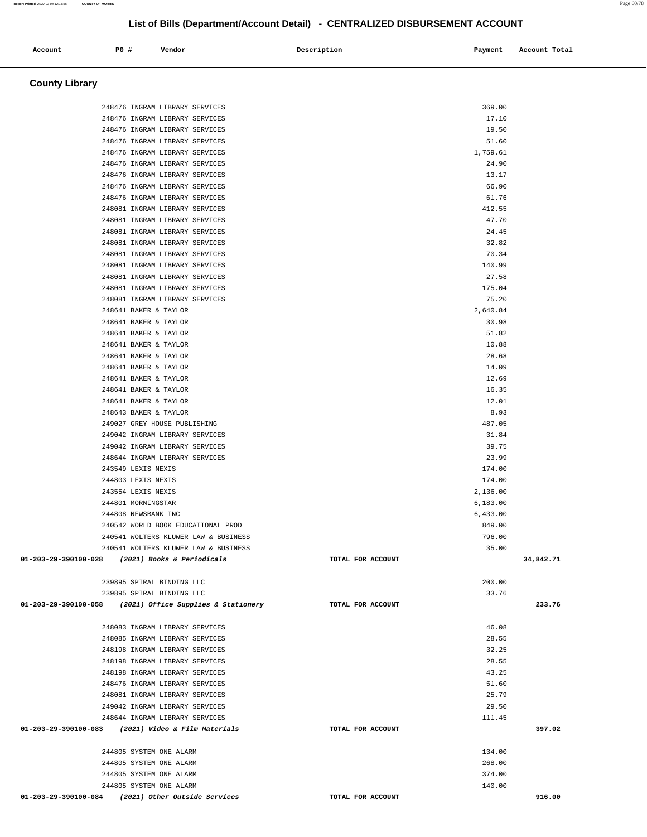#### **County Library**  248476 INGRAM LIBRARY SERVICES 369.00 248476 INGRAM LIBRARY SERVICES 17.10 248476 INGRAM LIBRARY SERVICES 19.50 248476 INGRAM LIBRARY SERVICES 51.60 248476 INGRAM LIBRARY SERVICES 1,759.61 248476 INGRAM LIBRARY SERVICES 24.90 248476 INGRAM LIBRARY SERVICES 13.17 248476 INGRAM LIBRARY SERVICES 66.90 248476 INGRAM LIBRARY SERVICES 61.76 248081 INGRAM LIBRARY SERVICES 412.55 248081 INGRAM LIBRARY SERVICES 47.70 248081 INGRAM LIBRARY SERVICES 24.45 248081 INGRAM LIBRARY SERVICES 32.82 248081 INGRAM LIBRARY SERVICES 70.34 248081 INGRAM LIBRARY SERVICES 140.99 248081 INGRAM LIBRARY SERVICES 27.58 248081 INGRAM LIBRARY SERVICES 175.04 248081 INGRAM LIBRARY SERVICES 75.20 248641 BAKER & TAYLOR 2,640.84 248641 BAKER & TAYLOR 30.98 248641 BAKER & TAYLOR 51.82 248641 BAKER & TAYLOR 10.88 248641 BAKER & TAYLOR 28.68 248641 BAKER & TAYLOR 14.09 248641 BAKER & TAYLOR 12.69 248641 BAKER & TAYLOR 16.35 248641 BAKER & TAYLOR 12.01 248643 BAKER & TAYLOR 8.93 249027 GREY HOUSE PUBLISHING 487.05 249042 INGRAM LIBRARY SERVICES 31.84 249042 INGRAM LIBRARY SERVICES 39.75 248644 INGRAM LIBRARY SERVICES 23.99 243549 LEXIS NEXIS 174.00 244803 LEXIS NEXIS 174.00 243554 LEXIS NEXIS 2,136.00 244801 MORNINGSTAR 6,183.00 244808 NEWSBANK INC 6,433.00 240542 WORLD BOOK EDUCATIONAL PROD 849.00 240541 WOLTERS KLUWER LAW & BUSINESS 796.00 240541 WOLTERS KLUWER LAW & BUSINESS 35.00  **01-203-29-390100-028 (2021) Books & Periodicals TOTAL FOR ACCOUNT 34,842.71**  $239895$  SPIRAL BINDING LLC  $200.00$  239895 SPIRAL BINDING LLC 33.76  **01-203-29-390100-058 (2021) Office Supplies & Stationery TOTAL FOR ACCOUNT 233.76** 248083 INGRAM LIBRARY SERVICES 46.08 248085 INGRAM LIBRARY SERVICES 28.55 248198 INGRAM LIBRARY SERVICES 32.25 248198 INGRAM LIBRARY SERVICES 28.55 248198 INGRAM LIBRARY SERVICES 43.25 248476 INGRAM LIBRARY SERVICES 51.60 248081 INGRAM LIBRARY SERVICES 25.79 249042 INGRAM LIBRARY SERVICES 29.50 248644 INGRAM LIBRARY SERVICES 111.45  **01-203-29-390100-083 (2021) Video & Film Materials TOTAL FOR ACCOUNT 397.02** 244805 SYSTEM ONE ALARM 134.00 244805 SYSTEM ONE ALARM 268.00 244805 SYSTEM ONE ALARM 374.00 244805 SYSTEM ONE ALARM 140.00  **01-203-29-390100-084 (2021) Other Outside Services TOTAL FOR ACCOUNT 916.00**

**List of Bills (Department/Account Detail) - CENTRALIZED DISBURSEMENT ACCOUNT**

 **Account P0 # Vendor Description Payment Account Total**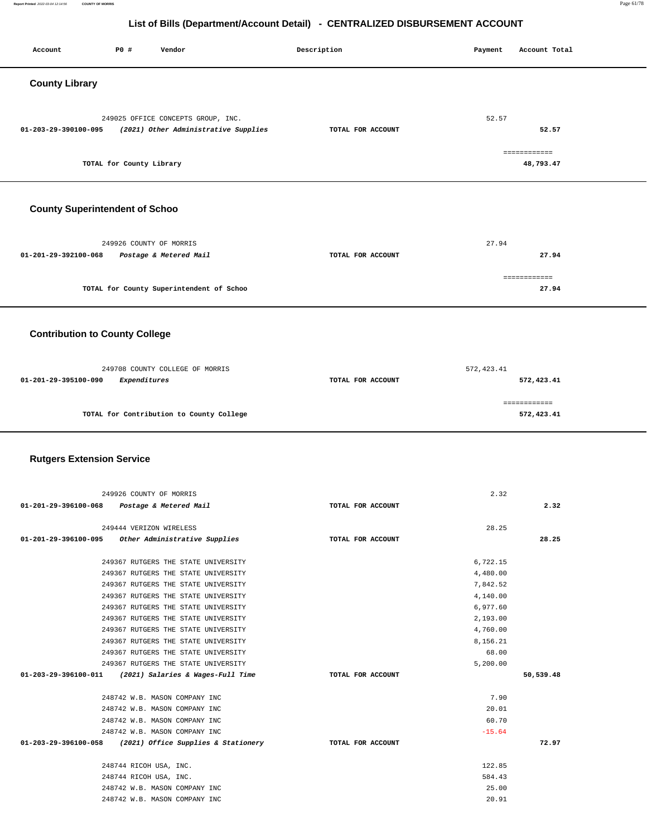Account P0 **#** Vendor **Description Description Payment** Account Total

| <b>County Library</b>            |                                                                            |                   |                            |  |
|----------------------------------|----------------------------------------------------------------------------|-------------------|----------------------------|--|
|                                  | 249025 OFFICE CONCEPTS GROUP, INC.                                         |                   | 52.57                      |  |
| 01-203-29-390100-095             | (2021) Other Administrative Supplies                                       | TOTAL FOR ACCOUNT | 52.57                      |  |
|                                  | TOTAL for County Library                                                   |                   | ============<br>48,793.47  |  |
|                                  |                                                                            |                   |                            |  |
|                                  | <b>County Superintendent of Schoo</b>                                      |                   |                            |  |
|                                  | 249926 COUNTY OF MORRIS                                                    |                   | 27.94                      |  |
| 01-201-29-392100-068             | Postage & Metered Mail                                                     | TOTAL FOR ACCOUNT | 27.94                      |  |
|                                  | TOTAL for County Superintendent of Schoo                                   |                   | ============<br>27.94      |  |
|                                  |                                                                            |                   |                            |  |
|                                  | <b>Contribution to County College</b>                                      |                   |                            |  |
|                                  | 249708 COUNTY COLLEGE OF MORRIS                                            | TOTAL FOR ACCOUNT | 572, 423.41                |  |
| 01-201-29-395100-090             | Expenditures                                                               |                   | 572,423.41<br>============ |  |
|                                  | TOTAL for Contribution to County College                                   |                   | 572,423.41                 |  |
| <b>Rutgers Extension Service</b> |                                                                            |                   |                            |  |
|                                  | 249926 COUNTY OF MORRIS                                                    |                   | 2.32                       |  |
| 01-201-29-396100-068             | Postage & Metered Mail                                                     | TOTAL FOR ACCOUNT | 2.32                       |  |
| 01-201-29-396100-095             | 249444 VERIZON WIRELESS<br>Other Administrative Supplies                   | TOTAL FOR ACCOUNT | 28.25<br>28.25             |  |
|                                  | 249367 RUTGERS THE STATE UNIVERSITY<br>249367 RUTGERS THE STATE UNIVERSITY |                   | 6,722.15<br>4,480.00       |  |
|                                  | 249367 RUTGERS THE STATE UNIVERSITY                                        |                   | 7,842.52                   |  |
|                                  | 249367 RUTGERS THE STATE UNIVERSITY                                        |                   | 4,140.00                   |  |
|                                  | 249367 RUTGERS THE STATE UNIVERSITY                                        |                   | 6,977.60                   |  |
|                                  | 249367 RUTGERS THE STATE UNIVERSITY                                        |                   | 2,193.00                   |  |
|                                  | 249367 RUTGERS THE STATE UNIVERSITY                                        |                   | 4,760.00                   |  |
|                                  | 249367 RUTGERS THE STATE UNIVERSITY                                        |                   | 8,156.21                   |  |
|                                  | 249367 RUTGERS THE STATE UNIVERSITY                                        |                   | 68.00                      |  |
|                                  | 249367 RUTGERS THE STATE UNIVERSITY                                        |                   | 5,200.00                   |  |
| 01-203-29-396100-011             | (2021) Salaries & Wages-Full Time                                          | TOTAL FOR ACCOUNT | 50,539.48                  |  |
|                                  |                                                                            |                   |                            |  |
|                                  | 248742 W.B. MASON COMPANY INC                                              |                   | 7.90                       |  |
|                                  | 248742 W.B. MASON COMPANY INC                                              |                   | 20.01                      |  |
|                                  | 248742 W.B. MASON COMPANY INC                                              |                   | 60.70                      |  |
|                                  | 248742 W.B. MASON COMPANY INC                                              |                   | $-15.64$                   |  |
| 01-203-29-396100-058             | (2021) Office Supplies & Stationery                                        | TOTAL FOR ACCOUNT | 72.97                      |  |
|                                  | 248744 RICOH USA, INC.                                                     |                   | 122.85                     |  |
|                                  | 248744 RICOH USA, INC.                                                     |                   | 584.43                     |  |
|                                  | 248742 W.B. MASON COMPANY INC<br>248742 W.B. MASON COMPANY INC             |                   | 25.00<br>20.91             |  |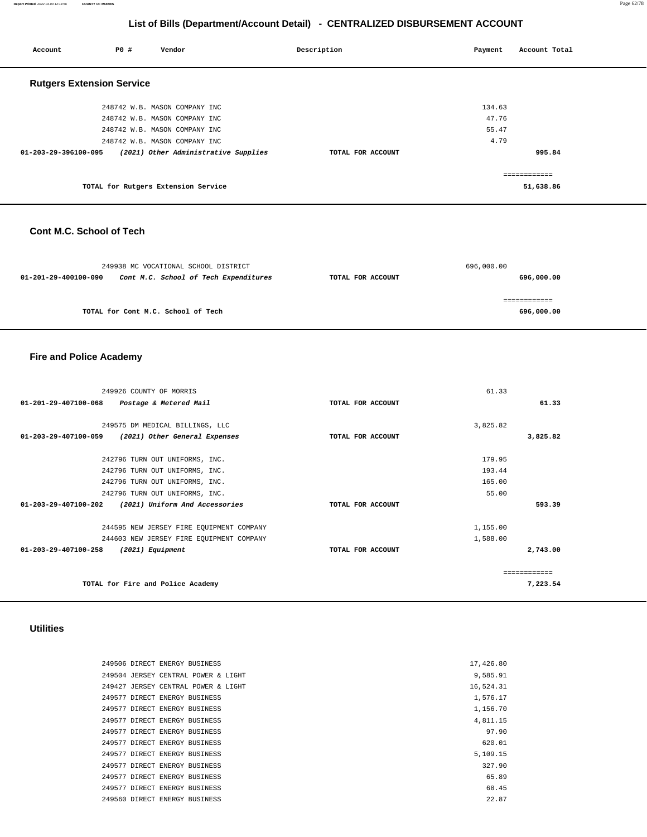#### **Report Printed** 2022-03-04 12:14:56 **COUNTY OF MORRIS** Page 62/78

#### **List of Bills (Department/Account Detail) - CENTRALIZED DISBURSEMENT ACCOUNT**

| Account                          | P0# | Vendor                               | Description       | Payment | Account Total |
|----------------------------------|-----|--------------------------------------|-------------------|---------|---------------|
| <b>Rutgers Extension Service</b> |     |                                      |                   |         |               |
|                                  |     | 248742 W.B. MASON COMPANY INC        |                   | 134.63  |               |
|                                  |     | 248742 W.B. MASON COMPANY INC        |                   | 47.76   |               |
|                                  |     | 248742 W.B. MASON COMPANY INC        |                   | 55.47   |               |
|                                  |     | 248742 W.B. MASON COMPANY INC        |                   | 4.79    |               |
| 01-203-29-396100-095             |     | (2021) Other Administrative Supplies | TOTAL FOR ACCOUNT |         | 995.84        |
|                                  |     |                                      |                   |         | ============  |
|                                  |     | TOTAL for Rutgers Extension Service  |                   |         | 51,638.86     |

#### **Cont M.C. School of Tech**

|                      | 249938 MC VOCATIONAL SCHOOL DISTRICT  |                   | 696,000.00 |
|----------------------|---------------------------------------|-------------------|------------|
| 01-201-29-400100-090 | Cont M.C. School of Tech Expenditures | TOTAL FOR ACCOUNT | 696,000.00 |
|                      |                                       |                   |            |
|                      |                                       |                   |            |
|                      | TOTAL for Cont M.C. School of Tech    |                   | 696,000.00 |

# **Fire and Police Academy**

| 249926 COUNTY OF MORRIS                                          |                   | 61.33    |          |
|------------------------------------------------------------------|-------------------|----------|----------|
| $01 - 201 - 29 - 407100 - 068$<br>Postage & Metered Mail         | TOTAL FOR ACCOUNT |          | 61.33    |
|                                                                  |                   |          |          |
| 249575 DM MEDICAL BILLINGS, LLC                                  |                   | 3,825.82 |          |
| $01 - 203 - 29 - 407100 - 059$<br>(2021) Other General Expenses  | TOTAL FOR ACCOUNT |          | 3,825.82 |
|                                                                  |                   |          |          |
| 242796 TURN OUT UNIFORMS, INC.                                   |                   | 179.95   |          |
| 242796 TURN OUT UNIFORMS, INC.                                   |                   | 193.44   |          |
| 242796 TURN OUT UNIFORMS, INC.                                   |                   | 165.00   |          |
| 242796 TURN OUT UNIFORMS, INC.                                   |                   | 55.00    |          |
| $01 - 203 - 29 - 407100 - 202$<br>(2021) Uniform And Accessories | TOTAL FOR ACCOUNT |          | 593.39   |
| 244595 NEW JERSEY FIRE EQUIPMENT COMPANY                         |                   | 1,155.00 |          |
| 244603 NEW JERSEY FIRE EQUIPMENT COMPANY                         |                   | 1,588.00 |          |
| 01-203-29-407100-258<br>(2021) Equipment                         | TOTAL FOR ACCOUNT |          | 2,743.00 |
|                                                                  |                   |          |          |
| TOTAL for Fire and Police Academy                                |                   |          | 7,223.54 |

#### **Utilities**

| 249506 DIRECT ENERGY BUSINESS       | 17,426.80 |
|-------------------------------------|-----------|
| 249504 JERSEY CENTRAL POWER & LIGHT | 9.585.91  |
| 249427 JERSEY CENTRAL POWER & LIGHT | 16,524.31 |
| 249577 DIRECT ENERGY BUSINESS       | 1,576.17  |
| 249577 DIRECT ENERGY BUSINESS       | 1,156.70  |
| 249577 DIRECT ENERGY BUSINESS       | 4,811.15  |
| 249577 DIRECT ENERGY BUSINESS       | 97.90     |
| 249577 DIRECT ENERGY BUSINESS       | 620.01    |
| 249577 DIRECT ENERGY BUSINESS       | 5,109.15  |
| 249577 DIRECT ENERGY BUSINESS       | 327.90    |
| 249577 DIRECT ENERGY BUSINESS       | 65.89     |
| 249577 DIRECT ENERGY BUSINESS       | 68.45     |
| 249560 DIRECT ENERGY BUSINESS       | 22.87     |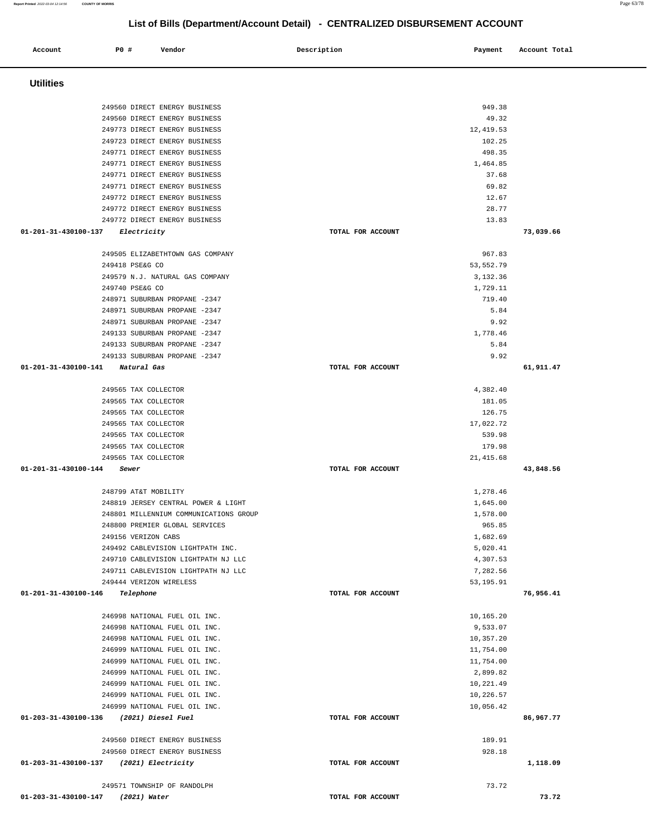| Account                                 | P0 #                                                           | Vendor |                                                                               | Description       | Payment                | Account Total |
|-----------------------------------------|----------------------------------------------------------------|--------|-------------------------------------------------------------------------------|-------------------|------------------------|---------------|
| <b>Utilities</b>                        |                                                                |        |                                                                               |                   |                        |               |
|                                         |                                                                |        |                                                                               |                   |                        |               |
|                                         | 249560 DIRECT ENERGY BUSINESS                                  |        |                                                                               |                   | 949.38                 |               |
|                                         | 249560 DIRECT ENERGY BUSINESS                                  |        |                                                                               |                   | 49.32                  |               |
|                                         | 249773 DIRECT ENERGY BUSINESS                                  |        |                                                                               |                   | 12,419.53<br>102.25    |               |
|                                         | 249723 DIRECT ENERGY BUSINESS<br>249771 DIRECT ENERGY BUSINESS |        |                                                                               |                   | 498.35                 |               |
|                                         | 249771 DIRECT ENERGY BUSINESS                                  |        |                                                                               |                   | 1,464.85               |               |
|                                         | 249771 DIRECT ENERGY BUSINESS                                  |        |                                                                               |                   | 37.68                  |               |
|                                         | 249771 DIRECT ENERGY BUSINESS                                  |        |                                                                               |                   | 69.82                  |               |
|                                         | 249772 DIRECT ENERGY BUSINESS                                  |        |                                                                               |                   | 12.67                  |               |
|                                         | 249772 DIRECT ENERGY BUSINESS                                  |        |                                                                               |                   | 28.77                  |               |
|                                         | 249772 DIRECT ENERGY BUSINESS                                  |        |                                                                               |                   | 13.83                  |               |
| 01-201-31-430100-137                    | <i>Electricity</i>                                             |        |                                                                               | TOTAL FOR ACCOUNT |                        | 73,039.66     |
|                                         |                                                                |        | 249505 ELIZABETHTOWN GAS COMPANY                                              |                   | 967.83                 |               |
|                                         | 249418 PSE&G CO                                                |        |                                                                               |                   | 53, 552.79             |               |
|                                         | 249579 N.J. NATURAL GAS COMPANY                                |        |                                                                               |                   | 3,132.36               |               |
|                                         | 249740 PSE&G CO                                                |        |                                                                               |                   | 1,729.11               |               |
|                                         | 248971 SUBURBAN PROPANE -2347                                  |        |                                                                               |                   | 719.40                 |               |
|                                         | 248971 SUBURBAN PROPANE -2347                                  |        |                                                                               |                   | 5.84                   |               |
|                                         | 248971 SUBURBAN PROPANE -2347                                  |        |                                                                               |                   | 9.92                   |               |
|                                         | 249133 SUBURBAN PROPANE -2347<br>249133 SUBURBAN PROPANE -2347 |        |                                                                               |                   | 1,778.46<br>5.84       |               |
|                                         | 249133 SUBURBAN PROPANE -2347                                  |        |                                                                               |                   | 9.92                   |               |
| 01-201-31-430100-141                    | Natural Gas                                                    |        |                                                                               | TOTAL FOR ACCOUNT |                        | 61,911.47     |
|                                         |                                                                |        |                                                                               |                   |                        |               |
|                                         | 249565 TAX COLLECTOR                                           |        |                                                                               |                   | 4,382.40               |               |
|                                         | 249565 TAX COLLECTOR                                           |        |                                                                               |                   | 181.05                 |               |
|                                         | 249565 TAX COLLECTOR<br>249565 TAX COLLECTOR                   |        |                                                                               |                   | 126.75<br>17,022.72    |               |
|                                         | 249565 TAX COLLECTOR                                           |        |                                                                               |                   | 539.98                 |               |
|                                         | 249565 TAX COLLECTOR                                           |        |                                                                               |                   | 179.98                 |               |
|                                         | 249565 TAX COLLECTOR                                           |        |                                                                               |                   | 21, 415.68             |               |
| 01-201-31-430100-144                    | Sewer                                                          |        |                                                                               | TOTAL FOR ACCOUNT |                        | 43,848.56     |
|                                         |                                                                |        |                                                                               |                   |                        |               |
|                                         | 248799 AT&T MOBILITY                                           |        |                                                                               |                   | 1,278.46               |               |
|                                         |                                                                |        | 248819 JERSEY CENTRAL POWER & LIGHT<br>248801 MILLENNIUM COMMUNICATIONS GROUP |                   | 1,645.00<br>1,578.00   |               |
|                                         | 248800 PREMIER GLOBAL SERVICES                                 |        |                                                                               |                   | 965.85                 |               |
|                                         | 249156 VERIZON CABS                                            |        |                                                                               |                   | 1,682.69               |               |
|                                         |                                                                |        | 249492 CABLEVISION LIGHTPATH INC.                                             |                   | 5,020.41               |               |
|                                         |                                                                |        | 249710 CABLEVISION LIGHTPATH NJ LLC                                           |                   | 4,307.53               |               |
|                                         |                                                                |        | 249711 CABLEVISION LIGHTPATH NJ LLC                                           |                   | 7,282.56               |               |
|                                         | 249444 VERIZON WIRELESS                                        |        |                                                                               |                   | 53, 195.91             |               |
| 01-201-31-430100-146                    | Telephone                                                      |        |                                                                               | TOTAL FOR ACCOUNT |                        | 76,956.41     |
|                                         | 246998 NATIONAL FUEL OIL INC.                                  |        |                                                                               |                   | 10,165.20              |               |
|                                         | 246998 NATIONAL FUEL OIL INC.                                  |        |                                                                               |                   | 9,533.07               |               |
|                                         | 246998 NATIONAL FUEL OIL INC.                                  |        |                                                                               |                   | 10,357.20              |               |
|                                         | 246999 NATIONAL FUEL OIL INC.                                  |        |                                                                               |                   | 11,754.00              |               |
|                                         | 246999 NATIONAL FUEL OIL INC.                                  |        |                                                                               |                   | 11,754.00              |               |
|                                         | 246999 NATIONAL FUEL OIL INC.                                  |        |                                                                               |                   | 2,899.82               |               |
|                                         | 246999 NATIONAL FUEL OIL INC.<br>246999 NATIONAL FUEL OIL INC. |        |                                                                               |                   | 10,221.49<br>10,226.57 |               |
|                                         | 246999 NATIONAL FUEL OIL INC.                                  |        |                                                                               |                   | 10,056.42              |               |
| 01-203-31-430100-136 (2021) Diesel Fuel |                                                                |        |                                                                               | TOTAL FOR ACCOUNT |                        | 86,967.77     |
|                                         |                                                                |        |                                                                               |                   |                        |               |
|                                         | 249560 DIRECT ENERGY BUSINESS                                  |        |                                                                               |                   | 189.91                 |               |
|                                         | 249560 DIRECT ENERGY BUSINESS                                  |        |                                                                               |                   | 928.18                 |               |
| 01-203-31-430100-137 (2021) Electricity |                                                                |        |                                                                               | TOTAL FOR ACCOUNT |                        | 1,118.09      |
|                                         | 249571 TOWNSHIP OF RANDOLPH                                    |        |                                                                               |                   | 73.72                  |               |
| 01-203-31-430100-147 (2021) Water       |                                                                |        |                                                                               | TOTAL FOR ACCOUNT |                        | 73.72         |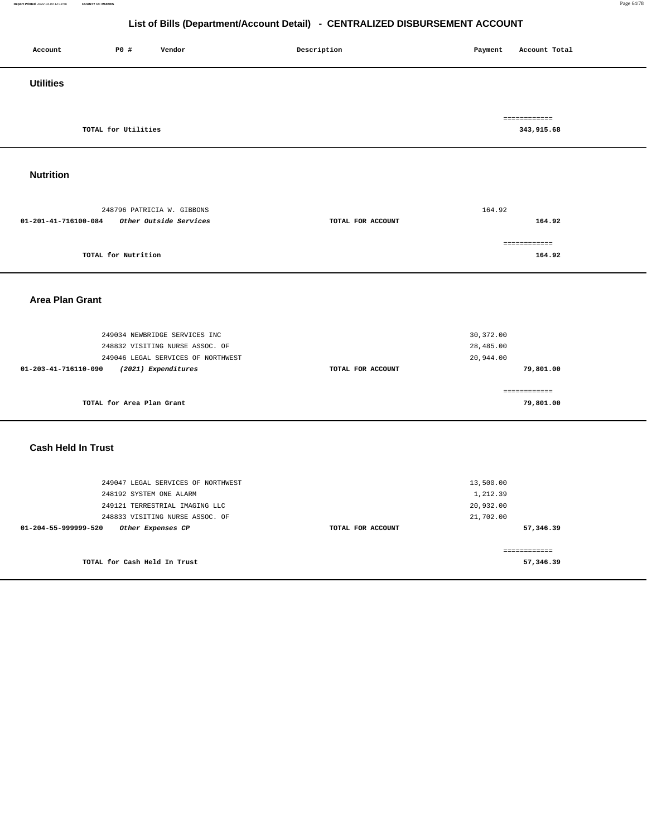#### **Report Printed** 2022-03-04 12:14:56 **COUNTY OF MORRIS** Page 64/78

| Account                   | P0 #                         | Vendor                                                                | Description       | Payment                | Account Total              |
|---------------------------|------------------------------|-----------------------------------------------------------------------|-------------------|------------------------|----------------------------|
| <b>Utilities</b>          |                              |                                                                       |                   |                        |                            |
|                           |                              |                                                                       |                   |                        |                            |
|                           | TOTAL for Utilities          |                                                                       |                   |                        | ============<br>343,915.68 |
|                           |                              |                                                                       |                   |                        |                            |
|                           |                              |                                                                       |                   |                        |                            |
| <b>Nutrition</b>          |                              |                                                                       |                   |                        |                            |
|                           |                              |                                                                       |                   |                        |                            |
|                           |                              | 248796 PATRICIA W. GIBBONS                                            |                   | 164.92                 |                            |
| 01-201-41-716100-084      |                              | Other Outside Services                                                | TOTAL FOR ACCOUNT |                        | 164.92                     |
|                           |                              |                                                                       |                   |                        | ============               |
|                           | TOTAL for Nutrition          |                                                                       |                   |                        | 164.92                     |
|                           |                              |                                                                       |                   |                        |                            |
|                           |                              |                                                                       |                   |                        |                            |
| <b>Area Plan Grant</b>    |                              |                                                                       |                   |                        |                            |
|                           |                              |                                                                       |                   |                        |                            |
|                           |                              | 249034 NEWBRIDGE SERVICES INC                                         |                   | 30, 372.00             |                            |
|                           |                              | 248832 VISITING NURSE ASSOC. OF<br>249046 LEGAL SERVICES OF NORTHWEST |                   | 28,485.00<br>20,944.00 |                            |
| 01-203-41-716110-090      |                              | (2021) Expenditures                                                   | TOTAL FOR ACCOUNT |                        | 79,801.00                  |
|                           |                              |                                                                       |                   |                        |                            |
|                           | TOTAL for Area Plan Grant    |                                                                       |                   |                        | ============<br>79,801.00  |
|                           |                              |                                                                       |                   |                        |                            |
|                           |                              |                                                                       |                   |                        |                            |
| <b>Cash Held In Trust</b> |                              |                                                                       |                   |                        |                            |
|                           |                              |                                                                       |                   |                        |                            |
|                           |                              | 249047 LEGAL SERVICES OF NORTHWEST                                    |                   | 13,500.00              |                            |
|                           | 248192 SYSTEM ONE ALARM      |                                                                       |                   | 1,212.39               |                            |
|                           |                              | 249121 TERRESTRIAL IMAGING LLC                                        |                   | 20,932.00              |                            |
| 01-204-55-999999-520      |                              | 248833 VISITING NURSE ASSOC. OF<br>Other Expenses CP                  | TOTAL FOR ACCOUNT | 21,702.00              | 57,346.39                  |
|                           |                              |                                                                       |                   |                        |                            |
|                           |                              |                                                                       |                   |                        | ============               |
|                           | TOTAL for Cash Held In Trust |                                                                       |                   |                        | 57,346.39                  |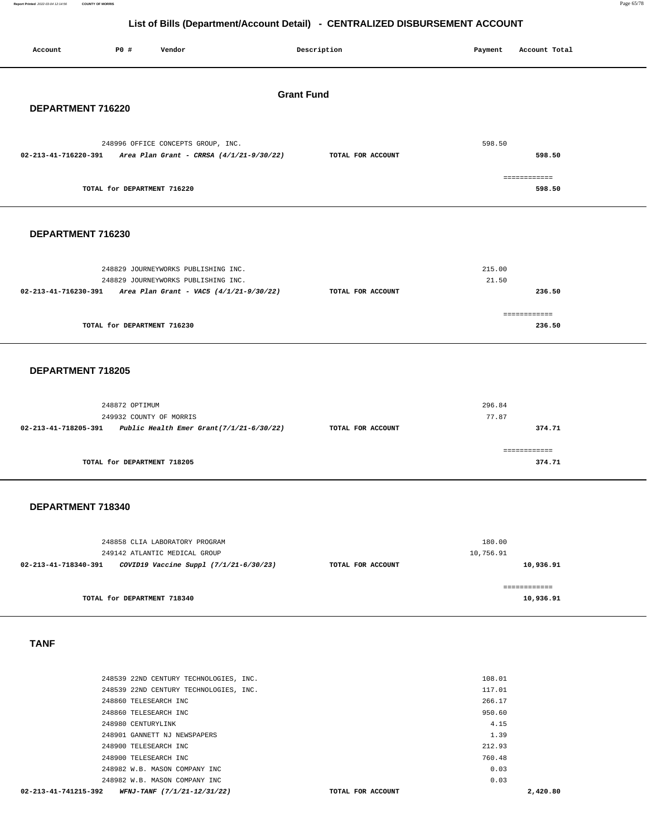**Report Printed** 2022-03-04 12:14:56 **COUNTY OF MORRIS** Page 65/78

#### **List of Bills (Department/Account Detail) - CENTRALIZED DISBURSEMENT ACCOUNT**

| Account              | P0 #<br>Vendor                                                                 | Description       | Payment          | Account Total             |  |  |
|----------------------|--------------------------------------------------------------------------------|-------------------|------------------|---------------------------|--|--|
| <b>Grant Fund</b>    |                                                                                |                   |                  |                           |  |  |
| DEPARTMENT 716220    |                                                                                |                   |                  |                           |  |  |
|                      |                                                                                |                   |                  |                           |  |  |
| 02-213-41-716220-391 | 248996 OFFICE CONCEPTS GROUP, INC.<br>Area Plan Grant - CRRSA (4/1/21-9/30/22) | TOTAL FOR ACCOUNT | 598.50           | 598.50                    |  |  |
|                      | TOTAL for DEPARTMENT 716220                                                    |                   |                  | ============<br>598.50    |  |  |
|                      |                                                                                |                   |                  |                           |  |  |
| DEPARTMENT 716230    |                                                                                |                   |                  |                           |  |  |
|                      |                                                                                |                   |                  |                           |  |  |
|                      | 248829 JOURNEYWORKS PUBLISHING INC.                                            |                   | 215.00           |                           |  |  |
|                      | 248829 JOURNEYWORKS PUBLISHING INC.                                            |                   | 21.50            |                           |  |  |
| 02-213-41-716230-391 | Area Plan Grant - VAC5 (4/1/21-9/30/22)                                        | TOTAL FOR ACCOUNT |                  | 236.50                    |  |  |
|                      |                                                                                |                   |                  | ============              |  |  |
|                      | TOTAL for DEPARTMENT 716230                                                    |                   |                  | 236.50                    |  |  |
|                      |                                                                                |                   |                  |                           |  |  |
|                      |                                                                                |                   |                  |                           |  |  |
| DEPARTMENT 718205    |                                                                                |                   |                  |                           |  |  |
|                      |                                                                                |                   |                  |                           |  |  |
|                      | 248872 OPTIMUM                                                                 |                   | 296.84           |                           |  |  |
|                      | 249932 COUNTY OF MORRIS                                                        |                   | 77.87            |                           |  |  |
| 02-213-41-718205-391 | Public Health Emer Grant(7/1/21-6/30/22)                                       | TOTAL FOR ACCOUNT |                  | 374.71                    |  |  |
|                      |                                                                                |                   |                  | ============              |  |  |
|                      | TOTAL for DEPARTMENT 718205                                                    |                   |                  | 374.71                    |  |  |
|                      |                                                                                |                   |                  |                           |  |  |
|                      |                                                                                |                   |                  |                           |  |  |
| DEPARTMENT 718340    |                                                                                |                   |                  |                           |  |  |
|                      |                                                                                |                   |                  |                           |  |  |
|                      |                                                                                |                   | 180.00           |                           |  |  |
|                      | 248858 CLIA LABORATORY PROGRAM<br>249142 ATLANTIC MEDICAL GROUP                |                   | 10,756.91        |                           |  |  |
| 02-213-41-718340-391 | COVID19 Vaccine Suppl (7/1/21-6/30/23)                                         | TOTAL FOR ACCOUNT |                  | 10,936.91                 |  |  |
|                      |                                                                                |                   |                  |                           |  |  |
|                      | TOTAL for DEPARTMENT 718340                                                    |                   |                  | ============<br>10,936.91 |  |  |
|                      |                                                                                |                   |                  |                           |  |  |
|                      |                                                                                |                   |                  |                           |  |  |
| <b>TANF</b>          |                                                                                |                   |                  |                           |  |  |
|                      |                                                                                |                   |                  |                           |  |  |
|                      |                                                                                |                   |                  |                           |  |  |
|                      | 248539 22ND CENTURY TECHNOLOGIES, INC.                                         |                   | 108.01           |                           |  |  |
|                      | 248539 22ND CENTURY TECHNOLOGIES, INC.                                         |                   | 117.01           |                           |  |  |
|                      | 248860 TELESEARCH INC<br>248860 TELESEARCH INC                                 |                   | 266.17<br>950.60 |                           |  |  |
|                      | 248980 CENTURYLINK                                                             |                   | 4.15             |                           |  |  |
|                      | 248901 GANNETT NJ NEWSPAPERS                                                   |                   | 1.39             |                           |  |  |
|                      | 248900 TELESEARCH INC                                                          |                   | 212.93           |                           |  |  |

248900 TELESEARCH INC 760.48

248982 W.B. MASON COMPANY INC 0.03 248982 W.B. MASON COMPANY INC 0.03  **02-213-41-741215-392 WFNJ-TANF (7/1/21-12/31/22) TOTAL FOR ACCOUNT 2,420.80**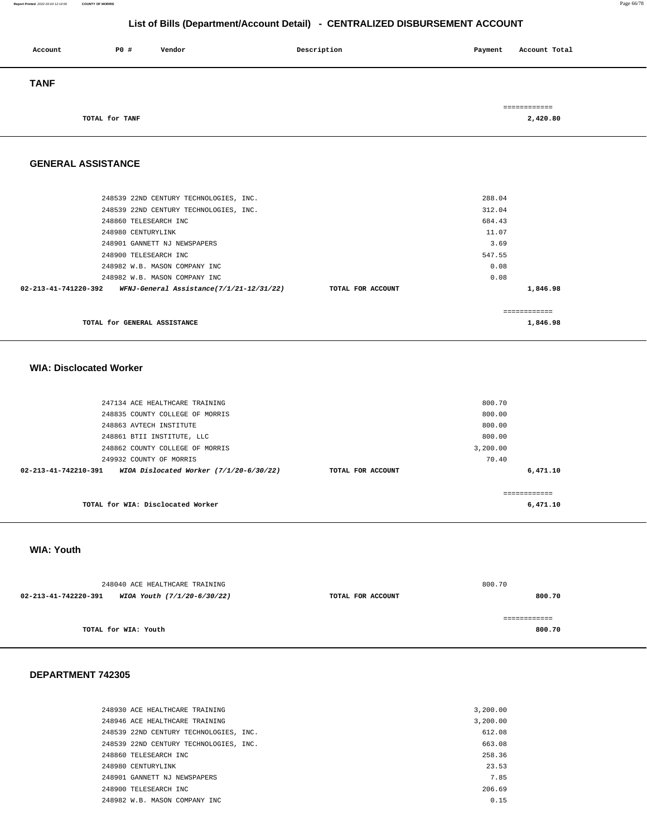#### **Report Printed** 2022-03-04 12:14:56 **COUNTY OF MORRIS** Page 66/78

#### **List of Bills (Department/Account Detail) - CENTRALIZED DISBURSEMENT ACCOUNT**

| Account     | P0 #           | Vendor | Description | Payment | Account Total |
|-------------|----------------|--------|-------------|---------|---------------|
| <b>TANF</b> |                |        |             |         |               |
|             |                |        |             |         | ============  |
|             | TOTAL for TANF |        |             |         | 2,420.80      |

**GENERAL ASSISTANCE** 

| TOTAL for GENERAL ASSISTANCE           |                   |        | 1,846.98     |
|----------------------------------------|-------------------|--------|--------------|
|                                        |                   |        | ============ |
|                                        | TOTAL FOR ACCOUNT |        | 1,846.98     |
| 248982 W.B. MASON COMPANY INC          |                   | 0.08   |              |
| 248982 W.B. MASON COMPANY INC          |                   | 0.08   |              |
| 248900 TELESEARCH INC                  |                   | 547.55 |              |
| 248901 GANNETT NJ NEWSPAPERS           |                   | 3.69   |              |
| 248980 CENTURYLINK                     |                   | 11.07  |              |
| 248860 TELESEARCH INC                  |                   | 684.43 |              |
| 248539 22ND CENTURY TECHNOLOGIES, INC. |                   | 312.04 |              |
| 248539 22ND CENTURY TECHNOLOGIES, INC. |                   | 288.04 |              |
|                                        |                   |        |              |

#### **WIA: Disclocated Worker**

| 247134 ACE HEALTHCARE TRAINING                                            |                   | 800.70   |
|---------------------------------------------------------------------------|-------------------|----------|
| 248835 COUNTY COLLEGE OF MORRIS                                           |                   | 800.00   |
| 248863 AVTECH INSTITUTE                                                   |                   | 800.00   |
| 248861 BTII INSTITUTE, LLC                                                |                   | 800.00   |
| 248862 COUNTY COLLEGE OF MORRIS                                           |                   | 3,200.00 |
| 249932 COUNTY OF MORRIS                                                   |                   | 70.40    |
| $02 - 213 - 41 - 742210 - 391$<br>WIOA Dislocated Worker (7/1/20-6/30/22) | TOTAL FOR ACCOUNT | 6,471.10 |
|                                                                           |                   |          |
| TOTAL for WIA: Disclocated Worker                                         |                   | 6,471.10 |

#### **WIA: Youth**

| 248040 ACE HEALTHCARE TRAINING                      | 800.70            |        |
|-----------------------------------------------------|-------------------|--------|
| 02-213-41-742220-391<br>WIOA Youth (7/1/20-6/30/22) | TOTAL FOR ACCOUNT | 800.70 |
|                                                     |                   |        |
|                                                     |                   |        |
| TOTAL for WIA: Youth                                |                   | 800.70 |
|                                                     |                   |        |

#### **DEPARTMENT 742305**

| 248930 ACE HEALTHCARE TRAINING         | 3,200.00 |
|----------------------------------------|----------|
| 248946 ACE HEALTHCARE TRAINING         | 3,200.00 |
| 248539 22ND CENTURY TECHNOLOGIES, INC. | 612.08   |
| 248539 22ND CENTURY TECHNOLOGIES, INC. | 663.08   |
| 248860 TELESEARCH INC                  | 258.36   |
| 248980 CENTURYLINK                     | 23.53    |
| 248901 GANNETT NJ NEWSPAPERS           | 7.85     |
| 248900 TELESEARCH INC                  | 206.69   |
| 248982 W.B. MASON COMPANY INC.         | 0.15     |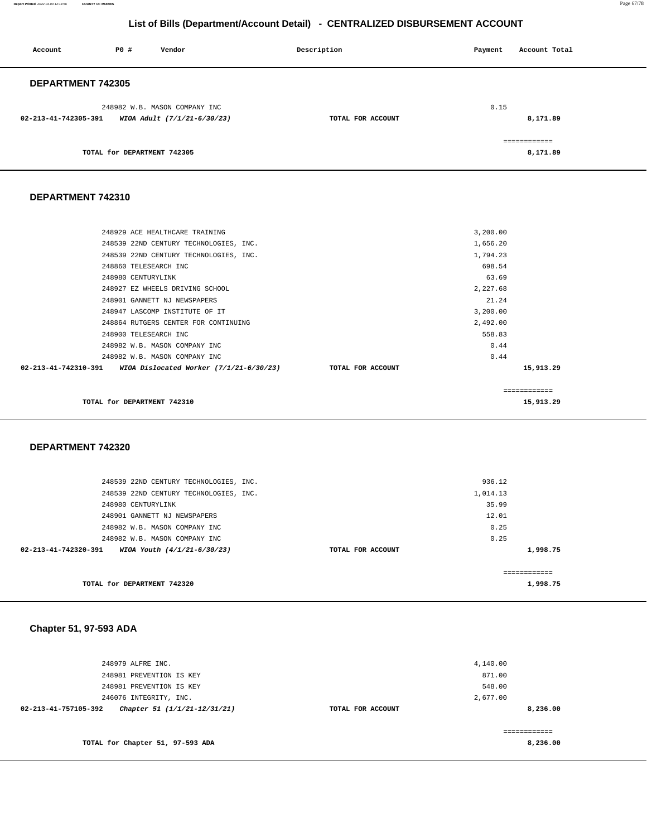**Report Printed** 2022-03-04 12:14:56 **COUNTY OF MORRIS** Page 67/78

#### **List of Bills (Department/Account Detail) - CENTRALIZED DISBURSEMENT ACCOUNT**

| Account                  | P0 # | Vendor                        | Description       | Payment | Account Total |
|--------------------------|------|-------------------------------|-------------------|---------|---------------|
| <b>DEPARTMENT 742305</b> |      |                               |                   |         |               |
|                          |      | 248982 W.B. MASON COMPANY INC |                   | 0.15    |               |
| 02-213-41-742305-391     |      | WIOA Adult (7/1/21-6/30/23)   | TOTAL FOR ACCOUNT |         | 8,171.89      |
|                          |      |                               |                   |         | ============  |
|                          |      | TOTAL for DEPARTMENT 742305   |                   |         | 8,171.89      |

#### **DEPARTMENT 742310**

|                      | TOTAL for DEPARTMENT 742310             |                   |          | 15,913.29    |
|----------------------|-----------------------------------------|-------------------|----------|--------------|
|                      |                                         |                   |          | ============ |
| 02-213-41-742310-391 | WIOA Dislocated Worker (7/1/21-6/30/23) | TOTAL FOR ACCOUNT |          | 15,913.29    |
|                      | 248982 W.B. MASON COMPANY INC           |                   | 0.44     |              |
|                      | 248982 W.B. MASON COMPANY INC           |                   | 0.44     |              |
|                      | 248900 TELESEARCH INC                   |                   | 558.83   |              |
|                      | 248864 RUTGERS CENTER FOR CONTINUING    |                   | 2,492.00 |              |
|                      | 248947 LASCOMP INSTITUTE OF IT          |                   | 3,200.00 |              |
|                      | 248901 GANNETT NJ NEWSPAPERS            |                   | 21.24    |              |
|                      | 248927 EZ WHEELS DRIVING SCHOOL         |                   | 2,227.68 |              |
|                      | 248980 CENTURYLINK                      |                   | 63.69    |              |
|                      | 248860 TELESEARCH INC                   |                   | 698.54   |              |
|                      | 248539 22ND CENTURY TECHNOLOGIES, INC.  |                   | 1,794.23 |              |
|                      | 248539 22ND CENTURY TECHNOLOGIES, INC.  |                   | 1,656.20 |              |
|                      | 248929 ACE HEALTHCARE TRAINING          |                   | 3,200.00 |              |
|                      |                                         |                   |          |              |

#### **DEPARTMENT 742320**

|                                                     | 936.12            |          |
|-----------------------------------------------------|-------------------|----------|
| 248539 22ND CENTURY TECHNOLOGIES, INC.              |                   |          |
| 248539 22ND CENTURY TECHNOLOGIES, INC.              | 1,014.13          |          |
| 248980 CENTURYLINK                                  | 35.99             |          |
| 248901 GANNETT NJ NEWSPAPERS                        | 12.01             |          |
| 248982 W.B. MASON COMPANY INC                       | 0.25              |          |
| 248982 W.B. MASON COMPANY INC                       | 0.25              |          |
| 02-213-41-742320-391<br>WIOA Youth (4/1/21-6/30/23) | TOTAL FOR ACCOUNT | 1,998.75 |
|                                                     |                   |          |
| TOTAL for DEPARTMENT 742320                         |                   | 1,998.75 |

#### **Chapter 51, 97-593 ADA**

| 248979 ALFRE INC.                                    |                   | 4,140.00 |
|------------------------------------------------------|-------------------|----------|
|                                                      |                   |          |
| 248981 PREVENTION IS KEY                             |                   | 871.00   |
| 248981 PREVENTION IS KEY                             |                   | 548.00   |
| 246076 INTEGRITY, INC.                               |                   | 2,677.00 |
| 02-213-41-757105-392<br>Chapter 51 (1/1/21-12/31/21) | TOTAL FOR ACCOUNT | 8,236.00 |
|                                                      |                   |          |
|                                                      |                   |          |
| TOTAL for Chapter 51, 97-593 ADA                     |                   | 8,236.00 |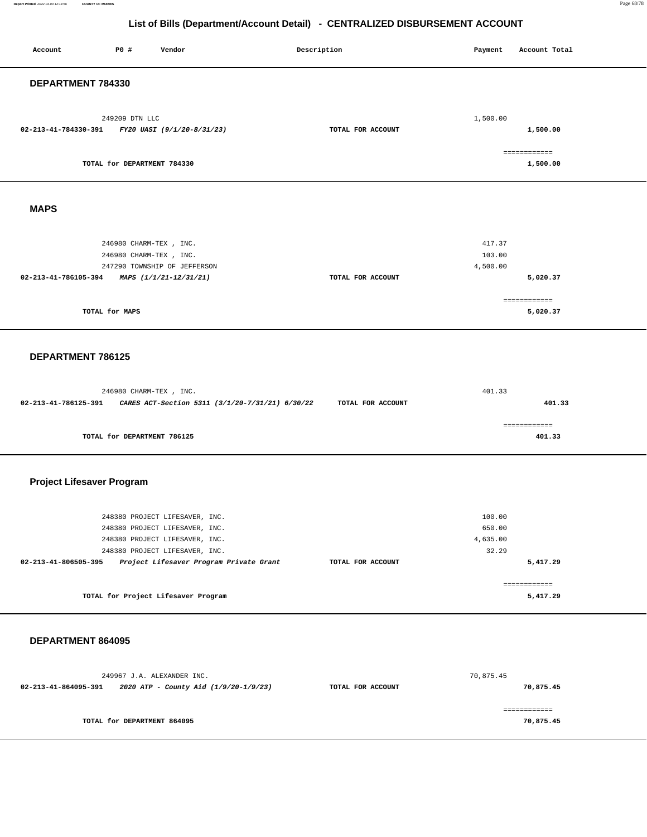**Report Printed** 2022-03-04 12:14:56 **COUNTY OF MORRIS** Page 68/78

| Account                          | P0 #                                             | Vendor                                                                                                                                                                          | Description |                   | Payment                               | Account Total             |
|----------------------------------|--------------------------------------------------|---------------------------------------------------------------------------------------------------------------------------------------------------------------------------------|-------------|-------------------|---------------------------------------|---------------------------|
| DEPARTMENT 784330                |                                                  |                                                                                                                                                                                 |             |                   |                                       |                           |
| 02-213-41-784330-391             | 249209 DTN LLC                                   | FY20 UASI (9/1/20-8/31/23)                                                                                                                                                      |             | TOTAL FOR ACCOUNT | 1,500.00                              | 1,500.00                  |
|                                  | TOTAL for DEPARTMENT 784330                      |                                                                                                                                                                                 |             |                   |                                       | ============<br>1,500.00  |
| <b>MAPS</b>                      |                                                  |                                                                                                                                                                                 |             |                   |                                       |                           |
| 02-213-41-786105-394             | 246980 CHARM-TEX, INC.<br>246980 CHARM-TEX, INC. | 247290 TOWNSHIP OF JEFFERSON<br>MAPS (1/1/21-12/31/21)                                                                                                                          |             | TOTAL FOR ACCOUNT | 417.37<br>103.00<br>4,500.00          | 5,020.37                  |
|                                  | TOTAL for MAPS                                   |                                                                                                                                                                                 |             |                   |                                       | ============<br>5,020.37  |
| DEPARTMENT 786125                |                                                  |                                                                                                                                                                                 |             |                   |                                       |                           |
| 02-213-41-786125-391             | 246980 CHARM-TEX, INC.                           | CARES ACT-Section 5311 (3/1/20-7/31/21) 6/30/22                                                                                                                                 |             | TOTAL FOR ACCOUNT | 401.33                                | 401.33                    |
|                                  | TOTAL for DEPARTMENT 786125                      |                                                                                                                                                                                 |             |                   |                                       | ============<br>401.33    |
| <b>Project Lifesaver Program</b> |                                                  |                                                                                                                                                                                 |             |                   |                                       |                           |
| 02-213-41-806505-395             |                                                  | 248380 PROJECT LIFESAVER, INC.<br>248380 PROJECT LIFESAVER, INC.<br>248380 PROJECT LIFESAVER, INC.<br>248380 PROJECT LIFESAVER, INC.<br>Project Lifesaver Program Private Grant |             | TOTAL FOR ACCOUNT | 100.00<br>650.00<br>4,635.00<br>32.29 | 5,417.29                  |
|                                  |                                                  | TOTAL for Project Lifesaver Program                                                                                                                                             |             |                   |                                       | ============<br>5,417.29  |
| DEPARTMENT 864095                |                                                  |                                                                                                                                                                                 |             |                   |                                       |                           |
| 02-213-41-864095-391             |                                                  | 249967 J.A. ALEXANDER INC.<br>2020 ATP - County Aid (1/9/20-1/9/23)                                                                                                             |             | TOTAL FOR ACCOUNT | 70,875.45                             | 70,875.45                 |
|                                  | TOTAL for DEPARTMENT 864095                      |                                                                                                                                                                                 |             |                   |                                       | ============<br>70,875.45 |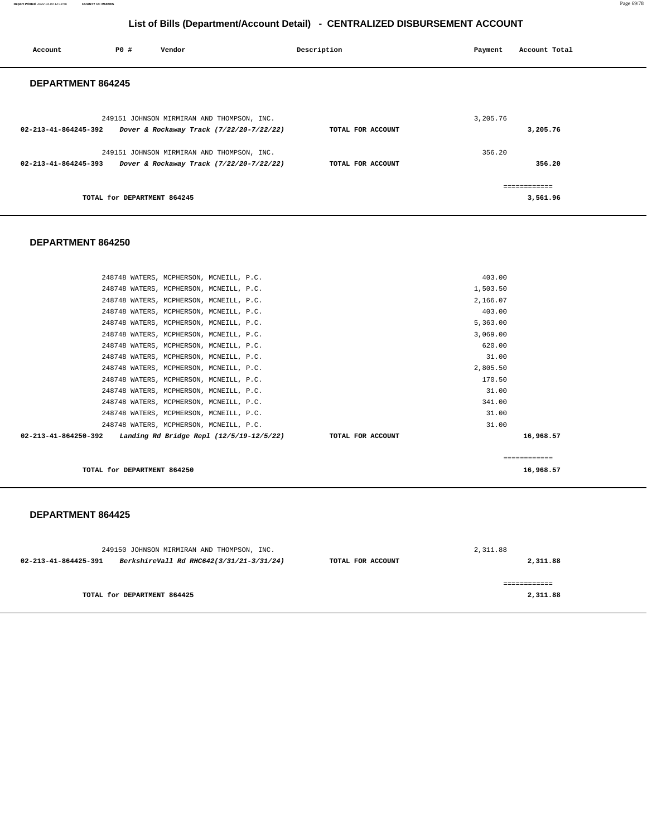**Report Printed** 2022-03-04 12:14:56 **COUNTY OF MORRIS** Page 69/78

#### **List of Bills (Department/Account Detail) - CENTRALIZED DISBURSEMENT ACCOUNT**

| Account                  | PO#                         | Vendor                                                                                 | Description       | Payment  | Account Total            |
|--------------------------|-----------------------------|----------------------------------------------------------------------------------------|-------------------|----------|--------------------------|
| <b>DEPARTMENT 864245</b> |                             |                                                                                        |                   |          |                          |
| 02-213-41-864245-392     |                             | 249151 JOHNSON MIRMIRAN AND THOMPSON, INC.<br>Dover & Rockaway Track (7/22/20-7/22/22) | TOTAL FOR ACCOUNT | 3,205.76 | 3,205.76                 |
| 02-213-41-864245-393     |                             | 249151 JOHNSON MIRMIRAN AND THOMPSON, INC.<br>Dover & Rockaway Track (7/22/20-7/22/22) | TOTAL FOR ACCOUNT | 356.20   | 356.20                   |
|                          | TOTAL for DEPARTMENT 864245 |                                                                                        |                   |          | ============<br>3,561.96 |

#### **DEPARTMENT 864250**

|                                | 248748 WATERS, MCPHERSON, MCNEILL, P.C.  |                   | 403.00   |           |
|--------------------------------|------------------------------------------|-------------------|----------|-----------|
|                                | 248748 WATERS, MCPHERSON, MCNEILL, P.C.  |                   | 1,503.50 |           |
|                                | 248748 WATERS, MCPHERSON, MCNEILL, P.C.  |                   | 2,166.07 |           |
|                                | 248748 WATERS, MCPHERSON, MCNEILL, P.C.  |                   | 403.00   |           |
|                                | 248748 WATERS, MCPHERSON, MCNEILL, P.C.  |                   | 5,363.00 |           |
|                                | 248748 WATERS, MCPHERSON, MCNEILL, P.C.  |                   | 3,069.00 |           |
|                                | 248748 WATERS, MCPHERSON, MCNEILL, P.C.  |                   | 620.00   |           |
|                                | 248748 WATERS, MCPHERSON, MCNEILL, P.C.  |                   | 31.00    |           |
|                                | 248748 WATERS, MCPHERSON, MCNEILL, P.C.  |                   | 2,805.50 |           |
|                                | 248748 WATERS, MCPHERSON, MCNEILL, P.C.  |                   | 170.50   |           |
|                                | 248748 WATERS, MCPHERSON, MCNEILL, P.C.  |                   | 31.00    |           |
|                                | 248748 WATERS, MCPHERSON, MCNEILL, P.C.  |                   | 341.00   |           |
|                                | 248748 WATERS, MCPHERSON, MCNEILL, P.C.  |                   | 31.00    |           |
|                                | 248748 WATERS, MCPHERSON, MCNEILL, P.C.  |                   | 31.00    |           |
| $02 - 213 - 41 - 864250 - 392$ | Landing Rd Bridge Repl (12/5/19-12/5/22) | TOTAL FOR ACCOUNT |          | 16,968.57 |
|                                |                                          |                   |          |           |
|                                |                                          |                   |          |           |

**TOTAL for DEPARTMENT 864250 16,968.57 16,968.57** 

#### **DEPARTMENT 864425**

| 249150 JOHNSON MIRMIRAN AND THOMPSON, INC.                       |                             |                   | 2,311.88 |
|------------------------------------------------------------------|-----------------------------|-------------------|----------|
| BerkshireVall Rd RHC642(3/31/21-3/31/24)<br>02-213-41-864425-391 |                             | TOTAL FOR ACCOUNT | 2,311.88 |
|                                                                  |                             |                   |          |
|                                                                  |                             |                   |          |
|                                                                  | TOTAL for DEPARTMENT 864425 |                   | 2,311.88 |
|                                                                  |                             |                   |          |

============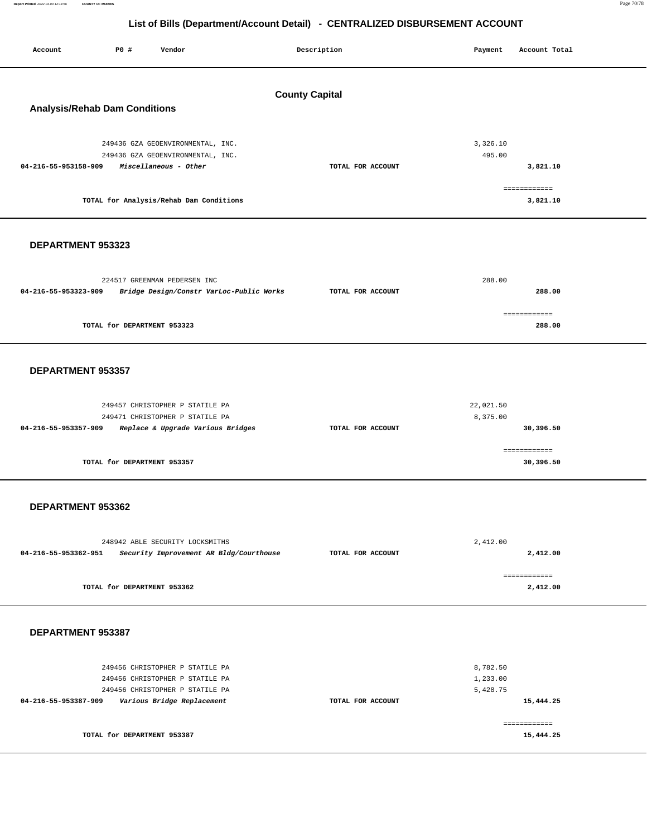**Report Printed** 2022-03-04 12:14:56 **COUNTY OF MORRIS** Page 70/78

| P0 #<br>Vendor<br>Account                                                                                                                                          | Description       | Account Total<br>Payment                                   |  |  |  |  |  |
|--------------------------------------------------------------------------------------------------------------------------------------------------------------------|-------------------|------------------------------------------------------------|--|--|--|--|--|
| <b>County Capital</b><br><b>Analysis/Rehab Dam Conditions</b>                                                                                                      |                   |                                                            |  |  |  |  |  |
| 249436 GZA GEOENVIRONMENTAL, INC.<br>249436 GZA GEOENVIRONMENTAL, INC.<br>04-216-55-953158-909<br>Miscellaneous - Other<br>TOTAL for Analysis/Rehab Dam Conditions | TOTAL FOR ACCOUNT | 3,326.10<br>495.00<br>3,821.10<br>============<br>3,821.10 |  |  |  |  |  |
| DEPARTMENT 953323                                                                                                                                                  |                   |                                                            |  |  |  |  |  |
| 224517 GREENMAN PEDERSEN INC<br>04-216-55-953323-909<br>Bridge Design/Constr VarLoc-Public Works                                                                   | TOTAL FOR ACCOUNT | 288.00<br>288.00                                           |  |  |  |  |  |
| TOTAL for DEPARTMENT 953323                                                                                                                                        |                   | ============<br>288.00                                     |  |  |  |  |  |
| DEPARTMENT 953357                                                                                                                                                  |                   |                                                            |  |  |  |  |  |
| 249457 CHRISTOPHER P STATILE PA<br>249471 CHRISTOPHER P STATILE PA<br>04-216-55-953357-909<br>Replace & Upgrade Various Bridges                                    | TOTAL FOR ACCOUNT | 22,021.50<br>8,375.00<br>30,396.50                         |  |  |  |  |  |
| TOTAL for DEPARTMENT 953357                                                                                                                                        |                   | ============<br>30,396.50                                  |  |  |  |  |  |
| DEPARTMENT 953362                                                                                                                                                  |                   |                                                            |  |  |  |  |  |
| 248942 ABLE SECURITY LOCKSMITHS<br>04-216-55-953362-951<br>Security Improvement AR Bldg/Courthouse                                                                 | TOTAL FOR ACCOUNT | 2,412.00<br>2,412.00                                       |  |  |  |  |  |
| TOTAL for DEPARTMENT 953362                                                                                                                                        |                   | ============<br>2,412.00                                   |  |  |  |  |  |
| DEPARTMENT 953387                                                                                                                                                  |                   |                                                            |  |  |  |  |  |
| 249456 CHRISTOPHER P STATILE PA<br>249456 CHRISTOPHER P STATILE PA<br>249456 CHRISTOPHER P STATILE PA<br>04-216-55-953387-909<br>Various Bridge Replacement        | TOTAL FOR ACCOUNT | 8,782.50<br>1,233.00<br>5,428.75<br>15,444.25              |  |  |  |  |  |
| TOTAL for DEPARTMENT 953387                                                                                                                                        |                   | ============<br>15,444.25                                  |  |  |  |  |  |
|                                                                                                                                                                    |                   |                                                            |  |  |  |  |  |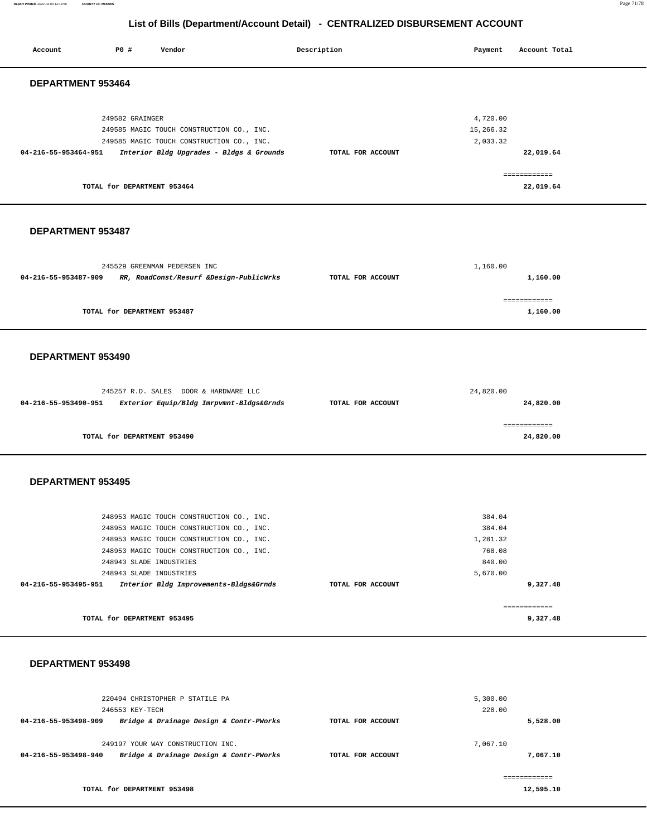**Report Printed** 2022-03-04 12:14:56 **COUNTY OF MORRIS** Page 71/78

#### **List of Bills (Department/Account Detail) - CENTRALIZED DISBURSEMENT ACCOUNT**

| Account                  | P0 #                                               | Vendor                                                                                                                                                                           |                                          | Description       | Payment                                                      | Account Total                        |  |  |
|--------------------------|----------------------------------------------------|----------------------------------------------------------------------------------------------------------------------------------------------------------------------------------|------------------------------------------|-------------------|--------------------------------------------------------------|--------------------------------------|--|--|
| DEPARTMENT 953464        |                                                    |                                                                                                                                                                                  |                                          |                   |                                                              |                                      |  |  |
| 04-216-55-953464-951     | 249582 GRAINGER                                    | 249585 MAGIC TOUCH CONSTRUCTION CO., INC.<br>249585 MAGIC TOUCH CONSTRUCTION CO., INC.                                                                                           | Interior Bldg Upgrades - Bldgs & Grounds | TOTAL FOR ACCOUNT | 4,720.00<br>15,266.32<br>2,033.32                            | 22,019.64<br>============            |  |  |
|                          | TOTAL for DEPARTMENT 953464                        |                                                                                                                                                                                  |                                          |                   |                                                              | 22,019.64                            |  |  |
| <b>DEPARTMENT 953487</b> |                                                    |                                                                                                                                                                                  |                                          |                   |                                                              |                                      |  |  |
| 04-216-55-953487-909     |                                                    | 245529 GREENMAN PEDERSEN INC<br>RR, RoadConst/Resurf &Design-PublicWrks                                                                                                          |                                          | TOTAL FOR ACCOUNT | 1,160.00                                                     | 1,160.00<br>============             |  |  |
|                          | TOTAL for DEPARTMENT 953487                        |                                                                                                                                                                                  |                                          |                   |                                                              | 1,160.00                             |  |  |
|                          | DEPARTMENT 953490                                  |                                                                                                                                                                                  |                                          |                   |                                                              |                                      |  |  |
| 04-216-55-953490-951     |                                                    | 245257 R.D. SALES DOOR & HARDWARE LLC                                                                                                                                            | Exterior Equip/Bldg Imrpvmnt-Bldgs&Grnds | TOTAL FOR ACCOUNT | 24,820.00                                                    | 24,820.00<br>------------            |  |  |
|                          | TOTAL for DEPARTMENT 953490                        |                                                                                                                                                                                  |                                          |                   |                                                              | 24,820.00                            |  |  |
| DEPARTMENT 953495        |                                                    |                                                                                                                                                                                  |                                          |                   |                                                              |                                      |  |  |
|                          | 248943 SLADE INDUSTRIES<br>248943 SLADE INDUSTRIES | 248953 MAGIC TOUCH CONSTRUCTION CO., INC.<br>248953 MAGIC TOUCH CONSTRUCTION CO., INC.<br>248953 MAGIC TOUCH CONSTRUCTION CO., INC.<br>248953 MAGIC TOUCH CONSTRUCTION CO., INC. |                                          |                   | 384.04<br>384.04<br>1,281.32<br>768.08<br>840.00<br>5,670.00 |                                      |  |  |
| 04-216-55-953495-951     | TOTAL for DEPARTMENT 953495                        | Interior Bldg Improvements-Bldgs&Grnds                                                                                                                                           |                                          | TOTAL FOR ACCOUNT |                                                              | 9,327.48<br>============<br>9,327.48 |  |  |
| DEPARTMENT 953498        |                                                    |                                                                                                                                                                                  |                                          |                   |                                                              |                                      |  |  |
| 04-216-55-953498-909     | 246553 KEY-TECH                                    | 220494 CHRISTOPHER P STATILE PA<br>Bridge & Drainage Design & Contr-PWorks                                                                                                       |                                          | TOTAL FOR ACCOUNT | 5,300.00<br>228.00                                           | 5,528.00                             |  |  |
| 04-216-55-953498-940     |                                                    | 249197 YOUR WAY CONSTRUCTION INC.<br>Bridge & Drainage Design & Contr-PWorks                                                                                                     |                                          | TOTAL FOR ACCOUNT | 7,067.10                                                     | 7,067.10<br>------------             |  |  |

**TOTAL for DEPARTMENT 953498** 

**12,595.10**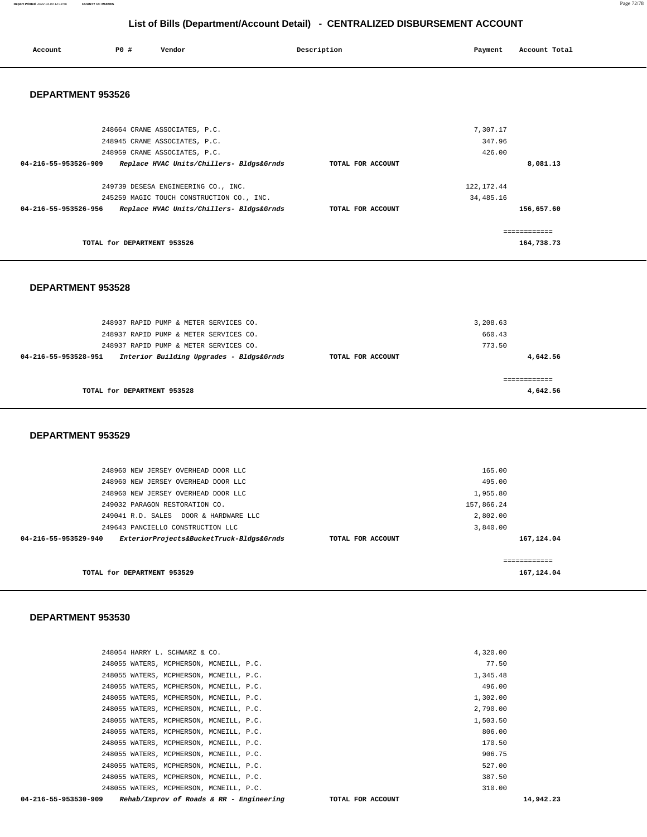#### **Report Printed** 2022-03-04 12:14:56 **COUNTY OF MORRIS** Page 72/78

# **List of Bills (Department/Account Detail) - CENTRALIZED DISBURSEMENT ACCOUNT**

| Account<br>. | <b>PO #</b> | Vendor | Description | Payment | Account Total |
|--------------|-------------|--------|-------------|---------|---------------|
|              |             |        |             |         |               |

#### **DEPARTMENT 953526**

| 248664 CRANE ASSOCIATES, P.C.                                    |                   | 7.307.17    |  |
|------------------------------------------------------------------|-------------------|-------------|--|
| 248945 CRANE ASSOCIATES, P.C.                                    |                   | 347.96      |  |
| 248959 CRANE ASSOCIATES, P.C.                                    |                   | 426.00      |  |
| Replace HVAC Units/Chillers- Bldgs&Grnds<br>04-216-55-953526-909 | TOTAL FOR ACCOUNT | 8,081.13    |  |
|                                                                  |                   |             |  |
| 249739 DESESA ENGINEERING CO., INC.                              |                   | 122, 172.44 |  |
| 245259 MAGIC TOUCH CONSTRUCTION CO., INC.                        |                   | 34,485.16   |  |
| 04-216-55-953526-956<br>Replace HVAC Units/Chillers- Bldgs&Grnds | TOTAL FOR ACCOUNT | 156,657.60  |  |
|                                                                  |                   |             |  |
|                                                                  |                   |             |  |
| TOTAL for DEPARTMENT 953526                                      |                   | 164,738.73  |  |
|                                                                  |                   |             |  |

#### **DEPARTMENT 953528**

| 248937 RAPID PUMP & METER SERVICES CO.<br>248937 RAPID PUMP & METER SERVICES CO.<br>248937 RAPID PUMP & METER SERVICES CO. |                   | 3,208.63<br>660.43<br>773.50 |
|----------------------------------------------------------------------------------------------------------------------------|-------------------|------------------------------|
| Interior Building Upgrades - Bldgs&Grnds<br>04-216-55-953528-951                                                           | TOTAL FOR ACCOUNT | 4,642.56                     |
| TOTAL for DEPARTMENT 953528                                                                                                |                   | 4,642.56                     |

#### **DEPARTMENT 953529**

| 248960 NEW JERSEY OVERHEAD DOOR LLC<br>248960 NEW JERSEY OVERHEAD DOOR LLC |                   | 165.00<br>495.00 |                           |
|----------------------------------------------------------------------------|-------------------|------------------|---------------------------|
| 248960 NEW JERSEY OVERHEAD DOOR LLC                                        |                   | 1,955.80         |                           |
| 249032 PARAGON RESTORATION CO.                                             |                   | 157,866.24       |                           |
| 249041 R.D. SALES DOOR & HARDWARE LLC                                      |                   | 2,802.00         |                           |
| 249643 PANCIELLO CONSTRUCTION LLC                                          |                   | 3,840.00         |                           |
| ExteriorProjects&BucketTruck-Bldgs&Grnds<br>04-216-55-953529-940           | TOTAL FOR ACCOUNT |                  | 167,124.04                |
| TOTAL for DEPARTMENT 953529                                                |                   |                  | -----------<br>167,124.04 |

#### **DEPARTMENT 953530**

| 248054 HARRY L. SCHWARZ & CO.                                    |                   | 4,320.00 |           |
|------------------------------------------------------------------|-------------------|----------|-----------|
|                                                                  |                   |          |           |
| 248055 WATERS, MCPHERSON, MCNEILL, P.C.                          |                   | 77.50    |           |
| 248055 WATERS, MCPHERSON, MCNEILL, P.C.                          |                   | 1,345.48 |           |
| 248055 WATERS, MCPHERSON, MCNEILL, P.C.                          |                   | 496.00   |           |
| 248055 WATERS, MCPHERSON, MCNEILL, P.C.                          |                   | 1,302.00 |           |
| 248055 WATERS, MCPHERSON, MCNEILL, P.C.                          |                   | 2,790.00 |           |
| 248055 WATERS, MCPHERSON, MCNEILL, P.C.                          |                   | 1,503.50 |           |
| 248055 WATERS, MCPHERSON, MCNEILL, P.C.                          |                   | 806.00   |           |
| 248055 WATERS, MCPHERSON, MCNEILL, P.C.                          |                   | 170.50   |           |
| 248055 WATERS, MCPHERSON, MCNEILL, P.C.                          |                   | 906.75   |           |
| 248055 WATERS, MCPHERSON, MCNEILL, P.C.                          |                   | 527.00   |           |
| 248055 WATERS, MCPHERSON, MCNEILL, P.C.                          |                   | 387.50   |           |
| 248055 WATERS, MCPHERSON, MCNEILL, P.C.                          |                   | 310.00   |           |
| Rehab/Improv of Roads & RR - Engineering<br>04-216-55-953530-909 | TOTAL FOR ACCOUNT |          | 14,942.23 |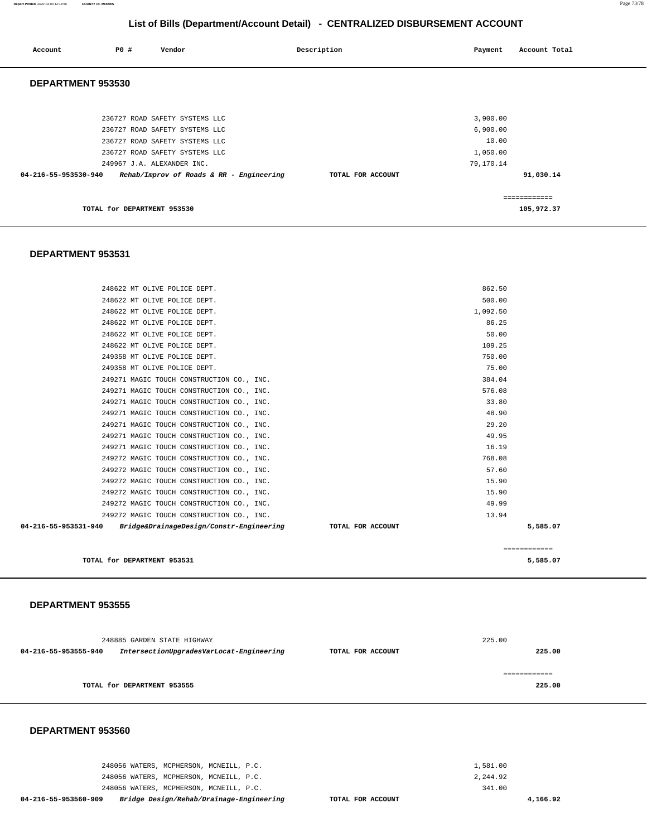248056 WATERS, MCPHERSON, MCNEILL, P.C. 248056 WATERS, MCPHERSON, MCNEILL, P.C. 248056 WATERS, MCPHERSON, MCNEILL, P.C. **04-216-55-953560-909 Bridge Design/Rehab/Drainage-Engineering TOTAL FOR ACCOUNT**  1,581.00 2,244.92 341.00 **4,166.92** 

#### **DEPARTMENT 953560**

| 04-216-55-953555-940 | IntersectionUpgradesVarLocat-Engineering | TOTAL FOR ACCOUNT | 225.00 |
|----------------------|------------------------------------------|-------------------|--------|
|                      |                                          |                   |        |
|                      | TOTAL for DEPARTMENT 953555              |                   | 225.00 |
| DEPARTMENT 953560    |                                          |                   |        |

225.00

#### **DEPARTMENT 953555**

248885 GARDEN STATE HIGHWAY

| 249271 MAGIC TOUCH CONSTRUCTION CO., INC.                        | 576.08            |              |
|------------------------------------------------------------------|-------------------|--------------|
| 249271 MAGIC TOUCH CONSTRUCTION CO., INC.                        | 33.80             |              |
| 249271 MAGIC TOUCH CONSTRUCTION CO., INC.                        | 48.90             |              |
| 249271 MAGIC TOUCH CONSTRUCTION CO., INC.                        | 29.20             |              |
| 249271 MAGIC TOUCH CONSTRUCTION CO., INC.                        | 49.95             |              |
| 249271 MAGIC TOUCH CONSTRUCTION CO., INC.                        | 16.19             |              |
| 249272 MAGIC TOUCH CONSTRUCTION CO., INC.                        | 768.08            |              |
| 249272 MAGIC TOUCH CONSTRUCTION CO., INC.                        | 57.60             |              |
| 249272 MAGIC TOUCH CONSTRUCTION CO., INC.                        | 15.90             |              |
| 249272 MAGIC TOUCH CONSTRUCTION CO., INC.                        | 15.90             |              |
| 249272 MAGIC TOUCH CONSTRUCTION CO., INC.                        | 49.99             |              |
| 249272 MAGIC TOUCH CONSTRUCTION CO., INC.                        | 13.94             |              |
| Bridge&DrainageDesign/Constr-Engineering<br>04-216-55-953531-940 | TOTAL FOR ACCOUNT | 5,585.07     |
|                                                                  |                   |              |
|                                                                  |                   | ============ |
| TOTAL for DEPARTMENT 953531                                      |                   | 5,585.07     |
|                                                                  |                   |              |

## **DEPARTMENT 953531**

| Account              | <b>PO #</b>                 | Vendor                                   | Description       | Payment   | Account Total |
|----------------------|-----------------------------|------------------------------------------|-------------------|-----------|---------------|
| DEPARTMENT 953530    |                             |                                          |                   |           |               |
|                      |                             |                                          |                   |           |               |
|                      |                             | 236727 ROAD SAFETY SYSTEMS LLC           |                   | 3,900.00  |               |
|                      |                             | 236727 ROAD SAFETY SYSTEMS LLC           |                   | 6,900.00  |               |
|                      |                             | 236727 ROAD SAFETY SYSTEMS LLC           |                   | 10.00     |               |
|                      |                             | 236727 ROAD SAFETY SYSTEMS LLC           |                   | 1,050.00  |               |
|                      |                             | 249967 J.A. ALEXANDER INC.               |                   | 79,170.14 |               |
| 04-216-55-953530-940 |                             | Rehab/Improv of Roads & RR - Engineering | TOTAL FOR ACCOUNT |           | 91,030.14     |
|                      |                             |                                          |                   |           | ============  |
|                      | TOTAL for DEPARTMENT 953530 |                                          |                   |           | 105,972.37    |

248622 MT OLIVE POLICE DEPT. 862.50 248622 MT OLIVE POLICE DEPT. 500.00 248622 MT OLIVE POLICE DEPT. 1,092.50 248622 MT OLIVE POLICE DEPT. 86.25 248622 MT OLIVE POLICE DEPT. 50.00 248622 MT OLIVE POLICE DEPT. 109.25 249358 MT OLIVE POLICE DEPT. 750.00 249358 MT OLIVE POLICE DEPT. 75.00 249271 MAGIC TOUCH CONSTRUCTION CO., INC. 384.04

# **List of Bills (Department/Account Detail) - CENTRALIZED DISBURSEMENT ACCOUNT**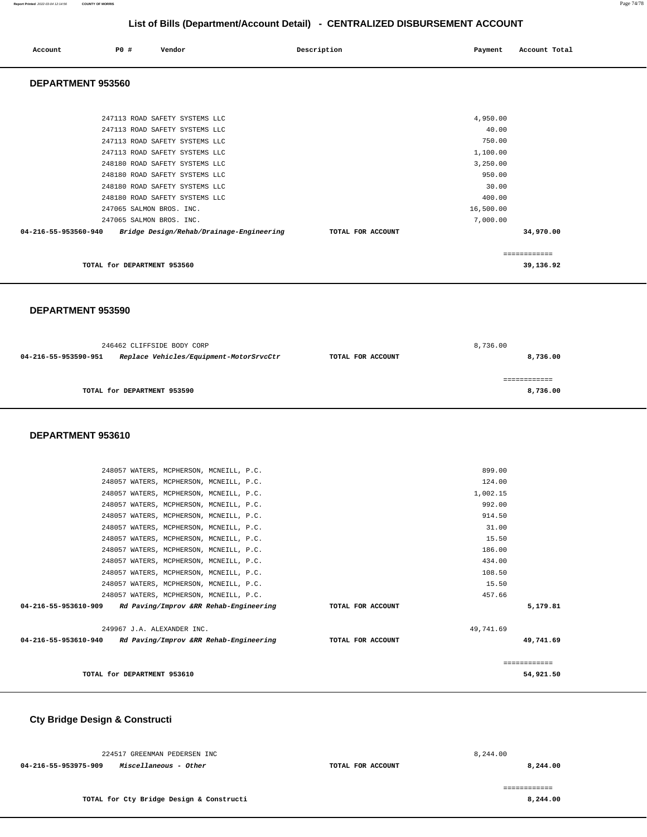## **List of Bills (Department/Account Detail) - CENTRALIZED DISBURSEMENT ACCOUNT**

| Account                  | P0 # | Vendor | Description | Payment | Account Total |
|--------------------------|------|--------|-------------|---------|---------------|
| <b>DEDARTMENT AFSECA</b> |      |        |             |         |               |

## **DEPARTMENT 953560**

| 247113 ROAD SAFETY SYSTEMS LLC<br>248180 ROAD SAFETY SYSTEMS LLC                             |                   | 1,100.00<br>3,250.00  |
|----------------------------------------------------------------------------------------------|-------------------|-----------------------|
| 248180 ROAD SAFETY SYSTEMS LLC<br>248180 ROAD SAFETY SYSTEMS LLC                             |                   | 950.00<br>30.00       |
| 248180 ROAD SAFETY SYSTEMS LLC<br>247065 SALMON BROS. INC.                                   |                   | 400.00<br>16,500.00   |
| 247065 SALMON BROS. INC.<br>Bridge Design/Rehab/Drainage-Engineering<br>04-216-55-953560-940 | TOTAL FOR ACCOUNT | 7,000.00<br>34,970.00 |
|                                                                                              |                   |                       |
| TOTAL for DEPARTMENT 953560                                                                  |                   | 39,136.92             |

#### **DEPARTMENT 953590**

| 246462 CLIFFSIDE BODY CORP  |                                         |                   | 8,736.00 |  |
|-----------------------------|-----------------------------------------|-------------------|----------|--|
| 04-216-55-953590-951        | Replace Vehicles/Equipment-MotorSrvcCtr | TOTAL FOR ACCOUNT | 8,736.00 |  |
| TOTAL for DEPARTMENT 953590 |                                         |                   | 8,736.00 |  |

#### **DEPARTMENT 953610**

|                                                             | 248057 WATERS, MCPHERSON, MCNEILL, P.C. |  |                   | 124.00    |              |
|-------------------------------------------------------------|-----------------------------------------|--|-------------------|-----------|--------------|
|                                                             | 248057 WATERS, MCPHERSON, MCNEILL, P.C. |  |                   | 1,002.15  |              |
|                                                             | 248057 WATERS, MCPHERSON, MCNEILL, P.C. |  |                   | 992.00    |              |
|                                                             | 248057 WATERS, MCPHERSON, MCNEILL, P.C. |  |                   | 914.50    |              |
|                                                             | 248057 WATERS, MCPHERSON, MCNEILL, P.C. |  |                   | 31.00     |              |
|                                                             | 248057 WATERS, MCPHERSON, MCNEILL, P.C. |  |                   | 15.50     |              |
|                                                             | 248057 WATERS, MCPHERSON, MCNEILL, P.C. |  |                   | 186.00    |              |
|                                                             | 248057 WATERS, MCPHERSON, MCNEILL, P.C. |  |                   | 434.00    |              |
|                                                             | 248057 WATERS, MCPHERSON, MCNEILL, P.C. |  |                   | 108.50    |              |
|                                                             | 248057 WATERS, MCPHERSON, MCNEILL, P.C. |  |                   | 15.50     |              |
|                                                             | 248057 WATERS, MCPHERSON, MCNEILL, P.C. |  |                   | 457.66    |              |
| 04-216-55-953610-909 Rd Paving/Improv &RR Rehab-Engineering |                                         |  | TOTAL FOR ACCOUNT |           | 5,179.81     |
|                                                             | 249967 J.A. ALEXANDER INC.              |  |                   | 49,741.69 |              |
| 04-216-55-953610-940 Rd Paving/Improv &RR Rehab-Engineering |                                         |  | TOTAL FOR ACCOUNT |           | 49,741.69    |
|                                                             |                                         |  |                   |           | ============ |
|                                                             | TOTAL for DEPARTMENT 953610             |  |                   |           | 54,921.50    |
|                                                             |                                         |  |                   |           |              |

# **Cty Bridge Design & Constructi**

| 224517 GREENMAN PEDERSEN INC                  |                   | 8,244.00 |
|-----------------------------------------------|-------------------|----------|
| Miscellaneous - Other<br>04-216-55-953975-909 | TOTAL FOR ACCOUNT | 8,244.00 |
|                                               |                   |          |
|                                               |                   |          |
| TOTAL for Cty Bridge Design & Constructi      |                   | 8,244.00 |
|                                               |                   |          |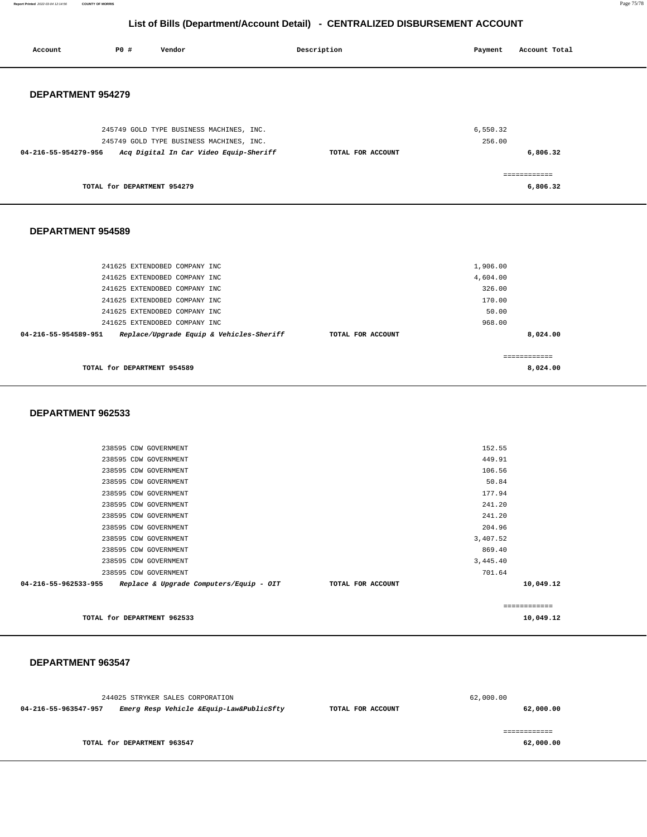**Report Printed** 2022-03-04 12:14:56 **COUNTY OF MORRIS** Page 75/78

## **List of Bills (Department/Account Detail) - CENTRALIZED DISBURSEMENT ACCOUNT**

| Account              | P0 #                        | Vendor                                   | Description       | Payment   | Account Total |
|----------------------|-----------------------------|------------------------------------------|-------------------|-----------|---------------|
|                      |                             |                                          |                   |           |               |
|                      |                             |                                          |                   |           |               |
| DEPARTMENT 954279    |                             |                                          |                   |           |               |
|                      |                             |                                          |                   |           |               |
|                      |                             |                                          |                   |           |               |
|                      |                             |                                          |                   |           |               |
|                      |                             | 245749 GOLD TYPE BUSINESS MACHINES, INC. |                   | 6,550.32  |               |
|                      |                             | 245749 GOLD TYPE BUSINESS MACHINES, INC. |                   | 256.00    |               |
| 04-216-55-954279-956 |                             | Acq Digital In Car Video Equip-Sheriff   | TOTAL FOR ACCOUNT |           | 6,806.32      |
|                      |                             |                                          |                   |           | ============  |
|                      | TOTAL for DEPARTMENT 954279 |                                          |                   |           | 6,806.32      |
|                      |                             |                                          |                   |           |               |
|                      |                             |                                          |                   |           |               |
|                      |                             |                                          |                   |           |               |
| DEPARTMENT 954589    |                             |                                          |                   |           |               |
|                      |                             |                                          |                   |           |               |
|                      |                             |                                          |                   |           |               |
|                      |                             | 241625 EXTENDOBED COMPANY INC            |                   | 1,906.00  |               |
|                      |                             | 241625 EXTENDOBED COMPANY INC            |                   | 4,604.00  |               |
|                      |                             | 241625 EXTENDOBED COMPANY INC            |                   | 326.00    |               |
|                      |                             | 241625 EXTENDOBED COMPANY INC            |                   | 170.00    |               |
|                      |                             | 241625 EXTENDOBED COMPANY INC            |                   | 50.00     |               |
|                      |                             | 241625 EXTENDOBED COMPANY INC            |                   | 968.00    |               |
| 04-216-55-954589-951 |                             | Replace/Upgrade Equip & Vehicles-Sheriff | TOTAL FOR ACCOUNT |           | 8,024.00      |
|                      |                             |                                          |                   |           |               |
|                      |                             |                                          |                   |           | ============  |
|                      | TOTAL for DEPARTMENT 954589 |                                          |                   |           | 8,024.00      |
|                      |                             |                                          |                   |           |               |
|                      |                             |                                          |                   |           |               |
|                      |                             |                                          |                   |           |               |
| DEPARTMENT 962533    |                             |                                          |                   |           |               |
|                      |                             |                                          |                   |           |               |
|                      |                             |                                          |                   |           |               |
|                      | 238595 CDW GOVERNMENT       |                                          |                   | 152.55    |               |
|                      | 238595 CDW GOVERNMENT       |                                          |                   | 449.91    |               |
|                      | 238595 CDW GOVERNMENT       |                                          |                   | 106.56    |               |
|                      | 238595 CDW GOVERNMENT       |                                          |                   | 50.84     |               |
|                      | 238595 CDW GOVERNMENT       |                                          |                   | 177.94    |               |
|                      | 238595 CDW GOVERNMENT       |                                          |                   | 241.20    |               |
|                      | 238595 CDW GOVERNMENT       |                                          |                   | 241.20    |               |
|                      | 238595 CDW GOVERNMENT       |                                          |                   | 204.96    |               |
|                      | 238595 CDW GOVERNMENT       |                                          |                   | 3,407.52  |               |
|                      | 238595 CDW GOVERNMENT       |                                          |                   | 869.40    |               |
|                      | 238595 CDW GOVERNMENT       |                                          |                   | 3,445.40  |               |
|                      | 238595 CDW GOVERNMENT       |                                          |                   | 701.64    |               |
| 04-216-55-962533-955 |                             | Replace & Upgrade Computers/Equip - OIT  | TOTAL FOR ACCOUNT |           | 10,049.12     |
|                      |                             |                                          |                   |           |               |
|                      |                             |                                          |                   |           | ============  |
|                      | TOTAL for DEPARTMENT 962533 |                                          |                   |           | 10,049.12     |
|                      |                             |                                          |                   |           |               |
|                      |                             |                                          |                   |           |               |
|                      |                             |                                          |                   |           |               |
| DEPARTMENT 963547    |                             |                                          |                   |           |               |
|                      |                             |                                          |                   |           |               |
|                      |                             |                                          |                   |           |               |
|                      |                             | 244025 STRYKER SALES CORPORATION         |                   | 62,000.00 |               |
| 04-216-55-963547-957 |                             | Emerg Resp Vehicle &Equip-Law&PublicSfty | TOTAL FOR ACCOUNT |           | 62,000.00     |
|                      |                             |                                          |                   |           |               |

**TOTAL for DEPARTMENT 963547** 

============

**62,000.00**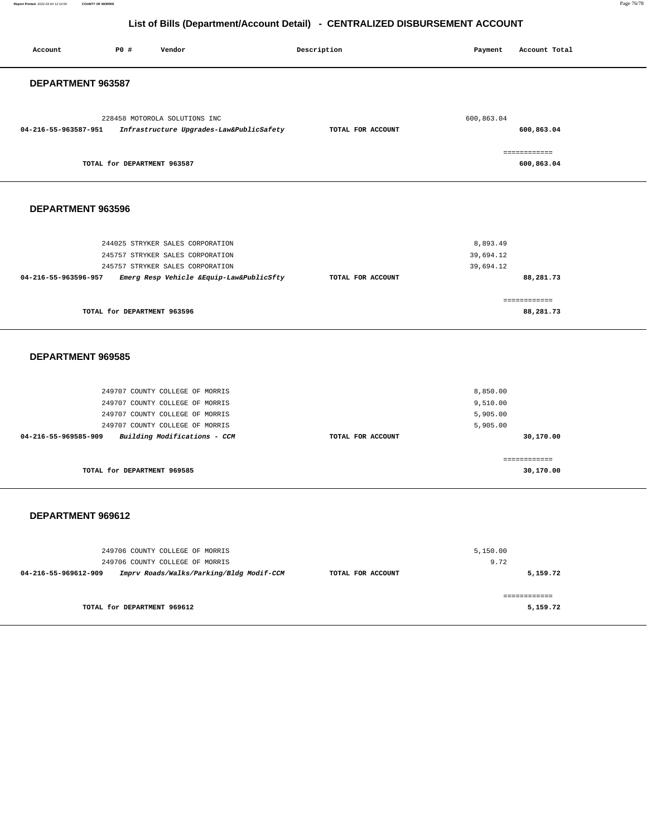**Report Printed** 2022-03-04 12:14:56 **COUNTY OF MORRIS** Page 76/78

# **List of Bills (Department/Account Detail) - CENTRALIZED DISBURSEMENT ACCOUNT**

| Account              | P0 #                        | Vendor                                                                                                | Description       | Payment                          | Account Total              |
|----------------------|-----------------------------|-------------------------------------------------------------------------------------------------------|-------------------|----------------------------------|----------------------------|
| DEPARTMENT 963587    |                             |                                                                                                       |                   |                                  |                            |
| 04-216-55-963587-951 |                             | 228458 MOTOROLA SOLUTIONS INC<br>Infrastructure Upgrades-Law&PublicSafety                             | TOTAL FOR ACCOUNT | 600,863.04                       | 600,863.04                 |
|                      | TOTAL for DEPARTMENT 963587 |                                                                                                       |                   |                                  | ------------<br>600,863.04 |
| DEPARTMENT 963596    |                             |                                                                                                       |                   |                                  |                            |
|                      |                             | 244025 STRYKER SALES CORPORATION<br>245757 STRYKER SALES CORPORATION                                  |                   | 8,893.49<br>39,694.12            |                            |
| 04-216-55-963596-957 |                             | 245757 STRYKER SALES CORPORATION<br>Emerg Resp Vehicle &Equip-Law&PublicSfty                          | TOTAL FOR ACCOUNT | 39,694.12                        | 88,281.73                  |
|                      | TOTAL for DEPARTMENT 963596 |                                                                                                       |                   |                                  | ============<br>88,281.73  |
| DEPARTMENT 969585    |                             |                                                                                                       |                   |                                  |                            |
|                      |                             | 249707 COUNTY COLLEGE OF MORRIS<br>249707 COUNTY COLLEGE OF MORRIS<br>249707 COUNTY COLLEGE OF MORRIS |                   | 8,850.00<br>9,510.00<br>5,905.00 |                            |
| 04-216-55-969585-909 |                             | 249707 COUNTY COLLEGE OF MORRIS<br>Building Modifications - CCM                                       | TOTAL FOR ACCOUNT | 5,905.00                         | 30,170.00                  |
|                      | TOTAL for DEPARTMENT 969585 |                                                                                                       |                   |                                  | ============<br>30,170.00  |
| DEPARTMENT 969612    |                             |                                                                                                       |                   |                                  |                            |
| 04-216-55-969612-909 |                             | 249706 COUNTY COLLEGE OF MORRIS<br>249706 COUNTY COLLEGE OF MORRIS                                    | TOTAL FOR ACCOUNT | 5,150.00<br>9.72                 |                            |
|                      |                             | Imprv Roads/Walks/Parking/Bldg Modif-CCM                                                              |                   |                                  | 5,159.72<br>============   |
|                      | TOTAL for DEPARTMENT 969612 |                                                                                                       |                   |                                  | 5,159.72                   |
|                      |                             |                                                                                                       |                   |                                  |                            |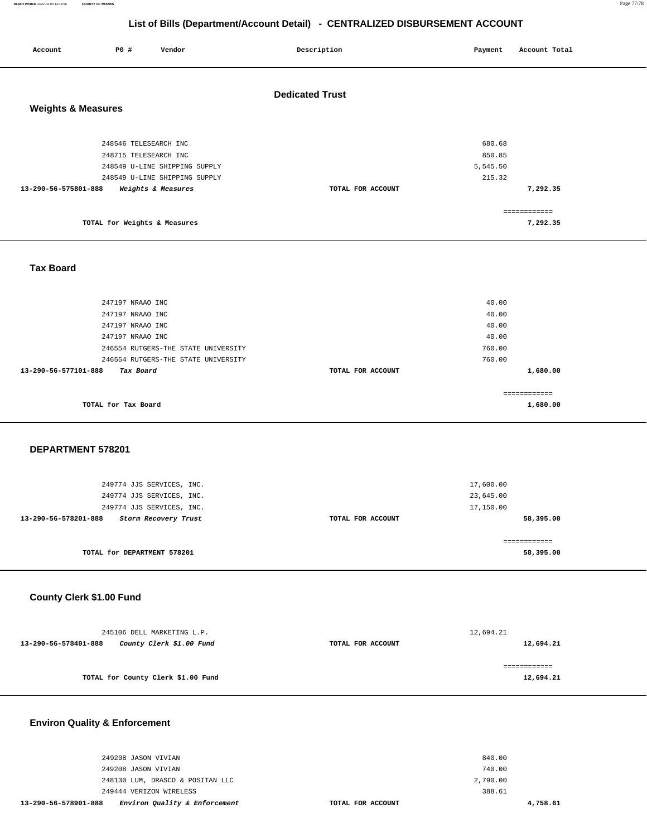**Report Printed** 2022-03-04 12:14:56 **COUNTY OF MORRIS** Page 77/78

## **List of Bills (Department/Account Detail) - CENTRALIZED DISBURSEMENT ACCOUNT**

| Account                       | P0 #                                           | Vendor                                                         | Description            | Payment                                | Account Total                        |
|-------------------------------|------------------------------------------------|----------------------------------------------------------------|------------------------|----------------------------------------|--------------------------------------|
| <b>Weights &amp; Measures</b> |                                                |                                                                | <b>Dedicated Trust</b> |                                        |                                      |
|                               | 248546 TELESEARCH INC<br>248715 TELESEARCH INC | 248549 U-LINE SHIPPING SUPPLY<br>248549 U-LINE SHIPPING SUPPLY |                        | 680.68<br>850.85<br>5,545.50<br>215.32 |                                      |
| 13-290-56-575801-888          | TOTAL for Weights & Measures                   | Weights & Measures                                             | TOTAL FOR ACCOUNT      |                                        | 7,292.35<br>============<br>7,292.35 |
| <b>Tax Board</b>              |                                                |                                                                |                        |                                        |                                      |

| 247197 NRAAO INC                    |                   | 40.00    |
|-------------------------------------|-------------------|----------|
| 247197 NRAAO INC                    |                   | 40.00    |
| 247197 NRAAO INC                    |                   | 40.00    |
| 247197 NRAAO INC                    |                   | 40.00    |
| 246554 RUTGERS-THE STATE UNIVERSITY |                   | 760.00   |
| 246554 RUTGERS-THE STATE UNIVERSITY |                   | 760.00   |
| 13-290-56-577101-888<br>Tax Board   | TOTAL FOR ACCOUNT | 1,680.00 |
|                                     |                   |          |
|                                     |                   |          |
| TOTAL for Tax Board                 |                   | 1,680.00 |
|                                     |                   |          |

#### **DEPARTMENT 578201**

| 249774 JJS SERVICES, INC.<br>249774 JJS SERVICES, INC.<br>13-290-56-578201-888<br>Storm Recovery Trust | TOTAL FOR ACCOUNT | 23,645.00<br>17,150.00<br>58,395.00 |
|--------------------------------------------------------------------------------------------------------|-------------------|-------------------------------------|
| TOTAL for DEPARTMENT 578201                                                                            |                   | 58,395.00                           |

## **County Clerk \$1.00 Fund**

| 245106 DELL MARKETING L.P. |                                    |                   | 12,694.21 |
|----------------------------|------------------------------------|-------------------|-----------|
| 13-290-56-578401-888       | County Clerk \$1.00 Fund           | TOTAL FOR ACCOUNT | 12,694.21 |
|                            |                                    |                   |           |
|                            |                                    |                   |           |
|                            | TOTAL for County Clerk \$1.00 Fund |                   | 12,694.21 |
|                            |                                    |                   |           |

# **Environ Quality & Enforcement**

| 13-290-56-578901-888 | Environ Quality & Enforcement    | TOTAL FOR ACCOUNT | 4,758.61 |
|----------------------|----------------------------------|-------------------|----------|
|                      | 249444 VERIZON WIRELESS          | 388.61            |          |
|                      | 248130 LUM, DRASCO & POSITAN LLC | 2,790.00          |          |
|                      | 249208 JASON VIVIAN              | 740.00            |          |
|                      | 249208 JASON VIVIAN              | 840.00            |          |
|                      |                                  |                   |          |